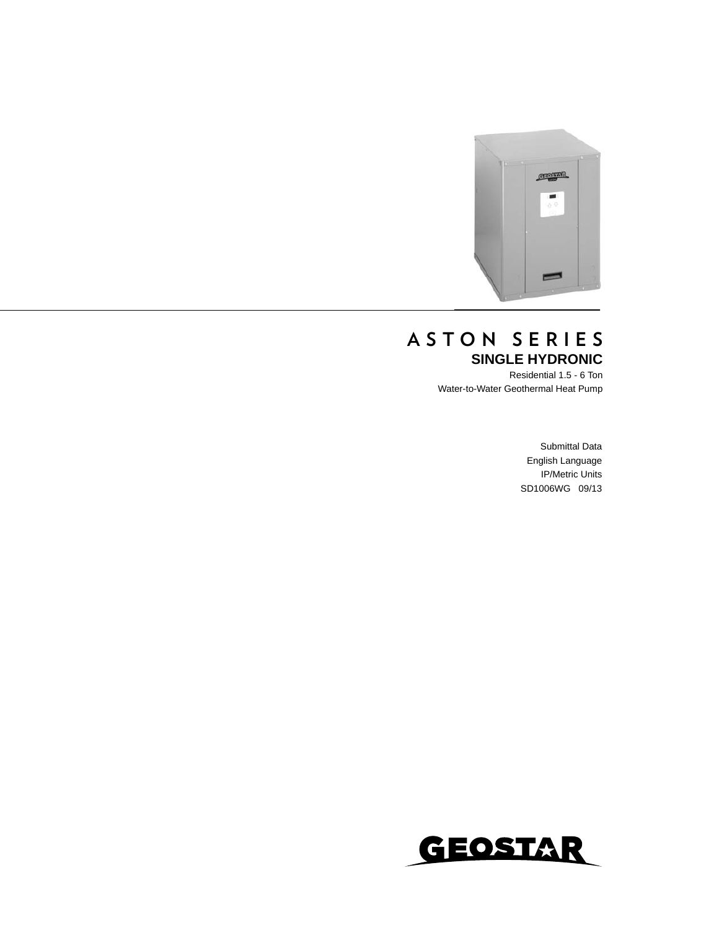

### **ASTON SERIES SINGLE HYDRONIC**

Residential 1.5 - 6 Ton Water-to-Water Geothermal Heat Pump

> Submittal Data English Language IP/Metric Units SD1006WG 09/13

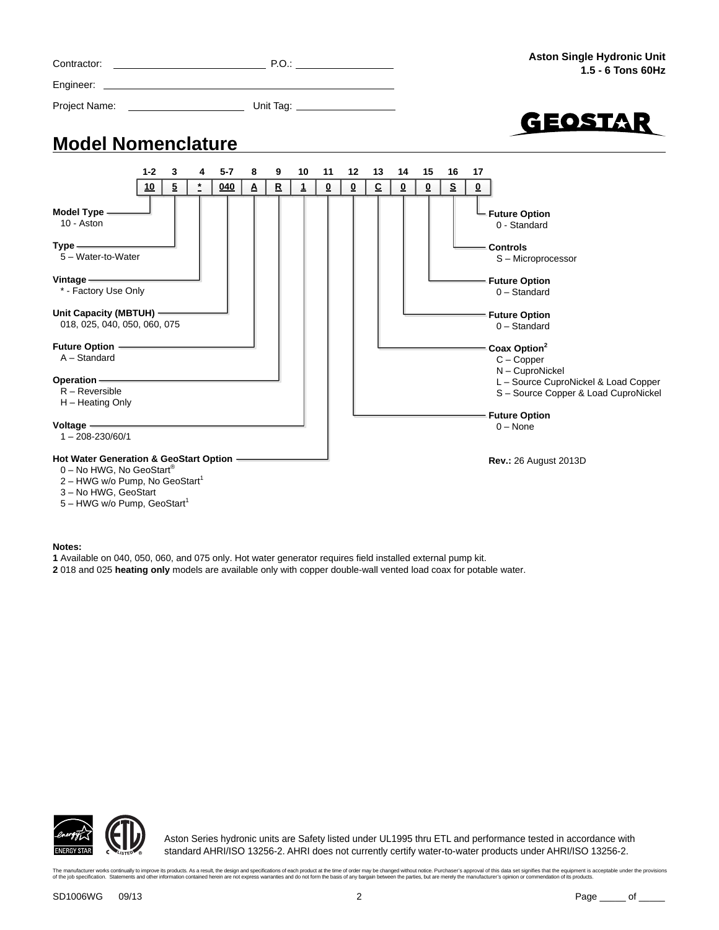

#### **Notes:**

- **1** Available on 040, 050, 060, and 075 only. Hot water generator requires field installed external pump kit.
- **2** 018 and 025 **heating only** models are available only with copper double-wall vented load coax for potable water.



Aston Series hydronic units are Safety listed under UL1995 thru ETL and performance tested in accordance with standard AHRI/ISO 13256-2. AHRI does not currently certify water-to-water products under AHRI/ISO 13256-2.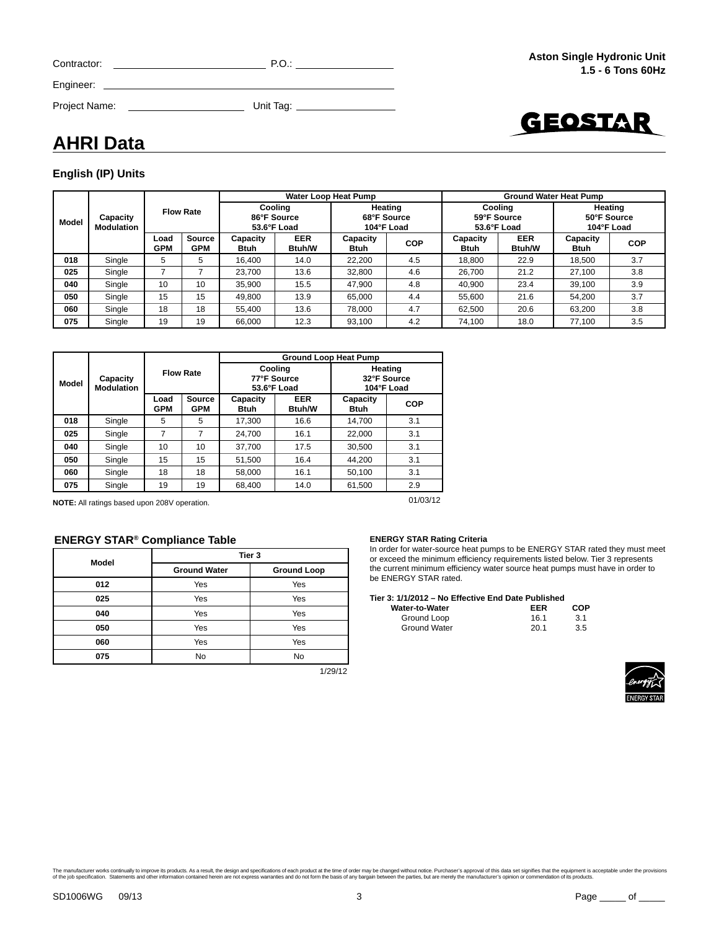| Contractor:   | P.O.      |  |
|---------------|-----------|--|
| Engineer:     |           |  |
| Project Name: | Unit Tag: |  |



### **AHRI Data**

#### **English (IP) Units**

|              |                               | <b>Flow Rate</b>   |                             |                                       |                             | Water Loop Heat Pump                 |            | <b>Ground Water Heat Pump</b>         |                             |                                      |            |  |
|--------------|-------------------------------|--------------------|-----------------------------|---------------------------------------|-----------------------------|--------------------------------------|------------|---------------------------------------|-----------------------------|--------------------------------------|------------|--|
| <b>Model</b> | Capacity<br><b>Modulation</b> |                    |                             | Coolina<br>86°F Source<br>53.6°F Load |                             | Heating<br>68°F Source<br>104°F Load |            | Coolina<br>59°F Source<br>53.6°F Load |                             | Heating<br>50°F Source<br>104°F Load |            |  |
|              |                               | Load<br><b>GPM</b> | <b>Source</b><br><b>GPM</b> | Capacity<br>Btuh                      | <b>EER</b><br><b>Btuh/W</b> | Capacity<br>Btuh                     | <b>COP</b> | Capacity<br><b>Btuh</b>               | <b>EER</b><br><b>Btuh/W</b> | Capacity<br>Btuh                     | <b>COP</b> |  |
| 018          | Single                        | 5                  | 5                           | 16.400                                | 14.0                        | 22.200                               | 4.5        | 18.800                                | 22.9                        | 18.500                               | 3.7        |  |
| 025          | Single                        | ⇁                  | ⇁                           | 23.700                                | 13.6                        | 32,800                               | 4.6        | 26.700                                | 21.2                        | 27.100                               | 3.8        |  |
| 040          | Single                        | 10                 | 10                          | 35.900                                | 15.5                        | 47.900                               | 4.8        | 40.900                                | 23.4                        | 39.100                               | 3.9        |  |
| 050          | Single                        | 15                 | 15                          | 49.800                                | 13.9                        | 65.000                               | 4.4        | 55.600                                | 21.6                        | 54.200                               | 3.7        |  |
| 060          | Single                        | 18                 | 18                          | 55.400                                | 13.6                        | 78.000                               | 4.7        | 62.500                                | 20.6                        | 63.200                               | 3.8        |  |
| 075          | Single                        | 19                 | 19                          | 66,000                                | 12.3                        | 93,100                               | 4.2        | 74.100                                | 18.0                        | 77,100                               | 3.5        |  |

|       |                               |                    |                             | <b>Ground Loop Heat Pump</b>                            |                                       |                                      |     |  |  |  |  |  |  |
|-------|-------------------------------|--------------------|-----------------------------|---------------------------------------------------------|---------------------------------------|--------------------------------------|-----|--|--|--|--|--|--|
| Model | Capacity<br><b>Modulation</b> |                    | <b>Flow Rate</b>            |                                                         | Cooling<br>77°F Source<br>53.6°F Load | Heating<br>32°F Source<br>104°F Load |     |  |  |  |  |  |  |
|       |                               | Load<br><b>GPM</b> | <b>Source</b><br><b>GPM</b> | Capacity<br><b>Btuh</b>                                 | <b>EER</b><br><b>Btuh/W</b>           | Capacity<br><b>Btuh</b>              | COP |  |  |  |  |  |  |
| 018   | Single                        | 5                  | 5                           | 17.300                                                  | 16.6                                  | 14.700                               | 3.1 |  |  |  |  |  |  |
| 025   | Single                        | 7                  | 7                           | 24.700                                                  | 16.1                                  | 22.000                               | 3.1 |  |  |  |  |  |  |
| 040   | Single                        | 10                 | 10                          | 37.700                                                  | 17.5                                  | 30,500                               | 3.1 |  |  |  |  |  |  |
| 050   | Single                        | 15                 | 15                          | 51,500                                                  | 16.4                                  | 44.200                               | 3.1 |  |  |  |  |  |  |
| 060   | Single                        | 18                 | 18                          | 58.000                                                  | 16.1                                  | 50.100                               | 3.1 |  |  |  |  |  |  |
| 075   | Single                        | 19                 | 19                          | 68,400<br>14.0                                          |                                       | 61,500                               | 2.9 |  |  |  |  |  |  |
|       |                               |                    |                             | 01/03/12<br>NOTE: All rotings board upon 2001 operation |                                       |                                      |     |  |  |  |  |  |  |

**NOTE:** All ratings based upon 208V operation.

#### **ENERGY STAR® Compliance Table**

| <b>Model</b> | Tier 3              |                    |  |  |  |  |  |
|--------------|---------------------|--------------------|--|--|--|--|--|
|              | <b>Ground Water</b> | <b>Ground Loop</b> |  |  |  |  |  |
| 012          | Yes                 | Yes                |  |  |  |  |  |
| 025          | Yes                 | Yes                |  |  |  |  |  |
| 040          | Yes                 | Yes                |  |  |  |  |  |
| 050          | Yes                 | Yes                |  |  |  |  |  |
| 060          | Yes                 | Yes                |  |  |  |  |  |
| 075          | No                  | No                 |  |  |  |  |  |

1/29/12

#### **ENERGY STAR Rating Criteria**

In order for water-source heat pumps to be ENERGY STAR rated they must meet or exceed the minimum efficiency requirements listed below. Tier 3 represents the current minimum efficiency water source heat pumps must have in order to be ENERGY STAR rated.

#### **Tier 3: 1/1/2012 – No Effective End Date Published**

| <b>Water-to-Water</b> | EER  | <b>COP</b> |
|-----------------------|------|------------|
| Ground Loop           | 16.1 | 3.1        |
| <b>Ground Water</b>   | 20.1 | 3.5        |

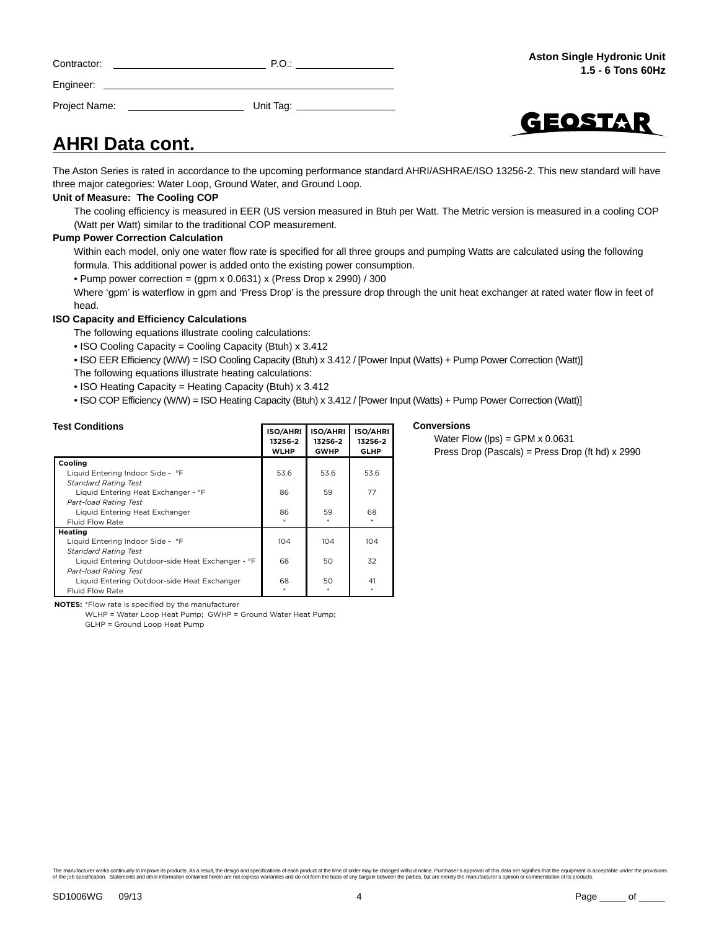| Contractor: | P.O. |
|-------------|------|
| Engineer:   |      |
|             |      |

Project Name: Whit Tag:



### **AHRI Data cont.**

The Aston Series is rated in accordance to the upcoming performance standard AHRI/ASHRAE/ISO 13256-2. This new standard will have three major categories: Water Loop, Ground Water, and Ground Loop.

#### **Unit of Measure: The Cooling COP**

The cooling efficiency is measured in EER (US version measured in Btuh per Watt. The Metric version is measured in a cooling COP (Watt per Watt) similar to the traditional COP measurement.

#### **Pump Power Correction Calculation**

Within each model, only one water flow rate is specified for all three groups and pumping Watts are calculated using the following formula. This additional power is added onto the existing power consumption.

• Pump power correction =  $(gpm x 0.0631) x$  (Press Drop x 2990) / 300

Where 'gpm' is waterflow in gpm and 'Press Drop' is the pressure drop through the unit heat exchanger at rated water flow in feet of head.

**Conversions** 

Water Flow (lps) = GPM  $\times$  0.0631

Press Drop (Pascals) = Press Drop (ft hd) x 2990

#### **ISO Capacity and Efficiency Calculations**

The following equations illustrate cooling calculations:

- ISO Cooling Capacity = Cooling Capacity (Btuh) x 3.412
- ISO EER Efficiency (W/W) = ISO Cooling Capacity (Btuh) x 3.412 / [Power Input (Watts) + Pump Power Correction (Watt)] The following equations illustrate heating calculations:
- ISO Heating Capacity = Heating Capacity (Btuh) x 3.412
- ISO COP Efficiency (W/W) = ISO Heating Capacity (Btuh) x 3.412 / [Power Input (Watts) + Pump Power Correction (Watt)]

| <b>Test Conditions</b>                           | <b>ISO/AHRI</b><br>13256-2<br><b>WLHP</b> | <b>ISO/AHRI</b><br>13256-2<br><b>GWHP</b> | <b>ISO/AHRI</b><br>13256-2<br><b>GLHP</b> |
|--------------------------------------------------|-------------------------------------------|-------------------------------------------|-------------------------------------------|
| Cooling                                          |                                           |                                           |                                           |
| Liquid Entering Indoor Side - °F                 | 53.6                                      | 53.6                                      | 53.6                                      |
| <b>Standard Rating Test</b>                      |                                           |                                           |                                           |
| Liquid Entering Heat Exchanger - °F              | 86                                        | 59                                        | 77                                        |
| <b>Part-load Rating Test</b>                     |                                           |                                           |                                           |
| Liquid Entering Heat Exchanger                   | 86                                        | 59                                        | 68                                        |
| Fluid Flow Rate                                  |                                           |                                           |                                           |
| Heating                                          |                                           |                                           |                                           |
| Liquid Entering Indoor Side - °F                 | 104                                       | 104                                       | 104                                       |
| <b>Standard Rating Test</b>                      |                                           |                                           |                                           |
| Liquid Entering Outdoor-side Heat Exchanger - °F | 68                                        | 50                                        | 32                                        |
| <b>Part-load Rating Test</b>                     |                                           |                                           |                                           |
| Liquid Entering Outdoor-side Heat Exchanger      | 68                                        | 50                                        | 41                                        |
| <b>Fluid Flow Rate</b>                           |                                           |                                           |                                           |

**NOTES:** \*Flow rate is specified by the manufacturer

WLHP = Water Loop Heat Pump: GWHP = Ground Water Heat Pump:  $GI$  HP =  $Ground$  Loop Heat Pump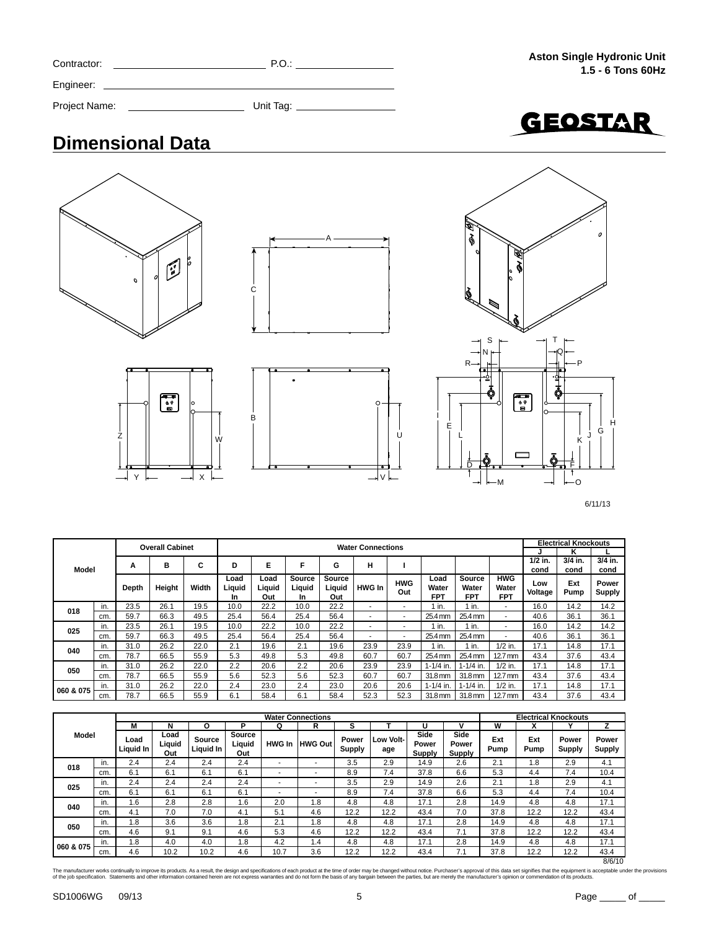| Contractor:   | P.O.      |  |
|---------------|-----------|--|
| Engineer:     |           |  |
| Project Name: | Unit Tag: |  |



### **Dimensional Data**











6/11/13

|           |       |        | <b>Overall Cabinet</b> |                             | <b>Water Connections</b> |                        |                         |               |                   |                             |                        |                                   |                | Electrical Knockouts |                 |         |
|-----------|-------|--------|------------------------|-----------------------------|--------------------------|------------------------|-------------------------|---------------|-------------------|-----------------------------|------------------------|-----------------------------------|----------------|----------------------|-----------------|---------|
|           |       |        |                        |                             |                          |                        |                         |               |                   |                             |                        |                                   |                |                      | κ               |         |
|           |       | Α      | в                      | С                           | D                        | Е                      | F                       | G             | н                 |                             |                        |                                   |                | $1/2$ in.            | 3/4 in.         | 3/4 in. |
| Model     |       |        |                        |                             |                          |                        |                         |               |                   |                             |                        |                                   |                | cond                 | cond            | cond    |
|           | Depth | Height | Width                  | Load<br>Liauid<br><b>In</b> | Load<br>Liquid<br>Out    | Source<br>Liquid<br>In | Source<br>Liquid<br>Out | <b>HWG In</b> | <b>HWG</b><br>Out | Load<br>Water<br><b>FPT</b> | Source<br>Water<br>FPT | <b>HWG</b><br>Water<br><b>FPT</b> | Low<br>Voltage | Ext<br>Pump          | Power<br>Supply |         |
| 018       | in.   | 23.5   | 26.1                   | 19.5                        | 10.0                     | 22.2                   | 10.0                    | 22.2          | ۰                 |                             | 1 in.                  | 1 in.                             | ۰              | 16.0                 | 14.2            | 14.2    |
|           | cm.   | 59.7   | 66.3                   | 49.5                        | 25.4                     | 56.4                   | 25.4                    | 56.4          | ۰                 | $\overline{\phantom{a}}$    | 25.4 mm                | 25.4 mm                           | ۰              | 40.6                 | 36.1            | 36.1    |
| 025       | in.   | 23.5   | 26.1                   | 19.5                        | 10.0                     | 22.2                   | 10.0                    | 22.2          | ۰                 |                             | in.                    | 1 in.                             | ۰              | 16.0                 | 14.2            | 14.2    |
|           | cm.   | 59.7   | 66.3                   | 49.5                        | 25.4                     | 56.4                   | 25.4                    | 56.4          | ۰                 | $\sim$                      | 25.4 mm                | 25.4 mm                           | ۰              | 40.6                 | 36.1            | 36.1    |
| 040       | in.   | 31.0   | 26.2                   | 22.0                        | 2.1                      | 19.6                   | 2.1                     | 19.6          | 23.9              | 23.9                        | 1 in.                  | 1 in.                             | $1/2$ in.      | 17.1                 | 14.8            | 17.1    |
|           | cm.   | 78.7   | 66.5                   | 55.9                        | 5.3                      | 49.8                   | 5.3                     | 49.8          | 60.7              | 60.7                        | 25.4 mm                | 25.4 mm                           | $12.7$ mm      | 43.4                 | 37.6            | 43.4    |
| 050       | in.   | 31.0   | 26.2                   | 22.0                        | 2.2                      | 20.6                   | 2.2                     | 20.6          | 23.9              | 23.9                        | $1 - 1/4$ in.          | $1 - 1/4$ in.                     | $1/2$ in.      | 17.1                 | 14.8            | 17.1    |
|           | cm.   | 78.7   | 66.5                   | 55.9                        | 5.6                      | 52.3                   | 5.6                     | 52.3          | 60.7              | 60.7                        | 31.8 mm                | 31.8 mm                           | $12.7$ mm      | 43.4                 | 37.6            | 43.4    |
| 060 & 075 | in.   | 31.0   | 26.2                   | 22.0                        | 2.4                      | 23.0                   | 2.4                     | 23.0          | 20.6              | 20.6                        | $1 - 1/4$ in.          | $1 - 1/4$ in                      | $1/2$ in.      | 17.1                 | 14.8            | 17.1    |
|           | cm.   | 78.7   | 66.5                   | 55.9                        | 6.1                      | 58.4                   | 6.1                     | 58.4          | 52.3              | 52.3                        | 31.8 mm                | 31.8 mm                           | $12.7$ mm      | 43.4                 | 37.6            | 43.4    |

|              |     |                   |                       |                     |                         |               | <b>Water Connections</b> |                 |                  |                                |                         |             |                           | <b>Electrical Knockouts</b> |                        |
|--------------|-----|-------------------|-----------------------|---------------------|-------------------------|---------------|--------------------------|-----------------|------------------|--------------------------------|-------------------------|-------------|---------------------------|-----------------------------|------------------------|
|              |     | M                 | N                     | o                   | P                       | Q             | R                        | s               |                  | u                              |                         | w           | $\boldsymbol{\mathsf{A}}$ |                             |                        |
| <b>Model</b> |     | Load<br>Liquid In | Load<br>Liquid<br>Out | Source<br>Liguid In | Source<br>Liquid<br>Out | <b>HWG In</b> | <b>HWG Out</b>           | Power<br>Supply | Low Volt-<br>age | Side<br>Power<br><b>Supply</b> | Side<br>Power<br>Supply | Ext<br>Pump | Ext<br>Pump               | Power<br><b>Supply</b>      | Power<br><b>Supply</b> |
| 018          | in. | 2.4               | 2.4                   | 2.4                 | 2.4                     | ۰             | ۰                        | 3.5             | 2.9              | 14.9                           | 2.6                     | 2.1         | 1.8                       | 2.9                         | 4.1                    |
|              | cm. | 6.1               | 6.1                   | 6.1                 | 6.1                     | ۰             | ۰                        | 8.9             | 7.4              | 37.8                           | 6.6                     | 5.3         | 4.4                       | 7.4                         | 10.4                   |
| 025          | in. | 2.4               | 2.4                   | 2.4                 | 2.4                     | ۰             |                          | 3.5             | 2.9              | 14.9                           | 2.6                     | 2.1         | 1.8                       | 2.9                         | 4.1                    |
|              | cm. | 6.1               | 6.1                   | 6.1                 | 6.1                     | ۰             | ۰                        | 8.9             | 7.4              | 37.8                           | 6.6                     | 5.3         | 4.4                       | 7.4                         | 10.4                   |
| 040          | in. | 1.6               | 2.8                   | 2.8                 | 1.6                     | 2.0           | 1.8                      | 4.8             | 4.8              | 17.1                           | 2.8                     | 14.9        | 4.8                       | 4.8                         | 17.1                   |
|              | cm. | 4.1               | 7.0                   | 7.0                 | 4.1                     | 5.1           | 4.6                      | 12.2            | 12.2             | 43.4                           | 7.0                     | 37.8        | 12.2                      | 12.2                        | 43.4                   |
| 050          | in. | 1.8               | 3.6                   | 3.6                 | 1.8                     | 2.1           | 1.8                      | 4.8             | 4.8              | 17.1                           | 2.8                     | 14.9        | 4.8                       | 4.8                         | 17.1                   |
|              | cm. | 4.6               | 9.1                   | 9.1                 | 4.6                     | 5.3           | 4.6                      | 12.2            | 12.2             | 43.4                           | 7.1                     | 37.8        | 12.2                      | 12.2                        | 43.4                   |
|              | in. | 1.8               | 4.0                   | 4.0                 | 1.8                     | 4.2           | 1.4                      | 4.8             | 4.8              | 17.1                           | 2.8                     | 14.9        | 4.8                       | 4.8                         | 17.1                   |
| 060 & 075    | cm. | 4.6               | 10.2                  | 10.2                | 4.6                     | 10.7          | 3.6                      | 12.2            | 12.2             | 43.4                           | 7.1                     | 37.8        | 12.2                      | 12.2                        | 43.4                   |
|              |     |                   |                       |                     |                         |               |                          |                 |                  |                                |                         |             |                           |                             | 8/6/10                 |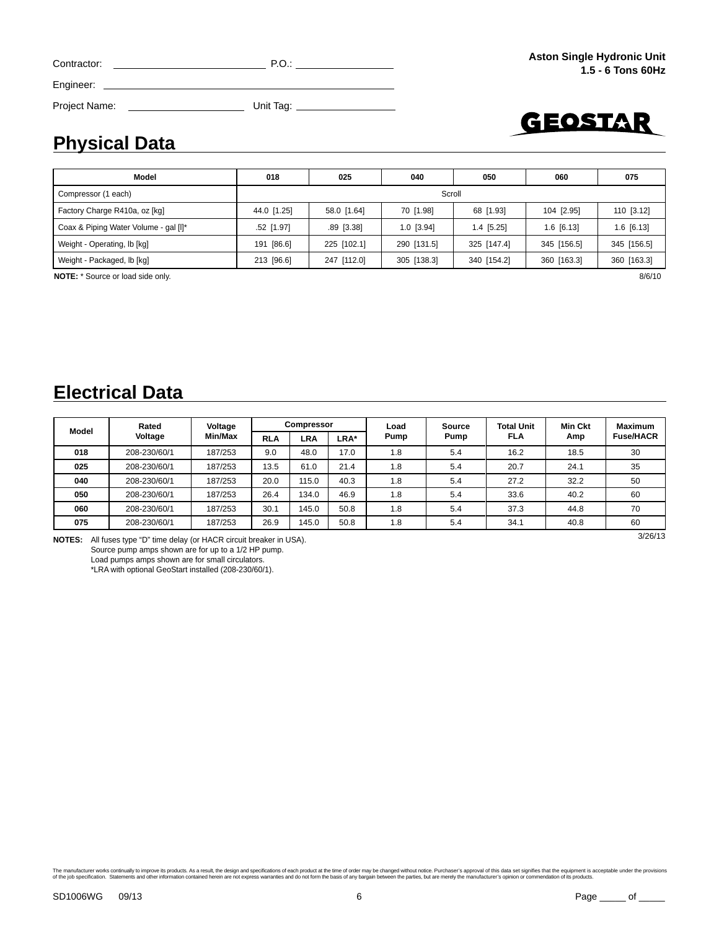| Contractor:   | P.O.      |  |
|---------------|-----------|--|
| Engineer:     |           |  |
| Project Name: | Unit Tag: |  |

# GEOSTAR

### **Physical Data**

| Model                                    | 018           | 025          | 040          | 050          | 060         | 075          |  |  |  |
|------------------------------------------|---------------|--------------|--------------|--------------|-------------|--------------|--|--|--|
| Compressor (1 each)                      |               | Scroll       |              |              |             |              |  |  |  |
| Factory Charge R410a, oz [kg]            | 44.0 [1.25]   | 58.0 [1.64]  | 70 [1.98]    | 68 [1.93]    | 104 [2.95]  | 110 [3.12]   |  |  |  |
| Coax & Piping Water Volume - gal [I]*    | $.52$ [1.97]  | $.89$ [3.38] | $1.0$ [3.94] | $1.4$ [5.25] | 1.6 [6.13]  | $1.6$ [6.13] |  |  |  |
| Weight - Operating, lb [kg]              | [86.6]<br>191 | 225 [102.1]  | 290 [131.5]  | 325 [147.4]  | 345 [156.5] | 345 [156.5]  |  |  |  |
| Weight - Packaged, lb [kg]               | 213 [96.6]    | 247 [112.0]  | 305 [138.3]  | 340 [154.2]  | 360 [163.3] | 360 [163.3]  |  |  |  |
| <b>NOTE:</b> * Source or load side only. |               |              |              |              |             | 8/6/10       |  |  |  |

**Electrical Data**

| Model  | Rated                                                                    | Voltage |            | <b>Compressor</b> |      | Load | Source | <b>Total Unit</b> | <b>Min Ckt</b> | <b>Maximum</b>   |  |
|--------|--------------------------------------------------------------------------|---------|------------|-------------------|------|------|--------|-------------------|----------------|------------------|--|
|        | Voltage                                                                  | Min/Max | <b>RLA</b> | LRA               | LRA* | Pump | Pump   | FLA               | Amp            | <b>Fuse/HACR</b> |  |
| 018    | 208-230/60/1                                                             | 187/253 | 9.0        | 48.0              | 17.0 | 1.8  | 5.4    | 16.2              |                | 30               |  |
| 025    | 208-230/60/1                                                             | 187/253 | 13.5       | 61.0              | 21.4 | 1.8  | 5.4    | 20.7              | 24.1           | 35               |  |
| 040    | 208-230/60/1                                                             | 187/253 | 20.0       | 115.0             | 40.3 | 1.8  | 5.4    | 27.2              | 32.2           | 50               |  |
| 050    | 208-230/60/1                                                             | 187/253 | 26.4       | 134.0             | 46.9 | 1.8  | 5.4    | 33.6              | 40.2           | 60               |  |
| 060    | 208-230/60/1                                                             | 187/253 | 30.1       | 145.0             | 50.8 | 1.8  | 5.4    | 37.3              | 44.8           | 70               |  |
| 075    | 208-230/60/1                                                             | 187/253 | 26.9       | 145.0             | 50.8 | 1.8  | 5.4    | 34.1              | 40.8           | 60               |  |
| NOTES. | $\Lambda$ ll fuses type "D" time delay (or HACP sireuit breaker in LISA) |         |            |                   |      |      |        |                   |                | 3/26/13          |  |

**NOTES:** All fuses type "D" time delay (or HACR circuit breaker in USA). Source pump amps shown are for up to a 1/2 HP pump.

Load pumps amps shown are for small circulators.

\*LRA with optional GeoStart installed (208-230/60/1).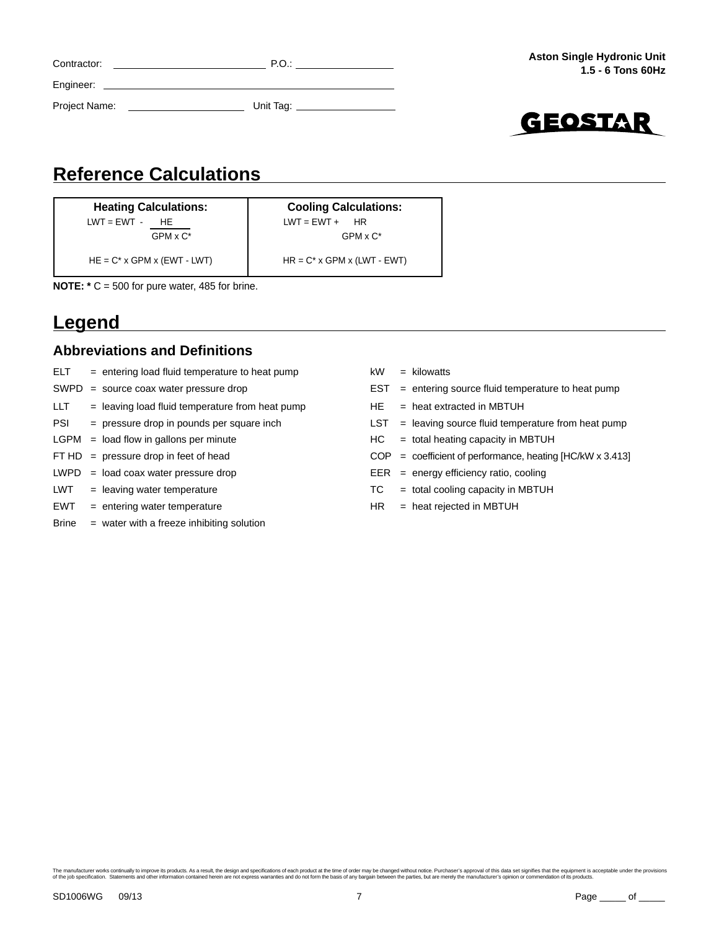| Contractor:   | P.O.      |
|---------------|-----------|
| Engineer:     |           |
| Project Name: | Unit Tag: |
|               |           |



### **Reference Calculations**

**Heating Calculations:** LWT = EWT - HE  $GPM \times C^*$ 

**Cooling Calculations:**  $LWT = EWT + HR$ GPM x C\*

 $HE = C^* \times GPM \times (EWT - LWT)$   $HR = C^* \times GPM \times (LWT - EWT)$ 

**NOTE: \*** C = 500 for pure water, 485 for brine.

### **Legend**

#### **Abbreviations and Definitions**

- $ELT =$  entering load fluid temperature to heat pump  $kW =$  kilowatts
- 
- $LLT =$  leaving load fluid temperature from heat pump  $HE =$  heat extracted in MBTUH
- 
- 
- 
- 
- 
- EWT = entering water temperature HR = heat rejected in MBTUH
- Brine = water with a freeze inhibiting solution
- SWPD = source coax water pressure drop EST = entering source fluid temperature to heat pump PSI = pressure drop in pounds per square inch <br>LST = leaving source fluid temperature from heat pump  $LGPM =$  load flow in gallons per minute  $HC =$  total heating capacity in MBTUH FT HD = pressure drop in feet of head  $\text{COP}$  = coefficient of performance, heating [HC/kW x 3.413]  $LWPD = load \ncoax water pressure \ drop$  EER = energy efficiency ratio, cooling  $LWT$  = leaving water temperature  $TC$  = total cooling capacity in MBTUH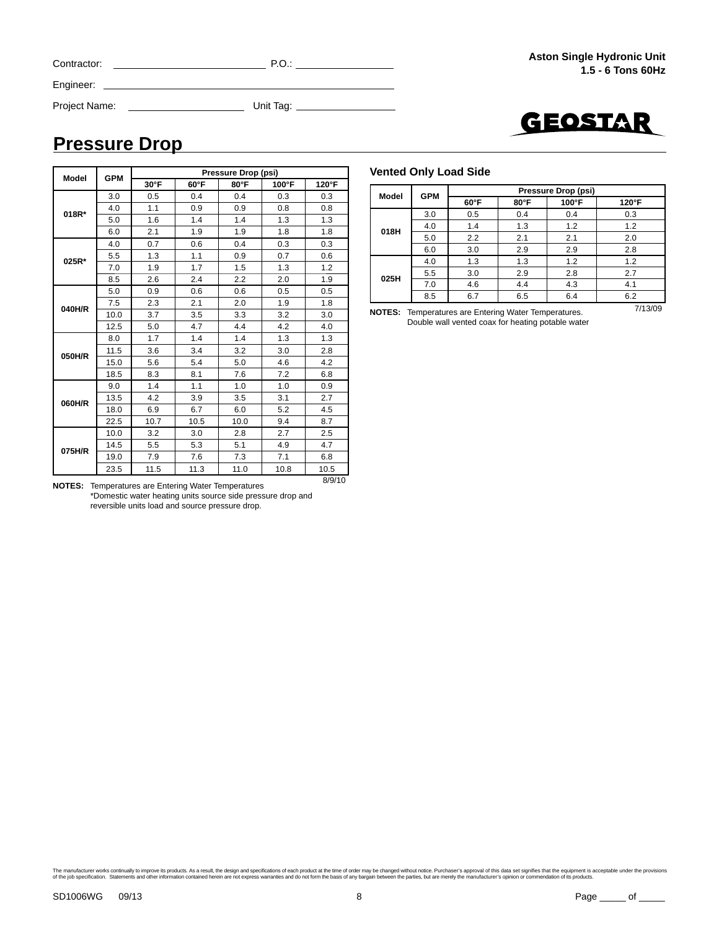| Contractor:   | P.O.      |
|---------------|-----------|
| Engineer:     |           |
| Project Name: | Unit Tag: |



### **Pressure Drop**

| <b>Model</b> | <b>GPM</b> |                |      | Pressure Drop (psi) |       |       |  |
|--------------|------------|----------------|------|---------------------|-------|-------|--|
|              |            | $30^{\circ}$ F | 60°F | 80°F                | 100°F | 120°F |  |
|              | 3.0        | 0.5            | 0.4  | 0.4                 | 0.3   | 0.3   |  |
| 018R*        | 4.0        | 1.1            | 0.9  | 0.9                 | 0.8   | 0.8   |  |
|              | 5.0        | 1.6            | 1.4  | 1.4                 | 1.3   | 1.3   |  |
|              | 6.0        | 2.1            | 1.9  | 1.9                 | 1.8   | 1.8   |  |
|              | 4.0        | 0.7            | 0.6  | 0.4                 | 0.3   | 0.3   |  |
| 025R*        | 5.5        | 1.3            | 1.1  | 0.9                 | 0.7   | 0.6   |  |
|              | 7.0        | 1.9            | 1.7  | 1.5                 | 1.3   | 1.2   |  |
|              | 8.5        | 2.6            | 2.4  | 2.2                 | 2.0   | 1.9   |  |
|              | 5.0        | 0.9            | 0.6  | 0.6                 | 0.5   | 0.5   |  |
| 040H/R       | 7.5        | 2.3            | 2.1  | 2.0                 | 1.9   | 1.8   |  |
|              | 10.0       | 3.7            | 3.5  | 3.3                 | 3.2   | 3.0   |  |
|              | 12.5       | 5.0            | 4.7  | 4.4                 | 4.2   | 4.0   |  |
|              | 8.0        | 1.7            | 1.4  | 1.4                 | 1.3   | 1.3   |  |
| 050H/R       | 11.5       | 3.6            | 3.4  | 3.2                 | 3.0   | 2.8   |  |
|              | 15.0       | 5.6            | 5.4  | 5.0                 | 4.6   | 4.2   |  |
|              | 18.5       | 8.3            | 8.1  | 7.6                 | 7.2   | 6.8   |  |
|              | 9.0        | 1.4            | 1.1  | 1.0                 | 1.0   | 0.9   |  |
| 060H/R       | 13.5       | 4.2            | 3.9  | 3.5                 | 3.1   | 2.7   |  |
|              | 18.0       | 6.9            | 6.7  | 6.0                 | 5.2   | 4.5   |  |
|              | 22.5       | 10.7           | 10.5 | 10.0                | 9.4   | 8.7   |  |
|              | 10.0       | 3.2            | 3.0  | 2.8                 | 2.7   | 2.5   |  |
| 075H/R       | 14.5       | 5.5            | 5.3  | 5.1                 | 4.9   | 4.7   |  |
|              | 19.0       | 7.9            | 7.6  | 7.3                 | 7.1   | 6.8   |  |
|              | 23.5       | 11.5           | 11.3 | 11.0                | 10.8  | 10.5  |  |

8/9/10 **NOTES:** Temperatures are Entering Water Temperatures \*Domestic water heating units source side pressure drop and reversible units load and source pressure drop.

#### **Vented Only Load Side**

| <b>Model</b> | <b>GPM</b> | Pressure Drop (psi) |      |       |               |  |  |  |  |  |  |
|--------------|------------|---------------------|------|-------|---------------|--|--|--|--|--|--|
|              |            | 60°F                | 80°F | 100°F | $120^\circ F$ |  |  |  |  |  |  |
|              | 3.0        | 0.5                 | 0.4  | 0.4   | 0.3           |  |  |  |  |  |  |
| 018H         | 4.0        | 1.4                 | 1.3  | 1.2   | 1.2           |  |  |  |  |  |  |
|              | 5.0        | 2.2                 | 2.1  | 2.1   | 2.0           |  |  |  |  |  |  |
|              | 6.0        | 3.0                 | 2.9  | 2.9   | 2.8           |  |  |  |  |  |  |
|              | 4.0        | 1.3                 | 1.3  | 1.2   | 1.2           |  |  |  |  |  |  |
| 025H         | 5.5        | 3.0                 | 2.9  | 2.8   | 2.7           |  |  |  |  |  |  |
|              | 7.0        | 4.6                 | 4.4  | 4.3   | 4.1           |  |  |  |  |  |  |
|              | 8.5        | 6.7                 | 6.5  | 6.4   | 6.2           |  |  |  |  |  |  |

7/13/09 **NOTES:** Temperatures are Entering Water Temperatures. Double wall vented coax for heating potable water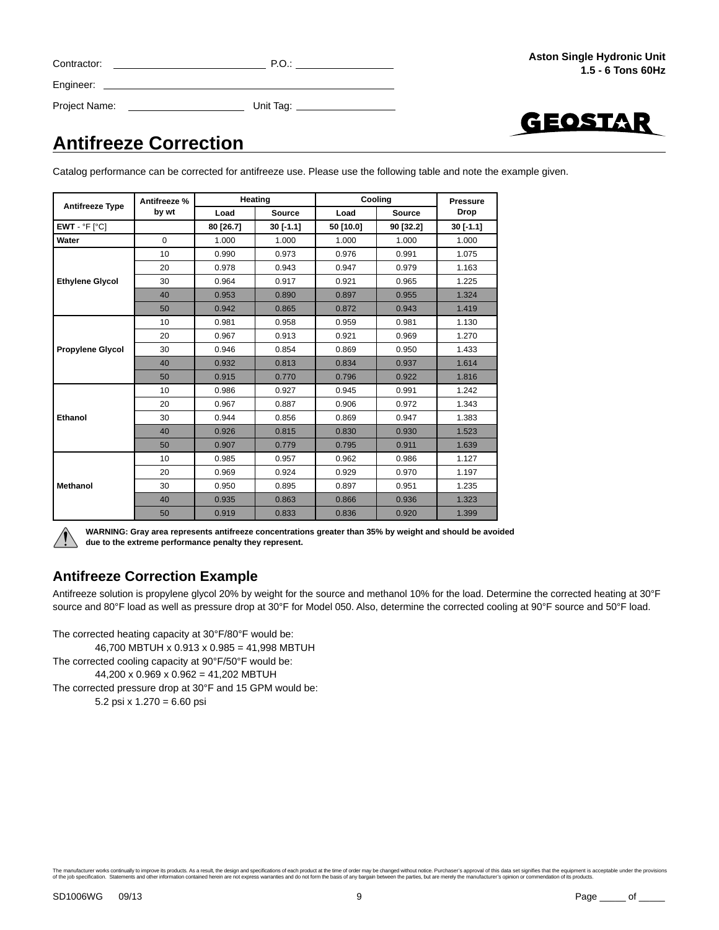| Contractor: |  |
|-------------|--|
| Engineer:   |  |

GEOSTAR

### Project Name: Unit Tag:

**Antifreeze Correction**

Catalog performance can be corrected for antifreeze use. Please use the following table and note the example given.

| <b>Antifreeze Type</b>  | Antifreeze % |           | Heating       |           | Cooling<br><b>Pressure</b><br><b>Drop</b><br><b>Source</b><br>$30$ [-1.1]<br>90 [32.2]<br>1.000<br>1.000 |       |
|-------------------------|--------------|-----------|---------------|-----------|----------------------------------------------------------------------------------------------------------|-------|
|                         | by wt        | Load      | <b>Source</b> | Load      |                                                                                                          |       |
| $EWT - P F$ [ $C$ ]     |              | 80 [26.7] | $30$ [-1.1]   | 50 [10.0] |                                                                                                          |       |
| Water                   | $\Omega$     | 1.000     | 1.000         | 1.000     |                                                                                                          |       |
|                         | 10           | 0.990     | 0.973         | 0.976     | 0.991                                                                                                    | 1.075 |
|                         | 20           | 0.978     | 0.943         | 0.947     | 0.979                                                                                                    | 1.163 |
| <b>Ethylene Glycol</b>  | 30           | 0.964     | 0.917         | 0.921     | 0.965                                                                                                    | 1.225 |
|                         | 40           | 0.953     | 0.890         | 0.897     | 0.955                                                                                                    | 1.324 |
|                         | 50           | 0.942     | 0.865         | 0.872     | 0.943                                                                                                    | 1.419 |
|                         | 10           | 0.981     | 0.958         | 0.959     | 0.981                                                                                                    | 1.130 |
|                         | 20           | 0.967     | 0.913         | 0.921     | 0.969                                                                                                    | 1.270 |
| <b>Propylene Glycol</b> | 30           | 0.946     | 0.854         | 0.869     | 0.950                                                                                                    | 1.433 |
|                         | 40           | 0.932     | 0.813         | 0.834     | 0.937                                                                                                    | 1.614 |
|                         | 50           | 0.915     | 0.770         | 0.796     | 0.922                                                                                                    | 1.816 |
|                         | 10           | 0.986     | 0.927         | 0.945     | 0.991                                                                                                    | 1.242 |
|                         | 20           | 0.967     | 0.887         | 0.906     | 0.972                                                                                                    | 1.343 |
| Ethanol                 | 30           | 0.944     | 0.856         | 0.869     | 0.947                                                                                                    | 1.383 |
|                         | 40           | 0.926     | 0.815         | 0.830     | 0.930                                                                                                    | 1.523 |
|                         | 50           | 0.907     | 0.779         | 0.795     | 0.911                                                                                                    | 1.639 |
|                         | 10           | 0.985     | 0.957         | 0.962     | 0.986                                                                                                    | 1.127 |
|                         | 20           | 0.969     | 0.924         | 0.929     | 0.970                                                                                                    | 1.197 |
| <b>Methanol</b>         | 30           | 0.950     | 0.895         | 0.897     | 0.951                                                                                                    | 1.235 |
|                         | 40           | 0.935     | 0.863         | 0.866     | 0.936                                                                                                    | 1.323 |
|                         | 50           | 0.919     | 0.833         | 0.836     | 0.920                                                                                                    | 1.399 |



**WARNING: Gray area represents antifreeze concentrations greater than 35% by weight and should be avoided due to the extreme performance penalty they represent.**

#### **Antifreeze Correction Example**

Antifreeze solution is propylene glycol 20% by weight for the source and methanol 10% for the load. Determine the corrected heating at 30°F source and 80°F load as well as pressure drop at 30°F for Model 050. Also, determine the corrected cooling at 90°F source and 50°F load.

The corrected heating capacity at 30°F/80°F would be: 46,700 MBTUH x 0.913 x 0.985 = 41,998 MBTUH The corrected cooling capacity at 90°F/50°F would be: 44,200 x 0.969 x 0.962 = 41,202 MBTUH The corrected pressure drop at 30°F and 15 GPM would be: 5.2 psi x 1.270 = 6.60 psi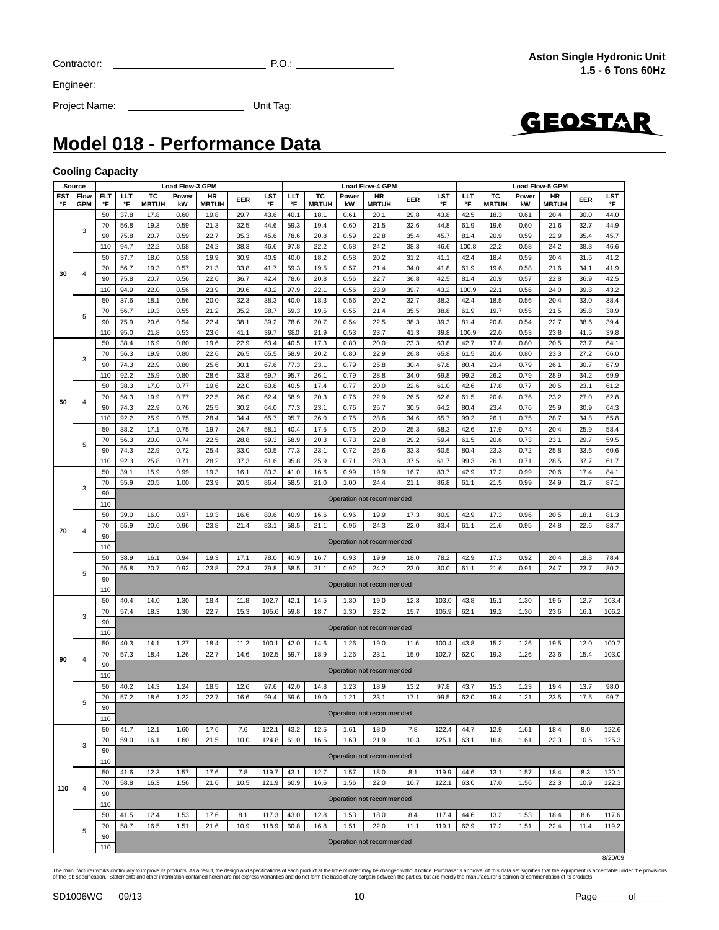|  | Contracto |
|--|-----------|
|  |           |

GEOSTAR

Project Name: Unit Tag:

**Model 018 - Performance Data**

Engineer:

#### **Cooling Capacity**

|     | Source         |            |                           |              | <b>Load Flow-3 GPM</b> |              |      |       | <b>Load Flow-4 GPM</b> |              |       |                           |      |            |       | <b>Load Flow-5 GPM</b> |       |              |      |       |  |
|-----|----------------|------------|---------------------------|--------------|------------------------|--------------|------|-------|------------------------|--------------|-------|---------------------------|------|------------|-------|------------------------|-------|--------------|------|-------|--|
| EST | Flow           | <b>ELT</b> | ШT                        | ТC           | Power                  | HR           | EER  | LST   | LЦ                     | тс           | Power | HR                        | EER  | <b>LST</b> | ШT    | тс                     | Power | HR           | EER  | LST   |  |
| °F  | <b>GPM</b>     | °F         | °F                        | <b>MBTUH</b> | kW                     | <b>MBTUH</b> |      | °F    | °F                     | <b>MBTUH</b> | kW    | <b>MBTUH</b>              |      | °F         | °F    | <b>MBTUH</b>           | kW    | <b>MBTUH</b> |      | °F    |  |
|     |                | 50         | 37.8                      | 17.8         | 0.60                   | 19.8         | 29.7 | 43.6  | 40.1                   | 18.1         | 0.61  | 20.1                      | 29.8 | 43.8       | 42.5  | 18.3                   | 0.61  | 20.4         | 30.0 | 44.0  |  |
|     |                | 70         | 56.8                      | 19.3         | 0.59                   | 21.3         | 32.5 | 44.6  | 59.3                   | 19.4         | 0.60  | 21.5                      | 32.6 | 44.8       | 61.9  | 19.6                   | 0.60  | 21.6         | 32.7 | 44.9  |  |
|     | 3              | 90         |                           | 20.7         |                        | 22.7         |      |       | 78.6                   | 20.8         | 0.59  |                           |      | 45.7       | 81.4  | 20.9                   | 0.59  | 22.9         | 35.4 |       |  |
|     |                |            | 75.8                      |              | 0.59                   |              | 35.3 | 45.6  |                        |              |       | 22.8                      | 35.4 |            |       |                        |       |              |      | 45.7  |  |
|     |                | 110        | 94.7                      | 22.2         | 0.58                   | 24.2         | 38.3 | 46.6  | 97.8                   | 22.2         | 0.58  | 24.2                      | 38.3 | 46.6       | 100.8 | 22.2                   | 0.58  | 24.2         | 38.3 | 46.6  |  |
|     |                | 50         | 37.7                      | 18.0         | 0.58                   | 19.9         | 30.9 | 40.9  | 40.0                   | 18.2         | 0.58  | 20.2                      | 31.2 | 41.1       | 42.4  | 18.4                   | 0.59  | 20.4         | 31.5 | 41.2  |  |
|     |                | 70         | 56.7                      | 19.3         | 0.57                   | 21.3         | 33.8 | 41.7  | 59.3                   | 19.5         | 0.57  | 21.4                      | 34.0 | 41.8       | 61.9  | 19.6                   | 0.58  | 21.6         | 34.1 | 41.9  |  |
| 30  | $\overline{4}$ | 90         | 75.8                      | 20.7         | 0.56                   | 22.6         | 36.7 | 42.4  | 78.6                   | 20.8         | 0.56  | 22.7                      | 36.8 | 42.5       | 81.4  | 20.9                   | 0.57  | 22.8         | 36.9 | 42.5  |  |
|     |                | 110        | 94.9                      | 22.0         | 0.56                   | 23.9         | 39.6 | 43.2  | 97.9                   | 22.1         | 0.56  | 23.9                      | 39.7 | 43.2       | 100.9 | 22.1                   | 0.56  | 24.0         | 39.8 | 43.2  |  |
|     |                |            |                           |              |                        |              |      |       |                        |              |       |                           |      |            |       |                        |       |              |      |       |  |
|     |                | 50         | 37.6                      | 18.1         | 0.56                   | 20.0         | 32.3 | 38.3  | 40.0                   | 18.3         | 0.56  | 20.2                      | 32.7 | 38.3       | 42.4  | 18.5                   | 0.56  | 20.4         | 33.0 | 38.4  |  |
|     | 5              | 70         | 56.7                      | 19.3         | 0.55                   | 21.2         | 35.2 | 38.7  | 59.3                   | 19.5         | 0.55  | 21.4                      | 35.5 | 38.8       | 61.9  | 19.7                   | 0.55  | 21.5         | 35.8 | 38.9  |  |
|     |                | 90         | 75.9                      | 20.6         | 0.54                   | 22.4         | 38.1 | 39.2  | 78.6                   | 20.7         | 0.54  | 22.5                      | 38.3 | 39.3       | 81.4  | 20.8                   | 0.54  | 22.7         | 38.6 | 39.4  |  |
|     |                | 110        | 95.0                      | 21.8         | 0.53                   | 23.6         | 41.1 | 39.7  | 98.0                   | 21.9         | 0.53  | 23.7                      | 41.3 | 39.8       | 100.9 | 22.0                   | 0.53  | 23.8         | 41.5 | 39.8  |  |
|     |                | 50         | 38.4                      | 16.9         | 0.80                   | 19.6         | 22.9 | 63.4  | 40.5                   | 17.3         | 0.80  | 20.0                      | 23.3 | 63.8       | 42.7  | 17.8                   | 0.80  | 20.5         | 23.7 | 64.1  |  |
|     |                | 70         | 56.3                      | 19.9         | 0.80                   | 22.6         | 26.5 | 65.5  | 58.9                   | 20.2         | 0.80  | 22.9                      | 26.8 | 65.8       | 61.5  | 20.6                   | 0.80  | 23.3         | 27.2 | 66.0  |  |
|     | 3              |            |                           |              |                        |              |      |       |                        | 23.1         |       |                           |      |            |       |                        |       |              |      | 67.9  |  |
|     |                | 90         | 74.3                      | 22.9         | 0.80                   | 25.6         | 30.1 | 67.6  | 77.3                   |              | 0.79  | 25.8                      | 30.4 | 67.8       | 80.4  | 23.4                   | 0.79  | 26.1         | 30.7 |       |  |
|     |                | 110        | 92.2                      | 25.9         | 0.80                   | 28.6         | 33.8 | 69.7  | 95.7                   | 26.1         | 0.79  | 28.8                      | 34.0 | 69.8       | 99.2  | 26.2                   | 0.79  | 28.9         | 34.2 | 69.9  |  |
|     |                | 50         | 38.3                      | 17.0         | 0.77                   | 19.6         | 22.0 | 60.8  | 40.5                   | 17.4         | 0.77  | 20.0                      | 22.6 | 61.0       | 42.6  | 17.8                   | 0.77  | 20.5         | 23.1 | 61.2  |  |
|     |                | 70         | 56.3                      | 19.9         | 0.77                   | 22.5         | 26.0 | 62.4  | 58.9                   | 20.3         | 0.76  | 22.9                      | 26.5 | 62.6       | 61.5  | 20.6                   | 0.76  | 23.2         | 27.0 | 62.8  |  |
| 50  | $\overline{4}$ | 90         | 74.3                      | 22.9         | 0.76                   | 25.5         | 30.2 | 64.0  | 77.3                   | 23.1         | 0.76  | 25.7                      | 30.5 | 64.2       | 80.4  | 23.4                   | 0.76  | 25.9         | 30.9 | 64.3  |  |
|     |                | 110        | 92.2                      | 25.9         | 0.75                   | 28.4         | 34.4 | 65.7  | 95.7                   | 26.0         | 0.75  | 28.6                      | 34.6 | 65.7       | 99.2  | 26.1                   | 0.75  | 28.7         | 34.8 | 65.8  |  |
|     |                | 50         | 38.2                      | 17.1         | 0.75                   | 19.7         | 24.7 | 58.1  | 40.4                   | 17.5         | 0.75  | 20.0                      | 25.3 | 58.3       | 42.6  | 17.9                   | 0.74  | 20.4         | 25.9 | 58.4  |  |
|     |                |            |                           |              |                        |              |      |       |                        |              |       |                           |      |            |       |                        |       |              |      |       |  |
|     | 5              | 70         | 56.3                      | 20.0         | 0.74                   | 22.5         | 28.8 | 59.3  | 58.9                   | 20.3         | 0.73  | 22.8                      | 29.2 | 59.4       | 61.5  | 20.6                   | 0.73  | 23.1         | 29.7 | 59.5  |  |
|     |                | 90         | 74.3                      | 22.9         | 0.72                   | 25.4         | 33.0 | 60.5  | 77.3                   | 23.1         | 0.72  | 25.6                      | 33.3 | 60.5       | 80.4  | 23.3                   | 0.72  | 25.8         | 33.6 | 60.6  |  |
|     |                | 110        | 92.3                      | 25.8         | 0.71                   | 28.2         | 37.3 | 61.6  | 95.8                   | 25.9         | 0.71  | 28.3                      | 37.5 | 61.7       | 99.3  | 26.1                   | 0.71  | 28.5         | 37.7 | 61.7  |  |
|     |                | 50         | 39.1                      | 15.9         | 0.99                   | 19.3         | 16.1 | 83.3  | 41.0                   | 16.6         | 0.99  | 19.9                      | 16.7 | 83.7       | 42.9  | 17.2                   | 0.99  | 20.6         | 17.4 | 84.1  |  |
|     |                | 70         | 55.9                      | 20.5         | 1.00                   | 23.9         | 20.5 | 86.4  | 58.5                   | 21.0         | 1.00  | 24.4                      | 21.1 | 86.8       | 61.1  | 21.5                   | 0.99  | 24.9         | 21.7 | 87.1  |  |
|     | 3              | 90         | Operation not recommended |              |                        |              |      |       |                        |              |       |                           |      |            |       |                        |       |              |      |       |  |
|     |                | 110        |                           |              |                        |              |      |       |                        |              |       |                           |      |            |       |                        |       |              |      |       |  |
|     |                |            |                           |              |                        |              |      |       |                        |              |       |                           |      |            |       |                        |       |              |      |       |  |
|     |                | 50         | 39.0                      | 16.0         | 0.97                   | 19.3         | 16.6 | 80.6  | 40.9                   | 16.6         | 0.96  | 19.9                      | 17.3 | 80.9       | 42.9  | 17.3                   | 0.96  | 20.5         | 18.1 | 81.3  |  |
| 70  | $\overline{4}$ | 70         | 55.9                      | 20.6         | 0.96                   | 23.8         | 21.4 | 83.1  | 58.5                   | 21.1         | 0.96  | 24.3                      | 22.0 | 83.4       | 61.1  | 21.6                   | 0.95  | 24.8         | 22.6 | 83.7  |  |
|     |                | 90         | Operation not recommended |              |                        |              |      |       |                        |              |       |                           |      |            |       |                        |       |              |      |       |  |
|     |                | 110        |                           |              |                        |              |      |       |                        |              |       |                           |      |            |       |                        |       |              |      |       |  |
|     |                | 50         | 38.9                      | 16.1         | 0.94                   | 19.3         | 17.1 | 78.0  | 40.9                   | 16.7         | 0.93  | 19.9                      | 18.0 | 78.2       | 42.9  | 17.3                   | 0.92  | 20.4         | 18.8 | 78.4  |  |
|     |                | 70         | 55.8                      | 20.7         | 0.92                   | 23.8         | 22.4 | 79.8  | 58.5                   | 21.1         | 0.92  | 24.2                      | 23.0 | 80.0       | 61.1  | 21.6                   | 0.91  | 24.7         | 23.7 | 80.2  |  |
|     | 5              | 90         |                           |              |                        |              |      |       |                        |              |       |                           |      |            |       |                        |       |              |      |       |  |
|     |                |            |                           |              |                        |              |      |       |                        |              |       | Operation not recommended |      |            |       |                        |       |              |      |       |  |
|     |                | 110        |                           |              |                        |              |      |       |                        |              |       |                           |      |            |       |                        |       |              |      |       |  |
|     |                | 50         | 40.4                      | 14.0         | 1.30                   | 18.4         | 11.8 | 102.7 | 42.1                   | 14.5         | 1.30  | 19.0                      | 12.3 | 103.0      | 43.8  | 15.1                   | 1.30  | 19.5         | 12.7 | 103.4 |  |
|     | 3              | 70         | 57.4                      | 18.3         | 1.30                   | 22.7         | 15.3 | 105.6 | 59.8                   | 18.7         | 1.30  | 23.2                      | 15.7 | 105.9      | 62.1  | 19.2                   | 1.30  | 23.6         | 16.1 | 106.2 |  |
|     |                | 90         |                           |              |                        |              |      |       |                        |              |       |                           |      |            |       |                        |       |              |      |       |  |
|     |                | 110        |                           |              |                        |              |      |       |                        |              |       | Operation not recommended |      |            |       |                        |       |              |      |       |  |
|     |                | 50         | 40.3                      | 14.1         | 1.27                   | 18.4         | 11.2 | 100.1 | 42.0                   | 14.6         | 1.26  | 19.0                      | 11.6 | 100.4      | 43.8  | 15.2                   | 1.26  | 19.5         | 12.0 | 100.7 |  |
|     |                | 70         | 57.3                      | 18.4         | 1.26                   | 22.7         | 14.6 | 102.5 | 59.7                   | 18.9         | 1.26  | 23.1                      | 15.0 | 102.7      | 62.0  | 19.3                   | 1.26  | 23.6         | 15.4 | 103.0 |  |
| 90  | $\overline{4}$ |            |                           |              |                        |              |      |       |                        |              |       |                           |      |            |       |                        |       |              |      |       |  |
|     |                | 90         |                           |              |                        |              |      |       |                        |              |       | Operation not recommended |      |            |       |                        |       |              |      |       |  |
|     |                | 110        |                           |              |                        |              |      |       |                        |              |       |                           |      |            |       |                        |       |              |      |       |  |
|     |                | 50         | 40.2                      | 14.3         | 1.24                   | 18.5         | 12.6 | 97.6  | 42.0                   | 14.8         | 1.23  | 18.9                      | 13.2 | 97.8       | 43.7  | 15.3                   | 1.23  | 19.4         | 13.7 | 98.0  |  |
|     | 5              | 70         | 57.2                      | 18.6         | 1.22                   | 22.7         | 16.6 | 99.4  | 59.6                   | 19.0         | 1.21  | 23.1                      | 17.1 | 99.5       | 62.0  | 19.4                   | 1.21  | 23.5         | 17.5 | 99.7  |  |
|     |                | 90         |                           |              |                        |              |      |       |                        |              |       |                           |      |            |       |                        |       |              |      |       |  |
|     |                | 110        |                           |              |                        |              |      |       |                        |              |       | Operation not recommended |      |            |       |                        |       |              |      |       |  |
|     |                | 50         | 41.7                      | 12.1         | 1.60                   | 17.6         | 7.6  | 122.1 | 43.2                   | 12.5         | 1.61  | 18.0                      | 7.8  | 122.4      | 44.7  | 12.9                   | 1.61  | 18.4         | 8.0  | 122.6 |  |
|     |                |            |                           |              |                        |              |      |       |                        |              |       |                           |      |            |       |                        |       |              |      |       |  |
|     | 3              | 70         | 59.0                      | 16.1         | 1.60                   | 21.5         | 10.0 | 124.8 | 61.0                   | 16.5         | 1.60  | 21.9                      | 10.3 | 125.1      | 63.1  | 16.8                   | 1.61  | 22.3         | 10.5 | 125.3 |  |
|     |                | 90         |                           |              |                        |              |      |       |                        |              |       | Operation not recommended |      |            |       |                        |       |              |      |       |  |
|     |                | 110        |                           |              |                        |              |      |       |                        |              |       |                           |      |            |       |                        |       |              |      |       |  |
|     |                | 50         | 41.6                      | 12.3         | 1.57                   | 17.6         | 7.8  | 119.7 | 43.1                   | 12.7         | 1.57  | 18.0                      | 8.1  | 119.9      | 44.6  | 13.1                   | 1.57  | 18.4         | 8.3  | 120.1 |  |
|     |                | 70         | 58.8                      | 16.3         | 1.56                   | 21.6         | 10.5 | 121.9 | 60.9                   | 16.6         | 1.56  | 22.0                      | 10.7 | 122.1      | 63.0  | 17.0                   | 1.56  | 22.3         | 10.9 | 122.3 |  |
| 110 | $\overline{4}$ | 90         |                           |              |                        |              |      |       |                        |              |       |                           |      |            |       |                        |       |              |      |       |  |
|     |                |            |                           |              |                        |              |      |       |                        |              |       | Operation not recommended |      |            |       |                        |       |              |      |       |  |
|     |                | 110        |                           |              |                        |              |      |       |                        |              |       |                           |      |            |       |                        |       |              |      |       |  |
|     |                | 50         | 41.5                      | 12.4         | 1.53                   | 17.6         | 8.1  | 117.3 | 43.0                   | 12.8         | 1.53  | 18.0                      | 8.4  | 117.4      | 44.6  | 13.2                   | 1.53  | 18.4         | 8.6  | 117.6 |  |
|     | 5              | 70         | 58.7                      | 16.5         | 1.51                   | 21.6         | 10.9 | 118.9 | 60.8                   | 16.8         | 1.51  | 22.0                      | 11.1 | 119.1      | 62.9  | 17.2                   | 1.51  | 22.4         | 11.4 | 119.2 |  |
|     |                | 90         |                           |              |                        |              |      |       |                        |              |       |                           |      |            |       |                        |       |              |      |       |  |
|     |                | 110        |                           |              |                        |              |      |       |                        |              |       | Operation not recommended |      |            |       |                        |       |              |      |       |  |

8/20/09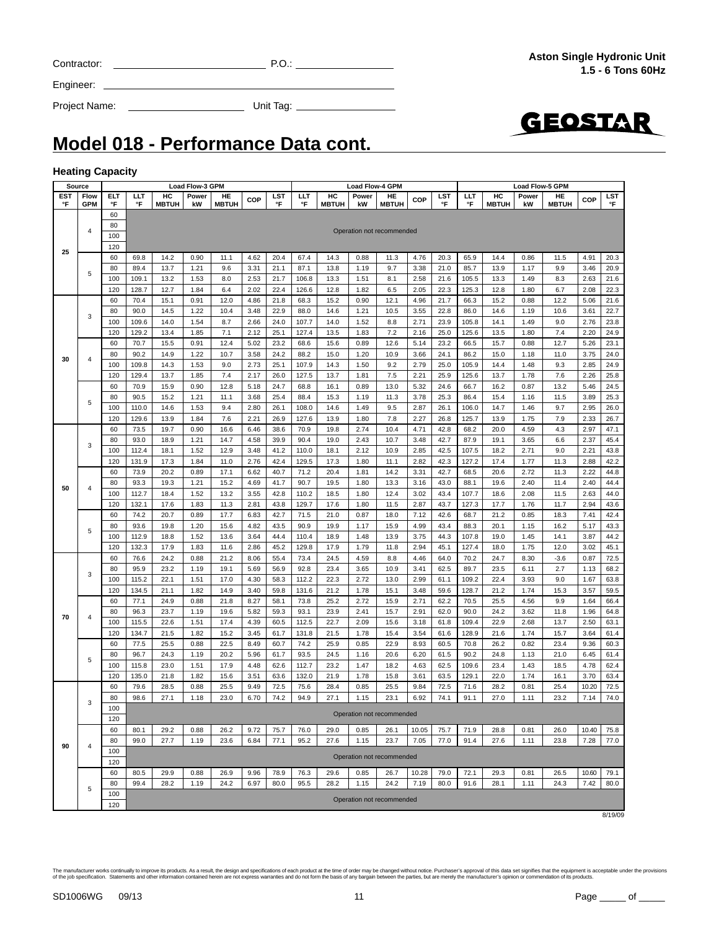| The manufacturer works continually to improve its products. As a result, the design and<br>of the job specification. Statements and other information contained herein are not ex |  |  |
|-----------------------------------------------------------------------------------------------------------------------------------------------------------------------------------|--|--|

| d specifications of each product at the time of order may be changed without notice. Purchaser's approval of this data set signifies that the equipment is acceptable under the provisions<br>press warranties and do not form the basis of any bargain between the parties, but are merely the manufacturer's opinion or commendation of its products, |  |
|---------------------------------------------------------------------------------------------------------------------------------------------------------------------------------------------------------------------------------------------------------------------------------------------------------------------------------------------------------|--|
|                                                                                                                                                                                                                                                                                                                                                         |  |

**Model 018 - Performance Data cont.**

#### **Heating Capacity**

г

Engineer:

|                  | Source             |           |          |                    | <b>Load Flow-3 GPM</b> |                    |      |           |           |                    |             | <b>Load Flow-4 GPM</b>    |            |           |          | <b>Load Flow-5 GPM</b> |             |                    |            |           |
|------------------|--------------------|-----------|----------|--------------------|------------------------|--------------------|------|-----------|-----------|--------------------|-------------|---------------------------|------------|-----------|----------|------------------------|-------------|--------------------|------------|-----------|
| <b>EST</b><br>°F | Flow<br><b>GPM</b> | ELT<br>°F | ШT<br>°F | HC<br><b>MBTUH</b> | Power<br>kW            | HE<br><b>MBTUH</b> | COP  | LST<br>°F | LLT<br>°F | HC<br><b>MBTUH</b> | Power<br>kW | HE<br><b>MBTUH</b>        | <b>COP</b> | LST<br>°F | ШT<br>°F | HC<br><b>MBTUH</b>     | Power<br>kW | HE<br><b>MBTUH</b> | <b>COP</b> | LST<br>°F |
|                  |                    | 60        |          |                    |                        |                    |      |           |           |                    |             |                           |            |           |          |                        |             |                    |            |           |
|                  |                    | 80        |          |                    |                        |                    |      |           |           |                    |             |                           |            |           |          |                        |             |                    |            |           |
|                  | 4                  | 100       |          |                    |                        |                    |      |           |           |                    |             | Operation not recommended |            |           |          |                        |             |                    |            |           |
|                  |                    | 120       |          |                    |                        |                    |      |           |           |                    |             |                           |            |           |          |                        |             |                    |            |           |
| 25               |                    | 60        | 69.8     | 14.2               | 0.90                   | 11.1               | 4.62 | 20.4      | 67.4      | 14.3               | 0.88        | 11.3                      | 4.76       | 20.3      | 65.9     | 14.4                   | 0.86        | 11.5               | 4.91       | 20.3      |
|                  |                    | 80        | 89.4     | 13.7               | 1.21                   | 9.6                | 3.31 | 21.1      | 87.1      | 13.8               | 1.19        | 9.7                       | 3.38       | 21.0      | 85.7     | 13.9                   | 1.17        | 9.9                | 3.46       | 20.9      |
|                  | 5                  | 100       | 109.1    | 13.2               | 1.53                   | 8.0                | 2.53 | 21.7      | 106.8     | 13.3               | 1.51        | 8.1                       | 2.58       | 21.6      | 105.5    | 13.3                   | 1.49        | 8.3                | 2.63       | 21.6      |
|                  |                    | 120       | 128.7    | 12.7               | 1.84                   | 6.4                | 2.02 | 22.4      | 126.6     | 12.8               | 1.82        | 6.5                       | 2.05       | 22.3      | 125.3    | 12.8                   | 1.80        | 6.7                | 2.08       | 22.3      |
|                  |                    | 60        | 70.4     | 15.1               | 0.91                   | 12.0               | 4.86 | 21.8      | 68.3      | 15.2               | 0.90        | 12.1                      | 4.96       | 21.7      | 66.3     | 15.2                   | 0.88        | 12.2               | 5.06       | 21.6      |
|                  |                    | 80        | 90.0     | 14.5               | 1.22                   | 10.4               | 3.48 | 22.9      | 88.0      | 14.6               | 1.21        | 10.5                      | 3.55       | 22.8      | 86.0     | 14.6                   | 1.19        | 10.6               | 3.61       | 22.7      |
|                  | 3                  | 100       | 109.6    | 14.0               | 1.54                   | 8.7                | 2.66 | 24.0      | 107.7     | 14.0               | 1.52        | 8.8                       | 2.71       | 23.9      | 105.8    | 14.1                   | 1.49        | 9.0                | 2.76       | 23.8      |
|                  |                    | 120       | 129.2    | 13.4               | 1.85                   | 7.1                | 2.12 | 25.1      | 127.4     | 13.5               | 1.83        | 7.2                       | 2.16       | 25.0      | 125.6    | 13.5                   | 1.80        | 7.4                | 2.20       | 24.9      |
|                  |                    | 60        | 70.7     | 15.5               | 0.91                   | 12.4               | 5.02 | 23.2      | 68.6      | 15.6               | 0.89        | 12.6                      | 5.14       | 23.2      | 66.5     | 15.7                   | 0.88        | 12.7               | 5.26       | 23.1      |
|                  |                    | 80        | 90.2     | 14.9               | 1.22                   | 10.7               | 3.58 | 24.2      | 88.2      | 15.0               | 1.20        | 10.9                      | 3.66       | 24.1      | 86.2     | 15.0                   | 1.18        | 11.0               | 3.75       | 24.0      |
| 30               | 4                  | 100       | 109.8    | 14.3               | 1.53                   | 9.0                | 2.73 | 25.1      | 107.9     | 14.3               | 1.50        | 9.2                       | 2.79       | 25.0      | 105.9    | 14.4                   | 1.48        | 9.3                | 2.85       | 24.9      |
|                  |                    | 120       | 129.4    | 13.7               | 1.85                   | 7.4                | 2.17 | 26.0      | 127.5     | 13.7               | 1.81        | 7.5                       | 2.21       | 25.9      | 125.6    | 13.7                   | 1.78        | 7.6                | 2.26       | 25.8      |
|                  |                    | 60        | 70.9     | 15.9               | 0.90                   | 12.8               | 5.18 | 24.7      | 68.8      | 16.1               | 0.89        | 13.0                      | 5.32       | 24.6      | 66.7     | 16.2                   | 0.87        | 13.2               | 5.46       | 24.5      |
|                  |                    | 80        | 90.5     | 15.2               | 1.21                   | 11.1               | 3.68 | 25.4      | 88.4      | 15.3               | 1.19        | 11.3                      | 3.78       | 25.3      | 86.4     | 15.4                   | 1.16        | 11.5               | 3.89       | 25.3      |
|                  | 5                  | 100       | 110.0    | 14.6               | 1.53                   | 9.4                | 2.80 | 26.1      | 108.0     | 14.6               | 1.49        | 9.5                       | 2.87       | 26.1      | 106.0    | 14.7                   | 1.46        | 9.7                | 2.95       | 26.0      |
|                  |                    | 120       | 129.6    | 13.9               | 1.84                   | 7.6                | 2.21 | 26.9      | 127.6     | 13.9               | 1.80        | 7.8                       | 2.27       | 26.8      | 125.7    | 13.9                   | 1.75        | 7.9                | 2.33       | 26.7      |
|                  |                    | 60        | 73.5     | 19.7               | 0.90                   | 16.6               | 6.46 | 38.6      | 70.9      | 19.8               | 2.74        | 10.4                      | 4.71       | 42.8      | 68.2     | 20.0                   | 4.59        | 4.3                | 2.97       | 47.1      |
|                  |                    | 80        | 93.0     | 18.9               | 1.21                   | 14.7               | 4.58 | 39.9      | 90.4      | 19.0               | 2.43        | 10.7                      | 3.48       | 42.7      | 87.9     | 19.1                   | 3.65        | 6.6                | 2.37       | 45.4      |
|                  | 3                  | 100       | 112.4    | 18.1               | 1.52                   | 12.9               | 3.48 | 41.2      | 110.0     | 18.1               | 2.12        | 10.9                      | 2.85       | 42.5      | 107.5    | 18.2                   | 2.71        | 9.0                | 2.21       | 43.8      |
|                  |                    | 120       | 131.9    | 17.3               | 1.84                   | 11.0               | 2.76 | 42.4      | 129.5     | 17.3               | 1.80        | 11.1                      | 2.82       | 42.3      | 127.2    | 17.4                   | 1.77        | 11.3               | 2.88       | 42.2      |
|                  |                    | 60        | 73.9     | 20.2               | 0.89                   | 17.1               | 6.62 | 40.7      | 71.2      | 20.4               | 1.81        | 14.2                      | 3.31       | 42.7      | 68.5     | 20.6                   | 2.72        | 11.3               | 2.22       | 44.8      |
|                  |                    | 80        | 93.3     | 19.3               | 1.21                   | 15.2               | 4.69 | 41.7      | 90.7      | 19.5               | 1.80        | 13.3                      | 3.16       | 43.0      | 88.1     | 19.6                   | 2.40        | 11.4               | 2.40       | 44.4      |
| 50               | 4                  | 100       | 112.7    | 18.4               | 1.52                   | 13.2               | 3.55 | 42.8      | 110.2     | 18.5               | 1.80        | 12.4                      | 3.02       | 43.4      | 107.7    | 18.6                   | 2.08        | 11.5               | 2.63       | 44.0      |
|                  |                    | 120       | 132.1    | 17.6               | 1.83                   | 11.3               | 2.81 | 43.8      | 129.7     | 17.6               | 1.80        | 11.5                      | 2.87       | 43.7      | 127.3    | 17.7                   | 1.76        | 11.7               | 2.94       | 43.6      |
|                  |                    | 60        | 74.2     | 20.7               | 0.89                   | 17.7               | 6.83 | 42.7      | 71.5      | 21.0               | 0.87        | 18.0                      | 7.12       | 42.6      | 68.7     | 21.2                   | 0.85        | 18.3               | 7.41       | 42.4      |
|                  |                    | 80        | 93.6     | 19.8               | 1.20                   | 15.6               | 4.82 | 43.5      | 90.9      | 19.9               | 1.17        | 15.9                      | 4.99       | 43.4      | 88.3     | 20.1                   | 1.15        | 16.2               | 5.17       | 43.3      |
|                  | 5                  | 100       | 112.9    | 18.8               | 1.52                   | 13.6               | 3.64 | 44.4      | 110.4     | 18.9               | 1.48        | 13.9                      | 3.75       | 44.3      | 107.8    | 19.0                   | 1.45        | 14.1               | 3.87       | 44.2      |
|                  |                    |           |          |                    |                        |                    |      |           |           |                    |             |                           |            |           |          |                        |             |                    |            |           |
|                  |                    | 120       | 132.3    | 17.9               | 1.83                   | 11.6               | 2.86 | 45.2      | 129.8     | 17.9               | 1.79        | 11.8                      | 2.94       | 45.1      | 127.4    | 18.0                   | 1.75        | 12.0               | 3.02       | 45.1      |
|                  |                    | 60        | 76.6     | 24.2               | 0.88                   | 21.2               | 8.06 | 55.4      | 73.4      | 24.5<br>23.4       | 4.59        | 8.8                       | 4.46       | 64.0      | 70.2     | 24.7                   | 8.30        | $-3.6$             | 0.87       | 72.5      |
|                  | 3                  | 80        | 95.9     | 23.2               | 1.19                   | 19.1               | 5.69 | 56.9      | 92.8      |                    | 3.65        | 10.9                      | 3.41       | 62.5      | 89.7     | 23.5                   | 6.11        | 2.7                | 1.13       | 68.2      |
|                  |                    | 100       | 115.2    | 22.1               | 1.51                   | 17.0               | 4.30 | 58.3      | 112.2     | 22.3               | 2.72        | 13.0                      | 2.99       | 61.1      | 109.2    | 22.4                   | 3.93        | 9.0                | 1.67       | 63.8      |
|                  |                    | 120       | 134.5    | 21.1               | 1.82                   | 14.9               | 3.40 | 59.8      | 131.6     | 21.2               | 1.78        | 15.1                      | 3.48       | 59.6      | 128.7    | 21.2                   | 1.74        | 15.3               | 3.57       | 59.5      |
|                  |                    | 60        | 77.1     | 24.9               | 0.88                   | 21.8               | 8.27 | 58.1      | 73.8      | 25.2               | 2.72        | 15.9                      | 2.71       | 62.2      | 70.5     | 25.5                   | 4.56        | 9.9                | 1.64       | 66.4      |
| 70               | 4                  | 80        | 96.3     | 23.7               | 1.19                   | 19.6               | 5.82 | 59.3      | 93.1      | 23.9               | 2.41        | 15.7                      | 2.91       | 62.0      | 90.0     | 24.2                   | 3.62        | 11.8               | 1.96       | 64.8      |
|                  |                    | 100       | 115.5    | 22.6               | 1.51                   | 17.4               | 4.39 | 60.5      | 112.5     | 22.7               | 2.09        | 15.6                      | 3.18       | 61.8      | 109.4    | 22.9                   | 2.68        | 13.7               | 2.50       | 63.1      |
|                  |                    | 120       | 134.7    | 21.5               | 1.82                   | 15.2               | 3.45 | 61.7      | 131.8     | 21.5               | 1.78        | 15.4                      | 3.54       | 61.6      | 128.9    | 21.6                   | 1.74        | 15.7               | 3.64       | 61.4      |
|                  |                    | 60        | 77.5     | 25.5               | 0.88                   | 22.5               | 8.49 | 60.7      | 74.2      | 25.9               | 0.85        | 22.9                      | 8.93       | 60.5      | 70.8     | 26.2                   | 0.82        | 23.4               | 9.36       | 60.3      |
|                  | 5                  | 80        | 96.7     | 24.3               | 1.19                   | 20.2               | 5.96 | 61.7      | 93.5      | 24.5               | 1.16        | 20.6                      | 6.20       | 61.5      | 90.2     | 24.8                   | 1.13        | 21.0               | 6.45       | 61.4      |
|                  |                    | 100       | 115.8    | 23.0               | 1.51                   | 17.9               | 4.48 | 62.6      | 112.7     | 23.2               | 1.47        | 18.2                      | 4.63       | 62.5      | 109.6    | 23.4                   | 1.43        | 18.5               | 4.78       | 62.4      |
|                  |                    | 120       | 135.0    | 21.8               | 1.82                   | 15.6               | 3.51 | 63.6      | 132.0     | 21.9               | 1.78        | 15.8                      | 3.61       | 63.5      | 129.1    | 22.0                   | 1.74        | 16.1               | 3.70       | 63.4      |
|                  |                    | 60        | 79.6     | 28.5               | 0.88                   | 25.5               | 9.49 | 72.5      | 75.6      | 28.4               | 0.85        | 25.5                      | 9.84       | 72.5      | 71.6     | 28.2                   | 0.81        | 25.4               | 10.20      | 72.5      |
|                  | 3                  | 80        | 98.6     | 27.1               | 1.18                   | 23.0               | 6.70 | 74.2      | 94.9      | 27.1               | 1.15        | 23.1                      | 6.92       | 74.1      | 91.1     | 27.0                   | 1.11        | 23.2               | 7.14       | 74.0      |
|                  |                    | 100       |          |                    |                        |                    |      |           |           |                    |             | Operation not recommended |            |           |          |                        |             |                    |            |           |
|                  |                    | 120       |          |                    |                        |                    |      |           |           |                    |             |                           |            |           |          |                        |             |                    |            |           |
|                  |                    | 60        | 80.1     | 29.2               | 0.88                   | 26.2               | 9.72 | 75.7      | 76.0      | 29.0               | 0.85        | 26.1                      | 10.05      | 75.7      | 71.9     | 28.8                   | 0.81        | 26.0               | 10.40      | 75.8      |
| 90               | 4                  | 80        | 99.0     | 27.7               | 1.19                   | 23.6               | 6.84 | 77.1      | 95.2      | 27.6               | 1.15        | 23.7                      | 7.05       | 77.0      | 91.4     | 27.6                   | 1.11        | 23.8               | 7.28       | 77.0      |
|                  |                    | 100       |          |                    |                        |                    |      |           |           |                    |             | Operation not recommended |            |           |          |                        |             |                    |            |           |
|                  |                    | 120       |          |                    |                        |                    |      |           |           |                    |             |                           |            |           |          |                        |             |                    |            |           |
|                  |                    | 60        | 80.5     | 29.9               | 0.88                   | 26.9               | 9.96 | 78.9      | 76.3      | 29.6               | 0.85        | 26.7                      | 10.28      | 79.0      | 72.1     | 29.3                   | 0.81        | 26.5               | 10.60      | 79.1      |
|                  | 5                  | 80        | 99.4     | 28.2               | 1.19                   | 24.2               | 6.97 | 80.0      | 95.5      | 28.2               | 1.15        | 24.2                      | 7.19       | 80.0      | 91.6     | 28.1                   | 1.11        | 24.3               | 7.42       | 80.0      |
|                  |                    | 100       |          |                    |                        |                    |      |           |           |                    |             | Operation not recommended |            |           |          |                        |             |                    |            |           |
|                  |                    | 120       |          |                    |                        |                    |      |           |           |                    |             |                           |            |           |          |                        |             |                    |            |           |
|                  |                    |           |          |                    |                        |                    |      |           |           |                    |             |                           |            |           |          |                        |             |                    |            | 8/19/09   |



٦



Contractor: P.O.:

Project Name: Unit Tag: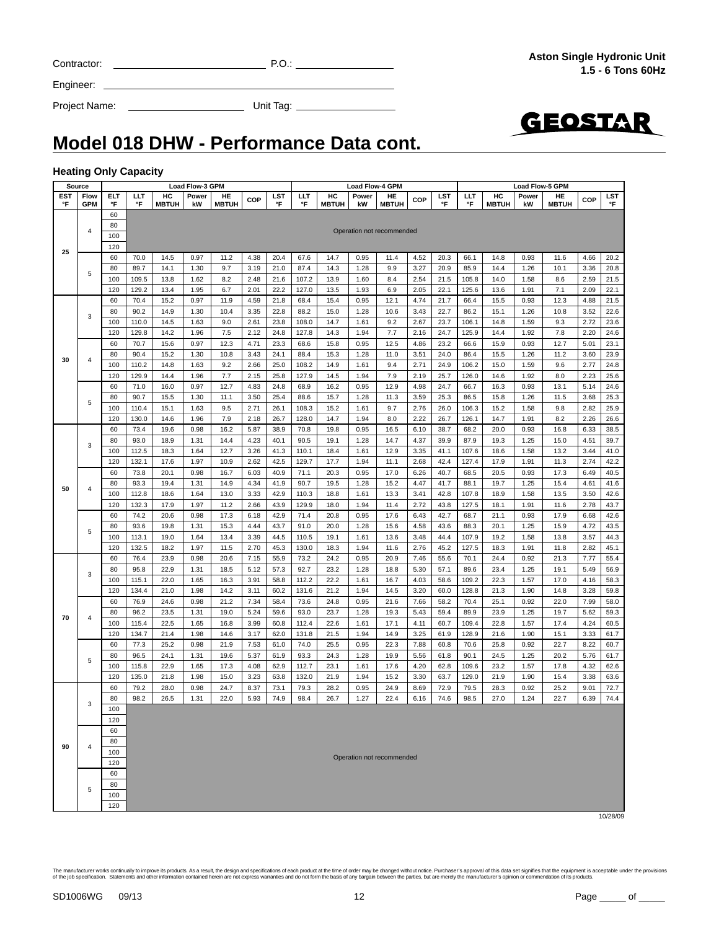| The manufacturer works continually to improve its products. As a result, the design and specifications of each product at the time of order may be changed without notice. Purchaser's approval of this data set signifies tha |
|--------------------------------------------------------------------------------------------------------------------------------------------------------------------------------------------------------------------------------|
| of the job specification. Statements and other information contained herein are not express warranties and do not form the basis of any bargain between the parties, but are merely the manufacturer's opinion or commendation |
|                                                                                                                                                                                                                                |
|                                                                                                                                                                                                                                |
|                                                                                                                                                                                                                                |

|                              | Model 018 DHW - Performance Data cont. |
|------------------------------|----------------------------------------|
| <b>Heating Only Capacity</b> |                                        |

#### **Heating O**

| Source           |                    | Load Flow-3 GPM |               |                    |              |                    | <b>Load Flow-4 GPM</b> |              |                |                    |              |                           |              | Load Flow-5 GPM |                  |                    |              |                    |              |                  |
|------------------|--------------------|-----------------|---------------|--------------------|--------------|--------------------|------------------------|--------------|----------------|--------------------|--------------|---------------------------|--------------|-----------------|------------------|--------------------|--------------|--------------------|--------------|------------------|
| <b>EST</b><br>°F | Flow<br><b>GPM</b> | ELT<br>°F       | LLT<br>°F     | HC<br><b>MBTUH</b> | Power<br>kW  | HE<br><b>MBTUH</b> | COP                    | LST<br>°F    | LLT<br>°F      | HC<br><b>MBTUH</b> | Power<br>kW  | HE<br><b>MBTUH</b>        | COP          | LST<br>°F       | <b>LLT</b><br>°F | HC<br><b>MBTUH</b> | Power<br>kW  | HE<br><b>MBTUH</b> | COP          | <b>LST</b><br>°F |
|                  |                    | 60              |               |                    |              |                    |                        |              |                |                    |              |                           |              |                 |                  |                    |              |                    |              |                  |
|                  |                    | 80              |               |                    |              |                    |                        |              |                |                    |              |                           |              |                 |                  |                    |              |                    |              |                  |
|                  | 4                  | 100             |               |                    |              |                    |                        |              |                |                    |              | Operation not recommended |              |                 |                  |                    |              |                    |              |                  |
| 25               |                    | 120             |               |                    |              |                    |                        |              |                |                    |              |                           |              |                 |                  |                    |              |                    |              |                  |
|                  |                    | 60              | 70.0          | 14.5               | 0.97         | 11.2               | 4.38                   | 20.4         | 67.6           | 14.7               | 0.95         | 11.4                      | 4.52         | 20.3            | 66.1             | 14.8               | 0.93         | 11.6               | 4.66         | 20.2             |
|                  | 5                  | 80              | 89.7          | 14.1               | 1.30         | 9.7                | 3.19                   | 21.0         | 87.4           | 14.3               | 1.28         | 9.9                       | 3.27         | 20.9            | 85.9             | 14.4               | 1.26         | 10.1               | 3.36         | 20.8             |
|                  |                    | 100             | 109.5         | 13.8               | 1.62         | 8.2                | 2.48                   | 21.6         | 107.2          | 13.9               | 1.60         | 8.4                       | 2.54         | 21.5            | 105.8            | 14.0               | 1.58         | 8.6                | 2.59         | 21.5             |
|                  |                    | 120             | 129.2         | 13.4               | 1.95         | 6.7                | 2.01                   | 22.2         | 127.0          | 13.5               | 1.93         | 6.9                       | 2.05         | 22.1            | 125.6            | 13.6               | 1.91         | 7.1                | 2.09         | 22.1             |
|                  |                    | 60              | 70.4          | 15.2               | 0.97         | 11.9               | 4.59                   | 21.8         | 68.4           | 15.4               | 0.95         | 12.1                      | 4.74         | 21.7            | 66.4             | 15.5               | 0.93         | 12.3               | 4.88         | 21.5             |
|                  | 3                  | 80              | 90.2          | 14.9               | 1.30         | 10.4               | 3.35                   | 22.8         | 88.2           | 15.0               | 1.28         | 10.6                      | 3.43         | 22.7            | 86.2             | 15.1               | 1.26         | 10.8               | 3.52         | 22.6             |
|                  |                    | 100             | 110.0         | 14.5               | 1.63         | 9.0                | 2.61                   | 23.8         | 108.0          | 14.7               | 1.61         | 9.2                       | 2.67         | 23.7            | 106.1            | 14.8               | 1.59         | 9.3                | 2.72         | 23.6             |
|                  |                    | 120             | 129.8         | 14.2               | 1.96         | 7.5                | 2.12                   | 24.8         | 127.8          | 14.3               | 1.94         | 7.7                       | 2.16         | 24.7            | 125.9            | 14.4               | 1.92         | 7.8                | 2.20         | 24.6             |
|                  |                    | 60              | 70.7          | 15.6               | 0.97         | 12.3               | 4.71                   | 23.3         | 68.6           | 15.8               | 0.95         | 12.5                      | 4.86         | 23.2            | 66.6             | 15.9               | 0.93         | 12.7               | 5.01         | 23.1             |
| 30               | 4                  | 80              | 90.4          | 15.2               | 1.30         | 10.8               | 3.43                   | 24.1         | 88.4           | 15.3               | 1.28         | 11.0                      | 3.51         | 24.0            | 86.4             | 15.5               | 1.26         | 11.2               | 3.60         | 23.9             |
|                  |                    | 100             | 110.2         | 14.8               | 1.63         | 9.2                | 2.66                   | 25.0         | 108.2          | 14.9               | 1.61         | 9.4                       | 2.71         | 24.9            | 106.2            | 15.0               | 1.59         | 9.6                | 2.77         | 24.8             |
|                  |                    | 120             | 129.9         | 14.4               | 1.96         | 7.7                | 2.15                   | 25.8         | 127.9          | 14.5               | 1.94         | 7.9                       | 2.19         | 25.7            | 126.0            | 14.6               | 1.92         | 8.0                | 2.23         | 25.6             |
|                  |                    | 60              | 71.0          | 16.0               | 0.97         | 12.7               | 4.83                   | 24.8         | 68.9           | 16.2               | 0.95         | 12.9                      | 4.98         | 24.7            | 66.7             | 16.3               | 0.93         | 13.1               | 5.14         | 24.6             |
|                  | 5                  | 80              | 90.7          | 15.5               | 1.30         | 11.1               | 3.50                   | 25.4         | 88.6           | 15.7               | 1.28         | 11.3                      | 3.59         | 25.3            | 86.5             | 15.8               | 1.26         | 11.5               | 3.68         | 25.3             |
|                  |                    | 100             | 110.4         | 15.1               | 1.63         | 9.5                | 2.71                   | 26.1         | 108.3          | 15.2               | 1.61         | 9.7                       | 2.76         | 26.0            | 106.3            | 15.2               | 1.58         | 9.8                | 2.82         | 25.9             |
|                  |                    | 120             | 130.0         | 14.6               | 1.96         | 7.9                | 2.18                   | 26.7         | 128.0          | 14.7               | 1.94         | 8.0                       | 2.22         | 26.7            | 126.1            | 14.7               | 1.91         | 8.2                | 2.26         | 26.6             |
|                  |                    | 60              | 73.4          | 19.6               | 0.98         | 16.2               | 5.87                   | 38.9         | 70.8           | 19.8               | 0.95         | 16.5                      | 6.10         | 38.7            | 68.2             | 20.0               | 0.93         | 16.8               | 6.33         | 38.5             |
|                  | 3                  | 80<br>100       | 93.0<br>112.5 | 18.9<br>18.3       | 1.31<br>1.64 | 14.4<br>12.7       | 4.23                   | 40.1         | 90.5           | 19.1<br>18.4       | 1.28<br>1.61 | 14.7<br>12.9              | 4.37<br>3.35 | 39.9<br>41.1    | 87.9<br>107.6    | 19.3<br>18.6       | 1.25<br>1.58 | 15.0               | 4.51         | 39.7             |
|                  |                    | 120             | 132.1         | 17.6               | 1.97         | 10.9               | 3.26<br>2.62           | 41.3<br>42.5 | 110.1<br>129.7 | 17.7               | 1.94         | 11.1                      | 2.68         | 42.4            | 127.4            | 17.9               | 1.91         | 13.2<br>11.3       | 3.44<br>2.74 | 41.0<br>42.2     |
|                  |                    | 60              | 73.8          | 20.1               | 0.98         | 16.7               | 6.03                   | 40.9         | 71.1           | 20.3               | 0.95         | 17.0                      | 6.26         | 40.7            | 68.5             | 20.5               | 0.93         | 17.3               | 6.49         | 40.5             |
|                  |                    | 80              | 93.3          | 19.4               | 1.31         | 14.9               | 4.34                   | 41.9         | 90.7           | 19.5               | 1.28         | 15.2                      | 4.47         | 41.7            | 88.1             | 19.7               | 1.25         | 15.4               | 4.61         | 41.6             |
| 50               | 4                  | 100             | 112.8         | 18.6               | 1.64         | 13.0               | 3.33                   | 42.9         | 110.3          | 18.8               | 1.61         | 13.3                      | 3.41         | 42.8            | 107.8            | 18.9               | 1.58         | 13.5               | 3.50         | 42.6             |
|                  |                    | 120             | 132.3         | 17.9               | 1.97         | 11.2               | 2.66                   | 43.9         | 129.9          | 18.0               | 1.94         | 11.4                      | 2.72         | 43.8            | 127.5            | 18.1               | 1.91         | 11.6               | 2.78         | 43.7             |
|                  |                    | 60              | 74.2          | 20.6               | 0.98         | 17.3               | 6.18                   | 42.9         | 71.4           | 20.8               | 0.95         | 17.6                      | 6.43         | 42.7            | 68.7             | 21.1               | 0.93         | 17.9               | 6.68         | 42.6             |
|                  |                    | 80              | 93.6          | 19.8               | 1.31         | 15.3               | 4.44                   | 43.7         | 91.0           | 20.0               | 1.28         | 15.6                      | 4.58         | 43.6            | 88.3             | 20.1               | 1.25         | 15.9               | 4.72         | 43.5             |
|                  | 5                  | 100             | 113.1         | 19.0               | 1.64         | 13.4               | 3.39                   | 44.5         | 110.5          | 19.1               | 1.61         | 13.6                      | 3.48         | 44.4            | 107.9            | 19.2               | 1.58         | 13.8               | 3.57         | 44.3             |
|                  |                    | 120             | 132.5         | 18.2               | 1.97         | 11.5               | 2.70                   | 45.3         | 130.0          | 18.3               | 1.94         | 11.6                      | 2.76         | 45.2            | 127.5            | 18.3               | 1.91         | 11.8               | 2.82         | 45.1             |
|                  |                    | 60              | 76.4          | 23.9               | 0.98         | 20.6               | 7.15                   | 55.9         | 73.2           | 24.2               | 0.95         | 20.9                      | 7.46         | 55.6            | 70.1             | 24.4               | 0.92         | 21.3               | 7.77         | 55.4             |
|                  |                    | 80              | 95.8          | 22.9               | 1.31         | 18.5               | 5.12                   | 57.3         | 92.7           | 23.2               | 1.28         | 18.8                      | 5.30         | 57.1            | 89.6             | 23.4               | 1.25         | 19.1               | 5.49         | 56.9             |
|                  | 3                  | 100             | 115.1         | 22.0               | 1.65         | 16.3               | 3.91                   | 58.8         | 112.2          | 22.2               | 1.61         | 16.7                      | 4.03         | 58.6            | 109.2            | 22.3               | 1.57         | 17.0               | 4.16         | 58.3             |
|                  |                    | 120             | 134.4         | 21.0               | 1.98         | 14.2               | 3.11                   | 60.2         | 131.6          | 21.2               | 1.94         | 14.5                      | 3.20         | 60.0            | 128.8            | 21.3               | 1.90         | 14.8               | 3.28         | 59.8             |
|                  |                    | 60              | 76.9          | 24.6               | 0.98         | 21.2               | 7.34                   | 58.4         | 73.6           | 24.8               | 0.95         | 21.6                      | 7.66         | 58.2            | 70.4             | 25.1               | 0.92         | 22.0               | 7.99         | 58.0             |
|                  |                    | 80              | 96.2          | 23.5               | 1.31         | 19.0               | 5.24                   | 59.6         | 93.0           | 23.7               | 1.28         | 19.3                      | 5.43         | 59.4            | 89.9             | 23.9               | 1.25         | 19.7               | 5.62         | 59.3             |
| 70               | 4                  | 100             | 115.4         | 22.5               | 1.65         | 16.8               | 3.99                   | 60.8         | 112.4          | 22.6               | 1.61         | 17.1                      | 4.11         | 60.7            | 109.4            | 22.8               | 1.57         | 17.4               | 4.24         | 60.5             |
|                  |                    | 120             | 134.7         | 21.4               | 1.98         | 14.6               | 3.17                   | 62.0         | 131.8          | 21.5               | 1.94         | 14.9                      | 3.25         | 61.9            | 128.9            | 21.6               | 1.90         | 15.1               | 3.33         | 61.7             |
|                  |                    | 60              | 77.3          | 25.2               | 0.98         | 21.9               | 7.53                   | 61.0         | 74.0           | 25.5               | 0.95         | 22.3                      | 7.88         | 60.8            | 70.6             | 25.8               | 0.92         | 22.7               | 8.22         | 60.7             |
|                  | 5                  | 80              | 96.5          | 24.1               | 1.31         | 19.6               | 5.37                   | 61.9         | 93.3           | 24.3               | 1.28         | 19.9                      | 5.56         | 61.8            | 90.1             | 24.5               | 1.25         | 20.2               | 5.76         | 61.7             |
|                  |                    | 100             | 115.8         | 22.9               | 1.65         | 17.3               | 4.08                   | 62.9         | 112.7          | 23.1               | 1.61         | 17.6                      | 4.20         | 62.8            | 109.6            | 23.2               | 1.57         | 17.8               | 4.32         | 62.6             |
|                  |                    | 120             | 135.0         | 21.8               | 1.98         | 15.0               | 3.23                   | 63.8         | 132.0          | 21.9               | 1.94         | 15.2                      | 3.30         | 63.7            | 129.0            | 21.9               | 1.90         | 15.4               | 3.38         | 63.6             |
|                  |                    | 60              | 79.2          | 28.0               | 0.98         | 24.7               | 8.37                   | 73.1         | 79.3           | 28.2               | 0.95         | 24.9                      | 8.69         | 72.9            | 79.5             | 28.3               | 0.92         | 25.2               | 9.01         | 72.7             |
|                  | 3                  | 80              | 98.2          | 26.5               | 1.31         | 22.0               | 5.93                   | 74.9         | 98.4           | 26.7               | 1.27         | 22.4                      | 6.16         | 74.6            | 98.5             | 27.0               | 1.24         | 22.7               | 6.39         | 74.4             |
|                  |                    | 100             |               |                    |              |                    |                        |              |                |                    |              |                           |              |                 |                  |                    |              |                    |              |                  |
|                  |                    | 120             |               |                    |              |                    |                        |              |                |                    |              |                           |              |                 |                  |                    |              |                    |              |                  |
|                  |                    | 60              |               |                    |              |                    |                        |              |                |                    |              |                           |              |                 |                  |                    |              |                    |              |                  |
| 90               | 4                  | 80              |               |                    |              |                    |                        |              |                |                    |              |                           |              |                 |                  |                    |              |                    |              |                  |
|                  |                    | 100             |               |                    |              |                    |                        |              |                |                    |              | Operation not recommended |              |                 |                  |                    |              |                    |              |                  |
|                  |                    | 120             |               |                    |              |                    |                        |              |                |                    |              |                           |              |                 |                  |                    |              |                    |              |                  |
|                  |                    | 60              |               |                    |              |                    |                        |              |                |                    |              |                           |              |                 |                  |                    |              |                    |              |                  |
|                  | 5                  | 80              |               |                    |              |                    |                        |              |                |                    |              |                           |              |                 |                  |                    |              |                    |              |                  |
|                  |                    | 100<br>120      |               |                    |              |                    |                        |              |                |                    |              |                           |              |                 |                  |                    |              |                    |              |                  |
|                  |                    |                 |               |                    |              |                    |                        |              |                |                    |              |                           |              |                 |                  |                    |              |                    |              | 10/28/09         |

**Aston Single Hydronic Unit 1.5 - 6 Tons 60Hz**

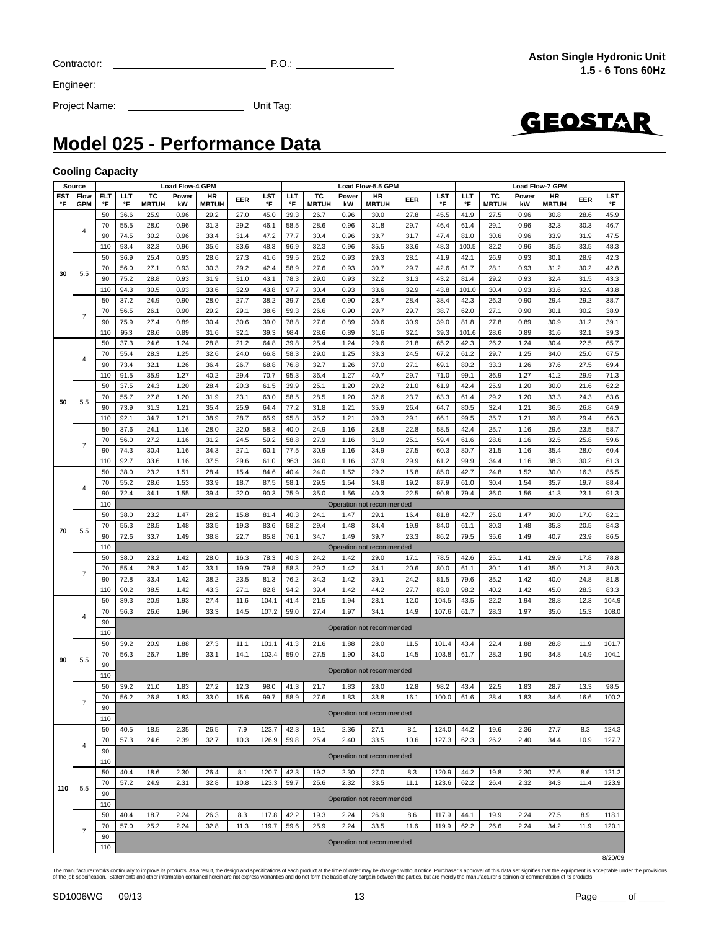|  | Contracto |
|--|-----------|
|  |           |

 $C = 2$  P.O.:  $P = 2$  P.O.:  $P = 2$  P.O.:  $P = 2$  P.O.:  $P = 2$  P.O.:  $P = 2$  P.O.:  $P = 2$  P.O.:  $P = 2$  P.O.:  $P = 2$  P.O.:  $P = 2$  P.O.:  $P = 2$  P.O.:  $P = 2$  P.O.:  $P = 2$  P.O.:  $P = 2$  P.O.:  $P = 2$  P.O.:  $P = 2$  P.O.:  $P = 2$  P.O.:

Project Name: Unit Tag:

GEOSTAR

### **Model 025 - Performance Data**

Engineer:

#### **Cooling Capacity**

|     | Source         |     |      |              | <b>Load Flow-4 GPM</b> |              |      |       |      |              |       | Load Flow-5.5 GPM         |      |       |       |              |       | Load Flow-7 GPM |      |       |
|-----|----------------|-----|------|--------------|------------------------|--------------|------|-------|------|--------------|-------|---------------------------|------|-------|-------|--------------|-------|-----------------|------|-------|
| EST | Flow           | ELT | LLT  | ТC           | Power                  | HR           | EER  | LST   | LLT  | тс           | Power | HR                        | EER  | LST   | ШT    | тс           | Power | <b>HR</b>       | EER  | LST   |
| °F  | <b>GPM</b>     | °F  | °F   | <b>MBTUH</b> | kW                     | <b>MBTUH</b> |      | °F    | °F   | <b>MBTUH</b> | kW    | <b>MBTUH</b>              |      | °F    | °F    | <b>MBTUH</b> | kW    | <b>MBTUH</b>    |      | °F    |
|     |                | 50  | 36.6 | 25.9         | 0.96                   | 29.2         | 27.0 | 45.0  | 39.3 | 26.7         | 0.96  | 30.0                      | 27.8 | 45.5  | 41.9  | 27.5         | 0.96  | 30.8            | 28.6 | 45.9  |
|     |                | 70  | 55.5 | 28.0         | 0.96                   | 31.3         | 29.2 | 46.1  | 58.5 | 28.6         | 0.96  | 31.8                      | 29.7 | 46.4  | 61.4  | 29.1         | 0.96  | 32.3            | 30.3 | 46.7  |
|     | 4              | 90  | 74.5 | 30.2         | 0.96                   | 33.4         | 31.4 | 47.2  | 77.7 | 30.4         | 0.96  | 33.7                      | 31.7 | 47.4  | 81.0  | 30.6         | 0.96  | 33.9            | 31.9 | 47.5  |
|     |                | 110 | 93.4 | 32.3         | 0.96                   | 35.6         | 33.6 | 48.3  | 96.9 | 32.3         |       |                           | 33.6 | 48.3  | 100.5 | 32.2         | 0.96  |                 |      |       |
|     |                |     |      |              |                        |              |      |       |      |              | 0.96  | 35.5                      |      |       |       |              |       | 35.5            | 33.5 | 48.3  |
|     |                | 50  | 36.9 | 25.4         | 0.93                   | 28.6         | 27.3 | 41.6  | 39.5 | 26.2         | 0.93  | 29.3                      | 28.1 | 41.9  | 42.1  | 26.9         | 0.93  | 30.1            | 28.9 | 42.3  |
| 30  | 5.5            | 70  | 56.0 | 27.1         | 0.93                   | 30.3         | 29.2 | 42.4  | 58.9 | 27.6         | 0.93  | 30.7                      | 29.7 | 42.6  | 61.7  | 28.1         | 0.93  | 31.2            | 30.2 | 42.8  |
|     |                | 90  | 75.2 | 28.8         | 0.93                   | 31.9         | 31.0 | 43.1  | 78.3 | 29.0         | 0.93  | 32.2                      | 31.3 | 43.2  | 81.4  | 29.2         | 0.93  | 32.4            | 31.5 | 43.3  |
|     |                | 110 | 94.3 | 30.5         | 0.93                   | 33.6         | 32.9 | 43.8  | 97.7 | 30.4         | 0.93  | 33.6                      | 32.9 | 43.8  | 101.0 | 30.4         | 0.93  | 33.6            | 32.9 | 43.8  |
|     |                | 50  | 37.2 | 24.9         | 0.90                   | 28.0         | 27.7 | 38.2  | 39.7 | 25.6         | 0.90  | 28.7                      | 28.4 | 38.4  | 42.3  | 26.3         | 0.90  | 29.4            | 29.2 | 38.7  |
|     |                | 70  | 56.5 | 26.1         | 0.90                   | 29.2         | 29.1 | 38.6  | 59.3 | 26.6         | 0.90  | 29.7                      | 29.7 | 38.7  | 62.0  | 27.1         | 0.90  | 30.1            | 30.2 | 38.9  |
|     | $\overline{7}$ | 90  | 75.9 | 27.4         | 0.89                   | 30.4         | 30.6 | 39.0  | 78.8 | 27.6         | 0.89  | 30.6                      | 30.9 | 39.0  | 81.8  | 27.8         | 0.89  | 30.9            | 31.2 | 39.1  |
|     |                |     |      |              |                        |              |      |       |      |              |       |                           |      |       |       |              |       |                 |      |       |
|     |                | 110 | 95.3 | 28.6         | 0.89                   | 31.6         | 32.1 | 39.3  | 98.4 | 28.6         | 0.89  | 31.6                      | 32.1 | 39.3  | 101.6 | 28.6         | 0.89  | 31.6            | 32.1 | 39.3  |
|     |                | 50  | 37.3 | 24.6         | 1.24                   | 28.8         | 21.2 | 64.8  | 39.8 | 25.4         | 1.24  | 29.6                      | 21.8 | 65.2  | 42.3  | 26.2         | 1.24  | 30.4            | 22.5 | 65.7  |
|     | 4              | 70  | 55.4 | 28.3         | 1.25                   | 32.6         | 24.0 | 66.8  | 58.3 | 29.0         | 1.25  | 33.3                      | 24.5 | 67.2  | 61.2  | 29.7         | 1.25  | 34.0            | 25.0 | 67.5  |
|     |                | 90  | 73.4 | 32.1         | 1.26                   | 36.4         | 26.7 | 68.8  | 76.8 | 32.7         | 1.26  | 37.0                      | 27.1 | 69.1  | 80.2  | 33.3         | 1.26  | 37.6            | 27.5 | 69.4  |
|     |                | 110 | 91.5 | 35.9         | 1.27                   | 40.2         | 29.4 | 70.7  | 95.3 | 36.4         | 1.27  | 40.7                      | 29.7 | 71.0  | 99.1  | 36.9         | 1.27  | 41.2            | 29.9 | 71.3  |
|     |                | 50  | 37.5 | 24.3         | 1.20                   | 28.4         | 20.3 | 61.5  | 39.9 | 25.1         | 1.20  | 29.2                      | 21.0 | 61.9  | 42.4  | 25.9         | 1.20  | 30.0            | 21.6 | 62.2  |
|     |                | 70  | 55.7 | 27.8         | 1.20                   | 31.9         | 23.1 | 63.0  | 58.5 | 28.5         | 1.20  | 32.6                      | 23.7 | 63.3  | 61.4  | 29.2         | 1.20  | 33.3            | 24.3 | 63.6  |
| 50  | 5.5            | 90  | 73.9 | 31.3         | 1.21                   | 35.4         | 25.9 | 64.4  | 77.2 | 31.8         | 1.21  | 35.9                      | 26.4 | 64.7  | 80.5  | 32.4         | 1.21  | 36.5            | 26.8 | 64.9  |
|     |                |     |      |              |                        |              |      |       |      |              |       |                           |      |       |       |              |       |                 |      |       |
|     |                | 110 | 92.1 | 34.7         | 1.21                   | 38.9         | 28.7 | 65.9  | 95.8 | 35.2         | 1.21  | 39.3                      | 29.1 | 66.1  | 99.5  | 35.7         | 1.21  | 39.8            | 29.4 | 66.3  |
|     |                | 50  | 37.6 | 24.1         | 1.16                   | 28.0         | 22.0 | 58.3  | 40.0 | 24.9         | 1.16  | 28.8                      | 22.8 | 58.5  | 42.4  | 25.7         | 1.16  | 29.6            | 23.5 | 58.7  |
|     | $\overline{7}$ | 70  | 56.0 | 27.2         | 1.16                   | 31.2         | 24.5 | 59.2  | 58.8 | 27.9         | 1.16  | 31.9                      | 25.1 | 59.4  | 61.6  | 28.6         | 1.16  | 32.5            | 25.8 | 59.6  |
|     |                | 90  | 74.3 | 30.4         | 1.16                   | 34.3         | 27.1 | 60.1  | 77.5 | 30.9         | 1.16  | 34.9                      | 27.5 | 60.3  | 80.7  | 31.5         | 1.16  | 35.4            | 28.0 | 60.4  |
|     |                | 110 | 92.7 | 33.6         | 1.16                   | 37.5         | 29.6 | 61.0  | 96.3 | 34.0         | 1.16  | 37.9                      | 29.9 | 61.2  | 99.9  | 34.4         | 1.16  | 38.3            | 30.2 | 61.3  |
|     |                | 50  | 38.0 | 23.2         | 1.51                   | 28.4         | 15.4 | 84.6  | 40.4 | 24.0         | 1.52  | 29.2                      | 15.8 | 85.0  | 42.7  | 24.8         | 1.52  | 30.0            | 16.3 | 85.5  |
|     |                | 70  | 55.2 | 28.6         | 1.53                   | 33.9         | 18.7 | 87.5  | 58.1 | 29.5         | 1.54  | 34.8                      | 19.2 | 87.9  | 61.0  | 30.4         | 1.54  | 35.7            | 19.7 | 88.4  |
|     | 4              | 90  | 72.4 | 34.1         | 1.55                   | 39.4         | 22.0 | 90.3  | 75.9 | 35.0         | 1.56  | 40.3                      | 22.5 | 90.8  | 79.4  | 36.0         | 1.56  | 41.3            | 23.1 | 91.3  |
|     |                | 110 |      |              |                        |              |      |       |      |              |       |                           |      |       |       |              |       |                 |      |       |
|     |                |     |      |              |                        |              |      |       |      |              |       | Operation not recommended |      |       |       |              |       |                 |      |       |
|     |                | 50  | 38.0 | 23.2         | 1.47                   | 28.2         | 15.8 | 81.4  | 40.3 | 24.1         | 1.47  | 29.1                      | 16.4 | 81.8  | 42.7  | 25.0         | 1.47  | 30.0            | 17.0 | 82.1  |
| 70  | 5.5            | 70  | 55.3 | 28.5         | 1.48                   | 33.5         | 19.3 | 83.6  | 58.2 | 29.4         | 1.48  | 34.4                      | 19.9 | 84.0  | 61.1  | 30.3         | 1.48  | 35.3            | 20.5 | 84.3  |
|     |                | 90  | 72.6 | 33.7         | 1.49                   | 38.8         | 22.7 | 85.8  | 76.1 | 34.7         | 1.49  | 39.7                      | 23.3 | 86.2  | 79.5  | 35.6         | 1.49  | 40.7            | 23.9 | 86.5  |
|     |                | 110 |      |              |                        |              |      |       |      |              |       | Operation not recommended |      |       |       |              |       |                 |      |       |
|     |                | 50  | 38.0 | 23.2         | 1.42                   | 28.0         | 16.3 | 78.3  | 40.3 | 24.2         | 1.42  | 29.0                      | 17.1 | 78.5  | 42.6  | 25.1         | 1.41  | 29.9            | 17.8 | 78.8  |
|     |                | 70  | 55.4 | 28.3         | 1.42                   | 33.1         | 19.9 | 79.8  | 58.3 | 29.2         | 1.42  | 34.1                      | 20.6 | 80.0  | 61.1  | 30.1         | 1.41  | 35.0            | 21.3 | 80.3  |
|     | $\overline{7}$ | 90  | 72.8 | 33.4         | 1.42                   | 38.2         | 23.5 | 81.3  | 76.2 | 34.3         | 1.42  | 39.1                      | 24.2 | 81.5  | 79.6  | 35.2         | 1.42  | 40.0            | 24.8 | 81.8  |
|     |                | 110 | 90.2 | 38.5         | 1.42                   | 43.3         | 27.1 | 82.8  | 94.2 | 39.4         | 1.42  | 44.2                      | 27.7 | 83.0  | 98.2  | 40.2         | 1.42  | 45.0            | 28.3 | 83.3  |
|     |                |     |      |              |                        |              |      |       |      |              |       |                           |      |       |       |              |       |                 |      |       |
|     |                | 50  | 39.3 | 20.9         | 1.93                   | 27.4         | 11.6 | 104.1 | 41.4 | 21.5         | 1.94  | 28.1                      | 12.0 | 104.5 | 43.5  | 22.2         | 1.94  | 28.8            | 12.3 | 104.9 |
|     | $\overline{4}$ | 70  | 56.3 | 26.6         | 1.96                   | 33.3         | 14.5 | 107.2 | 59.0 | 27.4         | 1.97  | 34.1                      | 14.9 | 107.6 | 61.7  | 28.3         | 1.97  | 35.0            | 15.3 | 108.0 |
|     |                | 90  |      |              |                        |              |      |       |      |              |       | Operation not recommended |      |       |       |              |       |                 |      |       |
|     |                | 110 |      |              |                        |              |      |       |      |              |       |                           |      |       |       |              |       |                 |      |       |
|     |                | 50  | 39.2 | 20.9         | 1.88                   | 27.3         | 11.1 | 101.1 | 41.3 | 21.6         | 1.88  | 28.0                      | 11.5 | 101.4 | 43.4  | 22.4         | 1.88  | 28.8            | 11.9 | 101.7 |
|     |                | 70  | 56.3 | 26.7         | 1.89                   | 33.1         | 14.1 | 103.4 | 59.0 | 27.5         | 1.90  | 34.0                      | 14.5 | 103.8 | 61.7  | 28.3         | 1.90  | 34.8            | 14.9 | 104.1 |
| 90  | 5.5            | 90  |      |              |                        |              |      |       |      |              |       |                           |      |       |       |              |       |                 |      |       |
|     |                | 110 |      |              |                        |              |      |       |      |              |       | Operation not recommended |      |       |       |              |       |                 |      |       |
|     |                | 50  | 39.2 | 21.0         | 1.83                   | 27.2         | 12.3 | 98.0  | 41.3 | 21.7         | 1.83  | 28.0                      | 12.8 | 98.2  | 43.4  | 22.5         | 1.83  | 28.7            | 13.3 | 98.5  |
|     |                | 70  | 56.2 | 26.8         | 1.83                   | 33.0         | 15.6 | 99.7  | 58.9 | 27.6         | 1.83  | 33.8                      | 16.1 | 100.0 | 61.6  | 28.4         | 1.83  | 34.6            | 16.6 | 100.2 |
|     | $\overline{7}$ |     |      |              |                        |              |      |       |      |              |       |                           |      |       |       |              |       |                 |      |       |
|     |                | 90  |      |              |                        |              |      |       |      |              |       | Operation not recommended |      |       |       |              |       |                 |      |       |
|     |                | 110 |      |              |                        |              |      |       |      |              |       |                           |      |       |       |              |       |                 |      |       |
|     |                | 50  | 40.5 | 18.5         | 2.35                   | 26.5         | 7.9  | 123.7 | 42.3 | 19.1         | 2.36  | 27.1                      | 8.1  | 124.0 | 44.2  | 19.6         | 2.36  | 27.7            | 8.3  | 124.3 |
|     |                | 70  | 57.3 | 24.6         | 2.39                   | 32.7         | 10.3 | 126.9 | 59.8 | 25.4         | 2.40  | 33.5                      | 10.6 | 127.3 | 62.3  | 26.2         | 2.40  | 34.4            | 10.9 | 127.7 |
|     | $\overline{4}$ | 90  |      |              |                        |              |      |       |      |              |       |                           |      |       |       |              |       |                 |      |       |
|     |                | 110 |      |              |                        |              |      |       |      |              |       | Operation not recommended |      |       |       |              |       |                 |      |       |
|     |                | 50  | 40.4 | 18.6         | 2.30                   | 26.4         | 8.1  | 120.7 | 42.3 | 19.2         | 2.30  | 27.0                      | 8.3  | 120.9 | 44.2  | 19.8         | 2.30  | 27.6            | 8.6  | 121.2 |
|     |                |     |      |              |                        |              |      |       |      |              | 2.32  |                           |      |       |       |              |       |                 |      |       |
| 110 | 5.5            | 70  | 57.2 | 24.9         | 2.31                   | 32.8         | 10.8 | 123.3 | 59.7 | 25.6         |       | 33.5                      | 11.1 | 123.6 | 62.2  | 26.4         | 2.32  | 34.3            | 11.4 | 123.9 |
|     |                | 90  |      |              |                        |              |      |       |      |              |       | Operation not recommended |      |       |       |              |       |                 |      |       |
|     |                | 110 |      |              |                        |              |      |       |      |              |       |                           |      |       |       |              |       |                 |      |       |
|     |                | 50  | 40.4 | 18.7         | 2.24                   | 26.3         | 8.3  | 117.8 | 42.2 | 19.3         | 2.24  | 26.9                      | 8.6  | 117.9 | 44.1  | 19.9         | 2.24  | 27.5            | 8.9  | 118.1 |
|     |                | 70  | 57.0 | 25.2         | 2.24                   | 32.8         | 11.3 | 119.7 | 59.6 | 25.9         | 2.24  | 33.5                      | 11.6 | 119.9 | 62.2  | 26.6         | 2.24  | 34.2            | 11.9 | 120.1 |
|     | $\overline{7}$ | 90  |      |              |                        |              |      |       |      |              |       |                           |      |       |       |              |       |                 |      |       |
|     |                | 110 |      |              |                        |              |      |       |      |              |       | Operation not recommended |      |       |       |              |       |                 |      |       |

8/20/09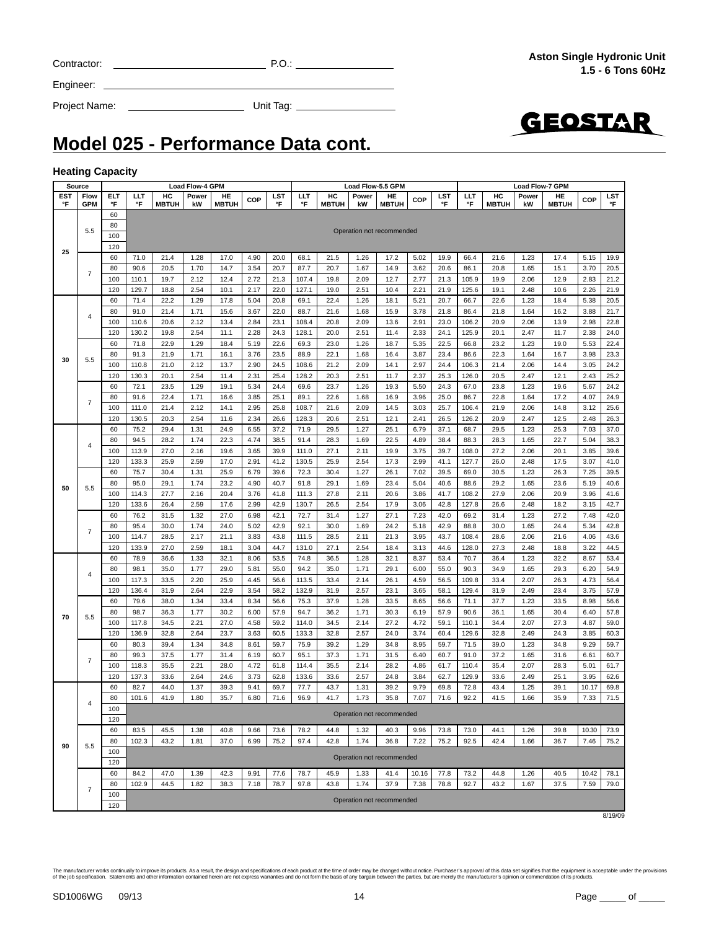# **Model 025 - Performance Data cont.**

Project Name: Unit Tag:

#### **Heating Capacity**

|           | Source             |           |                                                                                                                                               |                                                                                                                                        | <b>Load Flow-4 GPM</b> |                    |              |              |              |                    |              | Load Flow-5.5 GPM         |              |              |              |                    | <b>Load Flow-7 GPM</b> |                    |              |                  |
|-----------|--------------------|-----------|-----------------------------------------------------------------------------------------------------------------------------------------------|----------------------------------------------------------------------------------------------------------------------------------------|------------------------|--------------------|--------------|--------------|--------------|--------------------|--------------|---------------------------|--------------|--------------|--------------|--------------------|------------------------|--------------------|--------------|------------------|
| EST<br>°F | Flow<br><b>GPM</b> | ELT<br>°F | LLT<br>°F                                                                                                                                     | HC<br><b>MBTUH</b>                                                                                                                     | Power<br>kW            | HE<br><b>MBTUH</b> | <b>COP</b>   | LST<br>°F    | LLT<br>°F    | HC<br><b>MBTUH</b> | Power<br>kW  | HE<br><b>MBTUH</b>        | <b>COP</b>   | LST<br>°F    | ШT<br>°F     | HC<br><b>MBTUH</b> | Power<br>kW            | HE<br><b>MBTUH</b> | COP          | <b>LST</b><br>°F |
|           |                    | 60        |                                                                                                                                               |                                                                                                                                        |                        |                    |              |              |              |                    |              |                           |              |              |              |                    |                        |                    |              |                  |
|           |                    | 80        |                                                                                                                                               |                                                                                                                                        |                        |                    |              |              |              |                    |              |                           |              |              |              |                    |                        |                    |              |                  |
|           | 5.5                | 100       |                                                                                                                                               |                                                                                                                                        |                        |                    |              |              |              |                    |              | Operation not recommended |              |              |              |                    |                        |                    |              |                  |
| 25        |                    | 120       |                                                                                                                                               |                                                                                                                                        |                        |                    |              |              |              |                    |              |                           |              |              |              |                    |                        |                    |              |                  |
|           |                    | 60        | 71.0                                                                                                                                          | 21.4                                                                                                                                   | 1.28                   | 17.0               | 4.90         | 20.0         | 68.1         | 21.5               | 1.26         | 17.2                      | 5.02         | 19.9         | 66.4         | 21.6               | 1.23                   | 17.4               | 5.15         | 19.9             |
|           | $\overline{7}$     | 80        | 90.6                                                                                                                                          | 20.5                                                                                                                                   | 1.70                   | 14.7               | 3.54         | 20.7         | 87.7         | 20.7               | 1.67         | 14.9                      | 3.62         | 20.6         | 86.1         | 20.8               | 1.65                   | 15.1               | 3.70         | 20.5             |
|           |                    | 100       | 110.1                                                                                                                                         | 19.7                                                                                                                                   | 2.12                   | 12.4               | 2.72         | 21.3         | 107.4        | 19.8               | 2.09         | 12.7                      | 2.77         | 21.3         | 105.9        | 19.9               | 2.06                   | 12.9               | 2.83         | 21.2             |
|           |                    | 120       | 129.7                                                                                                                                         | 18.8                                                                                                                                   | 2.54                   | 10.1               | 2.17         | 22.0         | 127.1        | 19.0               | 2.51         | 10.4                      | 2.21         | 21.9         | 125.6        | 19.1               | 2.48                   | 10.6               | 2.26         | 21.9             |
|           |                    | 60        | 71.4                                                                                                                                          | 22.2                                                                                                                                   | 1.29                   | 17.8               | 5.04         | 20.8         | 69.1         | 22.4               | 1.26         | 18.1                      | 5.21         | 20.7         | 66.7         | 22.6               | 1.23                   | 18.4               | 5.38         | 20.5             |
|           | 4                  | 80        | 91.0                                                                                                                                          | 21.4                                                                                                                                   | 1.71                   | 15.6               | 3.67         | 22.0         | 88.7         | 21.6               | 1.68         | 15.9                      | 3.78         | 21.8         | 86.4         | 21.8               | 1.64                   | 16.2               | 3.88         | 21.7             |
|           |                    | 100       | 110.6                                                                                                                                         | 20.6                                                                                                                                   | 2.12                   | 13.4               | 2.84         | 23.1         | 108.4        | 20.8               | 2.09         | 13.6                      | 2.91         | 23.0         | 106.2        | 20.9               | 2.06                   | 13.9               | 2.98         | 22.8             |
|           |                    | 120       | 130.2                                                                                                                                         | 19.8                                                                                                                                   | 2.54                   | 11.1               | 2.28         | 24.3         | 128.1        | 20.0               | 2.51         | 11.4                      | 2.33         | 24.1         | 125.9        | 20.1               | 2.47                   | 11.7               | 2.38         | 24.0             |
|           |                    | 60        | 71.8                                                                                                                                          | 22.9                                                                                                                                   | 1.29                   | 18.4               | 5.19         | 22.6         | 69.3         | 23.0               | 1.26         | 18.7                      | 5.35         | 22.5         | 66.8         | 23.2               | 1.23                   | 19.0               | 5.53         | 22.4             |
| 30        | 5.5                | 80        | 91.3                                                                                                                                          | 21.9                                                                                                                                   | 1.71                   | 16.1               | 3.76         | 23.5         | 88.9         | 22.1               | 1.68         | 16.4                      | 3.87         | 23.4         | 86.6         | 22.3               | 1.64                   | 16.7               | 3.98         | 23.3             |
|           |                    | 100       | 110.8                                                                                                                                         | 21.0                                                                                                                                   | 2.12                   | 13.7               | 2.90         | 24.5         | 108.6        | 21.2               | 2.09         | 14.1                      | 2.97         | 24.4         | 106.3        | 21.4               | 2.06                   | 14.4               | 3.05         | 24.2             |
|           |                    | 120       | 130.3                                                                                                                                         | 20.1                                                                                                                                   | 2.54                   | 11.4               | 2.31         | 25.4         | 128.2        | 20.3               | 2.51         | 11.7                      | 2.37         | 25.3         | 126.0        | 20.5               | 2.47                   | 12.1               | 2.43         | 25.2             |
|           |                    | 60        | 72.1                                                                                                                                          | 23.5                                                                                                                                   | 1.29                   | 19.1               | 5.34         | 24.4         | 69.6         | 23.7               | 1.26         | 19.3                      | 5.50         | 24.3         | 67.0         | 23.8               | 1.23                   | 19.6               | 5.67         | 24.2             |
|           | $\overline{7}$     | 80        | 91.6                                                                                                                                          | 22.4                                                                                                                                   | 1.71                   | 16.6               | 3.85         | 25.1         | 89.1         | 22.6               | 1.68         | 16.9                      | 3.96         | 25.0         | 86.7         | 22.8               | 1.64                   | 17.2               | 4.07         | 24.9             |
|           |                    | 100       | 111.0                                                                                                                                         | 21.4                                                                                                                                   | 2.12                   | 14.1               | 2.95         | 25.8         | 108.7        | 21.6               | 2.09         | 14.5                      | 3.03         | 25.7         | 106.4        | 21.9               | 2.06                   | 14.8               | 3.12         | 25.6             |
|           |                    | 120       | 130.5                                                                                                                                         | 20.3                                                                                                                                   | 2.54                   | 11.6               | 2.34         | 26.6         | 128.3        | 20.6               | 2.51         | 12.1                      | 2.41         | 26.5         | 126.2        | 20.9               | 2.47                   | 12.5               | 2.48         | 26.3             |
|           |                    | 60        | 75.2                                                                                                                                          | 29.4                                                                                                                                   | 1.31                   | 24.9               | 6.55         | 37.2         | 71.9         | 29.5               | 1.27         | 25.1                      | 6.79         | 37.1         | 68.7         | 29.5               | 1.23                   | 25.3               | 7.03         | 37.0             |
|           | 4                  | 80        | 94.5                                                                                                                                          | 28.2                                                                                                                                   | 1.74                   | 22.3               | 4.74         | 38.5         | 91.4         | 28.3               | 1.69         | 22.5                      | 4.89         | 38.4         | 88.3         | 28.3               | 1.65                   | 22.7               | 5.04         | 38.3             |
|           |                    | 100       | 113.9                                                                                                                                         | 27.0                                                                                                                                   | 2.16                   | 19.6               | 3.65         | 39.9         | 111.0        | 27.1               | 2.11         | 19.9                      | 3.75         | 39.7         | 108.0        | 27.2               | 2.06                   | 20.1               | 3.85         | 39.6             |
|           |                    | 120       | 133.3                                                                                                                                         | 25.9<br>2.59<br>17.0<br>2.91<br>41.2<br>130.5<br>25.9<br>2.54<br>17.3<br>2.99<br>127.7<br>26.0<br>2.48<br>17.5<br>3.07<br>41.0<br>41.1 |                        |                    |              |              |              |                    |              |                           |              |              |              |                    |                        |                    |              |                  |
|           |                    | 60        | 75.7                                                                                                                                          | 30.4                                                                                                                                   | 1.31                   | 25.9               | 6.79         | 39.6         | 72.3         | 30.4               | 1.27         | 26.1                      | 7.02         | 39.5         | 69.0         | 30.5               | 1.23                   | 26.3               | 7.25         | 39.5             |
| 50        | 5.5                | 80        | 95.0                                                                                                                                          | 29.1                                                                                                                                   | 1.74                   | 23.2               | 4.90         | 40.7         | 91.8         | 29.1               | 1.69         | 23.4                      | 5.04         | 40.6         | 88.6         | 29.2               | 1.65                   | 23.6               | 5.19         | 40.6             |
|           |                    | 100       | 114.3                                                                                                                                         | 27.7                                                                                                                                   | 2.16                   | 20.4               | 3.76         | 41.8         | 111.3        | 27.8               | 2.11         | 20.6                      | 3.86         | 41.7         | 108.2        | 27.9               | 2.06                   | 20.9               | 3.96         | 41.6             |
|           |                    | 120       | 133.6                                                                                                                                         | 26.4                                                                                                                                   | 2.59                   | 17.6               | 2.99         | 42.9         | 130.7        | 26.5               | 2.54         | 17.9                      | 3.06         | 42.8         | 127.8        | 26.6               | 2.48                   | 18.2               | 3.15         | 42.7             |
|           |                    | 60        | 76.2                                                                                                                                          | 31.5                                                                                                                                   | 1.32                   | 27.0               | 6.98         | 42.1         | 72.7         | 31.4               | 1.27         | 27.1                      | 7.23         | 42.0         | 69.2         | 31.4               | 1.23                   | 27.2               | 7.48         | 42.0             |
|           | $\overline{7}$     | 80        | 95.4                                                                                                                                          | 30.0                                                                                                                                   | 1.74                   | 24.0               | 5.02         | 42.9         | 92.1         | 30.0               | 1.69         | 24.2                      | 5.18         | 42.9         | 88.8         | 30.0               | 1.65                   | 24.4               | 5.34         | 42.8             |
|           |                    | 100       | 114.7                                                                                                                                         | 28.5                                                                                                                                   | 2.17                   | 21.1               | 3.83         | 43.8         | 111.5        | 28.5               | 2.11         | 21.3                      | 3.95         | 43.7         | 108.4        | 28.6               | 2.06                   | 21.6               | 4.06         | 43.6             |
|           |                    | 120       | 133.9                                                                                                                                         | 27.0                                                                                                                                   | 2.59                   | 18.1               | 3.04         | 44.7         | 131.0        | 27.1               | 2.54         | 18.4                      | 3.13         | 44.6         | 128.0        | 27.3               | 2.48                   | 18.8               | 3.22         | 44.5             |
|           |                    | 60        | 78.9                                                                                                                                          | 36.6                                                                                                                                   | 1.33                   | 32.1               | 8.06         | 53.5         | 74.8         | 36.5               | 1.28         | 32.1                      | 8.37         | 53.4         | 70.7         | 36.4               | 1.23                   | 32.2               | 8.67         | 53.4             |
|           | 4                  | 80        | 98.1                                                                                                                                          | 35.0                                                                                                                                   | 1.77                   | 29.0               | 5.81         | 55.0         | 94.2         | 35.0               | 1.71         | 29.1                      | 6.00         | 55.0         | 90.3         | 34.9               | 1.65                   | 29.3               | 6.20         | 54.9             |
|           |                    | 100       | 117.3                                                                                                                                         | 33.5                                                                                                                                   | 2.20                   | 25.9               | 4.45         | 56.6         | 113.5        | 33.4               | 2.14         | 26.1                      | 4.59         | 56.5         | 109.8        | 33.4               | 2.07                   | 26.3               | 4.73         | 56.4             |
|           |                    | 120       | 136.4                                                                                                                                         | 31.9                                                                                                                                   | 2.64                   | 22.9               | 3.54         | 58.2         | 132.9        | 31.9               | 2.57         | 23.1                      | 3.65         | 58.1         | 129.4        | 31.9               | 2.49                   | 23.4               | 3.75         | 57.9             |
|           |                    | 60        | 79.6                                                                                                                                          | 38.0                                                                                                                                   | 1.34                   | 33.4               | 8.34         | 56.6         | 75.3         | 37.9               | 1.28         | 33.5                      | 8.65         | 56.6         | 71.1         | 37.7               | 1.23                   | 33.5               | 8.98         | 56.6             |
| 70        | 5.5                | 80        | 98.7                                                                                                                                          | 36.3                                                                                                                                   | 1.77                   | 30.2               | 6.00         | 57.9         | 94.7         | 36.2               | 1.71         | 30.3                      | 6.19         | 57.9         | 90.6         | 36.1               | 1.65                   | 30.4               | 6.40         | 57.8             |
|           |                    | 100       | 117.8                                                                                                                                         | 34.5                                                                                                                                   | 2.21                   | 27.0               | 4.58         | 59.2         | 114.0        | 34.5               | 2.14         | 27.2                      | 4.72         | 59.1         | 110.1        | 34.4               | 2.07                   | 27.3               | 4.87         | 59.0             |
|           |                    | 120       | 136.9                                                                                                                                         | 32.8                                                                                                                                   | 2.64                   | 23.7               | 3.63         | 60.5         | 133.3        | 32.8               | 2.57         | 24.0                      | 3.74         | 60.4         | 129.6        | 32.8               | 2.49                   | 24.3               | 3.85         | 60.3             |
|           |                    | 60<br>80  | 80.3<br>99.3                                                                                                                                  | 39.4                                                                                                                                   | 1.34<br>1.77           | 34.8<br>31.4       | 8.61         | 59.7<br>60.7 | 75.9<br>95.1 | 39.2<br>37.3       | 1.29<br>1.71 | 34.8                      | 8.95         | 59.7<br>60.7 | 71.5<br>91.0 | 39.0<br>37.2       | 1.23                   | 34.8<br>31.6       | 9.29         | 59.7<br>60.7     |
|           | $\overline{7}$     | 100       | 118.3                                                                                                                                         | 37.5<br>35.5                                                                                                                           | 2.21                   | 28.0               | 6.19<br>4.72 | 61.8         | 114.4        | 35.5               | 2.14         | 31.5<br>28.2              | 6.40<br>4.86 | 61.7         | 110.4        | 35.4               | 1.65<br>2.07           | 28.3               | 6.61<br>5.01 | 61.7             |
|           |                    | 120       | 137.3                                                                                                                                         | 33.6                                                                                                                                   | 2.64                   | 24.6               | 3.73         | 62.8         | 133.6        | 33.6               | 2.57         | 24.8                      | 3.84         | 62.7         | 129.9        | 33.6               | 2.49                   | 25.1               | 3.95         | 62.6             |
|           |                    | 60        | 82.7                                                                                                                                          | 44.0                                                                                                                                   | 1.37                   | 39.3               | 9.41         | 69.7         | 77.7         | 43.7               | 1.31         | 39.2                      | 9.79         | 69.8         | 72.8         | 43.4               | 1.25                   | 39.1               | 10.17        | 69.8             |
|           |                    | 80        | 71.5<br>41.9<br>1.80<br>35.7<br>71.6<br>96.9<br>41.7<br>1.73<br>7.07<br>71.6<br>92.2<br>7.33<br>101.6<br>6.80<br>35.8<br>41.5<br>1.66<br>35.9 |                                                                                                                                        |                        |                    |              |              |              |                    |              |                           |              |              |              |                    |                        |                    |              |                  |
|           | 4                  | 100       |                                                                                                                                               |                                                                                                                                        |                        |                    |              |              |              |                    |              |                           |              |              |              |                    |                        |                    |              |                  |
|           |                    | 120       |                                                                                                                                               |                                                                                                                                        |                        |                    |              |              |              |                    |              | Operation not recommended |              |              |              |                    |                        |                    |              |                  |
|           |                    | 60        | 83.5                                                                                                                                          | 45.5                                                                                                                                   | 1.38                   | 40.8               | 9.66         | 73.6         | 78.2         | 44.8               | 1.32         | 40.3                      | 9.96         | 73.8         | 73.0         | 44.1               | 1.26                   | 39.8               | 10.30        | 73.9             |
|           |                    | 80        | 102.3                                                                                                                                         | 43.2                                                                                                                                   | 1.81                   | 37.0               | 6.99         | 75.2         | 97.4         | 42.8               | 1.74         | 36.8                      | 7.22         | 75.2         | 92.5         | 42.4               | 1.66                   | 36.7               | 7.46         | 75.2             |
| 90        | 5.5                | 100       |                                                                                                                                               |                                                                                                                                        |                        |                    |              |              |              |                    |              |                           |              |              |              |                    |                        |                    |              |                  |
|           |                    | 120       |                                                                                                                                               |                                                                                                                                        |                        |                    |              |              |              |                    |              | Operation not recommended |              |              |              |                    |                        |                    |              |                  |
|           |                    | 60        | 84.2                                                                                                                                          | 47.0                                                                                                                                   | 1.39                   | 42.3               | 9.91         | 77.6         | 78.7         | 45.9               | 1.33         | 41.4                      | 10.16        | 77.8         | 73.2         | 44.8               | 1.26                   | 40.5               | 10.42        | 78.1             |
|           |                    | 80        | 102.9                                                                                                                                         | 44.5                                                                                                                                   | 1.82                   | 38.3               | 7.18         | 78.7         | 97.8         | 43.8               | 1.74         | 37.9                      | 7.38         | 78.8         | 92.7         | 43.2               | 1.67                   | 37.5               | 7.59         | 79.0             |
|           | $\overline{7}$     | 100       |                                                                                                                                               |                                                                                                                                        |                        |                    |              |              |              |                    |              |                           |              |              |              |                    |                        |                    |              |                  |
|           |                    | 120       |                                                                                                                                               |                                                                                                                                        |                        |                    |              |              |              |                    |              | Operation not recommended |              |              |              |                    |                        |                    |              |                  |
|           |                    |           | 8/19/09                                                                                                                                       |                                                                                                                                        |                        |                    |              |              |              |                    |              |                           |              |              |              |                    |                        |                    |              |                  |

Contractor: P.O.:

**Aston Single Hydronic Unit 1.5 - 6 Tons 60Hz**



SD1006WG 09/13 14 14 Page of the Page of the SD1006WG 09/13

Engineer: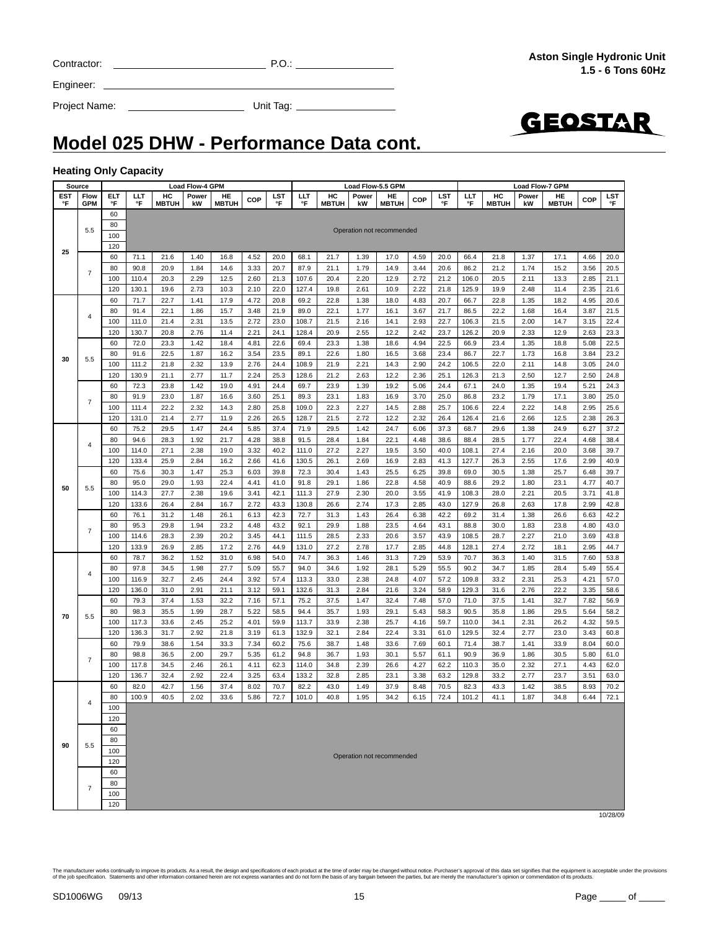| The manufacturer works continually to improve its products. As a result, the design and specifications of each product at the time of order may be changed without notice. Purchaser's approval of this data set signifies tha |
|--------------------------------------------------------------------------------------------------------------------------------------------------------------------------------------------------------------------------------|
| of the iob specification. Statements and other information contained herein are not express warranties and do not form the basis of any bargain between the parties, but are merely the manufacturer's opinion or commendation |
|                                                                                                                                                                                                                                |
|                                                                                                                                                                                                                                |

Engineer:

Project Name: Unit Tag:

## **Model 025 DHW - Performance Data cont.**

#### **Heating Only Capacity**

| <b>Source</b> |                    |            |                |                    | Load Flow-4 GPM |                    |              | Load Flow-5.5 GPM<br>Load Flow-7 GPM |                |                    |              |                           |              |              |                |                    |              |                    |              |              |
|---------------|--------------------|------------|----------------|--------------------|-----------------|--------------------|--------------|--------------------------------------|----------------|--------------------|--------------|---------------------------|--------------|--------------|----------------|--------------------|--------------|--------------------|--------------|--------------|
| EST<br>°F     | Flow<br><b>GPM</b> | ELT<br>°F  | ШT<br>°F       | HC<br><b>MBTUH</b> | Power<br>kW     | HE<br><b>MBTUH</b> | COP          | <b>LST</b><br>°F                     | ШT<br>°F       | HC<br><b>MBTUH</b> | Power<br>kW  | HE<br><b>MBTUH</b>        | <b>COP</b>   | LST<br>°F    | ШT<br>°F       | HC<br><b>MBTUH</b> | Power<br>kW  | HE<br><b>MBTUH</b> | COP          | LST<br>°F    |
|               |                    | 60         |                |                    |                 |                    |              |                                      |                |                    |              |                           |              |              |                |                    |              |                    |              |              |
|               |                    | 80         |                |                    |                 |                    |              |                                      |                |                    |              |                           |              |              |                |                    |              |                    |              |              |
|               | 5.5                | 100        |                |                    |                 |                    |              |                                      |                |                    |              | Operation not recommended |              |              |                |                    |              |                    |              |              |
| 25            |                    | 120        |                |                    |                 |                    |              |                                      |                |                    |              |                           |              |              |                |                    |              |                    |              |              |
|               |                    | 60         | 71.1           | 21.6               | 1.40            | 16.8               | 4.52         | 20.0                                 | 68.1           | 21.7               | 1.39         | 17.0                      | 4.59         | 20.0         | 66.4           | 21.8               | 1.37         | 17.1               | 4.66         | 20.0         |
|               | $\overline{7}$     | 80         | 90.8           | 20.9               | 1.84            | 14.6               | 3.33         | 20.7                                 | 87.9           | 21.1               | 1.79         | 14.9                      | 3.44         | 20.6         | 86.2           | 21.2               | 1.74         | 15.2               | 3.56         | 20.5         |
|               |                    | 100        | 110.4          | 20.3               | 2.29            | 12.5               | 2.60         | 21.3                                 | 107.6          | 20.4               | 2.20         | 12.9                      | 2.72         | 21.2         | 106.0          | 20.5               | 2.11         | 13.3               | 2.85         | 21.1         |
|               |                    | 120        | 130.1          | 19.6               | 2.73            | 10.3               | 2.10         | 22.0                                 | 127.4          | 19.8               | 2.61         | 10.9                      | 2.22         | 21.8         | 125.9          | 19.9               | 2.48         | 11.4               | 2.35         | 21.6         |
|               |                    | 60         | 71.7           | 22.7               | 1.41            | 17.9               | 4.72         | 20.8                                 | 69.2           | 22.8               | 1.38         | 18.0                      | 4.83         | 20.7         | 66.7           | 22.8               | 1.35         | 18.2               | 4.95         | 20.6         |
|               | $\overline{4}$     | 80<br>100  | 91.4<br>111.0  | 22.1<br>21.4       | 1.86<br>2.31    | 15.7<br>13.5       | 3.48<br>2.72 | 21.9<br>23.0                         | 89.0<br>108.7  | 22.1<br>21.5       | 1.77<br>2.16 | 16.1<br>14.1              | 3.67<br>2.93 | 21.7<br>22.7 | 86.5<br>106.3  | 22.2<br>21.5       | 1.68<br>2.00 | 16.4<br>14.7       | 3.87<br>3.15 | 21.5<br>22.4 |
|               |                    | 120        | 130.7          | 20.8               | 2.76            | 11.4               | 2.21         | 24.1                                 | 128.4          | 20.9               | 2.55         | 12.2                      | 2.42         | 23.7         | 126.2          | 20.9               | 2.33         | 12.9               | 2.63         | 23.3         |
|               |                    | 60         | 72.0           | 23.3               | 1.42            | 18.4               | 4.81         | 22.6                                 | 69.4           | 23.3               | 1.38         | 18.6                      | 4.94         | 22.5         | 66.9           | 23.4               | 1.35         | 18.8               | 5.08         | 22.5         |
|               |                    | 80         | 91.6           | 22.5               | 1.87            | 16.2               | 3.54         | 23.5                                 | 89.1           | 22.6               | 1.80         | 16.5                      | 3.68         | 23.4         | 86.7           | 22.7               | 1.73         | 16.8               | 3.84         | 23.2         |
| 30            | 5.5                | 100        | 111.2          | 21.8               | 2.32            | 13.9               | 2.76         | 24.4                                 | 108.9          | 21.9               | 2.21         | 14.3                      | 2.90         | 24.2         | 106.5          | 22.0               | 2.11         | 14.8               | 3.05         | 24.0         |
|               |                    | 120        | 130.9          | 21.1               | 2.77            | 11.7               | 2.24         | 25.3                                 | 128.6          | 21.2               | 2.63         | 12.2                      | 2.36         | 25.1         | 126.3          | 21.3               | 2.50         | 12.7               | 2.50         | 24.8         |
|               |                    | 60         | 72.3           | 23.8               | 1.42            | 19.0               | 4.91         | 24.4                                 | 69.7           | 23.9               | 1.39         | 19.2                      | 5.06         | 24.4         | 67.1           | 24.0               | 1.35         | 19.4               | 5.21         | 24.3         |
|               | $\overline{7}$     | 80         | 91.9           | 23.0               | 1.87            | 16.6               | 3.60         | 25.1                                 | 89.3           | 23.1               | 1.83         | 16.9                      | 3.70         | 25.0         | 86.8           | 23.2               | 1.79         | 17.1               | 3.80         | 25.0         |
|               |                    | 100        | 111.4          | 22.2               | 2.32            | 14.3               | 2.80         | 25.8                                 | 109.0          | 22.3               | 2.27         | 14.5                      | 2.88         | 25.7         | 106.6          | 22.4               | 2.22         | 14.8               | 2.95         | 25.6         |
|               |                    | 120        | 131.0          | 21.4               | 2.77            | 11.9               | 2.26         | 26.5                                 | 128.7          | 21.5               | 2.72         | 12.2                      | 2.32         | 26.4         | 126.4          | 21.6               | 2.66         | 12.5               | 2.38         | 26.3         |
|               |                    | 60         | 75.2           | 29.5               | 1.47            | 24.4               | 5.85         | 37.4                                 | 71.9           | 29.5               | 1.42         | 24.7                      | 6.06         | 37.3         | 68.7           | 29.6               | 1.38         | 24.9               | 6.27         | 37.2         |
|               | 4                  | 80         | 94.6           | 28.3               | 1.92            | 21.7               | 4.28         | 38.8                                 | 91.5           | 28.4               | 1.84         | 22.1                      | 4.48         | 38.6         | 88.4           | 28.5               | 1.77         | 22.4               | 4.68         | 38.4         |
|               |                    | 100        | 114.0          | 27.1               | 2.38            | 19.0               | 3.32         | 40.2                                 | 111.0          | 27.2               | 2.27         | 19.5                      | 3.50         | 40.0         | 108.1          | 27.4               | 2.16         | 20.0               | 3.68         | 39.7         |
|               |                    | 120        | 133.4          | 25.9               | 2.84            | 16.2               | 2.66         | 41.6                                 | 130.5          | 26.1               | 2.69         | 16.9                      | 2.83         | 41.3         | 127.7          | 26.3               | 2.55         | 17.6               | 2.99         | 40.9         |
|               |                    | 60         | 75.6           | 30.3               | 1.47            | 25.3               | 6.03         | 39.8                                 | 72.3           | 30.4               | 1.43         | 25.5                      | 6.25         | 39.8         | 69.0           | 30.5               | 1.38         | 25.7               | 6.48         | 39.7         |
| 50            | 5.5                | 80         | 95.0           | 29.0               | 1.93            | 22.4               | 4.41         | 41.0                                 | 91.8           | 29.1               | 1.86         | 22.8                      | 4.58         | 40.9         | 88.6           | 29.2               | 1.80         | 23.1               | 4.77         | 40.7         |
|               |                    | 100<br>120 | 114.3<br>133.6 | 27.7<br>26.4       | 2.38<br>2.84    | 19.6<br>16.7       | 3.41<br>2.72 | 42.1<br>43.3                         | 111.3<br>130.8 | 27.9<br>26.6       | 2.30<br>2.74 | 20.0<br>17.3              | 3.55<br>2.85 | 41.9<br>43.0 | 108.3<br>127.9 | 28.0<br>26.8       | 2.21<br>2.63 | 20.5<br>17.8       | 3.71<br>2.99 | 41.8<br>42.8 |
|               |                    | 60         | 76.1           | 31.2               | 1.48            | 26.1               | 6.13         | 42.3                                 | 72.7           | 31.3               | 1.43         | 26.4                      | 6.38         | 42.2         | 69.2           | 31.4               | 1.38         | 26.6               | 6.63         | 42.2         |
|               |                    | 80         | 95.3           | 29.8               | 1.94            | 23.2               | 4.48         | 43.2                                 | 92.1           | 29.9               | 1.88         | 23.5                      | 4.64         | 43.1         | 88.8           | 30.0               | 1.83         | 23.8               | 4.80         | 43.0         |
|               | $\overline{7}$     | 100        | 114.6          | 28.3               | 2.39            | 20.2               | 3.45         | 44.1                                 | 111.5          | 28.5               | 2.33         | 20.6                      | 3.57         | 43.9         | 108.5          | 28.7               | 2.27         | 21.0               | 3.69         | 43.8         |
|               |                    | 120        | 133.9          | 26.9               | 2.85            | 17.2               | 2.76         | 44.9                                 | 131.0          | 27.2               | 2.78         | 17.7                      | 2.85         | 44.8         | 128.1          | 27.4               | 2.72         | 18.1               | 2.95         | 44.7         |
|               |                    | 60         | 78.7           | 36.2               | 1.52            | 31.0               | 6.98         | 54.0                                 | 74.7           | 36.3               | 1.46         | 31.3                      | 7.29         | 53.9         | 70.7           | 36.3               | 1.40         | 31.5               | 7.60         | 53.8         |
|               |                    | 80         | 97.8           | 34.5               | 1.98            | 27.7               | 5.09         | 55.7                                 | 94.0           | 34.6               | 1.92         | 28.1                      | 5.29         | 55.5         | 90.2           | 34.7               | 1.85         | 28.4               | 5.49         | 55.4         |
|               | 4                  | 100        | 116.9          | 32.7               | 2.45            | 24.4               | 3.92         | 57.4                                 | 113.3          | 33.0               | 2.38         | 24.8                      | 4.07         | 57.2         | 109.8          | 33.2               | 2.31         | 25.3               | 4.21         | 57.0         |
|               |                    | 120        | 136.0          | 31.0               | 2.91            | 21.1               | 3.12         | 59.1                                 | 132.6          | 31.3               | 2.84         | 21.6                      | 3.24         | 58.9         | 129.3          | 31.6               | 2.76         | 22.2               | 3.35         | 58.6         |
|               |                    | 60         | 79.3           | 37.4               | 1.53            | 32.2               | 7.16         | 57.1                                 | 75.2           | 37.5               | 1.47         | 32.4                      | 7.48         | 57.0         | 71.0           | 37.5               | 1.41         | 32.7               | 7.82         | 56.9         |
| 70            | 5.5                | 80         | 98.3           | 35.5               | 1.99            | 28.7               | 5.22         | 58.5                                 | 94.4           | 35.7               | 1.93         | 29.1                      | 5.43         | 58.3         | 90.5           | 35.8               | 1.86         | 29.5               | 5.64         | 58.2         |
|               |                    | 100        | 117.3          | 33.6               | 2.45            | 25.2               | 4.01         | 59.9                                 | 113.7          | 33.9               | 2.38         | 25.7                      | 4.16         | 59.7         | 110.0          | 34.1               | 2.31         | 26.2               | 4.32         | 59.5         |
|               |                    | 120        | 136.3          | 31.7               | 2.92            | 21.8               | 3.19         | 61.3                                 | 132.9          | 32.1               | 2.84         | 22.4                      | 3.31         | 61.0         | 129.5          | 32.4               | 2.77         | 23.0               | 3.43         | 60.8         |
|               |                    | 60         | 79.9           | 38.6               | 1.54            | 33.3               | 7.34         | 60.2                                 | 75.6           | 38.7               | 1.48         | 33.6                      | 7.69         | 60.1         | 71.4           | 38.7               | 1.41         | 33.9               | 8.04         | 60.0         |
|               | $\overline{7}$     | 80         | 98.8           | 36.5               | 2.00            | 29.7               | 5.35         | 61.2                                 | 94.8           | 36.7               | 1.93         | 30.1                      | 5.57         | 61.1         | 90.9           | 36.9               | 1.86         | 30.5               | 5.80         | 61.0         |
|               |                    | 100        | 117.8          | 34.5               | 2.46            | 26.1               | 4.11         | 62.3                                 | 114.0          | 34.8               | 2.39         | 26.6                      | 4.27         | 62.2         | 110.3          | 35.0               | 2.32         | 27.1               | 4.43         | 62.0         |
|               |                    | 120<br>60  | 136.7<br>82.0  | 32.4<br>42.7       | 2.92<br>1.56    | 22.4<br>37.4       | 3.25<br>8.02 | 63.4<br>70.7                         | 133.2<br>82.2  | 32.8<br>43.0       | 2.85<br>1.49 | 23.1<br>37.9              | 3.38<br>8.48 | 63.2<br>70.5 | 129.8<br>82.3  | 33.2<br>43.3       | 2.77<br>1.42 | 23.7<br>38.5       | 3.51<br>8.93 | 63.0<br>70.2 |
|               |                    | 80         | 100.9          | 40.5               | 2.02            | 33.6               | 5.86         | 72.7                                 | 101.0          | 40.8               | 1.95         | 34.2                      | 6.15         | 72.4         | 101.2          | 41.1               | 1.87         | 34.8               | 6.44         | 72.1         |
|               | 4                  | 100        |                |                    |                 |                    |              |                                      |                |                    |              |                           |              |              |                |                    |              |                    |              |              |
|               |                    | 120        |                |                    |                 |                    |              |                                      |                |                    |              |                           |              |              |                |                    |              |                    |              |              |
|               |                    | 60         |                |                    |                 |                    |              |                                      |                |                    |              |                           |              |              |                |                    |              |                    |              |              |
|               |                    | 80         |                |                    |                 |                    |              |                                      |                |                    |              |                           |              |              |                |                    |              |                    |              |              |
| 90            | 5.5                | 100        |                |                    |                 |                    |              |                                      |                |                    |              |                           |              |              |                |                    |              |                    |              |              |
|               |                    | 120        |                |                    |                 |                    |              |                                      |                |                    |              | Operation not recommended |              |              |                |                    |              |                    |              |              |
|               |                    | 60         |                |                    |                 |                    |              |                                      |                |                    |              |                           |              |              |                |                    |              |                    |              |              |
|               | $\overline{7}$     | 80         |                |                    |                 |                    |              |                                      |                |                    |              |                           |              |              |                |                    |              |                    |              |              |
|               |                    | 100        |                |                    |                 |                    |              |                                      |                |                    |              |                           |              |              |                |                    |              |                    |              |              |
|               |                    | 120        |                |                    |                 |                    |              |                                      |                |                    |              |                           |              |              |                |                    |              |                    |              |              |
|               |                    |            |                |                    |                 |                    |              |                                      |                |                    |              |                           |              |              |                |                    |              |                    |              | 10/28/09     |

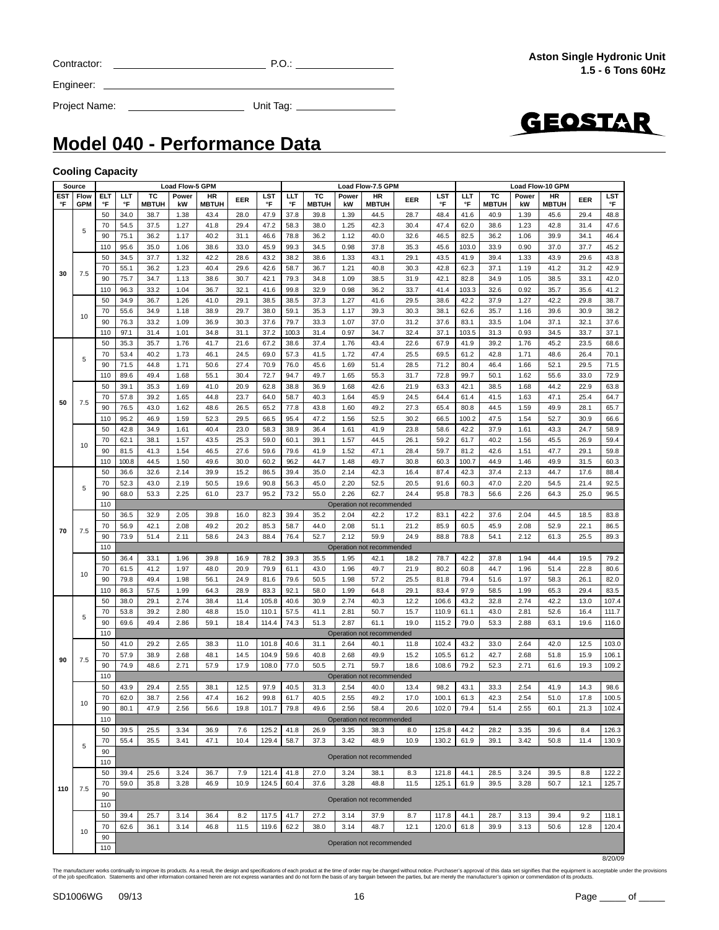|  | Contracto |
|--|-----------|
|  |           |

 $C = 2$  P.O.:  $P = 2$  P.O.:  $P = 2$  P.O.:  $P = 2$  P.O.:  $P = 2$  P.O.:  $P = 2$  P.O.:  $P = 2$  P.O.:  $P = 2$  P.O.:  $P = 2$  P.O.:  $P = 2$  P.O.:  $P = 2$  P.O.:  $P = 2$  P.O.:  $P = 2$  P.O.:  $P = 2$  P.O.:  $P = 2$  P.O.:  $P = 2$  P.O.:  $P = 2$  P.O.:

Engineer:

Project Name: Unit Tag:



### **Model 040 - Performance Data**

#### **Cooling Capacity**

|     | <b>Source</b> |           |              |              | Load Flow-5 GPM |              |              |                | Load Flow-10 GPM<br>Load Flow-7.5 GPM |                    |              |                           |              |                |               |              |              |              |              |                |
|-----|---------------|-----------|--------------|--------------|-----------------|--------------|--------------|----------------|---------------------------------------|--------------------|--------------|---------------------------|--------------|----------------|---------------|--------------|--------------|--------------|--------------|----------------|
| EST | Flow          | ELT       | ШT           | ТC           | Power           | HR           | EER          | LST            | LLT                                   | ТC<br><b>MBTUH</b> | Power        | HR                        | EER          | LST            | LLT           | тс           | Power        | HR           | EER          | LST            |
| °F  | <b>GPM</b>    | °F        | °F           | <b>MBTUH</b> | kW              | <b>MBTUH</b> |              | °F             | °F                                    |                    | kW           | <b>MBTUH</b>              |              | °F             | °F            | <b>MBTUH</b> | kW           | <b>MBTUH</b> |              | °F             |
|     |               | 50        | 34.0         | 38.7         | 1.38            | 43.4         | 28.0         | 47.9           | 37.8                                  | 39.8               | 1.39         | 44.5                      | 28.7         | 48.4           | 41.6          | 40.9         | 1.39         | 45.6         | 29.4         | 48.8           |
|     | 5             | 70        | 54.5         | 37.5         | 1.27            | 41.8         | 29.4         | 47.2           | 58.3                                  | 38.0               | 1.25         | 42.3                      | 30.4         | 47.4           | 62.0          | 38.6         | 1.23         | 42.8         | 31.4         | 47.6           |
|     |               | 90        | 75.1         | 36.2         | 1.17            | 40.2         | 31.1<br>33.0 | 46.6<br>45.9   | 78.8                                  | 36.2               | 1.12<br>0.98 | 40.0                      | 32.6         | 46.5<br>45.6   | 82.5<br>103.0 | 36.2         | 1.06         | 39.9<br>37.0 | 34.1<br>37.7 | 46.4<br>45.2   |
|     |               | 110<br>50 | 95.6<br>34.5 | 35.0<br>37.7 | 1.06<br>1.32    | 38.6<br>42.2 | 28.6         | 43.2           | 99.3<br>38.2                          | 34.5<br>38.6       | 1.33         | 37.8<br>43.1              | 35.3<br>29.1 | 43.5           | 41.9          | 33.9<br>39.4 | 0.90<br>1.33 | 43.9         | 29.6         | 43.8           |
|     |               | 70        | 55.1         | 36.2         | 1.23            | 40.4         | 29.6         | 42.6           | 58.7                                  | 36.7               | 1.21         | 40.8                      | 30.3         | 42.8           | 62.3          | 37.1         | 1.19         | 41.2         | 31.2         | 42.9           |
| 30  | 7.5           | 90        | 75.7         | 34.7         | 1.13            | 38.6         | 30.7         | 42.1           | 79.3                                  | 34.8               | 1.09         | 38.5                      | 31.9         | 42.1           | 82.8          | 34.9         | 1.05         | 38.5         | 33.1         | 42.0           |
|     |               | 110       | 96.3         | 33.2         | 1.04            | 36.7         | 32.1         | 41.6           | 99.8                                  | 32.9               | 0.98         | 36.2                      | 33.7         | 41.4           | 103.3         | 32.6         | 0.92         | 35.7         | 35.6         | 41.2           |
|     |               | 50        | 34.9         | 36.7         | 1.26            | 41.0         | 29.1         | 38.5           | 38.5                                  | 37.3               | 1.27         | 41.6                      | 29.5         | 38.6           | 42.2          | 37.9         | 1.27         | 42.2         | 29.8         | 38.7           |
|     |               | 70        | 55.6         | 34.9         | 1.18            | 38.9         | 29.7         | 38.0           | 59.1                                  | 35.3               | 1.17         | 39.3                      | 30.3         | 38.1           | 62.6          | 35.7         | 1.16         | 39.6         | 30.9         | 38.2           |
|     | 10            | 90        | 76.3         | 33.2         | 1.09            | 36.9         | 30.3         | 37.6           | 79.7                                  | 33.3               | 1.07         | 37.0                      | 31.2         | 37.6           | 83.1          | 33.5         | 1.04         | 37.1         | 32.1         | 37.6           |
|     |               | 110       | 97.1         | 31.4         | 1.01            | 34.8         | 31.1         | 37.2           | 100.3                                 | 31.4               | 0.97         | 34.7                      | 32.4         | 37.1           | 103.5         | 31.3         | 0.93         | 34.5         | 33.7         | 37.1           |
|     |               | 50        | 35.3         | 35.7         | 1.76            | 41.7         | 21.6         | 67.2           | 38.6                                  | 37.4               | 1.76         | 43.4                      | 22.6         | 67.9           | 41.9          | 39.2         | 1.76         | 45.2         | 23.5         | 68.6           |
|     |               | 70        | 53.4         | 40.2         | 1.73            | 46.1         | 24.5         | 69.0           | 57.3                                  | 41.5               | 1.72         | 47.4                      | 25.5         | 69.5           | 61.2          | 42.8         | 1.71         | 48.6         | 26.4         | 70.1           |
|     | 5             | 90        | 71.5         | 44.8         | 1.71            | 50.6         | 27.4         | 70.9           | 76.0                                  | 45.6               | 1.69         | 51.4                      | 28.5         | 71.2           | 80.4          | 46.4         | 1.66         | 52.1         | 29.5         | 71.5           |
|     |               | 110       | 89.6         | 49.4         | 1.68            | 55.1         | 30.4         | 72.7           | 94.7                                  | 49.7               | 1.65         | 55.3                      | 31.7         | 72.8           | 99.7          | 50.1         | 1.62         | 55.6         | 33.0         | 72.9           |
|     |               | 50        | 39.1         | 35.3         | 1.69            | 41.0         | 20.9         | 62.8           | 38.8                                  | 36.9               | 1.68         | 42.6                      | 21.9         | 63.3           | 42.1          | 38.5         | 1.68         | 44.2         | 22.9         | 63.8           |
|     |               | 70        | 57.8         | 39.2         | 1.65            | 44.8         | 23.7         | 64.0           | 58.7                                  | 40.3               | 1.64         | 45.9                      | 24.5         | 64.4           | 61.4          | 41.5         | 1.63         | 47.1         | 25.4         | 64.7           |
| 50  | 7.5           | 90        | 76.5         | 43.0         | 1.62            | 48.6         | 26.5         | 65.2           | 77.8                                  | 43.8               | 1.60         | 49.2                      | 27.3         | 65.4           | 80.8          | 44.5         | 1.59         | 49.9         | 28.1         | 65.7           |
|     |               | 110       | 95.2         | 46.9         | 1.59            | 52.3         | 29.5         | 66.5           | 95.4                                  | 47.2               | 1.56         | 52.5                      | 30.2         | 66.5           | 100.2         | 47.5         | 1.54         | 52.7         | 30.9         | 66.6           |
|     |               | 50        | 42.8         | 34.9         | 1.61            | 40.4         | 23.0         | 58.3           | 38.9                                  | 36.4               | 1.61         | 41.9                      | 23.8         | 58.6           | 42.2          | 37.9         | 1.61         | 43.3         | 24.7         | 58.9           |
|     |               | 70        | 62.1         | 38.1         | 1.57            | 43.5         | 25.3         | 59.0           | 60.1                                  | 39.1               | 1.57         | 44.5                      | 26.1         | 59.2           | 61.7          | 40.2         | 1.56         | 45.5         | 26.9         | 59.4           |
|     | 10            | 90        | 81.5         | 41.3         | 1.54            | 46.5         | 27.6         | 59.6           | 79.6                                  | 41.9               | 1.52         | 47.1                      | 28.4         | 59.7           | 81.2          | 42.6         | 1.51         | 47.7         | 29.1         | 59.8           |
|     |               | 110       | 100.8        | 44.5         | 1.50            | 49.6         | 30.0         | 60.2           | 96.2                                  | 44.7               | 1.48         | 49.7                      | 30.8         | 60.3           | 100.7         | 44.9         | 1.46         | 49.9         | 31.5         | 60.3           |
|     |               | 50        | 36.6         | 32.6         | 2.14            | 39.9         | 15.2         | 86.5           | 39.4                                  | 35.0               | 2.14         | 42.3                      | 16.4         | 87.4           | 42.3          | 37.4         | 2.13         | 44.7         | 17.6         | 88.4           |
|     | 5             | 70        | 52.3         | 43.0         | 2.19            | 50.5         | 19.6         | 90.8           | 56.3                                  | 45.0               | 2.20         | 52.5                      | 20.5         | 91.6           | 60.3          | 47.0         | 2.20         | 54.5         | 21.4         | 92.5           |
|     |               | 90        | 68.0         | 53.3         | 2.25            | 61.0         | 23.7         | 95.2           | 73.2                                  | 55.0               | 2.26         | 62.7                      | 24.4         | 95.8           | 78.3          | 56.6         | 2.26         | 64.3         | 25.0         | 96.5           |
|     |               | 110       |              |              |                 |              |              |                |                                       |                    |              | Operation not recommended |              |                |               |              |              |              |              |                |
|     |               | 50        | 36.5         | 32.9         | 2.05            | 39.8         | 16.0         | 82.3           | 39.4                                  | 35.2               | 2.04         | 42.2                      | 17.2         | 83.1           | 42.2          | 37.6         | 2.04         | 44.5         | 18.5         | 83.8           |
| 70  | 7.5           | 70        | 56.9         | 42.1         | 2.08            | 49.2         | 20.2         | 85.3           | 58.7                                  | 44.0               | 2.08         | 51.1                      | 21.2         | 85.9           | 60.5          | 45.9         | 2.08         | 52.9         | 22.1         | 86.5           |
|     |               | 90        | 73.9         | 51.4         | 2.11            | 58.6         | 24.3         | 88.4           | 76.4                                  | 52.7               | 2.12         | 59.9                      | 24.9         | 88.8           | 78.8          | 54.1         | 2.12         | 61.3         | 25.5         | 89.3           |
|     |               | 110       |              |              |                 |              |              |                |                                       |                    |              | Operation not recommended |              |                |               |              |              |              |              |                |
|     |               | 50        | 36.4         | 33.1         | 1.96            | 39.8         | 16.9         | 78.2           | 39.3                                  | 35.5               | 1.95         | 42.1                      | 18.2         | 78.7           | 42.2          | 37.8         | 1.94         | 44.4         | 19.5         | 79.2           |
|     | 10            | 70        | 61.5         | 41.2         | 1.97            | 48.0         | 20.9         | 79.9           | 61.1                                  | 43.0               | 1.96         | 49.7                      | 21.9         | 80.2           | 60.8          | 44.7         | 1.96         | 51.4         | 22.8         | 80.6           |
|     |               | 90        | 79.8         | 49.4         | 1.98            | 56.1         | 24.9         | 81.6           | 79.6                                  | 50.5               | 1.98         | 57.2                      | 25.5         | 81.8           | 79.4          | 51.6         | 1.97         | 58.3         | 26.1         | 82.0           |
|     |               | 110       | 86.3         | 57.5         | 1.99            | 64.3         | 28.9         | 83.3           | 92.1                                  | 58.0               | 1.99         | 64.8                      | 29.1         | 83.4           | 97.9          | 58.5         | 1.99         | 65.3         | 29.4         | 83.5           |
|     |               | 50<br>70  | 38.0<br>53.8 | 29.1<br>39.2 | 2.74<br>2.80    | 38.4<br>48.8 | 11.4<br>15.0 | 105.8<br>110.1 | 40.6<br>57.5                          | 30.9<br>41.1       | 2.74<br>2.81 | 40.3<br>50.7              | 12.2<br>15.7 | 106.6<br>110.9 | 43.2<br>61.1  | 32.8<br>43.0 | 2.74<br>2.81 | 42.2<br>52.6 | 13.0<br>16.4 | 107.4<br>111.7 |
|     | 5             | 90        | 69.6         | 49.4         | 2.86            | 59.1         | 18.4         | 114.4          | 74.3                                  | 51.3               | 2.87         | 61.1                      | 19.0         | 115.2          | 79.0          | 53.3         | 2.88         | 63.1         | 19.6         | 116.0          |
|     |               | 110       |              |              |                 |              |              |                |                                       |                    |              | Operation not recommended |              |                |               |              |              |              |              |                |
|     |               | 50        | 41.0         | 29.2         | 2.65            | 38.3         | 11.0         | 101.8          | 40.6                                  | 31.1               | 2.64         | 40.1                      | 11.8         | 102.4          | 43.2          | 33.0         | 2.64         | 42.0         | 12.5         | 103.0          |
|     |               | 70        | 57.9         | 38.9         | 2.68            | 48.1         | 14.5         | 104.9          | 59.6                                  | 40.8               | 2.68         | 49.9                      | 15.2         | 105.5          | 61.2          | 42.7         | 2.68         | 51.8         | 15.9         | 106.1          |
| 90  | 7.5           | 90        | 74.9         | 48.6         | 2.71            | 57.9         | 17.9         | 108.0          | 77.0                                  | 50.5               | 2.71         | 59.7                      | 18.6         | 108.6          | 79.2          | 52.3         | 2.71         | 61.6         | 19.3         | 109.2          |
|     |               | 110       |              |              |                 |              |              |                |                                       |                    |              | Operation not recommended |              |                |               |              |              |              |              |                |
|     |               | 50        | 43.9         | 29.4         | 2.55            | 38.1         | 12.5         | 97.9           | 40.5                                  | 31.3               | 2.54         | 40.0                      | 13.4         | 98.2           | 43.1          | 33.3         | 2.54         | 41.9         | 14.3         | 98.6           |
|     |               | 70        | 62.0         | 38.7         | 2.56            | 47.4         | 16.2         | 99.8           | 61.7                                  | 40.5               | 2.55         | 49.2                      | 17.0         | 100.1          | 61.3          | 42.3         | 2.54         | 51.0         | 17.8         | 100.5          |
|     | 10            | 90        | 80.1         | 47.9         | 2.56            | 56.6         | 19.8         | 101.7          | 79.8                                  | 49.6               | 2.56         | 58.4                      | 20.6         | 102.0          | 79.4          | 51.4         | 2.55         | 60.1         | 21.3         | 102.4          |
|     |               | 110       |              |              |                 |              |              |                |                                       |                    |              | Operation not recommended |              |                |               |              |              |              |              |                |
|     |               | 50        | 39.5         | 25.5         | 3.34            | 36.9         | 7.6          | 125.2          | 41.8                                  | 26.9               | 3.35         | 38.3                      | 8.0          | 125.8          | 44.2          | 28.2         | 3.35         | 39.6         | 8.4          | 126.3          |
|     | 5             | 70        | 55.4         | 35.5         | 3.41            | 47.1         | 10.4         | 129.4          | 58.7                                  | 37.3               | 3.42         | 48.9                      | 10.9         | 130.2          | 61.9          | 39.1         | 3.42         | 50.8         | 11.4         | 130.9          |
|     |               | 90        |              |              |                 |              |              |                |                                       |                    |              | Operation not recommended |              |                |               |              |              |              |              |                |
|     |               | 110       |              |              |                 |              |              |                |                                       |                    |              |                           |              |                |               |              |              |              |              |                |
|     |               | 50        | 39.4         | 25.6         | 3.24            | 36.7         | 7.9          | 121.4          | 41.8                                  | 27.0               | 3.24         | 38.1                      | 8.3          | 121.8          | 44.1          | 28.5         | 3.24         | 39.5         | 8.8          | 122.2          |
| 110 | 7.5           | 70        | 59.0         | 35.8         | 3.28            | 46.9         | 10.9         | 124.5          | 60.4                                  | 37.6               | 3.28         | 48.8                      | 11.5         | 125.1          | 61.9          | 39.5         | 3.28         | 50.7         | 12.1         | 125.7          |
|     |               | 90        |              |              |                 |              |              |                |                                       |                    |              | Operation not recommended |              |                |               |              |              |              |              |                |
|     |               | 110       |              |              |                 |              |              |                |                                       |                    |              |                           |              |                |               |              |              |              |              |                |
|     |               | 50        | 39.4         | 25.7         | 3.14            | 36.4         | 8.2          | 117.5          | 41.7                                  | 27.2               | 3.14         | 37.9                      | 8.7          | 117.8          | 44.1          | 28.7         | 3.13         | 39.4         | 9.2          | 118.1          |
|     | 10            | 70        | 62.6         | 36.1         | 3.14            | 46.8         | 11.5         | 119.6          | 62.2                                  | 38.0               | 3.14         | 48.7                      | 12.1         | 120.0          | 61.8          | 39.9         | 3.13         | 50.6         | 12.8         | 120.4          |
|     |               | 90<br>110 |              |              |                 |              |              |                |                                       |                    |              | Operation not recommended |              |                |               |              |              |              |              |                |
|     |               |           |              |              |                 |              |              |                |                                       |                    |              |                           |              |                |               |              |              |              |              |                |

8/20/09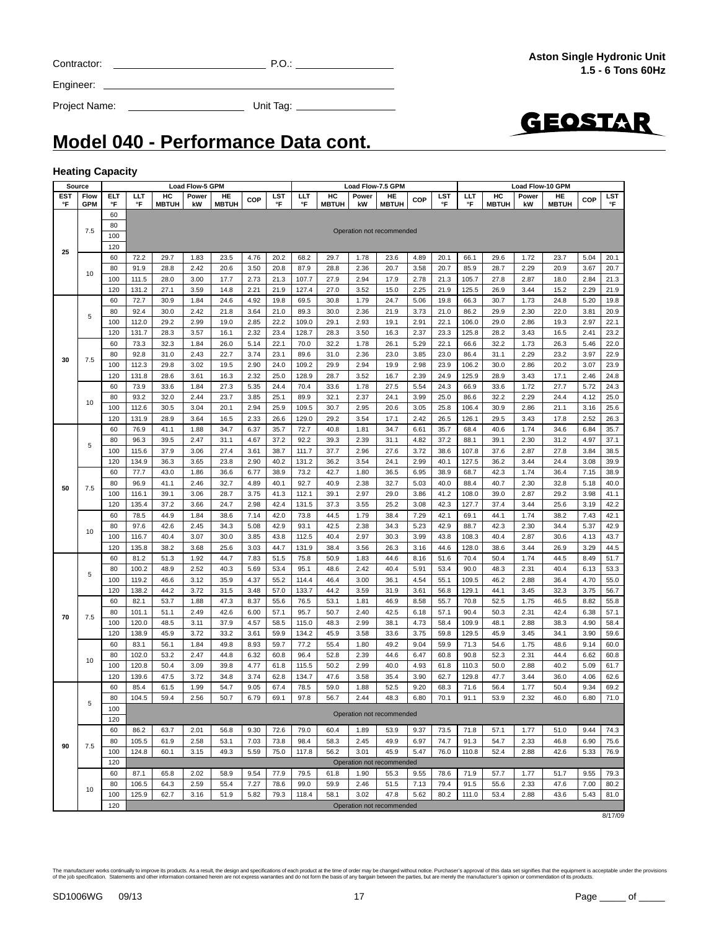| Contractor |  |
|------------|--|
|            |  |

Engineer:

Project Name: Unit Tag:



### **Model 040 - Performance Data cont.**

#### **Heating Capacity**

| Source                                                                                                                                                                                                                      |                                                                                               |                                                                                      |                |                                                                                                                                                                                                                                                                                                                                                                                                                                                                                                                                                                                        |             |                    |              |              |                |                    |              | Load Flow-7.5 GPM         |              |                  |                |                    | <b>Load Flow-10 GPM</b> |                    |              |              |
|-----------------------------------------------------------------------------------------------------------------------------------------------------------------------------------------------------------------------------|-----------------------------------------------------------------------------------------------|--------------------------------------------------------------------------------------|----------------|----------------------------------------------------------------------------------------------------------------------------------------------------------------------------------------------------------------------------------------------------------------------------------------------------------------------------------------------------------------------------------------------------------------------------------------------------------------------------------------------------------------------------------------------------------------------------------------|-------------|--------------------|--------------|--------------|----------------|--------------------|--------------|---------------------------|--------------|------------------|----------------|--------------------|-------------------------|--------------------|--------------|--------------|
| <b>EST</b><br>°F                                                                                                                                                                                                            | Flow<br><b>GPM</b>                                                                            | ELT<br>°F                                                                            | LLT<br>°F      | HC<br><b>MBTUH</b>                                                                                                                                                                                                                                                                                                                                                                                                                                                                                                                                                                     | Power<br>kW | HE<br><b>MBTUH</b> | <b>COP</b>   | LST<br>°F    | LLT<br>°F      | HC<br><b>MBTUH</b> | Power<br>kW  | HE<br><b>MBTUH</b>        | COP          | <b>LST</b><br>°F | LLT<br>°F      | HC<br><b>MBTUH</b> | Power<br>kW             | HE<br><b>MBTUH</b> | COP          | LST<br>°F    |
|                                                                                                                                                                                                                             |                                                                                               | 60                                                                                   |                |                                                                                                                                                                                                                                                                                                                                                                                                                                                                                                                                                                                        |             |                    |              |              |                |                    |              |                           |              |                  |                |                    |                         |                    |              |              |
|                                                                                                                                                                                                                             | 7.5                                                                                           | 80                                                                                   |                |                                                                                                                                                                                                                                                                                                                                                                                                                                                                                                                                                                                        |             |                    |              |              |                |                    |              | Operation not recommended |              |                  |                |                    |                         |                    |              |              |
|                                                                                                                                                                                                                             |                                                                                               | 100                                                                                  |                |                                                                                                                                                                                                                                                                                                                                                                                                                                                                                                                                                                                        |             |                    |              |              |                |                    |              |                           |              |                  |                |                    |                         |                    |              |              |
| 25                                                                                                                                                                                                                          |                                                                                               | 120                                                                                  |                |                                                                                                                                                                                                                                                                                                                                                                                                                                                                                                                                                                                        |             |                    |              |              |                |                    |              |                           |              |                  |                |                    |                         |                    |              |              |
|                                                                                                                                                                                                                             |                                                                                               | 60                                                                                   | 72.2           | <b>Load Flow-5 GPM</b><br>29.7<br>1.83<br>28.8<br>2.42<br>28.0<br>3.00<br>27.1<br>3.59<br>30.9<br>1.84<br>30.0<br>29.2<br>28.3<br>3.57<br>32.3<br>1.84<br>31.0<br>29.8<br>28.6<br>3.61<br>33.6<br>1.84<br>32.0<br>2.44<br>30.5<br>3.04<br>28.9<br>3.64<br>41.1<br>39.5<br>2.47<br>37.9<br>36.3<br>43.0<br>41.1<br>39.1<br>37.2<br>44.9<br>1.84<br>42.6<br>2.45<br>40.4<br>3.07<br>38.2<br>51.3<br>48.9<br>46.6<br>44.2<br>53.7<br>51.1<br>48.5<br>3.11<br>3.72<br>45.9<br>56.1<br>1.84<br>53.2<br>2.47<br>50.4<br>3.09<br>47.5<br>3.72<br>1.99<br>61.5<br>59.4<br>2.56<br>63.7<br>61.9 |             | 23.5<br>20.6       | 4.76         | 20.2<br>20.8 | 68.2<br>87.9   | 29.7<br>28.8       | 1.78<br>2.36 | 23.6<br>20.7              | 4.89         | 20.1<br>20.7     | 66.1           | 29.6<br>28.7       | 1.72<br>2.29            | 23.7<br>20.9       | 5.04<br>3.67 | 20.1         |
|                                                                                                                                                                                                                             | 10                                                                                            | 80<br>100                                                                            | 91.9<br>111.5  |                                                                                                                                                                                                                                                                                                                                                                                                                                                                                                                                                                                        |             | 17.7               | 3.50<br>2.73 | 21.3         | 107.7          | 27.9               | 2.94         | 17.9                      | 3.58<br>2.78 | 21.3             | 85.9<br>105.7  | 27.8               | 2.87                    | 18.0               | 2.84         | 20.7<br>21.3 |
|                                                                                                                                                                                                                             |                                                                                               | 120                                                                                  | 131.2          |                                                                                                                                                                                                                                                                                                                                                                                                                                                                                                                                                                                        |             | 14.8               | 2.21         | 21.9         | 127.4          | 27.0               | 3.52         | 15.0                      | 2.25         | 21.9             | 125.5          | 26.9               | 3.44                    | 15.2               | 2.29         | 21.9         |
|                                                                                                                                                                                                                             |                                                                                               | 60                                                                                   | 72.7           |                                                                                                                                                                                                                                                                                                                                                                                                                                                                                                                                                                                        |             | 24.6               | 4.92         | 19.8         | 69.5           | 30.8               | 1.79         | 24.7                      | 5.06         | 19.8             | 66.3           | 30.7               | 1.73                    | 24.8               | 5.20         | 19.8         |
|                                                                                                                                                                                                                             |                                                                                               | 80                                                                                   | 92.4           |                                                                                                                                                                                                                                                                                                                                                                                                                                                                                                                                                                                        | 2.42        | 21.8               | 3.64         | 21.0         | 89.3           | 30.0               | 2.36         | 21.9                      | 3.73         | 21.0             | 86.2           | 29.9               | 2.30                    | 22.0               | 3.81         | 20.9         |
|                                                                                                                                                                                                                             | 5                                                                                             | 100                                                                                  | 112.0          |                                                                                                                                                                                                                                                                                                                                                                                                                                                                                                                                                                                        | 2.99        | 19.0               | 2.85         | 22.2         | 109.0          | 29.1               | 2.93         | 19.1                      | 2.91         | 22.1             | 106.0          | 29.0               | 2.86                    | 19.3               | 2.97         | 22.1         |
|                                                                                                                                                                                                                             |                                                                                               | 120                                                                                  | 131.7          |                                                                                                                                                                                                                                                                                                                                                                                                                                                                                                                                                                                        |             | 16.1               | 2.32         | 23.4         | 128.7          | 28.3               | 3.50         | 16.3                      | 2.37         | 23.3             | 125.8          | 28.2               | 3.43                    | 16.5               | 2.41         | 23.2         |
|                                                                                                                                                                                                                             |                                                                                               | 60                                                                                   | 73.3           |                                                                                                                                                                                                                                                                                                                                                                                                                                                                                                                                                                                        |             | 26.0               | 5.14         | 22.1         | 70.0           | 32.2               | 1.78         | 26.1                      | 5.29         | 22.1             | 66.6           | 32.2               | 1.73                    | 26.3               | 5.46         | 22.0         |
|                                                                                                                                                                                                                             |                                                                                               | 80                                                                                   | 92.8           |                                                                                                                                                                                                                                                                                                                                                                                                                                                                                                                                                                                        | 2.43        | 22.7               | 3.74         | 23.1         | 89.6           | 31.0               | 2.36         | 23.0                      | 3.85         | 23.0             | 86.4           | 31.1               | 2.29                    | 23.2               | 3.97         | 22.9         |
| 30                                                                                                                                                                                                                          | 7.5                                                                                           | 100                                                                                  | 112.3          |                                                                                                                                                                                                                                                                                                                                                                                                                                                                                                                                                                                        | 3.02        | 19.5               | 2.90         | 24.0         | 109.2          | 29.9               | 2.94         | 19.9                      | 2.98         | 23.9             | 106.2          | 30.0               | 2.86                    | 20.2               | 3.07         | 23.9         |
|                                                                                                                                                                                                                             |                                                                                               | 120                                                                                  | 131.8          |                                                                                                                                                                                                                                                                                                                                                                                                                                                                                                                                                                                        |             | 16.3               | 2.32         | 25.0         | 128.9          | 28.7               | 3.52         | 16.7                      | 2.39         | 24.9             | 125.9          | 28.9               | 3.43                    | 17.1               | 2.46         | 24.8         |
|                                                                                                                                                                                                                             |                                                                                               | 60                                                                                   | 73.9           |                                                                                                                                                                                                                                                                                                                                                                                                                                                                                                                                                                                        |             | 27.3               | 5.35         | 24.4         | 70.4           | 33.6               | 1.78         | 27.5                      | 5.54         | 24.3             | 66.9           | 33.6               | 1.72                    | 27.7               | 5.72         | 24.3         |
|                                                                                                                                                                                                                             |                                                                                               | 80                                                                                   | 93.2           |                                                                                                                                                                                                                                                                                                                                                                                                                                                                                                                                                                                        |             | 23.7               | 3.85         | 25.1         | 89.9           | 32.1               | 2.37         | 24.1                      | 3.99         | 25.0             | 86.6           | 32.2               | 2.29                    | 24.4               | 4.12         | 25.0         |
| 10<br>100<br>112.6<br>20.1<br>2.94<br>25.9<br>120<br>131.9<br>2.33<br>26.6<br>16.5<br>60<br>76.9<br>1.88<br>34.7<br>6.37<br>35.7<br>80<br>96.3<br>31.1<br>4.67<br>37.2<br>5<br>100<br>115.6<br>3.06<br>27.4<br>3.61<br>38.7 | 109.5                                                                                         | 30.7                                                                                 | 2.95           | 20.6                                                                                                                                                                                                                                                                                                                                                                                                                                                                                                                                                                                   | 3.05        | 25.8               | 106.4        | 30.9         | 2.86           | 21.1               | 3.16         | 25.6                      |              |                  |                |                    |                         |                    |              |              |
|                                                                                                                                                                                                                             |                                                                                               |                                                                                      |                |                                                                                                                                                                                                                                                                                                                                                                                                                                                                                                                                                                                        |             |                    |              |              | 129.0          | 29.2               | 3.54         | 17.1                      | 2.42         | 26.5             | 126.1          | 29.5               | 3.43                    | 17.8               | 2.52         | 26.3         |
|                                                                                                                                                                                                                             |                                                                                               |                                                                                      |                |                                                                                                                                                                                                                                                                                                                                                                                                                                                                                                                                                                                        |             |                    |              |              | 72.7           | 40.8               | 1.81         | 34.7                      | 6.61         | 35.7             | 68.4           | 40.6               | 1.74                    | 34.6               | 6.84         | 35.7         |
|                                                                                                                                                                                                                             |                                                                                               |                                                                                      |                |                                                                                                                                                                                                                                                                                                                                                                                                                                                                                                                                                                                        |             |                    |              |              | 92.2           | 39.3               | 2.39         | 31.1                      | 4.82         | 37.2             | 88.1           | 39.1               | 2.30                    | 31.2               | 4.97         | 37.1         |
|                                                                                                                                                                                                                             |                                                                                               |                                                                                      |                |                                                                                                                                                                                                                                                                                                                                                                                                                                                                                                                                                                                        |             |                    |              |              | 111.7          | 37.7               | 2.96         | 27.6                      | 3.72         | 38.6             | 107.8          | 37.6               | 2.87                    | 27.8               | 3.84         | 38.5         |
|                                                                                                                                                                                                                             | 134.9<br>120<br>60<br>77.7<br>96.9<br>80<br>7.5<br>100<br>116.1<br>135.4<br>120<br>78.5<br>60 |                                                                                      |                |                                                                                                                                                                                                                                                                                                                                                                                                                                                                                                                                                                                        | 2.90        | 40.2               | 131.2        | 36.2         | 3.54           | 24.1               | 2.99         | 40.1                      | 127.5        | 36.2             | 3.44           | 24.4               | 3.08                    | 39.9               |              |              |
|                                                                                                                                                                                                                             |                                                                                               | 23.8<br>3.65<br>1.86<br>36.6<br>2.46<br>32.7<br>3.06<br>28.7<br>3.66<br>24.7<br>38.6 | 6.77           | 38.9                                                                                                                                                                                                                                                                                                                                                                                                                                                                                                                                                                                   | 73.2        | 42.7               | 1.80         | 36.5         | 6.95           | 38.9               | 68.7         | 42.3                      | 1.74         | 36.4             | 7.15           | 38.9               |                         |                    |              |              |
| 50                                                                                                                                                                                                                          |                                                                                               |                                                                                      |                |                                                                                                                                                                                                                                                                                                                                                                                                                                                                                                                                                                                        |             |                    | 4.89<br>3.75 | 40.1<br>41.3 | 92.7<br>112.1  | 40.9<br>39.1       | 2.38<br>2.97 | 32.7<br>29.0              | 5.03<br>3.86 | 40.0<br>41.2     | 88.4<br>108.0  | 40.7<br>39.0       | 2.30<br>2.87            | 32.8<br>29.2       | 5.18<br>3.98 | 40.0<br>41.1 |
|                                                                                                                                                                                                                             |                                                                                               |                                                                                      |                |                                                                                                                                                                                                                                                                                                                                                                                                                                                                                                                                                                                        |             |                    | 2.98         | 42.4         | 131.5          | 37.3               | 3.55         | 25.2                      | 3.08         | 42.3             | 127.7          | 37.4               | 3.44                    | 25.6               | 3.19         | 42.2         |
|                                                                                                                                                                                                                             |                                                                                               |                                                                                      |                |                                                                                                                                                                                                                                                                                                                                                                                                                                                                                                                                                                                        |             |                    | 7.14         | 42.0         | 73.8           | 44.5               | 1.79         | 38.4                      | 7.29         | 42.1             | 69.1           | 44.1               | 1.74                    | 38.2               | 7.43         | 42.1         |
|                                                                                                                                                                                                                             |                                                                                               | 80                                                                                   | 97.6           |                                                                                                                                                                                                                                                                                                                                                                                                                                                                                                                                                                                        |             | 34.3               | 5.08         | 42.9         | 93.1           | 42.5               | 2.38         | 34.3                      | 5.23         | 42.9             | 88.7           | 42.3               | 2.30                    | 34.4               | 5.37         | 42.9         |
|                                                                                                                                                                                                                             | 10                                                                                            | 100                                                                                  | 116.7          |                                                                                                                                                                                                                                                                                                                                                                                                                                                                                                                                                                                        |             | 30.0               | 3.85         | 43.8         | 112.5          | 40.4               | 2.97         | 30.3                      | 3.99         | 43.8             | 108.3          | 40.4               | 2.87                    | 30.6               | 4.13         | 43.7         |
|                                                                                                                                                                                                                             |                                                                                               | 120                                                                                  | 135.8          |                                                                                                                                                                                                                                                                                                                                                                                                                                                                                                                                                                                        | 3.68        | 25.6               | 3.03         | 44.7         | 131.9          | 38.4               | 3.56         | 26.3                      | 3.16         | 44.6             | 128.0          | 38.6               | 3.44                    | 26.9               | 3.29         | 44.5         |
|                                                                                                                                                                                                                             |                                                                                               | 60                                                                                   | 81.2           |                                                                                                                                                                                                                                                                                                                                                                                                                                                                                                                                                                                        | 1.92        | 44.7               | 7.83         | 51.5         | 75.8           | 50.9               | 1.83         | 44.6                      | 8.16         | 51.6             | 70.4           | 50.4               | 1.74                    | 44.5               | 8.49         | 51.7         |
|                                                                                                                                                                                                                             | 5                                                                                             | 80                                                                                   | 100.2          |                                                                                                                                                                                                                                                                                                                                                                                                                                                                                                                                                                                        | 2.52        | 40.3               | 5.69         | 53.4         | 95.1           | 48.6               | 2.42         | 40.4                      | 5.91         | 53.4             | 90.0           | 48.3               | 2.31                    | 40.4               | 6.13         | 53.3         |
|                                                                                                                                                                                                                             |                                                                                               | 100                                                                                  | 119.2          |                                                                                                                                                                                                                                                                                                                                                                                                                                                                                                                                                                                        | 3.12        | 35.9               | 4.37         | 55.2         | 114.4          | 46.4               | 3.00         | 36.1                      | 4.54         | 55.1             | 109.5          | 46.2               | 2.88                    | 36.4               | 4.70         | 55.0         |
|                                                                                                                                                                                                                             |                                                                                               | 120                                                                                  | 138.2          |                                                                                                                                                                                                                                                                                                                                                                                                                                                                                                                                                                                        | 3.72        | 31.5               | 3.48         | 57.0         | 133.7          | 44.2               | 3.59         | 31.9                      | 3.61         | 56.8             | 129.1          | 44.1               | 3.45                    | 32.3               | 3.75         | 56.7         |
|                                                                                                                                                                                                                             |                                                                                               | 60                                                                                   | 82.1           |                                                                                                                                                                                                                                                                                                                                                                                                                                                                                                                                                                                        | 1.88        | 47.3               | 8.37         | 55.6         | 76.5           | 53.1               | 1.81         | 46.9                      | 8.58         | 55.7             | 70.8           | 52.5               | 1.75                    | 46.5               | 8.82         | 55.8         |
| 70                                                                                                                                                                                                                          | 7.5                                                                                           | 80                                                                                   | 101.1          |                                                                                                                                                                                                                                                                                                                                                                                                                                                                                                                                                                                        | 2.49        | 42.6               | 6.00         | 57.1         | 95.7           | 50.7               | 2.40         | 42.5                      | 6.18         | 57.1             | 90.4           | 50.3               | 2.31                    | 42.4               | 6.38         | 57.1         |
|                                                                                                                                                                                                                             |                                                                                               | 100                                                                                  | 120.0          |                                                                                                                                                                                                                                                                                                                                                                                                                                                                                                                                                                                        |             | 37.9               | 4.57         | 58.5         | 115.0          | 48.3               | 2.99         | 38.1                      | 4.73         | 58.4             | 109.9          | 48.1               | 2.88                    | 38.3               | 4.90         | 58.4         |
|                                                                                                                                                                                                                             |                                                                                               | 120                                                                                  | 138.9          |                                                                                                                                                                                                                                                                                                                                                                                                                                                                                                                                                                                        |             | 33.2               | 3.61         | 59.9         | 134.2          | 45.9               | 3.58         | 33.6                      | 3.75         | 59.8             | 129.5          | 45.9               | 3.45                    | 34.1               | 3.90         | 59.6         |
|                                                                                                                                                                                                                             |                                                                                               | 60                                                                                   | 83.1           |                                                                                                                                                                                                                                                                                                                                                                                                                                                                                                                                                                                        |             | 49.8               | 8.93         | 59.7         | 77.2           | 55.4               | 1.80         | 49.2                      | 9.04         | 59.9             | 71.3           | 54.6               | 1.75                    | 48.6               | 9.14         | 60.0         |
|                                                                                                                                                                                                                             | 10                                                                                            | 80                                                                                   | 102.0          |                                                                                                                                                                                                                                                                                                                                                                                                                                                                                                                                                                                        |             | 44.8               | 6.32         | 60.8         | 96.4           | 52.8               | 2.39         | 44.6                      | 6.47         | 60.8             | 90.8           | 52.3               | 2.31                    | 44.4               | 6.62         | 60.8         |
|                                                                                                                                                                                                                             |                                                                                               | 100<br>120                                                                           | 120.8<br>139.6 |                                                                                                                                                                                                                                                                                                                                                                                                                                                                                                                                                                                        |             | 39.8<br>34.8       | 4.77<br>3.74 | 61.8<br>62.8 | 115.5<br>134.7 | 50.2<br>47.6       | 2.99<br>3.58 | 40.0<br>35.4              | 4.93<br>3.90 | 61.8<br>62.7     | 110.3<br>129.8 | 50.0<br>47.7       | 2.88<br>3.44            | 40.2<br>36.0       | 5.09<br>4.06 | 61.7<br>62.6 |
|                                                                                                                                                                                                                             |                                                                                               | 60                                                                                   | 85.4           |                                                                                                                                                                                                                                                                                                                                                                                                                                                                                                                                                                                        |             | 54.7               | 9.05         | 67.4         | 78.5           | 59.0               | 1.88         | 52.5                      | 9.20         | 68.3             | 71.6           | 56.4               | 1.77                    | 50.4               | 9.34         | 69.2         |
|                                                                                                                                                                                                                             |                                                                                               | 80                                                                                   | 104.5          |                                                                                                                                                                                                                                                                                                                                                                                                                                                                                                                                                                                        |             | 50.7               | 6.79         | 69.1         | 97.8           | 56.7               | 2.44         | 48.3                      | 6.80         | 70.1             | 91.1           | 53.9               | 2.32                    | 46.0               | 6.80         | 71.0         |
|                                                                                                                                                                                                                             | 5                                                                                             | 100                                                                                  |                |                                                                                                                                                                                                                                                                                                                                                                                                                                                                                                                                                                                        |             |                    |              |              |                |                    |              |                           |              |                  |                |                    |                         |                    |              |              |
|                                                                                                                                                                                                                             |                                                                                               | 120                                                                                  |                |                                                                                                                                                                                                                                                                                                                                                                                                                                                                                                                                                                                        |             |                    |              |              |                |                    |              | Operation not recommended |              |                  |                |                    |                         |                    |              |              |
|                                                                                                                                                                                                                             |                                                                                               | 60                                                                                   | 86.2           |                                                                                                                                                                                                                                                                                                                                                                                                                                                                                                                                                                                        | 2.01        | 56.8               | 9.30         | 72.6         | 79.0           | 60.4               | 1.89         | 53.9                      | 9.37         | 73.5             | 71.8           | 57.1               | 1.77                    | 51.0               | 9.44         | 74.3         |
|                                                                                                                                                                                                                             |                                                                                               | 80                                                                                   | 105.5          |                                                                                                                                                                                                                                                                                                                                                                                                                                                                                                                                                                                        | 2.58        | 53.1               | 7.03         | 73.8         | 98.4           | 58.3               | 2.45         | 49.9                      | 6.97         | 74.7             | 91.3           | 54.7               | 2.33                    | 46.8               | 6.90         | 75.6         |
| 90                                                                                                                                                                                                                          | 7.5                                                                                           | 100                                                                                  | 124.8          | 60.1                                                                                                                                                                                                                                                                                                                                                                                                                                                                                                                                                                                   | 3.15        | 49.3               | 5.59         | 75.0         | 117.8          | 56.2               | 3.01         | 45.9                      | 5.47         | 76.0             | 110.8          | 52.4               | 2.88                    | 42.6               | 5.33         | 76.9         |
|                                                                                                                                                                                                                             |                                                                                               | 120                                                                                  |                |                                                                                                                                                                                                                                                                                                                                                                                                                                                                                                                                                                                        |             |                    |              |              |                |                    |              | Operation not recommended |              |                  |                |                    |                         |                    |              |              |
|                                                                                                                                                                                                                             |                                                                                               | 60                                                                                   | 87.1           | 65.8                                                                                                                                                                                                                                                                                                                                                                                                                                                                                                                                                                                   | 2.02        | 58.9               | 9.54         | 77.9         | 79.5           | 61.8               | 1.90         | 55.3                      | 9.55         | 78.6             | 71.9           | 57.7               | 1.77                    | 51.7               | 9.55         | 79.3         |
|                                                                                                                                                                                                                             | 10                                                                                            | 80                                                                                   | 106.5          | 64.3                                                                                                                                                                                                                                                                                                                                                                                                                                                                                                                                                                                   | 2.59        | 55.4               | 7.27         | 78.6         | 99.0           | 59.9               | 2.46         | 51.5                      | 7.13         | 79.4             | 91.5           | 55.6               | 2.33                    | 47.6               | 7.00         | 80.2         |
|                                                                                                                                                                                                                             |                                                                                               | 100                                                                                  | 125.9          | 62.7                                                                                                                                                                                                                                                                                                                                                                                                                                                                                                                                                                                   | 3.16        | 51.9               | 5.82         | 79.3         | 118.4          | 58.1               | 3.02         | 47.8                      | 5.62         | 80.2             | 111.0          | 53.4               | 2.88                    | 43.6               | 5.43         | 81.0         |
|                                                                                                                                                                                                                             |                                                                                               | 120                                                                                  |                |                                                                                                                                                                                                                                                                                                                                                                                                                                                                                                                                                                                        |             |                    |              |              |                |                    |              | Operation not recommended |              |                  |                |                    |                         |                    |              |              |

8/17/09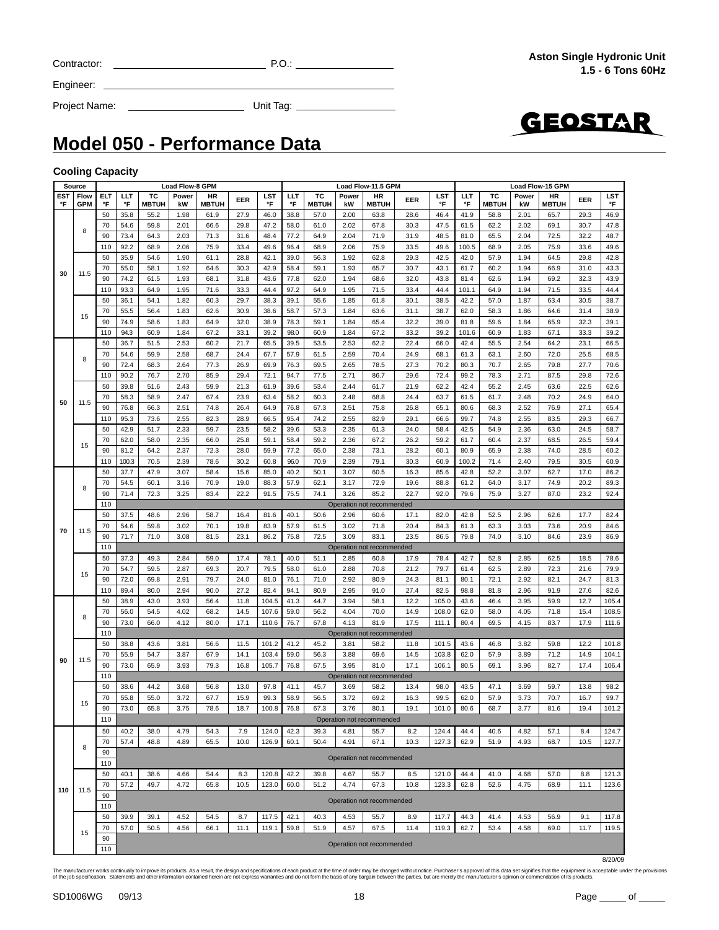| Contractor |  |
|------------|--|
|            |  |

Engineer:

Project Name: Unit Tag:



### **Model 050 - Performance Data**

#### **Cooling Capacity**

| <b>Load Flow-8 GPM</b><br>Source<br>Load Flow-11.5 GPM |                                                                                                                                                                                                                                                                                                                                                                                                                                                                                                                                                                                                                                                                                                                                     |     |                                                                                                                                                                                                                                                                                                                                                                                                                                                                                                                                                                                                                                                                                                                                                                                                                                                                                                                                                                                                                                                                                                                                                                                               |              |       |                                                                                                                                                                                                                                                                                                                                                                                                                                                                                                                                                                                                                                                                                                                                                                                                                                                                                                                                                                                                                                                             |      |       |      |              |       | <b>Load Flow-15 GPM</b>                                                                                                                                                                                                                                                                                                                                                                                                                                                                                                                                                                                                                                                                                                                                                                                                                                                                                                  |      |            |                                                                                                                                                                                                                                                                                                                                                                                                                                                                                                                                                                                                                                                                                                                                                                                                                                                                                                |              |       |              |      |       |
|--------------------------------------------------------|-------------------------------------------------------------------------------------------------------------------------------------------------------------------------------------------------------------------------------------------------------------------------------------------------------------------------------------------------------------------------------------------------------------------------------------------------------------------------------------------------------------------------------------------------------------------------------------------------------------------------------------------------------------------------------------------------------------------------------------|-----|-----------------------------------------------------------------------------------------------------------------------------------------------------------------------------------------------------------------------------------------------------------------------------------------------------------------------------------------------------------------------------------------------------------------------------------------------------------------------------------------------------------------------------------------------------------------------------------------------------------------------------------------------------------------------------------------------------------------------------------------------------------------------------------------------------------------------------------------------------------------------------------------------------------------------------------------------------------------------------------------------------------------------------------------------------------------------------------------------------------------------------------------------------------------------------------------------|--------------|-------|-------------------------------------------------------------------------------------------------------------------------------------------------------------------------------------------------------------------------------------------------------------------------------------------------------------------------------------------------------------------------------------------------------------------------------------------------------------------------------------------------------------------------------------------------------------------------------------------------------------------------------------------------------------------------------------------------------------------------------------------------------------------------------------------------------------------------------------------------------------------------------------------------------------------------------------------------------------------------------------------------------------------------------------------------------------|------|-------|------|--------------|-------|--------------------------------------------------------------------------------------------------------------------------------------------------------------------------------------------------------------------------------------------------------------------------------------------------------------------------------------------------------------------------------------------------------------------------------------------------------------------------------------------------------------------------------------------------------------------------------------------------------------------------------------------------------------------------------------------------------------------------------------------------------------------------------------------------------------------------------------------------------------------------------------------------------------------------|------|------------|------------------------------------------------------------------------------------------------------------------------------------------------------------------------------------------------------------------------------------------------------------------------------------------------------------------------------------------------------------------------------------------------------------------------------------------------------------------------------------------------------------------------------------------------------------------------------------------------------------------------------------------------------------------------------------------------------------------------------------------------------------------------------------------------------------------------------------------------------------------------------------------------|--------------|-------|--------------|------|-------|
| EST                                                    | <b>Flow</b>                                                                                                                                                                                                                                                                                                                                                                                                                                                                                                                                                                                                                                                                                                                         | ELT | LLT                                                                                                                                                                                                                                                                                                                                                                                                                                                                                                                                                                                                                                                                                                                                                                                                                                                                                                                                                                                                                                                                                                                                                                                           | ТC           | Power | HR                                                                                                                                                                                                                                                                                                                                                                                                                                                                                                                                                                                                                                                                                                                                                                                                                                                                                                                                                                                                                                                          | EER  | LST   | LLT  | TC           | Power | HR                                                                                                                                                                                                                                                                                                                                                                                                                                                                                                                                                                                                                                                                                                                                                                                                                                                                                                                       |      | <b>LST</b> | LLT                                                                                                                                                                                                                                                                                                                                                                                                                                                                                                                                                                                                                                                                                                                                                                                                                                                                                            | ТC           | Power | HR           | EER  | LST   |
| °F                                                     | <b>GPM</b>                                                                                                                                                                                                                                                                                                                                                                                                                                                                                                                                                                                                                                                                                                                          | °F  | °F                                                                                                                                                                                                                                                                                                                                                                                                                                                                                                                                                                                                                                                                                                                                                                                                                                                                                                                                                                                                                                                                                                                                                                                            | <b>MBTUH</b> | kW    | <b>MBTUH</b>                                                                                                                                                                                                                                                                                                                                                                                                                                                                                                                                                                                                                                                                                                                                                                                                                                                                                                                                                                                                                                                |      | °F    | °F   | <b>MBTUH</b> | kW    | <b>MBTUH</b>                                                                                                                                                                                                                                                                                                                                                                                                                                                                                                                                                                                                                                                                                                                                                                                                                                                                                                             |      | °F         | °F                                                                                                                                                                                                                                                                                                                                                                                                                                                                                                                                                                                                                                                                                                                                                                                                                                                                                             | <b>MBTUH</b> | kW    | <b>MBTUH</b> |      | °F    |
|                                                        |                                                                                                                                                                                                                                                                                                                                                                                                                                                                                                                                                                                                                                                                                                                                     | 50  | 35.8                                                                                                                                                                                                                                                                                                                                                                                                                                                                                                                                                                                                                                                                                                                                                                                                                                                                                                                                                                                                                                                                                                                                                                                          | 55.2         | 1.98  | 61.9                                                                                                                                                                                                                                                                                                                                                                                                                                                                                                                                                                                                                                                                                                                                                                                                                                                                                                                                                                                                                                                        | 27.9 | 46.0  | 38.8 | 57.0         | 2.00  |                                                                                                                                                                                                                                                                                                                                                                                                                                                                                                                                                                                                                                                                                                                                                                                                                                                                                                                          |      | 46.4       | 41.9                                                                                                                                                                                                                                                                                                                                                                                                                                                                                                                                                                                                                                                                                                                                                                                                                                                                                           | 58.8         | 2.01  | 65.7         | 29.3 | 46.9  |
|                                                        |                                                                                                                                                                                                                                                                                                                                                                                                                                                                                                                                                                                                                                                                                                                                     |     |                                                                                                                                                                                                                                                                                                                                                                                                                                                                                                                                                                                                                                                                                                                                                                                                                                                                                                                                                                                                                                                                                                                                                                                               |              |       |                                                                                                                                                                                                                                                                                                                                                                                                                                                                                                                                                                                                                                                                                                                                                                                                                                                                                                                                                                                                                                                             |      |       |      |              |       |                                                                                                                                                                                                                                                                                                                                                                                                                                                                                                                                                                                                                                                                                                                                                                                                                                                                                                                          |      |            |                                                                                                                                                                                                                                                                                                                                                                                                                                                                                                                                                                                                                                                                                                                                                                                                                                                                                                |              |       |              |      |       |
|                                                        | 8                                                                                                                                                                                                                                                                                                                                                                                                                                                                                                                                                                                                                                                                                                                                   | 70  | 54.6                                                                                                                                                                                                                                                                                                                                                                                                                                                                                                                                                                                                                                                                                                                                                                                                                                                                                                                                                                                                                                                                                                                                                                                          | 59.8         | 2.01  | 66.6                                                                                                                                                                                                                                                                                                                                                                                                                                                                                                                                                                                                                                                                                                                                                                                                                                                                                                                                                                                                                                                        | 29.8 | 47.2  | 58.0 | 61.0         | 2.02  |                                                                                                                                                                                                                                                                                                                                                                                                                                                                                                                                                                                                                                                                                                                                                                                                                                                                                                                          |      |            | 61.5                                                                                                                                                                                                                                                                                                                                                                                                                                                                                                                                                                                                                                                                                                                                                                                                                                                                                           | 62.2         | 2.02  | 69.1         | 30.7 | 47.8  |
|                                                        |                                                                                                                                                                                                                                                                                                                                                                                                                                                                                                                                                                                                                                                                                                                                     | 90  | 73.4                                                                                                                                                                                                                                                                                                                                                                                                                                                                                                                                                                                                                                                                                                                                                                                                                                                                                                                                                                                                                                                                                                                                                                                          | 64.3         | 2.03  | 71.3                                                                                                                                                                                                                                                                                                                                                                                                                                                                                                                                                                                                                                                                                                                                                                                                                                                                                                                                                                                                                                                        | 31.6 | 48.4  | 77.2 | 64.9         | 2.04  | EER<br>28.6<br>63.8<br>30.3<br>47.5<br>67.8<br>71.9<br>31.9<br>75.9<br>33.5<br>62.8<br>29.3<br>65.7<br>30.7<br>68.6<br>32.0<br>71.5<br>33.4<br>61.8<br>30.1<br>63.6<br>31.1<br>65.4<br>32.2<br>33.2<br>67.2<br>62.2<br>22.4<br>70.4<br>24.9<br>78.5<br>27.3<br>29.6<br>86.7<br>61.7<br>21.9<br>68.8<br>24.4<br>75.8<br>26.8<br>82.9<br>29.1<br>61.3<br>24.0<br>67.2<br>26.2<br>73.1<br>28.2<br>79.1<br>30.3<br>60.5<br>16.3<br>72.9<br>19.6<br>85.2<br>22.7<br>60.6<br>17.1<br>71.8<br>20.4<br>83.1<br>23.5<br>60.8<br>17.9<br>70.8<br>21.2<br>80.9<br>24.3<br>91.0<br>27.4<br>58.1<br>12.2<br>70.0<br>14.9<br>81.9<br>17.5<br>58.2<br>11.8<br>69.6<br>14.5<br>17.1<br>81.0<br>58.2<br>13.4<br>69.2<br>16.3<br>19.1<br>80.1<br>101.0<br>Operation not recommended<br>55.7<br>8.2<br>10.3<br>67.1<br>Operation not recommended<br>55.7<br>8.5<br>67.3<br>10.8<br>Operation not recommended<br>55.7<br>8.9<br>67.5<br>11.4 | 48.5 | 81.0       | 65.5                                                                                                                                                                                                                                                                                                                                                                                                                                                                                                                                                                                                                                                                                                                                                                                                                                                                                           | 2.04         | 72.5  | 32.2         | 48.7 |       |
|                                                        |                                                                                                                                                                                                                                                                                                                                                                                                                                                                                                                                                                                                                                                                                                                                     | 110 | 92.2                                                                                                                                                                                                                                                                                                                                                                                                                                                                                                                                                                                                                                                                                                                                                                                                                                                                                                                                                                                                                                                                                                                                                                                          | 68.9         | 2.06  | 75.9                                                                                                                                                                                                                                                                                                                                                                                                                                                                                                                                                                                                                                                                                                                                                                                                                                                                                                                                                                                                                                                        | 33.4 | 49.6  | 96.4 | 68.9         | 2.06  |                                                                                                                                                                                                                                                                                                                                                                                                                                                                                                                                                                                                                                                                                                                                                                                                                                                                                                                          |      | 49.6       | 100.5                                                                                                                                                                                                                                                                                                                                                                                                                                                                                                                                                                                                                                                                                                                                                                                                                                                                                          | 68.9         | 2.05  | 75.9         | 33.6 | 49.6  |
|                                                        |                                                                                                                                                                                                                                                                                                                                                                                                                                                                                                                                                                                                                                                                                                                                     | 50  | 35.9                                                                                                                                                                                                                                                                                                                                                                                                                                                                                                                                                                                                                                                                                                                                                                                                                                                                                                                                                                                                                                                                                                                                                                                          | 54.6         | 1.90  | 61.1                                                                                                                                                                                                                                                                                                                                                                                                                                                                                                                                                                                                                                                                                                                                                                                                                                                                                                                                                                                                                                                        | 28.8 | 42.1  | 39.0 | 56.3         | 1.92  |                                                                                                                                                                                                                                                                                                                                                                                                                                                                                                                                                                                                                                                                                                                                                                                                                                                                                                                          |      | 42.5       | 42.0                                                                                                                                                                                                                                                                                                                                                                                                                                                                                                                                                                                                                                                                                                                                                                                                                                                                                           | 57.9         | 1.94  | 64.5         | 29.8 | 42.8  |
|                                                        |                                                                                                                                                                                                                                                                                                                                                                                                                                                                                                                                                                                                                                                                                                                                     |     |                                                                                                                                                                                                                                                                                                                                                                                                                                                                                                                                                                                                                                                                                                                                                                                                                                                                                                                                                                                                                                                                                                                                                                                               |              |       |                                                                                                                                                                                                                                                                                                                                                                                                                                                                                                                                                                                                                                                                                                                                                                                                                                                                                                                                                                                                                                                             |      |       |      |              |       |                                                                                                                                                                                                                                                                                                                                                                                                                                                                                                                                                                                                                                                                                                                                                                                                                                                                                                                          |      |            |                                                                                                                                                                                                                                                                                                                                                                                                                                                                                                                                                                                                                                                                                                                                                                                                                                                                                                |              |       |              |      |       |
| 30                                                     | 11.5                                                                                                                                                                                                                                                                                                                                                                                                                                                                                                                                                                                                                                                                                                                                | 70  | 55.0                                                                                                                                                                                                                                                                                                                                                                                                                                                                                                                                                                                                                                                                                                                                                                                                                                                                                                                                                                                                                                                                                                                                                                                          | 58.1         |       |                                                                                                                                                                                                                                                                                                                                                                                                                                                                                                                                                                                                                                                                                                                                                                                                                                                                                                                                                                                                                                                             |      |       |      |              |       |                                                                                                                                                                                                                                                                                                                                                                                                                                                                                                                                                                                                                                                                                                                                                                                                                                                                                                                          |      |            | 61.7                                                                                                                                                                                                                                                                                                                                                                                                                                                                                                                                                                                                                                                                                                                                                                                                                                                                                           | 60.2         | 1.94  | 66.9         | 31.0 | 43.3  |
|                                                        |                                                                                                                                                                                                                                                                                                                                                                                                                                                                                                                                                                                                                                                                                                                                     | 90  | 74.2                                                                                                                                                                                                                                                                                                                                                                                                                                                                                                                                                                                                                                                                                                                                                                                                                                                                                                                                                                                                                                                                                                                                                                                          | 61.5         | 1.93  | 68.1                                                                                                                                                                                                                                                                                                                                                                                                                                                                                                                                                                                                                                                                                                                                                                                                                                                                                                                                                                                                                                                        |      |       |      | 62.0         |       |                                                                                                                                                                                                                                                                                                                                                                                                                                                                                                                                                                                                                                                                                                                                                                                                                                                                                                                          |      |            | 81.4                                                                                                                                                                                                                                                                                                                                                                                                                                                                                                                                                                                                                                                                                                                                                                                                                                                                                           | 62.6         | 1.94  | 69.2         | 32.3 | 43.9  |
|                                                        |                                                                                                                                                                                                                                                                                                                                                                                                                                                                                                                                                                                                                                                                                                                                     | 110 | 93.3                                                                                                                                                                                                                                                                                                                                                                                                                                                                                                                                                                                                                                                                                                                                                                                                                                                                                                                                                                                                                                                                                                                                                                                          | 64.9         | 1.95  | 71.6                                                                                                                                                                                                                                                                                                                                                                                                                                                                                                                                                                                                                                                                                                                                                                                                                                                                                                                                                                                                                                                        | 33.3 | 44.4  | 97.2 | 64.9         | 1.95  |                                                                                                                                                                                                                                                                                                                                                                                                                                                                                                                                                                                                                                                                                                                                                                                                                                                                                                                          |      | 44.4       | 101.1                                                                                                                                                                                                                                                                                                                                                                                                                                                                                                                                                                                                                                                                                                                                                                                                                                                                                          | 64.9         | 1.94  | 71.5         | 33.5 | 44.4  |
|                                                        |                                                                                                                                                                                                                                                                                                                                                                                                                                                                                                                                                                                                                                                                                                                                     | 50  | 36.1                                                                                                                                                                                                                                                                                                                                                                                                                                                                                                                                                                                                                                                                                                                                                                                                                                                                                                                                                                                                                                                                                                                                                                                          | 54.1         |       |                                                                                                                                                                                                                                                                                                                                                                                                                                                                                                                                                                                                                                                                                                                                                                                                                                                                                                                                                                                                                                                             |      |       |      |              |       |                                                                                                                                                                                                                                                                                                                                                                                                                                                                                                                                                                                                                                                                                                                                                                                                                                                                                                                          |      |            | 42.2                                                                                                                                                                                                                                                                                                                                                                                                                                                                                                                                                                                                                                                                                                                                                                                                                                                                                           | 57.0         | 1.87  | 63.4         | 30.5 | 38.7  |
|                                                        |                                                                                                                                                                                                                                                                                                                                                                                                                                                                                                                                                                                                                                                                                                                                     | 70  | 55.5                                                                                                                                                                                                                                                                                                                                                                                                                                                                                                                                                                                                                                                                                                                                                                                                                                                                                                                                                                                                                                                                                                                                                                                          | 56.4         |       |                                                                                                                                                                                                                                                                                                                                                                                                                                                                                                                                                                                                                                                                                                                                                                                                                                                                                                                                                                                                                                                             |      |       |      |              |       |                                                                                                                                                                                                                                                                                                                                                                                                                                                                                                                                                                                                                                                                                                                                                                                                                                                                                                                          |      |            | 62.0                                                                                                                                                                                                                                                                                                                                                                                                                                                                                                                                                                                                                                                                                                                                                                                                                                                                                           | 58.3         | 1.86  | 64.6         | 31.4 | 38.9  |
|                                                        | 15                                                                                                                                                                                                                                                                                                                                                                                                                                                                                                                                                                                                                                                                                                                                  |     |                                                                                                                                                                                                                                                                                                                                                                                                                                                                                                                                                                                                                                                                                                                                                                                                                                                                                                                                                                                                                                                                                                                                                                                               |              |       |                                                                                                                                                                                                                                                                                                                                                                                                                                                                                                                                                                                                                                                                                                                                                                                                                                                                                                                                                                                                                                                             |      |       |      |              |       |                                                                                                                                                                                                                                                                                                                                                                                                                                                                                                                                                                                                                                                                                                                                                                                                                                                                                                                          |      |            |                                                                                                                                                                                                                                                                                                                                                                                                                                                                                                                                                                                                                                                                                                                                                                                                                                                                                                |              |       |              |      |       |
|                                                        |                                                                                                                                                                                                                                                                                                                                                                                                                                                                                                                                                                                                                                                                                                                                     | 90  | 74.9                                                                                                                                                                                                                                                                                                                                                                                                                                                                                                                                                                                                                                                                                                                                                                                                                                                                                                                                                                                                                                                                                                                                                                                          | 58.6         |       |                                                                                                                                                                                                                                                                                                                                                                                                                                                                                                                                                                                                                                                                                                                                                                                                                                                                                                                                                                                                                                                             |      |       |      |              |       |                                                                                                                                                                                                                                                                                                                                                                                                                                                                                                                                                                                                                                                                                                                                                                                                                                                                                                                          |      |            |                                                                                                                                                                                                                                                                                                                                                                                                                                                                                                                                                                                                                                                                                                                                                                                                                                                                                                |              |       |              | 32.3 | 39.1  |
|                                                        |                                                                                                                                                                                                                                                                                                                                                                                                                                                                                                                                                                                                                                                                                                                                     | 110 |                                                                                                                                                                                                                                                                                                                                                                                                                                                                                                                                                                                                                                                                                                                                                                                                                                                                                                                                                                                                                                                                                                                                                                                               |              |       |                                                                                                                                                                                                                                                                                                                                                                                                                                                                                                                                                                                                                                                                                                                                                                                                                                                                                                                                                                                                                                                             |      |       |      |              |       |                                                                                                                                                                                                                                                                                                                                                                                                                                                                                                                                                                                                                                                                                                                                                                                                                                                                                                                          |      |            |                                                                                                                                                                                                                                                                                                                                                                                                                                                                                                                                                                                                                                                                                                                                                                                                                                                                                                |              |       |              | 33.3 | 39.2  |
|                                                        |                                                                                                                                                                                                                                                                                                                                                                                                                                                                                                                                                                                                                                                                                                                                     | 50  | 36.7                                                                                                                                                                                                                                                                                                                                                                                                                                                                                                                                                                                                                                                                                                                                                                                                                                                                                                                                                                                                                                                                                                                                                                                          | 51.5         | 2.53  | 60.2                                                                                                                                                                                                                                                                                                                                                                                                                                                                                                                                                                                                                                                                                                                                                                                                                                                                                                                                                                                                                                                        | 21.7 | 65.5  | 39.5 | 53.5         | 2.53  |                                                                                                                                                                                                                                                                                                                                                                                                                                                                                                                                                                                                                                                                                                                                                                                                                                                                                                                          |      | 66.0       | 42.4                                                                                                                                                                                                                                                                                                                                                                                                                                                                                                                                                                                                                                                                                                                                                                                                                                                                                           | 55.5         | 2.54  | 64.2         | 23.1 | 66.5  |
|                                                        |                                                                                                                                                                                                                                                                                                                                                                                                                                                                                                                                                                                                                                                                                                                                     | 70  | 54.6                                                                                                                                                                                                                                                                                                                                                                                                                                                                                                                                                                                                                                                                                                                                                                                                                                                                                                                                                                                                                                                                                                                                                                                          | 59.9         | 2.58  | 68.7                                                                                                                                                                                                                                                                                                                                                                                                                                                                                                                                                                                                                                                                                                                                                                                                                                                                                                                                                                                                                                                        | 24.4 | 67.7  | 57.9 | 61.5         | 2.59  |                                                                                                                                                                                                                                                                                                                                                                                                                                                                                                                                                                                                                                                                                                                                                                                                                                                                                                                          |      | 68.1       | 61.3                                                                                                                                                                                                                                                                                                                                                                                                                                                                                                                                                                                                                                                                                                                                                                                                                                                                                           | 63.1         | 2.60  | 72.0         | 25.5 | 68.5  |
|                                                        |                                                                                                                                                                                                                                                                                                                                                                                                                                                                                                                                                                                                                                                                                                                                     |     |                                                                                                                                                                                                                                                                                                                                                                                                                                                                                                                                                                                                                                                                                                                                                                                                                                                                                                                                                                                                                                                                                                                                                                                               |              |       |                                                                                                                                                                                                                                                                                                                                                                                                                                                                                                                                                                                                                                                                                                                                                                                                                                                                                                                                                                                                                                                             |      |       |      |              |       |                                                                                                                                                                                                                                                                                                                                                                                                                                                                                                                                                                                                                                                                                                                                                                                                                                                                                                                          |      |            |                                                                                                                                                                                                                                                                                                                                                                                                                                                                                                                                                                                                                                                                                                                                                                                                                                                                                                |              |       |              | 27.7 | 70.6  |
|                                                        |                                                                                                                                                                                                                                                                                                                                                                                                                                                                                                                                                                                                                                                                                                                                     |     | 94.3<br>60.9<br>1.84<br>67.2<br>33.1<br>39.2<br>98.0<br>60.9<br>1.84<br>26.9<br>76.3<br>2.65<br>72.4<br>68.3<br>2.64<br>77.3<br>69.9<br>69.5<br>29.4<br>72.1<br>2.71<br>90.2<br>76.7<br>2.70<br>85.9<br>94.7<br>77.5<br>59.9<br>21.3<br>53.4<br>2.44<br>39.8<br>51.6<br>2.43<br>61.9<br>39.6<br>2.47<br>23.9<br>63.4<br>2.48<br>58.3<br>58.9<br>67.4<br>58.2<br>60.3<br>76.8<br>66.3<br>2.51<br>74.8<br>26.4<br>64.9<br>76.8<br>67.3<br>2.51<br>73.6<br>2.55<br>82.3<br>28.9<br>66.5<br>95.4<br>74.2<br>2.55<br>95.3<br>42.9<br>2.33<br>59.7<br>23.5<br>58.2<br>39.6<br>53.3<br>2.35<br>51.7<br>25.8<br>62.0<br>58.0<br>2.35<br>66.0<br>59.1<br>58.4<br>59.2<br>2.36<br>81.2<br>72.3<br>28.0<br>77.2<br>2.38<br>64.2<br>2.37<br>59.9<br>65.0<br>100.3<br>70.5<br>2.39<br>78.6<br>30.2<br>60.8<br>96.0<br>70.9<br>2.39<br>50.1<br>37.7<br>47.9<br>3.07<br>58.4<br>15.6<br>85.0<br>40.2<br>3.07<br>57.9<br>3.17<br>54.5<br>60.1<br>3.16<br>70.9<br>19.0<br>88.3<br>62.1<br>22.2<br>75.5<br>74.1<br>3.26<br>71.4<br>72.3<br>3.25<br>83.4<br>91.5<br>2.96<br>40.1<br>37.5<br>48.6<br>58.7<br>16.4<br>81.6<br>50.6<br>2.96<br>3.02<br>70.1<br>19.8<br>83.9<br>61.5<br>3.02<br>54.6<br>59.8<br>57.9 |              |       |                                                                                                                                                                                                                                                                                                                                                                                                                                                                                                                                                                                                                                                                                                                                                                                                                                                                                                                                                                                                                                                             |      |       |      |              |       |                                                                                                                                                                                                                                                                                                                                                                                                                                                                                                                                                                                                                                                                                                                                                                                                                                                                                                                          |      |            |                                                                                                                                                                                                                                                                                                                                                                                                                                                                                                                                                                                                                                                                                                                                                                                                                                                                                                |              |       |              |      |       |
|                                                        |                                                                                                                                                                                                                                                                                                                                                                                                                                                                                                                                                                                                                                                                                                                                     |     |                                                                                                                                                                                                                                                                                                                                                                                                                                                                                                                                                                                                                                                                                                                                                                                                                                                                                                                                                                                                                                                                                                                                                                                               |              |       | 42.9<br>1.93<br>43.1<br>1.92<br>64.6<br>30.3<br>58.4<br>59.1<br>31.8<br>43.6<br>77.8<br>1.94<br>43.8<br>29.7<br>1.82<br>60.3<br>38.3<br>39.1<br>55.6<br>1.85<br>38.5<br>1.83<br>30.9<br>38.6<br>1.84<br>38.7<br>62.6<br>58.7<br>57.3<br>32.0<br>1.84<br>1.83<br>64.9<br>38.9<br>78.3<br>59.1<br>39.0<br>39.2<br>70.2<br>72.4<br>62.2<br>63.7<br>65.1<br>66.6<br>58.4<br>59.2<br>60.1<br>60.9<br>85.6<br>88.8<br>92.0<br>Operation not recommended<br>82.0<br>84.3<br>23.1<br>86.2<br>75.8<br>72.5<br>3.09<br>86.5<br>81.5<br>Operation not recommended<br>59.0<br>17.4<br>78.1<br>40.0<br>51.1<br>2.85<br>78.4<br>20.7<br>79.5<br>2.88<br>79.7<br>69.3<br>58.0<br>61.0<br>71.0<br>79.7<br>24.0<br>81.0<br>76.1<br>2.92<br>81.1<br>27.2<br>2.95<br>82.5<br>90.0<br>82.4<br>94.1<br>80.9<br>44.7<br>56.4<br>11.8<br>104.5<br>41.3<br>3.94<br>105.0<br>14.5<br>107.6<br>4.04<br>108.0<br>68.2<br>59.0<br>56.2<br>80.0<br>17.1<br>110.6<br>4.13<br>111.1<br>76.7<br>67.8<br>Operation not recommended<br>101.2<br>41.2<br>45.2<br>101.5<br>56.6<br>11.5<br>3.81 |      |       |      |              | 29.8  | 72.6                                                                                                                                                                                                                                                                                                                                                                                                                                                                                                                                                                                                                                                                                                                                                                                                                                                                                                                     |      |            |                                                                                                                                                                                                                                                                                                                                                                                                                                                                                                                                                                                                                                                                                                                                                                                                                                                                                                |              |       |              |      |       |
|                                                        |                                                                                                                                                                                                                                                                                                                                                                                                                                                                                                                                                                                                                                                                                                                                     |     |                                                                                                                                                                                                                                                                                                                                                                                                                                                                                                                                                                                                                                                                                                                                                                                                                                                                                                                                                                                                                                                                                                                                                                                               |              |       |                                                                                                                                                                                                                                                                                                                                                                                                                                                                                                                                                                                                                                                                                                                                                                                                                                                                                                                                                                                                                                                             |      |       |      |              |       |                                                                                                                                                                                                                                                                                                                                                                                                                                                                                                                                                                                                                                                                                                                                                                                                                                                                                                                          |      |            |                                                                                                                                                                                                                                                                                                                                                                                                                                                                                                                                                                                                                                                                                                                                                                                                                                                                                                |              |       |              | 22.5 | 62.6  |
|                                                        |                                                                                                                                                                                                                                                                                                                                                                                                                                                                                                                                                                                                                                                                                                                                     | 70  |                                                                                                                                                                                                                                                                                                                                                                                                                                                                                                                                                                                                                                                                                                                                                                                                                                                                                                                                                                                                                                                                                                                                                                                               |              |       |                                                                                                                                                                                                                                                                                                                                                                                                                                                                                                                                                                                                                                                                                                                                                                                                                                                                                                                                                                                                                                                             |      |       |      |              |       |                                                                                                                                                                                                                                                                                                                                                                                                                                                                                                                                                                                                                                                                                                                                                                                                                                                                                                                          |      |            | 61.5                                                                                                                                                                                                                                                                                                                                                                                                                                                                                                                                                                                                                                                                                                                                                                                                                                                                                           | 61.7         | 2.48  | 70.2         | 24.9 | 64.0  |
| 50                                                     |                                                                                                                                                                                                                                                                                                                                                                                                                                                                                                                                                                                                                                                                                                                                     |     |                                                                                                                                                                                                                                                                                                                                                                                                                                                                                                                                                                                                                                                                                                                                                                                                                                                                                                                                                                                                                                                                                                                                                                                               |              |       |                                                                                                                                                                                                                                                                                                                                                                                                                                                                                                                                                                                                                                                                                                                                                                                                                                                                                                                                                                                                                                                             |      |       |      |              |       |                                                                                                                                                                                                                                                                                                                                                                                                                                                                                                                                                                                                                                                                                                                                                                                                                                                                                                                          |      |            |                                                                                                                                                                                                                                                                                                                                                                                                                                                                                                                                                                                                                                                                                                                                                                                                                                                                                                |              |       |              | 27.1 | 65.4  |
|                                                        |                                                                                                                                                                                                                                                                                                                                                                                                                                                                                                                                                                                                                                                                                                                                     |     |                                                                                                                                                                                                                                                                                                                                                                                                                                                                                                                                                                                                                                                                                                                                                                                                                                                                                                                                                                                                                                                                                                                                                                                               |              |       |                                                                                                                                                                                                                                                                                                                                                                                                                                                                                                                                                                                                                                                                                                                                                                                                                                                                                                                                                                                                                                                             |      |       |      |              |       |                                                                                                                                                                                                                                                                                                                                                                                                                                                                                                                                                                                                                                                                                                                                                                                                                                                                                                                          |      |            |                                                                                                                                                                                                                                                                                                                                                                                                                                                                                                                                                                                                                                                                                                                                                                                                                                                                                                |              |       |              | 29.3 | 66.7  |
|                                                        |                                                                                                                                                                                                                                                                                                                                                                                                                                                                                                                                                                                                                                                                                                                                     |     |                                                                                                                                                                                                                                                                                                                                                                                                                                                                                                                                                                                                                                                                                                                                                                                                                                                                                                                                                                                                                                                                                                                                                                                               |              |       |                                                                                                                                                                                                                                                                                                                                                                                                                                                                                                                                                                                                                                                                                                                                                                                                                                                                                                                                                                                                                                                             |      |       |      |              |       |                                                                                                                                                                                                                                                                                                                                                                                                                                                                                                                                                                                                                                                                                                                                                                                                                                                                                                                          |      |            |                                                                                                                                                                                                                                                                                                                                                                                                                                                                                                                                                                                                                                                                                                                                                                                                                                                                                                |              |       |              |      |       |
|                                                        |                                                                                                                                                                                                                                                                                                                                                                                                                                                                                                                                                                                                                                                                                                                                     |     |                                                                                                                                                                                                                                                                                                                                                                                                                                                                                                                                                                                                                                                                                                                                                                                                                                                                                                                                                                                                                                                                                                                                                                                               |              |       |                                                                                                                                                                                                                                                                                                                                                                                                                                                                                                                                                                                                                                                                                                                                                                                                                                                                                                                                                                                                                                                             |      |       |      |              |       |                                                                                                                                                                                                                                                                                                                                                                                                                                                                                                                                                                                                                                                                                                                                                                                                                                                                                                                          |      |            |                                                                                                                                                                                                                                                                                                                                                                                                                                                                                                                                                                                                                                                                                                                                                                                                                                                                                                |              |       |              | 24.5 | 58.7  |
|                                                        |                                                                                                                                                                                                                                                                                                                                                                                                                                                                                                                                                                                                                                                                                                                                     |     |                                                                                                                                                                                                                                                                                                                                                                                                                                                                                                                                                                                                                                                                                                                                                                                                                                                                                                                                                                                                                                                                                                                                                                                               |              |       |                                                                                                                                                                                                                                                                                                                                                                                                                                                                                                                                                                                                                                                                                                                                                                                                                                                                                                                                                                                                                                                             |      |       |      |              |       |                                                                                                                                                                                                                                                                                                                                                                                                                                                                                                                                                                                                                                                                                                                                                                                                                                                                                                                          |      |            |                                                                                                                                                                                                                                                                                                                                                                                                                                                                                                                                                                                                                                                                                                                                                                                                                                                                                                |              |       |              | 26.5 | 59.4  |
|                                                        |                                                                                                                                                                                                                                                                                                                                                                                                                                                                                                                                                                                                                                                                                                                                     | 90  |                                                                                                                                                                                                                                                                                                                                                                                                                                                                                                                                                                                                                                                                                                                                                                                                                                                                                                                                                                                                                                                                                                                                                                                               |              |       |                                                                                                                                                                                                                                                                                                                                                                                                                                                                                                                                                                                                                                                                                                                                                                                                                                                                                                                                                                                                                                                             |      |       |      |              |       |                                                                                                                                                                                                                                                                                                                                                                                                                                                                                                                                                                                                                                                                                                                                                                                                                                                                                                                          |      |            | 80.9                                                                                                                                                                                                                                                                                                                                                                                                                                                                                                                                                                                                                                                                                                                                                                                                                                                                                           | 65.9         | 2.38  | 74.0         | 28.5 | 60.2  |
|                                                        |                                                                                                                                                                                                                                                                                                                                                                                                                                                                                                                                                                                                                                                                                                                                     |     |                                                                                                                                                                                                                                                                                                                                                                                                                                                                                                                                                                                                                                                                                                                                                                                                                                                                                                                                                                                                                                                                                                                                                                                               |              |       |                                                                                                                                                                                                                                                                                                                                                                                                                                                                                                                                                                                                                                                                                                                                                                                                                                                                                                                                                                                                                                                             |      |       |      |              |       |                                                                                                                                                                                                                                                                                                                                                                                                                                                                                                                                                                                                                                                                                                                                                                                                                                                                                                                          |      |            |                                                                                                                                                                                                                                                                                                                                                                                                                                                                                                                                                                                                                                                                                                                                                                                                                                                                                                |              |       |              | 30.5 | 60.9  |
|                                                        |                                                                                                                                                                                                                                                                                                                                                                                                                                                                                                                                                                                                                                                                                                                                     |     |                                                                                                                                                                                                                                                                                                                                                                                                                                                                                                                                                                                                                                                                                                                                                                                                                                                                                                                                                                                                                                                                                                                                                                                               |              |       |                                                                                                                                                                                                                                                                                                                                                                                                                                                                                                                                                                                                                                                                                                                                                                                                                                                                                                                                                                                                                                                             |      |       |      |              |       |                                                                                                                                                                                                                                                                                                                                                                                                                                                                                                                                                                                                                                                                                                                                                                                                                                                                                                                          |      |            |                                                                                                                                                                                                                                                                                                                                                                                                                                                                                                                                                                                                                                                                                                                                                                                                                                                                                                |              |       |              | 17.0 | 86.2  |
|                                                        |                                                                                                                                                                                                                                                                                                                                                                                                                                                                                                                                                                                                                                                                                                                                     |     |                                                                                                                                                                                                                                                                                                                                                                                                                                                                                                                                                                                                                                                                                                                                                                                                                                                                                                                                                                                                                                                                                                                                                                                               |              |       |                                                                                                                                                                                                                                                                                                                                                                                                                                                                                                                                                                                                                                                                                                                                                                                                                                                                                                                                                                                                                                                             |      |       |      |              |       |                                                                                                                                                                                                                                                                                                                                                                                                                                                                                                                                                                                                                                                                                                                                                                                                                                                                                                                          |      |            |                                                                                                                                                                                                                                                                                                                                                                                                                                                                                                                                                                                                                                                                                                                                                                                                                                                                                                |              |       |              |      |       |
|                                                        |                                                                                                                                                                                                                                                                                                                                                                                                                                                                                                                                                                                                                                                                                                                                     |     |                                                                                                                                                                                                                                                                                                                                                                                                                                                                                                                                                                                                                                                                                                                                                                                                                                                                                                                                                                                                                                                                                                                                                                                               |              |       |                                                                                                                                                                                                                                                                                                                                                                                                                                                                                                                                                                                                                                                                                                                                                                                                                                                                                                                                                                                                                                                             |      |       |      |              |       |                                                                                                                                                                                                                                                                                                                                                                                                                                                                                                                                                                                                                                                                                                                                                                                                                                                                                                                          |      |            |                                                                                                                                                                                                                                                                                                                                                                                                                                                                                                                                                                                                                                                                                                                                                                                                                                                                                                |              |       |              | 20.2 | 89.3  |
|                                                        |                                                                                                                                                                                                                                                                                                                                                                                                                                                                                                                                                                                                                                                                                                                                     |     |                                                                                                                                                                                                                                                                                                                                                                                                                                                                                                                                                                                                                                                                                                                                                                                                                                                                                                                                                                                                                                                                                                                                                                                               |              |       |                                                                                                                                                                                                                                                                                                                                                                                                                                                                                                                                                                                                                                                                                                                                                                                                                                                                                                                                                                                                                                                             |      |       |      |              |       |                                                                                                                                                                                                                                                                                                                                                                                                                                                                                                                                                                                                                                                                                                                                                                                                                                                                                                                          |      |            |                                                                                                                                                                                                                                                                                                                                                                                                                                                                                                                                                                                                                                                                                                                                                                                                                                                                                                |              |       |              | 23.2 | 92.4  |
|                                                        |                                                                                                                                                                                                                                                                                                                                                                                                                                                                                                                                                                                                                                                                                                                                     | 110 |                                                                                                                                                                                                                                                                                                                                                                                                                                                                                                                                                                                                                                                                                                                                                                                                                                                                                                                                                                                                                                                                                                                                                                                               |              |       |                                                                                                                                                                                                                                                                                                                                                                                                                                                                                                                                                                                                                                                                                                                                                                                                                                                                                                                                                                                                                                                             |      |       |      |              |       |                                                                                                                                                                                                                                                                                                                                                                                                                                                                                                                                                                                                                                                                                                                                                                                                                                                                                                                          |      |            |                                                                                                                                                                                                                                                                                                                                                                                                                                                                                                                                                                                                                                                                                                                                                                                                                                                                                                |              |       |              |      |       |
|                                                        |                                                                                                                                                                                                                                                                                                                                                                                                                                                                                                                                                                                                                                                                                                                                     |     |                                                                                                                                                                                                                                                                                                                                                                                                                                                                                                                                                                                                                                                                                                                                                                                                                                                                                                                                                                                                                                                                                                                                                                                               |              |       |                                                                                                                                                                                                                                                                                                                                                                                                                                                                                                                                                                                                                                                                                                                                                                                                                                                                                                                                                                                                                                                             |      |       |      |              |       |                                                                                                                                                                                                                                                                                                                                                                                                                                                                                                                                                                                                                                                                                                                                                                                                                                                                                                                          |      |            |                                                                                                                                                                                                                                                                                                                                                                                                                                                                                                                                                                                                                                                                                                                                                                                                                                                                                                |              |       |              | 17.7 | 82.4  |
|                                                        |                                                                                                                                                                                                                                                                                                                                                                                                                                                                                                                                                                                                                                                                                                                                     |     |                                                                                                                                                                                                                                                                                                                                                                                                                                                                                                                                                                                                                                                                                                                                                                                                                                                                                                                                                                                                                                                                                                                                                                                               |              |       |                                                                                                                                                                                                                                                                                                                                                                                                                                                                                                                                                                                                                                                                                                                                                                                                                                                                                                                                                                                                                                                             |      |       |      |              |       |                                                                                                                                                                                                                                                                                                                                                                                                                                                                                                                                                                                                                                                                                                                                                                                                                                                                                                                          |      |            |                                                                                                                                                                                                                                                                                                                                                                                                                                                                                                                                                                                                                                                                                                                                                                                                                                                                                                |              |       |              | 20.9 | 84.6  |
| 70                                                     | 11.5                                                                                                                                                                                                                                                                                                                                                                                                                                                                                                                                                                                                                                                                                                                                |     |                                                                                                                                                                                                                                                                                                                                                                                                                                                                                                                                                                                                                                                                                                                                                                                                                                                                                                                                                                                                                                                                                                                                                                                               |              |       |                                                                                                                                                                                                                                                                                                                                                                                                                                                                                                                                                                                                                                                                                                                                                                                                                                                                                                                                                                                                                                                             |      |       |      |              |       |                                                                                                                                                                                                                                                                                                                                                                                                                                                                                                                                                                                                                                                                                                                                                                                                                                                                                                                          |      |            |                                                                                                                                                                                                                                                                                                                                                                                                                                                                                                                                                                                                                                                                                                                                                                                                                                                                                                |              |       |              |      |       |
|                                                        |                                                                                                                                                                                                                                                                                                                                                                                                                                                                                                                                                                                                                                                                                                                                     |     |                                                                                                                                                                                                                                                                                                                                                                                                                                                                                                                                                                                                                                                                                                                                                                                                                                                                                                                                                                                                                                                                                                                                                                                               |              |       |                                                                                                                                                                                                                                                                                                                                                                                                                                                                                                                                                                                                                                                                                                                                                                                                                                                                                                                                                                                                                                                             |      |       |      |              |       |                                                                                                                                                                                                                                                                                                                                                                                                                                                                                                                                                                                                                                                                                                                                                                                                                                                                                                                          |      |            | 59.6<br>81.8<br>1.84<br>65.9<br>101.6<br>60.9<br>1.83<br>67.1<br>70.7<br>2.65<br>79.8<br>80.3<br>87.5<br>99.2<br>78.3<br>2.71<br>42.4<br>55.2<br>2.45<br>63.6<br>80.6<br>68.3<br>2.52<br>76.9<br>99.7<br>74.8<br>2.55<br>83.5<br>42.5<br>54.9<br>2.36<br>63.0<br>2.37<br>61.7<br>60.4<br>68.5<br>79.5<br>100.2<br>71.4<br>2.40<br>42.8<br>52.2<br>3.07<br>62.7<br>61.2<br>64.0<br>3.17<br>74.9<br>79.6<br>87.0<br>75.9<br>3.27<br>42.8<br>52.5<br>62.6<br>2.96<br>61.3<br>63.3<br>3.03<br>73.6<br>79.8<br>74.0<br>3.10<br>84.6<br>42.7<br>52.8<br>2.85<br>62.5<br>61.4<br>72.3<br>62.5<br>2.89<br>80.1<br>72.1<br>2.92<br>82.1<br>81.8<br>91.9<br>98.8<br>2.96<br>43.6<br>46.4<br>3.95<br>59.9<br>62.0<br>71.8<br>58.0<br>4.05<br>80.4<br>83.7<br>69.5<br>4.15<br>43.6<br>3.82<br>59.8<br>46.8<br>62.0<br>3.89<br>71.2<br>57.9<br>82.7<br>80.5<br>69.1<br>3.96<br>43.5<br>47.1<br>3.69<br>59.7 | 23.9         | 86.9  |              |      |       |
|                                                        |                                                                                                                                                                                                                                                                                                                                                                                                                                                                                                                                                                                                                                                                                                                                     |     |                                                                                                                                                                                                                                                                                                                                                                                                                                                                                                                                                                                                                                                                                                                                                                                                                                                                                                                                                                                                                                                                                                                                                                                               |              |       |                                                                                                                                                                                                                                                                                                                                                                                                                                                                                                                                                                                                                                                                                                                                                                                                                                                                                                                                                                                                                                                             |      |       |      |              |       |                                                                                                                                                                                                                                                                                                                                                                                                                                                                                                                                                                                                                                                                                                                                                                                                                                                                                                                          |      |            |                                                                                                                                                                                                                                                                                                                                                                                                                                                                                                                                                                                                                                                                                                                                                                                                                                                                                                |              |       |              |      |       |
|                                                        |                                                                                                                                                                                                                                                                                                                                                                                                                                                                                                                                                                                                                                                                                                                                     | 50  | 37.3                                                                                                                                                                                                                                                                                                                                                                                                                                                                                                                                                                                                                                                                                                                                                                                                                                                                                                                                                                                                                                                                                                                                                                                          | 49.3         | 2.84  |                                                                                                                                                                                                                                                                                                                                                                                                                                                                                                                                                                                                                                                                                                                                                                                                                                                                                                                                                                                                                                                             |      |       |      |              |       |                                                                                                                                                                                                                                                                                                                                                                                                                                                                                                                                                                                                                                                                                                                                                                                                                                                                                                                          |      |            |                                                                                                                                                                                                                                                                                                                                                                                                                                                                                                                                                                                                                                                                                                                                                                                                                                                                                                |              |       |              | 18.5 | 78.6  |
|                                                        |                                                                                                                                                                                                                                                                                                                                                                                                                                                                                                                                                                                                                                                                                                                                     | 70  | 54.7                                                                                                                                                                                                                                                                                                                                                                                                                                                                                                                                                                                                                                                                                                                                                                                                                                                                                                                                                                                                                                                                                                                                                                                          | 59.5         | 2.87  |                                                                                                                                                                                                                                                                                                                                                                                                                                                                                                                                                                                                                                                                                                                                                                                                                                                                                                                                                                                                                                                             |      |       |      |              |       |                                                                                                                                                                                                                                                                                                                                                                                                                                                                                                                                                                                                                                                                                                                                                                                                                                                                                                                          |      |            |                                                                                                                                                                                                                                                                                                                                                                                                                                                                                                                                                                                                                                                                                                                                                                                                                                                                                                |              |       |              | 21.6 | 79.9  |
|                                                        | 8<br>90<br>110<br>50<br>11.5<br>90<br>110<br>50<br>70<br>15<br>110<br>50<br>70<br>8<br>90<br>50<br>70<br>3.08<br>90<br>71.7<br>71.0<br>110<br>15<br>90<br>72.0<br>69.8<br>2.91<br>110<br>89.4<br>80.0<br>2.94<br>50<br>38.9<br>43.0<br>3.93<br>4.02<br>70<br>56.0<br>54.5<br>8<br>90<br>73.0<br>66.0<br>4.12<br>110<br>43.6<br>3.81<br>50<br>38.8<br>55.9<br>3.87<br>14.1<br>103.4<br>59.0<br>3.88<br>70<br>54.7<br>67.9<br>56.3<br>11.5<br>79.3<br>105.7<br>90<br>73.0<br>65.9<br>3.93<br>16.8<br>76.8<br>67.5<br>3.95<br>110<br>Operation not recommended<br>50<br>38.6<br>44.2<br>3.68<br>56.8<br>13.0<br>97.8<br>41.1<br>45.7<br>3.69<br>70<br>55.8<br>55.0<br>3.72<br>67.7<br>15.9<br>58.9<br>3.72<br>99.3<br>56.5<br>15<br>90 |     |                                                                                                                                                                                                                                                                                                                                                                                                                                                                                                                                                                                                                                                                                                                                                                                                                                                                                                                                                                                                                                                                                                                                                                                               |              |       |                                                                                                                                                                                                                                                                                                                                                                                                                                                                                                                                                                                                                                                                                                                                                                                                                                                                                                                                                                                                                                                             | 24.7 | 81.3  |      |              |       |                                                                                                                                                                                                                                                                                                                                                                                                                                                                                                                                                                                                                                                                                                                                                                                                                                                                                                                          |      |            |                                                                                                                                                                                                                                                                                                                                                                                                                                                                                                                                                                                                                                                                                                                                                                                                                                                                                                |              |       |              |      |       |
|                                                        |                                                                                                                                                                                                                                                                                                                                                                                                                                                                                                                                                                                                                                                                                                                                     |     |                                                                                                                                                                                                                                                                                                                                                                                                                                                                                                                                                                                                                                                                                                                                                                                                                                                                                                                                                                                                                                                                                                                                                                                               |              |       |                                                                                                                                                                                                                                                                                                                                                                                                                                                                                                                                                                                                                                                                                                                                                                                                                                                                                                                                                                                                                                                             |      |       |      |              |       |                                                                                                                                                                                                                                                                                                                                                                                                                                                                                                                                                                                                                                                                                                                                                                                                                                                                                                                          |      |            |                                                                                                                                                                                                                                                                                                                                                                                                                                                                                                                                                                                                                                                                                                                                                                                                                                                                                                |              |       |              |      |       |
|                                                        |                                                                                                                                                                                                                                                                                                                                                                                                                                                                                                                                                                                                                                                                                                                                     |     |                                                                                                                                                                                                                                                                                                                                                                                                                                                                                                                                                                                                                                                                                                                                                                                                                                                                                                                                                                                                                                                                                                                                                                                               |              |       |                                                                                                                                                                                                                                                                                                                                                                                                                                                                                                                                                                                                                                                                                                                                                                                                                                                                                                                                                                                                                                                             |      |       |      |              |       |                                                                                                                                                                                                                                                                                                                                                                                                                                                                                                                                                                                                                                                                                                                                                                                                                                                                                                                          |      |            |                                                                                                                                                                                                                                                                                                                                                                                                                                                                                                                                                                                                                                                                                                                                                                                                                                                                                                |              |       |              | 27.6 | 82.6  |
|                                                        |                                                                                                                                                                                                                                                                                                                                                                                                                                                                                                                                                                                                                                                                                                                                     |     |                                                                                                                                                                                                                                                                                                                                                                                                                                                                                                                                                                                                                                                                                                                                                                                                                                                                                                                                                                                                                                                                                                                                                                                               |              |       |                                                                                                                                                                                                                                                                                                                                                                                                                                                                                                                                                                                                                                                                                                                                                                                                                                                                                                                                                                                                                                                             |      |       |      |              |       |                                                                                                                                                                                                                                                                                                                                                                                                                                                                                                                                                                                                                                                                                                                                                                                                                                                                                                                          |      |            |                                                                                                                                                                                                                                                                                                                                                                                                                                                                                                                                                                                                                                                                                                                                                                                                                                                                                                |              |       |              | 12.7 | 105.4 |
|                                                        |                                                                                                                                                                                                                                                                                                                                                                                                                                                                                                                                                                                                                                                                                                                                     |     |                                                                                                                                                                                                                                                                                                                                                                                                                                                                                                                                                                                                                                                                                                                                                                                                                                                                                                                                                                                                                                                                                                                                                                                               |              |       |                                                                                                                                                                                                                                                                                                                                                                                                                                                                                                                                                                                                                                                                                                                                                                                                                                                                                                                                                                                                                                                             |      |       |      |              |       |                                                                                                                                                                                                                                                                                                                                                                                                                                                                                                                                                                                                                                                                                                                                                                                                                                                                                                                          |      |            |                                                                                                                                                                                                                                                                                                                                                                                                                                                                                                                                                                                                                                                                                                                                                                                                                                                                                                |              |       |              | 15.4 | 108.5 |
|                                                        |                                                                                                                                                                                                                                                                                                                                                                                                                                                                                                                                                                                                                                                                                                                                     |     |                                                                                                                                                                                                                                                                                                                                                                                                                                                                                                                                                                                                                                                                                                                                                                                                                                                                                                                                                                                                                                                                                                                                                                                               |              |       |                                                                                                                                                                                                                                                                                                                                                                                                                                                                                                                                                                                                                                                                                                                                                                                                                                                                                                                                                                                                                                                             |      |       |      |              |       |                                                                                                                                                                                                                                                                                                                                                                                                                                                                                                                                                                                                                                                                                                                                                                                                                                                                                                                          |      |            |                                                                                                                                                                                                                                                                                                                                                                                                                                                                                                                                                                                                                                                                                                                                                                                                                                                                                                |              |       |              | 17.9 | 111.6 |
|                                                        |                                                                                                                                                                                                                                                                                                                                                                                                                                                                                                                                                                                                                                                                                                                                     |     |                                                                                                                                                                                                                                                                                                                                                                                                                                                                                                                                                                                                                                                                                                                                                                                                                                                                                                                                                                                                                                                                                                                                                                                               |              |       |                                                                                                                                                                                                                                                                                                                                                                                                                                                                                                                                                                                                                                                                                                                                                                                                                                                                                                                                                                                                                                                             |      |       |      |              |       |                                                                                                                                                                                                                                                                                                                                                                                                                                                                                                                                                                                                                                                                                                                                                                                                                                                                                                                          |      |            |                                                                                                                                                                                                                                                                                                                                                                                                                                                                                                                                                                                                                                                                                                                                                                                                                                                                                                |              |       |              |      |       |
|                                                        |                                                                                                                                                                                                                                                                                                                                                                                                                                                                                                                                                                                                                                                                                                                                     |     |                                                                                                                                                                                                                                                                                                                                                                                                                                                                                                                                                                                                                                                                                                                                                                                                                                                                                                                                                                                                                                                                                                                                                                                               |              |       |                                                                                                                                                                                                                                                                                                                                                                                                                                                                                                                                                                                                                                                                                                                                                                                                                                                                                                                                                                                                                                                             |      |       |      |              |       |                                                                                                                                                                                                                                                                                                                                                                                                                                                                                                                                                                                                                                                                                                                                                                                                                                                                                                                          |      |            |                                                                                                                                                                                                                                                                                                                                                                                                                                                                                                                                                                                                                                                                                                                                                                                                                                                                                                |              |       |              | 12.2 | 101.8 |
|                                                        |                                                                                                                                                                                                                                                                                                                                                                                                                                                                                                                                                                                                                                                                                                                                     |     |                                                                                                                                                                                                                                                                                                                                                                                                                                                                                                                                                                                                                                                                                                                                                                                                                                                                                                                                                                                                                                                                                                                                                                                               |              |       |                                                                                                                                                                                                                                                                                                                                                                                                                                                                                                                                                                                                                                                                                                                                                                                                                                                                                                                                                                                                                                                             |      |       |      |              |       |                                                                                                                                                                                                                                                                                                                                                                                                                                                                                                                                                                                                                                                                                                                                                                                                                                                                                                                          |      |            |                                                                                                                                                                                                                                                                                                                                                                                                                                                                                                                                                                                                                                                                                                                                                                                                                                                                                                |              |       |              |      |       |
| 90                                                     |                                                                                                                                                                                                                                                                                                                                                                                                                                                                                                                                                                                                                                                                                                                                     |     |                                                                                                                                                                                                                                                                                                                                                                                                                                                                                                                                                                                                                                                                                                                                                                                                                                                                                                                                                                                                                                                                                                                                                                                               |              |       |                                                                                                                                                                                                                                                                                                                                                                                                                                                                                                                                                                                                                                                                                                                                                                                                                                                                                                                                                                                                                                                             |      |       |      |              |       |                                                                                                                                                                                                                                                                                                                                                                                                                                                                                                                                                                                                                                                                                                                                                                                                                                                                                                                          |      | 103.8      |                                                                                                                                                                                                                                                                                                                                                                                                                                                                                                                                                                                                                                                                                                                                                                                                                                                                                                |              |       |              | 14.9 | 104.1 |
|                                                        |                                                                                                                                                                                                                                                                                                                                                                                                                                                                                                                                                                                                                                                                                                                                     |     |                                                                                                                                                                                                                                                                                                                                                                                                                                                                                                                                                                                                                                                                                                                                                                                                                                                                                                                                                                                                                                                                                                                                                                                               |              |       |                                                                                                                                                                                                                                                                                                                                                                                                                                                                                                                                                                                                                                                                                                                                                                                                                                                                                                                                                                                                                                                             |      |       |      |              |       |                                                                                                                                                                                                                                                                                                                                                                                                                                                                                                                                                                                                                                                                                                                                                                                                                                                                                                                          |      | 106.1      |                                                                                                                                                                                                                                                                                                                                                                                                                                                                                                                                                                                                                                                                                                                                                                                                                                                                                                |              |       |              | 17.4 | 106.4 |
|                                                        |                                                                                                                                                                                                                                                                                                                                                                                                                                                                                                                                                                                                                                                                                                                                     |     |                                                                                                                                                                                                                                                                                                                                                                                                                                                                                                                                                                                                                                                                                                                                                                                                                                                                                                                                                                                                                                                                                                                                                                                               |              |       |                                                                                                                                                                                                                                                                                                                                                                                                                                                                                                                                                                                                                                                                                                                                                                                                                                                                                                                                                                                                                                                             |      |       |      |              |       |                                                                                                                                                                                                                                                                                                                                                                                                                                                                                                                                                                                                                                                                                                                                                                                                                                                                                                                          |      |            |                                                                                                                                                                                                                                                                                                                                                                                                                                                                                                                                                                                                                                                                                                                                                                                                                                                                                                |              |       |              |      |       |
|                                                        |                                                                                                                                                                                                                                                                                                                                                                                                                                                                                                                                                                                                                                                                                                                                     |     |                                                                                                                                                                                                                                                                                                                                                                                                                                                                                                                                                                                                                                                                                                                                                                                                                                                                                                                                                                                                                                                                                                                                                                                               |              |       |                                                                                                                                                                                                                                                                                                                                                                                                                                                                                                                                                                                                                                                                                                                                                                                                                                                                                                                                                                                                                                                             |      |       |      |              |       |                                                                                                                                                                                                                                                                                                                                                                                                                                                                                                                                                                                                                                                                                                                                                                                                                                                                                                                          |      | 98.0       |                                                                                                                                                                                                                                                                                                                                                                                                                                                                                                                                                                                                                                                                                                                                                                                                                                                                                                |              |       |              | 13.8 | 98.2  |
|                                                        |                                                                                                                                                                                                                                                                                                                                                                                                                                                                                                                                                                                                                                                                                                                                     |     |                                                                                                                                                                                                                                                                                                                                                                                                                                                                                                                                                                                                                                                                                                                                                                                                                                                                                                                                                                                                                                                                                                                                                                                               |              |       |                                                                                                                                                                                                                                                                                                                                                                                                                                                                                                                                                                                                                                                                                                                                                                                                                                                                                                                                                                                                                                                             |      |       |      |              |       |                                                                                                                                                                                                                                                                                                                                                                                                                                                                                                                                                                                                                                                                                                                                                                                                                                                                                                                          |      | 99.5       | 62.0                                                                                                                                                                                                                                                                                                                                                                                                                                                                                                                                                                                                                                                                                                                                                                                                                                                                                           | 57.9         | 3.73  | 70.7         | 16.7 | 99.7  |
|                                                        |                                                                                                                                                                                                                                                                                                                                                                                                                                                                                                                                                                                                                                                                                                                                     |     |                                                                                                                                                                                                                                                                                                                                                                                                                                                                                                                                                                                                                                                                                                                                                                                                                                                                                                                                                                                                                                                                                                                                                                                               |              |       |                                                                                                                                                                                                                                                                                                                                                                                                                                                                                                                                                                                                                                                                                                                                                                                                                                                                                                                                                                                                                                                             |      |       |      |              |       |                                                                                                                                                                                                                                                                                                                                                                                                                                                                                                                                                                                                                                                                                                                                                                                                                                                                                                                          |      |            |                                                                                                                                                                                                                                                                                                                                                                                                                                                                                                                                                                                                                                                                                                                                                                                                                                                                                                |              |       |              | 19.4 |       |
|                                                        |                                                                                                                                                                                                                                                                                                                                                                                                                                                                                                                                                                                                                                                                                                                                     |     | 73.0                                                                                                                                                                                                                                                                                                                                                                                                                                                                                                                                                                                                                                                                                                                                                                                                                                                                                                                                                                                                                                                                                                                                                                                          | 65.8         | 3.75  | 78.6                                                                                                                                                                                                                                                                                                                                                                                                                                                                                                                                                                                                                                                                                                                                                                                                                                                                                                                                                                                                                                                        | 18.7 | 100.8 | 76.8 | 67.3         | 3.76  |                                                                                                                                                                                                                                                                                                                                                                                                                                                                                                                                                                                                                                                                                                                                                                                                                                                                                                                          |      |            | 80.6                                                                                                                                                                                                                                                                                                                                                                                                                                                                                                                                                                                                                                                                                                                                                                                                                                                                                           | 68.7         | 3.77  | 81.6         |      | 101.2 |
|                                                        |                                                                                                                                                                                                                                                                                                                                                                                                                                                                                                                                                                                                                                                                                                                                     | 110 |                                                                                                                                                                                                                                                                                                                                                                                                                                                                                                                                                                                                                                                                                                                                                                                                                                                                                                                                                                                                                                                                                                                                                                                               |              |       |                                                                                                                                                                                                                                                                                                                                                                                                                                                                                                                                                                                                                                                                                                                                                                                                                                                                                                                                                                                                                                                             |      |       |      |              |       |                                                                                                                                                                                                                                                                                                                                                                                                                                                                                                                                                                                                                                                                                                                                                                                                                                                                                                                          |      |            |                                                                                                                                                                                                                                                                                                                                                                                                                                                                                                                                                                                                                                                                                                                                                                                                                                                                                                |              |       |              |      |       |
|                                                        |                                                                                                                                                                                                                                                                                                                                                                                                                                                                                                                                                                                                                                                                                                                                     | 50  | 40.2                                                                                                                                                                                                                                                                                                                                                                                                                                                                                                                                                                                                                                                                                                                                                                                                                                                                                                                                                                                                                                                                                                                                                                                          | 38.0         | 4.79  | 54.3                                                                                                                                                                                                                                                                                                                                                                                                                                                                                                                                                                                                                                                                                                                                                                                                                                                                                                                                                                                                                                                        | 7.9  | 124.0 | 42.3 | 39.3         | 4.81  |                                                                                                                                                                                                                                                                                                                                                                                                                                                                                                                                                                                                                                                                                                                                                                                                                                                                                                                          |      | 124.4      | 44.4                                                                                                                                                                                                                                                                                                                                                                                                                                                                                                                                                                                                                                                                                                                                                                                                                                                                                           | 40.6         | 4.82  | 57.1         | 8.4  | 124.7 |
|                                                        |                                                                                                                                                                                                                                                                                                                                                                                                                                                                                                                                                                                                                                                                                                                                     | 70  | 57.4                                                                                                                                                                                                                                                                                                                                                                                                                                                                                                                                                                                                                                                                                                                                                                                                                                                                                                                                                                                                                                                                                                                                                                                          | 48.8         | 4.89  | 65.5                                                                                                                                                                                                                                                                                                                                                                                                                                                                                                                                                                                                                                                                                                                                                                                                                                                                                                                                                                                                                                                        | 10.0 | 126.9 | 60.1 | 50.4         | 4.91  |                                                                                                                                                                                                                                                                                                                                                                                                                                                                                                                                                                                                                                                                                                                                                                                                                                                                                                                          |      | 127.3      | 62.9                                                                                                                                                                                                                                                                                                                                                                                                                                                                                                                                                                                                                                                                                                                                                                                                                                                                                           | 51.9         | 4.93  | 68.7         | 10.5 | 127.7 |
|                                                        | 8                                                                                                                                                                                                                                                                                                                                                                                                                                                                                                                                                                                                                                                                                                                                   | 90  |                                                                                                                                                                                                                                                                                                                                                                                                                                                                                                                                                                                                                                                                                                                                                                                                                                                                                                                                                                                                                                                                                                                                                                                               |              |       |                                                                                                                                                                                                                                                                                                                                                                                                                                                                                                                                                                                                                                                                                                                                                                                                                                                                                                                                                                                                                                                             |      |       |      |              |       |                                                                                                                                                                                                                                                                                                                                                                                                                                                                                                                                                                                                                                                                                                                                                                                                                                                                                                                          |      |            |                                                                                                                                                                                                                                                                                                                                                                                                                                                                                                                                                                                                                                                                                                                                                                                                                                                                                                |              |       |              |      |       |
|                                                        |                                                                                                                                                                                                                                                                                                                                                                                                                                                                                                                                                                                                                                                                                                                                     |     |                                                                                                                                                                                                                                                                                                                                                                                                                                                                                                                                                                                                                                                                                                                                                                                                                                                                                                                                                                                                                                                                                                                                                                                               |              |       |                                                                                                                                                                                                                                                                                                                                                                                                                                                                                                                                                                                                                                                                                                                                                                                                                                                                                                                                                                                                                                                             |      |       |      |              |       |                                                                                                                                                                                                                                                                                                                                                                                                                                                                                                                                                                                                                                                                                                                                                                                                                                                                                                                          |      |            |                                                                                                                                                                                                                                                                                                                                                                                                                                                                                                                                                                                                                                                                                                                                                                                                                                                                                                |              |       |              |      |       |
|                                                        |                                                                                                                                                                                                                                                                                                                                                                                                                                                                                                                                                                                                                                                                                                                                     | 110 |                                                                                                                                                                                                                                                                                                                                                                                                                                                                                                                                                                                                                                                                                                                                                                                                                                                                                                                                                                                                                                                                                                                                                                                               |              |       |                                                                                                                                                                                                                                                                                                                                                                                                                                                                                                                                                                                                                                                                                                                                                                                                                                                                                                                                                                                                                                                             |      |       |      |              |       |                                                                                                                                                                                                                                                                                                                                                                                                                                                                                                                                                                                                                                                                                                                                                                                                                                                                                                                          |      |            |                                                                                                                                                                                                                                                                                                                                                                                                                                                                                                                                                                                                                                                                                                                                                                                                                                                                                                |              |       |              |      |       |
|                                                        |                                                                                                                                                                                                                                                                                                                                                                                                                                                                                                                                                                                                                                                                                                                                     | 50  | 40.1                                                                                                                                                                                                                                                                                                                                                                                                                                                                                                                                                                                                                                                                                                                                                                                                                                                                                                                                                                                                                                                                                                                                                                                          | 38.6         | 4.66  | 54.4                                                                                                                                                                                                                                                                                                                                                                                                                                                                                                                                                                                                                                                                                                                                                                                                                                                                                                                                                                                                                                                        | 8.3  | 120.8 | 42.2 | 39.8         | 4.67  |                                                                                                                                                                                                                                                                                                                                                                                                                                                                                                                                                                                                                                                                                                                                                                                                                                                                                                                          |      | 121.0      | 44.4                                                                                                                                                                                                                                                                                                                                                                                                                                                                                                                                                                                                                                                                                                                                                                                                                                                                                           | 41.0         | 4.68  | 57.0         | 8.8  | 121.3 |
|                                                        |                                                                                                                                                                                                                                                                                                                                                                                                                                                                                                                                                                                                                                                                                                                                     | 70  | 57.2                                                                                                                                                                                                                                                                                                                                                                                                                                                                                                                                                                                                                                                                                                                                                                                                                                                                                                                                                                                                                                                                                                                                                                                          | 49.7         | 4.72  | 65.8                                                                                                                                                                                                                                                                                                                                                                                                                                                                                                                                                                                                                                                                                                                                                                                                                                                                                                                                                                                                                                                        | 10.5 | 123.0 | 60.0 | 51.2         | 4.74  |                                                                                                                                                                                                                                                                                                                                                                                                                                                                                                                                                                                                                                                                                                                                                                                                                                                                                                                          |      | 123.3      | 62.8                                                                                                                                                                                                                                                                                                                                                                                                                                                                                                                                                                                                                                                                                                                                                                                                                                                                                           | 52.6         | 4.75  | 68.9         | 11.1 | 123.6 |
| 110                                                    | 11.5                                                                                                                                                                                                                                                                                                                                                                                                                                                                                                                                                                                                                                                                                                                                | 90  |                                                                                                                                                                                                                                                                                                                                                                                                                                                                                                                                                                                                                                                                                                                                                                                                                                                                                                                                                                                                                                                                                                                                                                                               |              |       |                                                                                                                                                                                                                                                                                                                                                                                                                                                                                                                                                                                                                                                                                                                                                                                                                                                                                                                                                                                                                                                             |      |       |      |              |       |                                                                                                                                                                                                                                                                                                                                                                                                                                                                                                                                                                                                                                                                                                                                                                                                                                                                                                                          |      |            |                                                                                                                                                                                                                                                                                                                                                                                                                                                                                                                                                                                                                                                                                                                                                                                                                                                                                                |              |       |              |      |       |
|                                                        |                                                                                                                                                                                                                                                                                                                                                                                                                                                                                                                                                                                                                                                                                                                                     |     |                                                                                                                                                                                                                                                                                                                                                                                                                                                                                                                                                                                                                                                                                                                                                                                                                                                                                                                                                                                                                                                                                                                                                                                               |              |       |                                                                                                                                                                                                                                                                                                                                                                                                                                                                                                                                                                                                                                                                                                                                                                                                                                                                                                                                                                                                                                                             |      |       |      |              |       |                                                                                                                                                                                                                                                                                                                                                                                                                                                                                                                                                                                                                                                                                                                                                                                                                                                                                                                          |      |            |                                                                                                                                                                                                                                                                                                                                                                                                                                                                                                                                                                                                                                                                                                                                                                                                                                                                                                |              |       |              |      |       |
|                                                        |                                                                                                                                                                                                                                                                                                                                                                                                                                                                                                                                                                                                                                                                                                                                     | 110 |                                                                                                                                                                                                                                                                                                                                                                                                                                                                                                                                                                                                                                                                                                                                                                                                                                                                                                                                                                                                                                                                                                                                                                                               |              |       |                                                                                                                                                                                                                                                                                                                                                                                                                                                                                                                                                                                                                                                                                                                                                                                                                                                                                                                                                                                                                                                             |      |       |      |              |       |                                                                                                                                                                                                                                                                                                                                                                                                                                                                                                                                                                                                                                                                                                                                                                                                                                                                                                                          |      |            |                                                                                                                                                                                                                                                                                                                                                                                                                                                                                                                                                                                                                                                                                                                                                                                                                                                                                                |              |       |              |      |       |
|                                                        |                                                                                                                                                                                                                                                                                                                                                                                                                                                                                                                                                                                                                                                                                                                                     | 50  | 39.9                                                                                                                                                                                                                                                                                                                                                                                                                                                                                                                                                                                                                                                                                                                                                                                                                                                                                                                                                                                                                                                                                                                                                                                          | 39.1         | 4.52  | 54.5                                                                                                                                                                                                                                                                                                                                                                                                                                                                                                                                                                                                                                                                                                                                                                                                                                                                                                                                                                                                                                                        | 8.7  | 117.5 | 42.1 | 40.3         | 4.53  |                                                                                                                                                                                                                                                                                                                                                                                                                                                                                                                                                                                                                                                                                                                                                                                                                                                                                                                          |      | 117.7      | 44.3                                                                                                                                                                                                                                                                                                                                                                                                                                                                                                                                                                                                                                                                                                                                                                                                                                                                                           | 41.4         | 4.53  | 56.9         | 9.1  | 117.8 |
|                                                        | 15                                                                                                                                                                                                                                                                                                                                                                                                                                                                                                                                                                                                                                                                                                                                  | 70  | 57.0                                                                                                                                                                                                                                                                                                                                                                                                                                                                                                                                                                                                                                                                                                                                                                                                                                                                                                                                                                                                                                                                                                                                                                                          | 50.5         | 4.56  | 66.1                                                                                                                                                                                                                                                                                                                                                                                                                                                                                                                                                                                                                                                                                                                                                                                                                                                                                                                                                                                                                                                        | 11.1 | 119.1 | 59.8 | 51.9         | 4.57  |                                                                                                                                                                                                                                                                                                                                                                                                                                                                                                                                                                                                                                                                                                                                                                                                                                                                                                                          |      | 119.3      | 62.7                                                                                                                                                                                                                                                                                                                                                                                                                                                                                                                                                                                                                                                                                                                                                                                                                                                                                           | 53.4         | 4.58  | 69.0         | 11.7 | 119.5 |
|                                                        |                                                                                                                                                                                                                                                                                                                                                                                                                                                                                                                                                                                                                                                                                                                                     | 90  |                                                                                                                                                                                                                                                                                                                                                                                                                                                                                                                                                                                                                                                                                                                                                                                                                                                                                                                                                                                                                                                                                                                                                                                               |              |       |                                                                                                                                                                                                                                                                                                                                                                                                                                                                                                                                                                                                                                                                                                                                                                                                                                                                                                                                                                                                                                                             |      |       |      |              |       |                                                                                                                                                                                                                                                                                                                                                                                                                                                                                                                                                                                                                                                                                                                                                                                                                                                                                                                          |      |            |                                                                                                                                                                                                                                                                                                                                                                                                                                                                                                                                                                                                                                                                                                                                                                                                                                                                                                |              |       |              |      |       |
|                                                        |                                                                                                                                                                                                                                                                                                                                                                                                                                                                                                                                                                                                                                                                                                                                     | 110 |                                                                                                                                                                                                                                                                                                                                                                                                                                                                                                                                                                                                                                                                                                                                                                                                                                                                                                                                                                                                                                                                                                                                                                                               |              |       |                                                                                                                                                                                                                                                                                                                                                                                                                                                                                                                                                                                                                                                                                                                                                                                                                                                                                                                                                                                                                                                             |      |       |      |              |       | Operation not recommended                                                                                                                                                                                                                                                                                                                                                                                                                                                                                                                                                                                                                                                                                                                                                                                                                                                                                                |      |            |                                                                                                                                                                                                                                                                                                                                                                                                                                                                                                                                                                                                                                                                                                                                                                                                                                                                                                |              |       |              |      |       |

8/20/09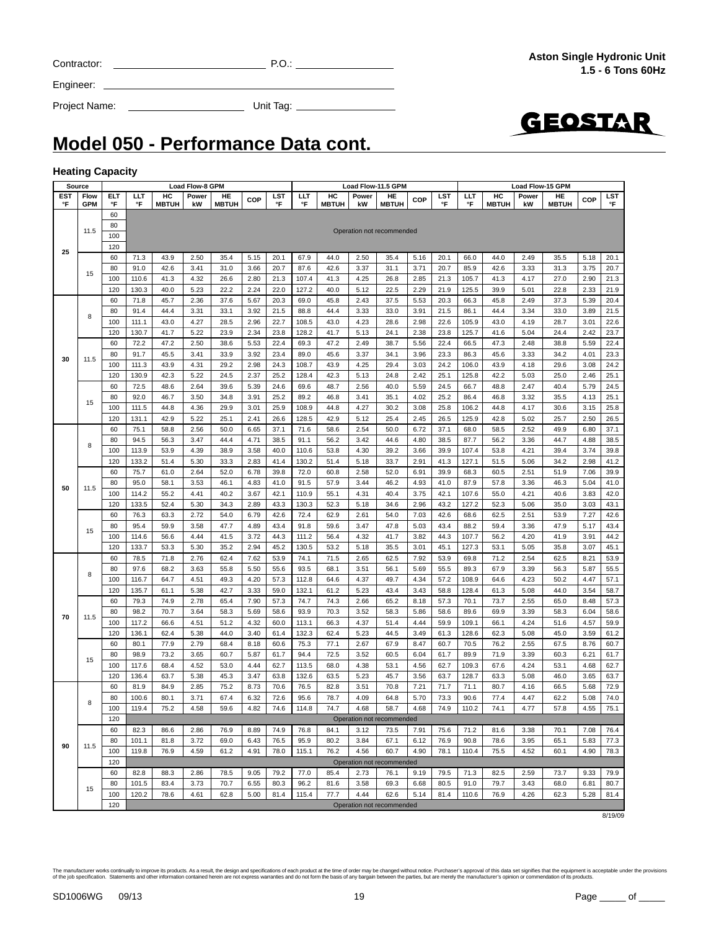|    |         | 60  | 71.3  | 43.9 | 2.50 | 35.4 | 5.15 | 20.1 | 67.9  | 44.0 | 2.50 | 35.4                      | 5.16 | 20.1                                                                                                                                                                                                                                                           | 66.0  | 44.0 | 2.49 | 35.5 | 5.18 | 20.1    |
|----|---------|-----|-------|------|------|------|------|------|-------|------|------|---------------------------|------|----------------------------------------------------------------------------------------------------------------------------------------------------------------------------------------------------------------------------------------------------------------|-------|------|------|------|------|---------|
|    | 15      | 80  | 91.0  | 42.6 | 3.41 | 31.0 | 3.66 | 20.7 | 87.6  | 42.6 | 3.37 | 31.1                      | 3.71 | 20.7                                                                                                                                                                                                                                                           | 85.9  | 42.6 | 3.33 | 31.3 | 3.75 | 20.7    |
|    |         | 100 | 110.6 | 41.3 | 4.32 | 26.6 | 2.80 | 21.3 | 107.4 | 41.3 | 4.25 | 26.8                      | 2.85 | 21.3                                                                                                                                                                                                                                                           | 105.7 | 41.3 | 4.17 | 27.0 | 2.90 | 21.3    |
|    |         | 120 | 130.3 | 40.0 | 5.23 | 22.2 | 2.24 | 22.0 | 127.2 | 40.0 | 5.12 | 22.5                      | 2.29 | 21.9                                                                                                                                                                                                                                                           | 125.5 | 39.9 | 5.01 | 22.8 | 2.33 | 21.9    |
|    |         | 60  | 71.8  | 45.7 | 2.36 | 37.6 | 5.67 | 20.3 | 69.0  | 45.8 | 2.43 | 37.5                      | 5.53 | 20.3                                                                                                                                                                                                                                                           | 66.3  | 45.8 | 2.49 | 37.3 | 5.39 | 20.4    |
|    |         | 80  | 91.4  | 44.4 | 3.31 | 33.1 | 3.92 | 21.5 | 88.8  | 44.4 | 3.33 | 33.0                      | 3.91 | 21.5                                                                                                                                                                                                                                                           | 86.1  | 44.4 | 3.34 | 33.0 | 3.89 | 21.5    |
|    | 8       | 100 | 111.1 | 43.0 | 4.27 | 28.5 | 2.96 | 22.7 | 108.5 | 43.0 | 4.23 | 28.6                      | 2.98 | 22.6                                                                                                                                                                                                                                                           | 105.9 | 43.0 | 4.19 | 28.7 | 3.01 | 22.6    |
|    |         | 120 | 130.7 | 41.7 | 5.22 | 23.9 | 2.34 | 23.8 | 128.2 | 41.7 | 5.13 | 24.1                      | 2.38 | 23.8                                                                                                                                                                                                                                                           | 125.7 | 41.6 | 5.04 | 24.4 | 2.42 | 23.7    |
|    |         | 60  | 72.2  | 47.2 | 2.50 | 38.6 | 5.53 | 22.4 | 69.3  | 47.2 | 2.49 | 38.7                      | 5.56 | 22.4                                                                                                                                                                                                                                                           | 66.5  | 47.3 | 2.48 | 38.8 | 5.59 | 22.4    |
|    |         | 80  | 91.7  | 45.5 | 3.41 | 33.9 | 3.92 | 23.4 | 89.0  | 45.6 | 3.37 | 34.1                      | 3.96 | 23.3                                                                                                                                                                                                                                                           | 86.3  | 45.6 | 3.33 | 34.2 | 4.01 | 23.3    |
| 30 | 11.5    | 100 | 111.3 | 43.9 | 4.31 | 29.2 | 2.98 | 24.3 | 108.7 | 43.9 | 4.25 | 29.4                      | 3.03 | 24.2                                                                                                                                                                                                                                                           | 106.0 | 43.9 | 4.18 | 29.6 | 3.08 | 24.2    |
|    |         | 120 | 130.9 | 42.3 | 5.22 | 24.5 | 2.37 | 25.2 | 128.4 | 42.3 | 5.13 | 24.8                      | 2.42 | 25.1                                                                                                                                                                                                                                                           | 125.8 | 42.2 | 5.03 | 25.0 | 2.46 | 25.1    |
|    |         | 60  | 72.5  | 48.6 | 2.64 | 39.6 | 5.39 | 24.6 | 69.6  | 48.7 | 2.56 | 40.0                      | 5.59 | 24.5                                                                                                                                                                                                                                                           | 66.7  | 48.8 | 2.47 | 40.4 | 5.79 | 24.5    |
|    |         |     |       |      |      |      |      |      |       |      |      |                           |      |                                                                                                                                                                                                                                                                |       |      |      |      |      |         |
|    | 15      | 80  | 92.0  | 46.7 | 3.50 | 34.8 | 3.91 | 25.2 | 89.2  | 46.8 | 3.41 | 35.1                      | 4.02 | 25.2                                                                                                                                                                                                                                                           | 86.4  | 46.8 | 3.32 | 35.5 | 4.13 | 25.1    |
|    |         | 100 | 111.5 | 44.8 | 4.36 | 29.9 | 3.01 | 25.9 | 108.9 | 44.8 | 4.27 | 30.2                      | 3.08 | 25.8                                                                                                                                                                                                                                                           | 106.2 | 44.8 | 4.17 | 30.6 | 3.15 | 25.8    |
|    |         | 120 | 131.1 | 42.9 | 5.22 | 25.1 | 2.41 | 26.6 | 128.5 | 42.9 | 5.12 | 25.4                      | 2.45 | 26.5                                                                                                                                                                                                                                                           | 125.9 | 42.8 | 5.02 | 25.7 | 2.50 | 26.5    |
|    |         | 60  | 75.1  | 58.8 | 2.56 | 50.0 | 6.65 | 37.1 | 71.6  | 58.6 | 2.54 | 50.0                      | 6.72 | 37.1                                                                                                                                                                                                                                                           | 68.0  | 58.5 | 2.52 | 49.9 | 6.80 | 37.1    |
|    | 8       | 80  | 94.5  | 56.3 | 3.47 | 44.4 | 4.71 | 38.5 | 91.1  | 56.2 | 3.42 | 44.6                      | 4.80 | 38.5                                                                                                                                                                                                                                                           | 87.7  | 56.2 | 3.36 | 44.7 | 4.88 | 38.5    |
|    |         | 100 | 113.9 | 53.9 | 4.39 | 38.9 | 3.58 | 40.0 | 110.6 | 53.8 | 4.30 | 39.2                      | 3.66 | 39.9                                                                                                                                                                                                                                                           | 107.4 | 53.8 | 4.21 | 39.4 | 3.74 | 39.8    |
|    |         | 120 | 133.2 | 51.4 | 5.30 | 33.3 | 2.83 | 41.4 | 130.2 | 51.4 | 5.18 | 33.7                      | 2.91 | 41.3                                                                                                                                                                                                                                                           | 127.1 | 51.5 | 5.06 | 34.2 | 2.98 | 41.2    |
|    |         | 60  | 75.7  | 61.0 | 2.64 | 52.0 | 6.78 | 39.8 | 72.0  | 60.8 | 2.58 | 52.0                      | 6.91 |                                                                                                                                                                                                                                                                |       |      |      | 51.9 | 7.06 | 39.9    |
| 50 | 11.5    | 80  | 95.0  | 58.1 | 3.53 | 46.1 | 4.83 | 41.0 | 91.5  | 57.9 | 3.44 | 46.2                      | 4.93 |                                                                                                                                                                                                                                                                |       |      |      | 46.3 | 5.04 | 41.0    |
|    |         | 100 | 114.2 | 55.2 | 4.41 | 40.2 | 3.67 | 42.1 | 110.9 | 55.1 | 4.31 | 40.4                      | 3.75 | 42.1                                                                                                                                                                                                                                                           | 107.6 | 55.0 | 4.21 | 40.6 | 3.83 | 42.0    |
|    |         | 120 | 133.5 | 52.4 | 5.30 | 34.3 | 2.89 | 43.3 | 130.3 | 52.3 | 5.18 | 34.6                      | 2.96 | 43.2                                                                                                                                                                                                                                                           | 127.2 | 52.3 | 5.06 | 35.0 | 3.03 | 43.1    |
|    |         | 60  | 76.3  | 63.3 | 2.72 | 54.0 | 6.79 | 42.6 | 72.4  | 62.9 | 2.61 | 54.0                      | 7.03 | 39.9<br>60.5<br>2.51<br>68.3<br>87.9<br>3.36<br>41.0<br>57.8<br>42.6<br>2.51<br>68.6<br>62.5<br>43.4<br>88.2<br>59.4<br>3.36<br>107.7<br>4.20<br>44.3<br>56.2<br>127.3<br>45.1<br>53.1<br>5.05<br>53.9<br>69.8<br>71.2<br>2.54<br>55.5<br>89.3<br>67.9<br>3.39 | 53.9  | 7.27 | 42.6 |      |      |         |
|    |         | 80  | 95.4  | 59.9 | 3.58 | 47.7 | 4.89 | 43.4 | 91.8  | 59.6 | 3.47 | 47.8                      | 5.03 |                                                                                                                                                                                                                                                                |       |      |      | 47.9 | 5.17 | 43.4    |
|    |         | 100 | 114.6 | 56.6 | 4.44 | 41.5 | 3.72 | 44.3 | 111.2 | 56.4 | 4.32 | 41.7                      | 3.82 |                                                                                                                                                                                                                                                                |       |      |      | 41.9 | 3.91 | 44.2    |
|    |         | 120 | 133.7 | 53.3 | 5.30 | 35.2 | 2.94 | 45.2 | 130.5 | 53.2 | 5.18 | 35.5                      | 3.01 |                                                                                                                                                                                                                                                                |       |      |      | 35.8 | 3.07 | 45.1    |
|    |         | 60  | 78.5  | 71.8 | 2.76 | 62.4 | 7.62 | 53.9 | 74.1  | 71.5 | 2.65 | 62.5                      | 7.92 |                                                                                                                                                                                                                                                                |       |      |      | 62.5 | 8.21 | 53.9    |
|    |         | 80  | 97.6  | 68.2 | 3.63 | 55.8 | 5.50 | 55.6 | 93.5  | 68.1 | 3.51 | 56.1                      | 5.69 |                                                                                                                                                                                                                                                                |       |      |      | 56.3 | 5.87 | 55.5    |
|    | 15<br>8 | 100 | 116.7 | 64.7 | 4.51 | 49.3 | 4.20 | 57.3 | 112.8 | 64.6 | 4.37 | 49.7                      | 4.34 | 57.2                                                                                                                                                                                                                                                           | 108.9 | 64.6 | 4.23 | 50.2 | 4.47 | 57.1    |
|    |         | 120 | 135.7 | 61.1 | 5.38 | 42.7 | 3.33 | 59.0 | 132.1 | 61.2 | 5.23 | 43.4                      | 3.43 | 58.8                                                                                                                                                                                                                                                           | 128.4 | 61.3 | 5.08 | 44.0 | 3.54 | 58.7    |
|    |         | 60  | 79.3  | 74.9 | 2.78 | 65.4 | 7.90 | 57.3 | 74.7  | 74.3 | 2.66 | 65.2                      | 8.18 | 57.3                                                                                                                                                                                                                                                           | 70.1  | 73.7 | 2.55 | 65.0 | 8.48 | 57.3    |
|    |         | 80  | 98.2  | 70.7 | 3.64 | 58.3 | 5.69 | 58.6 | 93.9  | 70.3 | 3.52 | 58.3                      | 5.86 | 58.6                                                                                                                                                                                                                                                           | 89.6  | 69.9 | 3.39 | 58.3 | 6.04 | 58.6    |
| 70 | 11.5    | 100 | 117.2 | 66.6 | 4.51 | 51.2 | 4.32 | 60.0 | 113.1 | 66.3 | 4.37 | 51.4                      | 4.44 | 59.9                                                                                                                                                                                                                                                           | 109.1 | 66.1 | 4.24 | 51.6 | 4.57 | 59.9    |
|    |         | 120 | 136.1 | 62.4 | 5.38 | 44.0 | 3.40 | 61.4 | 132.3 | 62.4 | 5.23 | 44.5                      | 3.49 | 61.3                                                                                                                                                                                                                                                           | 128.6 | 62.3 | 5.08 | 45.0 | 3.59 | 61.2    |
|    |         | 60  | 80.1  | 77.9 | 2.79 | 68.4 | 8.18 | 60.6 | 75.3  | 77.1 | 2.67 | 67.9                      | 8.47 | 60.7                                                                                                                                                                                                                                                           | 70.5  | 76.2 | 2.55 | 67.5 | 8.76 | 60.7    |
|    |         | 80  | 98.9  | 73.2 | 3.65 | 60.7 | 5.87 | 61.7 | 94.4  | 72.5 | 3.52 | 60.5                      | 6.04 | 61.7                                                                                                                                                                                                                                                           | 89.9  | 71.9 | 3.39 | 60.3 | 6.21 | 61.7    |
|    | 15      | 100 | 117.6 | 68.4 | 4.52 | 53.0 | 4.44 | 62.7 | 113.5 | 68.0 | 4.38 | 53.1                      | 4.56 | 62.7                                                                                                                                                                                                                                                           | 109.3 | 67.6 | 4.24 | 53.1 | 4.68 | 62.7    |
|    |         | 120 | 136.4 | 63.7 | 5.38 | 45.3 | 3.47 | 63.8 | 132.6 | 63.5 | 5.23 | 45.7                      | 3.56 | 63.7                                                                                                                                                                                                                                                           | 128.7 | 63.3 | 5.08 | 46.0 | 3.65 | 63.7    |
|    |         | 60  | 81.9  | 84.9 | 2.85 | 75.2 | 8.73 | 70.6 | 76.5  | 82.8 | 3.51 | 70.8                      | 7.21 | 71.7                                                                                                                                                                                                                                                           | 71.1  | 80.7 | 4.16 | 66.5 | 5.68 | 72.9    |
|    |         | 80  | 100.6 | 80.1 | 3.71 | 67.4 | 6.32 | 72.6 | 95.6  | 78.7 | 4.09 | 64.8                      | 5.70 | 73.3                                                                                                                                                                                                                                                           | 90.6  | 77.4 | 4.47 | 62.2 | 5.08 | 74.0    |
|    | 8       | 100 | 119.4 | 75.2 | 4.58 | 59.6 | 4.82 | 74.6 | 114.8 | 74.7 | 4.68 | 58.7                      | 4.68 | 74.9                                                                                                                                                                                                                                                           | 110.2 | 74.1 | 4.77 | 57.8 | 4.55 | 75.1    |
|    |         | 120 |       |      |      |      |      |      |       |      |      | Operation not recommended |      |                                                                                                                                                                                                                                                                |       |      |      |      |      |         |
|    |         | 60  | 82.3  | 86.6 | 2.86 | 76.9 | 8.89 | 74.9 | 76.8  | 84.1 | 3.12 | 73.5                      | 7.91 | 75.6                                                                                                                                                                                                                                                           | 71.2  | 81.6 | 3.38 | 70.1 | 7.08 | 76.4    |
|    |         | 80  | 101.1 | 81.8 | 3.72 | 69.0 | 6.43 | 76.5 | 95.9  | 80.2 | 3.84 | 67.1                      | 6.12 | 76.9                                                                                                                                                                                                                                                           | 90.8  | 78.6 | 3.95 | 65.1 | 5.83 | 77.3    |
| 90 | 11.5    | 100 | 119.8 | 76.9 | 4.59 | 61.2 | 4.91 | 78.0 | 115.1 | 76.2 | 4.56 | 60.7                      | 4.90 | 78.1                                                                                                                                                                                                                                                           | 110.4 | 75.5 | 4.52 | 60.1 | 4.90 | 78.3    |
|    |         | 120 |       |      |      |      |      |      |       |      |      | Operation not recommended |      |                                                                                                                                                                                                                                                                |       |      |      |      |      |         |
|    |         | 60  |       |      |      |      |      |      |       | 85.4 |      |                           | 9.19 |                                                                                                                                                                                                                                                                |       |      |      |      | 9.33 |         |
|    |         |     | 82.8  | 88.3 | 2.86 | 78.5 | 9.05 | 79.2 | 77.0  |      | 2.73 | 76.1                      |      | 79.5                                                                                                                                                                                                                                                           | 71.3  | 82.5 | 2.59 | 73.7 |      | 79.9    |
|    | 15      | 80  | 101.5 | 83.4 | 3.73 | 70.7 | 6.55 | 80.3 | 96.2  | 81.6 | 3.58 | 69.3                      | 6.68 | 80.5                                                                                                                                                                                                                                                           | 91.0  | 79.7 | 3.43 | 68.0 | 6.81 | 80.7    |
|    |         | 100 | 120.2 | 78.6 | 4.61 | 62.8 | 5.00 | 81.4 | 115.4 | 77.7 | 4.44 | 62.6                      | 5.14 | 81.4                                                                                                                                                                                                                                                           | 110.6 | 76.9 | 4.26 | 62.3 | 5.28 | 81.4    |
|    |         | 120 |       |      |      |      |      |      |       |      |      | Operation not recommended |      |                                                                                                                                                                                                                                                                |       |      |      |      |      |         |
|    |         |     |       |      |      |      |      |      |       |      |      |                           |      |                                                                                                                                                                                                                                                                |       |      |      |      |      | 8/19/09 |

**Source | Load Flow-8 GPM Load Flow-11.5 GPM Load Flow-11.5 GPM Load Flow-15 GPM** 

**HC MBTUH** **Power kW**

**HE MBTUH COP LST**

LST<br><sup>°F</sup>

**LLT °F**

**HC MBTUH**

**Power kW**

**LLT °F**

### **Model 050 - Performance Data cont.**

**HE MBTUH COP LST**

essa de la commended de la commended de la commended de la commended de la commended de la commended de la commended de la commended de la commended de la commended de la commended de la commended de la commended de la com

**°F**

**Power kW**

#### **Heating Capacity**

**Flow GPM**

11.5

**ELT °F**

60

100 120 **LLT °F**

**HC MBTUH**

| The manufacturer works continually to improve its products. As a result, the design and specifications of each product at the time of order may be changed without notice. Purchaser's approval of this data set signifies tha<br>of the iob specification. Statements and other information contained herein are not express warranties and do not form the basis of any bargain between the parties. but are merely the manufacturer's opinion or commendation |  |
|------------------------------------------------------------------------------------------------------------------------------------------------------------------------------------------------------------------------------------------------------------------------------------------------------------------------------------------------------------------------------------------------------------------------------------------------------------------|--|
|                                                                                                                                                                                                                                                                                                                                                                                                                                                                  |  |



**HE MBTUH COP LST**

**°F**

Contractor: P.O.:

Project Name: Unit Tag:

Engineer:

**EST °F**

**25**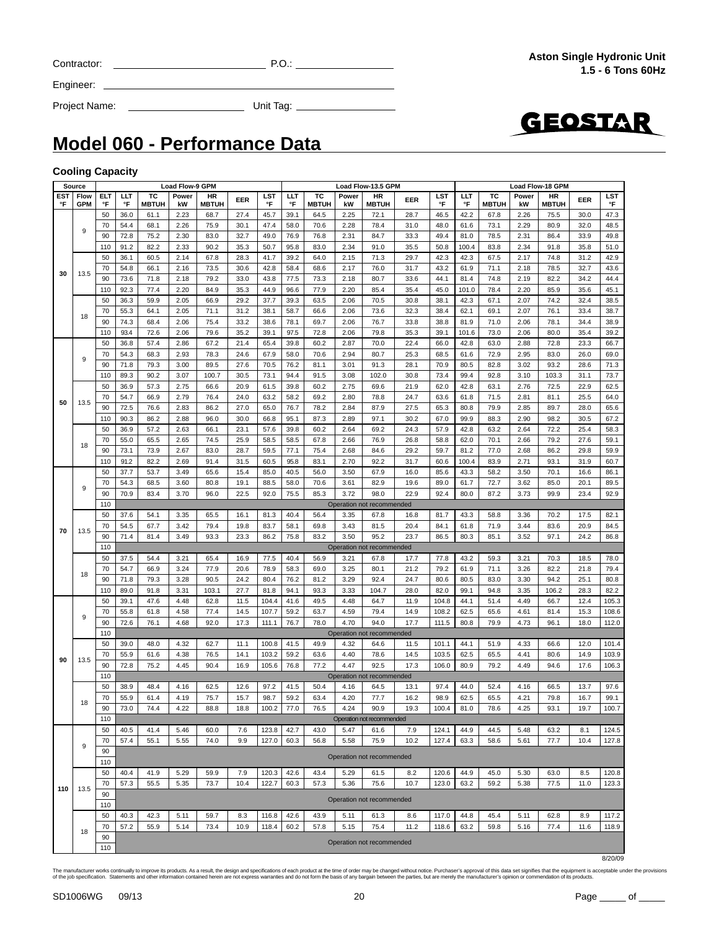| Contractor |  |
|------------|--|
|            |  |

 $C = 2$  P.O.:  $P = 2$  P.O.:  $P = 2$  P.O.:  $P = 2$  P.O.:  $P = 2$  P.O.:  $P = 2$  P.O.:  $P = 2$  P.O.:  $P = 2$  P.O.:  $P = 2$  P.O.:  $P = 2$  P.O.:  $P = 2$  P.O.:  $P = 2$  P.O.:  $P = 2$  P.O.:  $P = 2$  P.O.:  $P = 2$  P.O.:  $P = 2$  P.O.:  $P = 2$  P.O.:

Engineer:

Project Name: Unit Tag:



### **Model 060 - Performance Data**

#### **Cooling Capacity**

|     | Source     | <b>Load Flow-9 GPM</b><br><b>Load Flow-13.5 GPM</b><br><b>Load Flow-18 GPM</b><br>ТC<br>ТC<br>HR<br>ELT<br>LLT<br>тс<br>Power<br>HR<br>LST<br>LLT<br>Power<br>HR<br>LST<br>LLT<br>Power                                                 |      |              |                                                                                                                                                                                                                                                                                                                                                                                                                                                                                                                                                                                                                                                                                                                                                                                                                                                                                                                                                                                                                                                                                                                                                                                                                                                                                                                                                                                                                                                                                                         |              |      |       |      |              |      |                                                                                                                                                                                                                                                                                                                                                                                                                                                                                                                                                                                                                                                                                                                                                                                                                                                                                                                                                                                                                                                                                                                                                                                                                                                                                                                                                                                                                                                                                                                                                                                                                                                                                                                                                                                                                                                                                                                                                                                                                                                                               |      |      |      |              |      |              |      |       |
|-----|------------|-----------------------------------------------------------------------------------------------------------------------------------------------------------------------------------------------------------------------------------------|------|--------------|---------------------------------------------------------------------------------------------------------------------------------------------------------------------------------------------------------------------------------------------------------------------------------------------------------------------------------------------------------------------------------------------------------------------------------------------------------------------------------------------------------------------------------------------------------------------------------------------------------------------------------------------------------------------------------------------------------------------------------------------------------------------------------------------------------------------------------------------------------------------------------------------------------------------------------------------------------------------------------------------------------------------------------------------------------------------------------------------------------------------------------------------------------------------------------------------------------------------------------------------------------------------------------------------------------------------------------------------------------------------------------------------------------------------------------------------------------------------------------------------------------|--------------|------|-------|------|--------------|------|-------------------------------------------------------------------------------------------------------------------------------------------------------------------------------------------------------------------------------------------------------------------------------------------------------------------------------------------------------------------------------------------------------------------------------------------------------------------------------------------------------------------------------------------------------------------------------------------------------------------------------------------------------------------------------------------------------------------------------------------------------------------------------------------------------------------------------------------------------------------------------------------------------------------------------------------------------------------------------------------------------------------------------------------------------------------------------------------------------------------------------------------------------------------------------------------------------------------------------------------------------------------------------------------------------------------------------------------------------------------------------------------------------------------------------------------------------------------------------------------------------------------------------------------------------------------------------------------------------------------------------------------------------------------------------------------------------------------------------------------------------------------------------------------------------------------------------------------------------------------------------------------------------------------------------------------------------------------------------------------------------------------------------------------------------------------------------|------|------|------|--------------|------|--------------|------|-------|
| EST | Flow       |                                                                                                                                                                                                                                         |      |              |                                                                                                                                                                                                                                                                                                                                                                                                                                                                                                                                                                                                                                                                                                                                                                                                                                                                                                                                                                                                                                                                                                                                                                                                                                                                                                                                                                                                                                                                                                         |              | EER  |       |      |              |      |                                                                                                                                                                                                                                                                                                                                                                                                                                                                                                                                                                                                                                                                                                                                                                                                                                                                                                                                                                                                                                                                                                                                                                                                                                                                                                                                                                                                                                                                                                                                                                                                                                                                                                                                                                                                                                                                                                                                                                                                                                                                               |      |      |      |              |      |              | EER  | LST   |
| °F  | <b>GPM</b> | °F                                                                                                                                                                                                                                      | °F   | <b>MBTUH</b> | kW                                                                                                                                                                                                                                                                                                                                                                                                                                                                                                                                                                                                                                                                                                                                                                                                                                                                                                                                                                                                                                                                                                                                                                                                                                                                                                                                                                                                                                                                                                      | <b>MBTUH</b> |      | °F    | °F   | <b>MBTUH</b> | kW   | <b>MBTUH</b>                                                                                                                                                                                                                                                                                                                                                                                                                                                                                                                                                                                                                                                                                                                                                                                                                                                                                                                                                                                                                                                                                                                                                                                                                                                                                                                                                                                                                                                                                                                                                                                                                                                                                                                                                                                                                                                                                                                                                                                                                                                                  |      | °F   | °F   | <b>MBTUH</b> | kW   | <b>MBTUH</b> |      | °F    |
|     |            | 50                                                                                                                                                                                                                                      | 36.0 | 61.1         | 2.23                                                                                                                                                                                                                                                                                                                                                                                                                                                                                                                                                                                                                                                                                                                                                                                                                                                                                                                                                                                                                                                                                                                                                                                                                                                                                                                                                                                                                                                                                                    | 68.7         | 27.4 | 45.7  | 39.1 | 64.5         | 2.25 | 72.1                                                                                                                                                                                                                                                                                                                                                                                                                                                                                                                                                                                                                                                                                                                                                                                                                                                                                                                                                                                                                                                                                                                                                                                                                                                                                                                                                                                                                                                                                                                                                                                                                                                                                                                                                                                                                                                                                                                                                                                                                                                                          | 28.7 | 46.5 | 42.2 | 67.8         | 2.26 | 75.5         | 30.0 | 47.3  |
|     |            | 70                                                                                                                                                                                                                                      | 54.4 | 68.1         | 2.26                                                                                                                                                                                                                                                                                                                                                                                                                                                                                                                                                                                                                                                                                                                                                                                                                                                                                                                                                                                                                                                                                                                                                                                                                                                                                                                                                                                                                                                                                                    | 75.9         | 30.1 | 47.4  | 58.0 | 70.6         |      |                                                                                                                                                                                                                                                                                                                                                                                                                                                                                                                                                                                                                                                                                                                                                                                                                                                                                                                                                                                                                                                                                                                                                                                                                                                                                                                                                                                                                                                                                                                                                                                                                                                                                                                                                                                                                                                                                                                                                                                                                                                                               |      |      |      |              | 2.29 | 80.9         | 32.0 | 48.5  |
|     | 9          |                                                                                                                                                                                                                                         |      | 75.2         | 2.30                                                                                                                                                                                                                                                                                                                                                                                                                                                                                                                                                                                                                                                                                                                                                                                                                                                                                                                                                                                                                                                                                                                                                                                                                                                                                                                                                                                                                                                                                                    |              | 32.7 | 49.0  | 76.9 |              |      | EER<br>78.4<br>31.0<br>73.1<br>48.0<br>61.6<br>84.7<br>33.3<br>49.4<br>81.0<br>78.5<br>91.0<br>35.5<br>50.8<br>100.4<br>83.8<br>71.3<br>29.7<br>42.3<br>42.3<br>67.5<br>76.0<br>31.7<br>43.2<br>71.1<br>61.9<br>80.7<br>33.6<br>44.1<br>74.8<br>81.4<br>85.4<br>35.4<br>45.0<br>101.0<br>78.4<br>70.5<br>30.8<br>38.1<br>42.3<br>67.1<br>73.6<br>32.3<br>38.4<br>62.1<br>69.1<br>76.7<br>71.0<br>33.8<br>38.8<br>81.9<br>79.8<br>35.3<br>73.0<br>39.1<br>101.6<br>70.0<br>22.4<br>42.8<br>63.0<br>66.0<br>80.7<br>25.3<br>68.5<br>61.6<br>72.9<br>91.3<br>28.1<br>70.9<br>82.8<br>80.5<br>102.0<br>30.8<br>73.4<br>99.4<br>92.8<br>62.0<br>42.8<br>69.6<br>21.9<br>63.1<br>24.7<br>71.5<br>78.8<br>63.6<br>61.8<br>87.9<br>27.5<br>65.3<br>80.8<br>79.9<br>97.1<br>30.2<br>67.0<br>99.9<br>88.3<br>69.2<br>24.3<br>57.9<br>42.8<br>63.2<br>76.9<br>26.8<br>62.0<br>58.8<br>70.1<br>29.2<br>59.7<br>77.0<br>84.6<br>81.2<br>92.2<br>31.7<br>60.6<br>100.4<br>83.9<br>67.9<br>43.3<br>58.2<br>16.0<br>85.6<br>82.9<br>72.7<br>19.6<br>89.0<br>61.7<br>98.0<br>22.9<br>92.4<br>80.0<br>87.2<br>43.3<br>67.8<br>16.8<br>81.7<br>58.8<br>81.5<br>20.4<br>84.1<br>61.8<br>71.9<br>95.2<br>23.7<br>86.5<br>80.3<br>85.1<br>67.8<br>17.7<br>77.8<br>43.2<br>59.3<br>80.1<br>21.2<br>79.2<br>71.1<br>61.9<br>92.4<br>24.7<br>80.6<br>80.5<br>83.0<br>104.7<br>28.0<br>82.0<br>99.1<br>94.8<br>11.9<br>64.7<br>104.8<br>44.1<br>51.4<br>79.4<br>14.9<br>108.2<br>62.5<br>65.6<br>94.0<br>17.7<br>111.5<br>80.8<br>79.9<br>64.6<br>11.5<br>101.1<br>44.1<br>51.9<br>78.6<br>14.5<br>103.5<br>62.5<br>65.5<br>92.5<br>17.3<br>106.0<br>79.2<br>80.9<br>64.5<br>13.1<br>97.4<br>44.0<br>52.4<br>77.7<br>16.2<br>98.9<br>62.5<br>65.5<br>90.9<br>19.3<br>100.4<br>81.0<br>78.6<br>61.6<br>7.9<br>124.1<br>44.9<br>44.5<br>10.2<br>127.4<br>63.3<br>75.9<br>58.6<br>120.6<br>61.5<br>8.2<br>44.9<br>45.0<br>75.6<br>10.7<br>123.0<br>63.2<br>59.2<br>Operation not recommended<br>61.3<br>8.6<br>117.0<br>44.8<br>45.4<br>11.2<br>75.4<br>118.6<br>63.2<br>59.8<br>Operation not recommended |      |      |      | 49.8         |      |              |      |       |
|     |            | 90                                                                                                                                                                                                                                      | 72.8 |              |                                                                                                                                                                                                                                                                                                                                                                                                                                                                                                                                                                                                                                                                                                                                                                                                                                                                                                                                                                                                                                                                                                                                                                                                                                                                                                                                                                                                                                                                                                         | 83.0         |      |       |      | 76.8         |      |                                                                                                                                                                                                                                                                                                                                                                                                                                                                                                                                                                                                                                                                                                                                                                                                                                                                                                                                                                                                                                                                                                                                                                                                                                                                                                                                                                                                                                                                                                                                                                                                                                                                                                                                                                                                                                                                                                                                                                                                                                                                               |      |      |      |              | 2.31 | 86.4         | 33.9 |       |
|     |            | 110                                                                                                                                                                                                                                     | 91.2 | 82.2         | 2.33                                                                                                                                                                                                                                                                                                                                                                                                                                                                                                                                                                                                                                                                                                                                                                                                                                                                                                                                                                                                                                                                                                                                                                                                                                                                                                                                                                                                                                                                                                    | 90.2         | 35.3 | 50.7  | 95.8 | 83.0         |      |                                                                                                                                                                                                                                                                                                                                                                                                                                                                                                                                                                                                                                                                                                                                                                                                                                                                                                                                                                                                                                                                                                                                                                                                                                                                                                                                                                                                                                                                                                                                                                                                                                                                                                                                                                                                                                                                                                                                                                                                                                                                               |      |      |      |              | 2.34 | 91.8         | 35.8 | 51.0  |
|     |            | 50                                                                                                                                                                                                                                      | 36.1 | 60.5         | 2.14                                                                                                                                                                                                                                                                                                                                                                                                                                                                                                                                                                                                                                                                                                                                                                                                                                                                                                                                                                                                                                                                                                                                                                                                                                                                                                                                                                                                                                                                                                    | 67.8         | 28.3 | 41.7  | 39.2 | 64.0         | 2.15 |                                                                                                                                                                                                                                                                                                                                                                                                                                                                                                                                                                                                                                                                                                                                                                                                                                                                                                                                                                                                                                                                                                                                                                                                                                                                                                                                                                                                                                                                                                                                                                                                                                                                                                                                                                                                                                                                                                                                                                                                                                                                               |      |      |      |              | 2.17 | 74.8         | 31.2 | 42.9  |
|     |            | 70                                                                                                                                                                                                                                      | 54.8 | 66.1         | 2.16                                                                                                                                                                                                                                                                                                                                                                                                                                                                                                                                                                                                                                                                                                                                                                                                                                                                                                                                                                                                                                                                                                                                                                                                                                                                                                                                                                                                                                                                                                    | 73.5         | 30.6 | 42.8  | 58.4 | 68.6         | 2.17 |                                                                                                                                                                                                                                                                                                                                                                                                                                                                                                                                                                                                                                                                                                                                                                                                                                                                                                                                                                                                                                                                                                                                                                                                                                                                                                                                                                                                                                                                                                                                                                                                                                                                                                                                                                                                                                                                                                                                                                                                                                                                               |      |      |      |              | 2.18 | 78.5         | 32.7 | 43.6  |
| 30  | 13.5       | 90                                                                                                                                                                                                                                      | 73.6 | 71.8         | 2.18                                                                                                                                                                                                                                                                                                                                                                                                                                                                                                                                                                                                                                                                                                                                                                                                                                                                                                                                                                                                                                                                                                                                                                                                                                                                                                                                                                                                                                                                                                    | 79.2         | 33.0 | 43.8  | 77.5 | 73.3         | 2.18 |                                                                                                                                                                                                                                                                                                                                                                                                                                                                                                                                                                                                                                                                                                                                                                                                                                                                                                                                                                                                                                                                                                                                                                                                                                                                                                                                                                                                                                                                                                                                                                                                                                                                                                                                                                                                                                                                                                                                                                                                                                                                               |      |      |      |              | 2.19 | 82.2         | 34.2 | 44.4  |
|     |            |                                                                                                                                                                                                                                         | 92.3 |              | 2.20                                                                                                                                                                                                                                                                                                                                                                                                                                                                                                                                                                                                                                                                                                                                                                                                                                                                                                                                                                                                                                                                                                                                                                                                                                                                                                                                                                                                                                                                                                    |              |      | 44.9  |      | 77.9         |      |                                                                                                                                                                                                                                                                                                                                                                                                                                                                                                                                                                                                                                                                                                                                                                                                                                                                                                                                                                                                                                                                                                                                                                                                                                                                                                                                                                                                                                                                                                                                                                                                                                                                                                                                                                                                                                                                                                                                                                                                                                                                               |      |      |      |              | 2.20 |              |      |       |
|     |            | 110                                                                                                                                                                                                                                     |      | 77.4         |                                                                                                                                                                                                                                                                                                                                                                                                                                                                                                                                                                                                                                                                                                                                                                                                                                                                                                                                                                                                                                                                                                                                                                                                                                                                                                                                                                                                                                                                                                         | 84.9         | 35.3 |       | 96.6 |              |      |                                                                                                                                                                                                                                                                                                                                                                                                                                                                                                                                                                                                                                                                                                                                                                                                                                                                                                                                                                                                                                                                                                                                                                                                                                                                                                                                                                                                                                                                                                                                                                                                                                                                                                                                                                                                                                                                                                                                                                                                                                                                               |      |      |      |              |      | 85.9         | 35.6 | 45.1  |
|     |            | 50                                                                                                                                                                                                                                      | 36.3 | 59.9         | 2.05                                                                                                                                                                                                                                                                                                                                                                                                                                                                                                                                                                                                                                                                                                                                                                                                                                                                                                                                                                                                                                                                                                                                                                                                                                                                                                                                                                                                                                                                                                    | 66.9         | 29.2 | 37.7  | 39.3 | 63.5         |      |                                                                                                                                                                                                                                                                                                                                                                                                                                                                                                                                                                                                                                                                                                                                                                                                                                                                                                                                                                                                                                                                                                                                                                                                                                                                                                                                                                                                                                                                                                                                                                                                                                                                                                                                                                                                                                                                                                                                                                                                                                                                               |      |      |      |              | 2.07 | 74.2         | 32.4 | 38.5  |
|     | 18         | 70                                                                                                                                                                                                                                      | 55.3 | 64.1         | 2.05                                                                                                                                                                                                                                                                                                                                                                                                                                                                                                                                                                                                                                                                                                                                                                                                                                                                                                                                                                                                                                                                                                                                                                                                                                                                                                                                                                                                                                                                                                    | 71.1         | 31.2 | 38.1  | 58.7 | 66.6         | 2.06 |                                                                                                                                                                                                                                                                                                                                                                                                                                                                                                                                                                                                                                                                                                                                                                                                                                                                                                                                                                                                                                                                                                                                                                                                                                                                                                                                                                                                                                                                                                                                                                                                                                                                                                                                                                                                                                                                                                                                                                                                                                                                               |      |      |      |              | 2.07 | 76.1         | 33.4 | 38.7  |
|     |            | 90                                                                                                                                                                                                                                      | 74.3 | 68.4         | 2.06                                                                                                                                                                                                                                                                                                                                                                                                                                                                                                                                                                                                                                                                                                                                                                                                                                                                                                                                                                                                                                                                                                                                                                                                                                                                                                                                                                                                                                                                                                    | 75.4         | 33.2 | 38.6  | 78.1 | 69.7         | 2.06 |                                                                                                                                                                                                                                                                                                                                                                                                                                                                                                                                                                                                                                                                                                                                                                                                                                                                                                                                                                                                                                                                                                                                                                                                                                                                                                                                                                                                                                                                                                                                                                                                                                                                                                                                                                                                                                                                                                                                                                                                                                                                               |      |      |      |              | 2.06 | 78.1         | 34.4 | 38.9  |
|     |            | 110                                                                                                                                                                                                                                     | 93.4 | 72.6         |                                                                                                                                                                                                                                                                                                                                                                                                                                                                                                                                                                                                                                                                                                                                                                                                                                                                                                                                                                                                                                                                                                                                                                                                                                                                                                                                                                                                                                                                                                         |              |      |       |      |              |      |                                                                                                                                                                                                                                                                                                                                                                                                                                                                                                                                                                                                                                                                                                                                                                                                                                                                                                                                                                                                                                                                                                                                                                                                                                                                                                                                                                                                                                                                                                                                                                                                                                                                                                                                                                                                                                                                                                                                                                                                                                                                               |      |      |      |              | 2.06 | 80.0         | 35.4 | 39.2  |
|     |            | 50                                                                                                                                                                                                                                      | 36.8 | 57.4         |                                                                                                                                                                                                                                                                                                                                                                                                                                                                                                                                                                                                                                                                                                                                                                                                                                                                                                                                                                                                                                                                                                                                                                                                                                                                                                                                                                                                                                                                                                         |              |      |       |      |              |      |                                                                                                                                                                                                                                                                                                                                                                                                                                                                                                                                                                                                                                                                                                                                                                                                                                                                                                                                                                                                                                                                                                                                                                                                                                                                                                                                                                                                                                                                                                                                                                                                                                                                                                                                                                                                                                                                                                                                                                                                                                                                               |      |      |      |              | 2.88 | 72.8         | 23.3 | 66.7  |
|     |            |                                                                                                                                                                                                                                         |      |              |                                                                                                                                                                                                                                                                                                                                                                                                                                                                                                                                                                                                                                                                                                                                                                                                                                                                                                                                                                                                                                                                                                                                                                                                                                                                                                                                                                                                                                                                                                         |              |      |       |      |              |      |                                                                                                                                                                                                                                                                                                                                                                                                                                                                                                                                                                                                                                                                                                                                                                                                                                                                                                                                                                                                                                                                                                                                                                                                                                                                                                                                                                                                                                                                                                                                                                                                                                                                                                                                                                                                                                                                                                                                                                                                                                                                               |      |      |      |              |      |              |      |       |
|     | 9          | 70                                                                                                                                                                                                                                      | 54.3 | 68.3         |                                                                                                                                                                                                                                                                                                                                                                                                                                                                                                                                                                                                                                                                                                                                                                                                                                                                                                                                                                                                                                                                                                                                                                                                                                                                                                                                                                                                                                                                                                         |              |      |       |      |              |      |                                                                                                                                                                                                                                                                                                                                                                                                                                                                                                                                                                                                                                                                                                                                                                                                                                                                                                                                                                                                                                                                                                                                                                                                                                                                                                                                                                                                                                                                                                                                                                                                                                                                                                                                                                                                                                                                                                                                                                                                                                                                               |      |      |      |              | 2.95 | 83.0         | 26.0 | 69.0  |
|     |            | 90                                                                                                                                                                                                                                      | 71.8 | 79.3         |                                                                                                                                                                                                                                                                                                                                                                                                                                                                                                                                                                                                                                                                                                                                                                                                                                                                                                                                                                                                                                                                                                                                                                                                                                                                                                                                                                                                                                                                                                         |              |      |       |      |              |      |                                                                                                                                                                                                                                                                                                                                                                                                                                                                                                                                                                                                                                                                                                                                                                                                                                                                                                                                                                                                                                                                                                                                                                                                                                                                                                                                                                                                                                                                                                                                                                                                                                                                                                                                                                                                                                                                                                                                                                                                                                                                               |      |      |      |              | 3.02 | 93.2         | 28.6 | 71.3  |
|     |            | 110                                                                                                                                                                                                                                     | 89.3 | 90.2         | 3.07                                                                                                                                                                                                                                                                                                                                                                                                                                                                                                                                                                                                                                                                                                                                                                                                                                                                                                                                                                                                                                                                                                                                                                                                                                                                                                                                                                                                                                                                                                    | 100.7        | 30.5 | 73.1  | 94.4 | 91.5         | 3.08 |                                                                                                                                                                                                                                                                                                                                                                                                                                                                                                                                                                                                                                                                                                                                                                                                                                                                                                                                                                                                                                                                                                                                                                                                                                                                                                                                                                                                                                                                                                                                                                                                                                                                                                                                                                                                                                                                                                                                                                                                                                                                               |      |      |      |              | 3.10 | 103.3        | 31.1 | 73.7  |
|     |            | 50                                                                                                                                                                                                                                      | 36.9 | 57.3         |                                                                                                                                                                                                                                                                                                                                                                                                                                                                                                                                                                                                                                                                                                                                                                                                                                                                                                                                                                                                                                                                                                                                                                                                                                                                                                                                                                                                                                                                                                         |              |      |       |      |              |      |                                                                                                                                                                                                                                                                                                                                                                                                                                                                                                                                                                                                                                                                                                                                                                                                                                                                                                                                                                                                                                                                                                                                                                                                                                                                                                                                                                                                                                                                                                                                                                                                                                                                                                                                                                                                                                                                                                                                                                                                                                                                               |      |      |      |              | 2.76 | 72.5         | 22.9 | 62.5  |
|     |            | 70                                                                                                                                                                                                                                      | 54.7 | 66.9         |                                                                                                                                                                                                                                                                                                                                                                                                                                                                                                                                                                                                                                                                                                                                                                                                                                                                                                                                                                                                                                                                                                                                                                                                                                                                                                                                                                                                                                                                                                         |              |      |       |      |              |      |                                                                                                                                                                                                                                                                                                                                                                                                                                                                                                                                                                                                                                                                                                                                                                                                                                                                                                                                                                                                                                                                                                                                                                                                                                                                                                                                                                                                                                                                                                                                                                                                                                                                                                                                                                                                                                                                                                                                                                                                                                                                               |      |      |      |              | 2.81 | 81.1         | 25.5 | 64.0  |
| 50  | 13.5       |                                                                                                                                                                                                                                         |      |              |                                                                                                                                                                                                                                                                                                                                                                                                                                                                                                                                                                                                                                                                                                                                                                                                                                                                                                                                                                                                                                                                                                                                                                                                                                                                                                                                                                                                                                                                                                         |              |      |       |      |              |      |                                                                                                                                                                                                                                                                                                                                                                                                                                                                                                                                                                                                                                                                                                                                                                                                                                                                                                                                                                                                                                                                                                                                                                                                                                                                                                                                                                                                                                                                                                                                                                                                                                                                                                                                                                                                                                                                                                                                                                                                                                                                               |      |      |      |              |      |              |      |       |
|     |            | 90                                                                                                                                                                                                                                      | 72.5 | 76.6         |                                                                                                                                                                                                                                                                                                                                                                                                                                                                                                                                                                                                                                                                                                                                                                                                                                                                                                                                                                                                                                                                                                                                                                                                                                                                                                                                                                                                                                                                                                         |              |      |       |      |              |      |                                                                                                                                                                                                                                                                                                                                                                                                                                                                                                                                                                                                                                                                                                                                                                                                                                                                                                                                                                                                                                                                                                                                                                                                                                                                                                                                                                                                                                                                                                                                                                                                                                                                                                                                                                                                                                                                                                                                                                                                                                                                               |      |      |      |              | 2.85 | 89.7         | 28.0 | 65.6  |
|     |            | 110                                                                                                                                                                                                                                     | 90.3 | 86.2         |                                                                                                                                                                                                                                                                                                                                                                                                                                                                                                                                                                                                                                                                                                                                                                                                                                                                                                                                                                                                                                                                                                                                                                                                                                                                                                                                                                                                                                                                                                         |              |      |       |      |              |      |                                                                                                                                                                                                                                                                                                                                                                                                                                                                                                                                                                                                                                                                                                                                                                                                                                                                                                                                                                                                                                                                                                                                                                                                                                                                                                                                                                                                                                                                                                                                                                                                                                                                                                                                                                                                                                                                                                                                                                                                                                                                               |      |      |      |              | 2.90 | 98.2         | 30.5 | 67.2  |
|     |            | 50                                                                                                                                                                                                                                      | 36.9 | 57.2         |                                                                                                                                                                                                                                                                                                                                                                                                                                                                                                                                                                                                                                                                                                                                                                                                                                                                                                                                                                                                                                                                                                                                                                                                                                                                                                                                                                                                                                                                                                         | 66.1         |      | 57.6  |      |              |      |                                                                                                                                                                                                                                                                                                                                                                                                                                                                                                                                                                                                                                                                                                                                                                                                                                                                                                                                                                                                                                                                                                                                                                                                                                                                                                                                                                                                                                                                                                                                                                                                                                                                                                                                                                                                                                                                                                                                                                                                                                                                               |      |      |      |              | 2.64 | 72.2         | 25.4 | 58.3  |
|     |            | 70                                                                                                                                                                                                                                      | 55.0 | 65.5         | 2.65                                                                                                                                                                                                                                                                                                                                                                                                                                                                                                                                                                                                                                                                                                                                                                                                                                                                                                                                                                                                                                                                                                                                                                                                                                                                                                                                                                                                                                                                                                    | 74.5         | 25.9 | 58.5  | 58.5 | 67.8         | 2.66 |                                                                                                                                                                                                                                                                                                                                                                                                                                                                                                                                                                                                                                                                                                                                                                                                                                                                                                                                                                                                                                                                                                                                                                                                                                                                                                                                                                                                                                                                                                                                                                                                                                                                                                                                                                                                                                                                                                                                                                                                                                                                               |      |      |      |              | 2.66 | 79.2         | 27.6 | 59.1  |
|     | 18         | 28.7<br>77.1<br>90<br>73.1<br>73.9<br>2.67<br>83.0<br>59.5<br>75.4<br>2.68<br>110<br>82.2<br>2.69<br>2.70<br>91.2<br>91.4<br>31.5<br>60.5<br>95.8<br>83.1<br>50<br>37.7<br>15.4<br>3.50<br>53.7<br>3.49<br>65.6<br>85.0<br>40.5<br>56.0 |      |              |                                                                                                                                                                                                                                                                                                                                                                                                                                                                                                                                                                                                                                                                                                                                                                                                                                                                                                                                                                                                                                                                                                                                                                                                                                                                                                                                                                                                                                                                                                         |              | 2.68 | 86.2  | 29.8 | 59.9         |      |                                                                                                                                                                                                                                                                                                                                                                                                                                                                                                                                                                                                                                                                                                                                                                                                                                                                                                                                                                                                                                                                                                                                                                                                                                                                                                                                                                                                                                                                                                                                                                                                                                                                                                                                                                                                                                                                                                                                                                                                                                                                               |      |      |      |              |      |              |      |       |
|     |            |                                                                                                                                                                                                                                         |      |              |                                                                                                                                                                                                                                                                                                                                                                                                                                                                                                                                                                                                                                                                                                                                                                                                                                                                                                                                                                                                                                                                                                                                                                                                                                                                                                                                                                                                                                                                                                         |              |      |       |      |              |      | 2.28<br>2.31<br>2.34<br>2.20<br>2.06<br>Operation not recommended<br>5.47<br>5.58<br>Operation not recommended                                                                                                                                                                                                                                                                                                                                                                                                                                                                                                                                                                                                                                                                                                                                                                                                                                                                                                                                                                                                                                                                                                                                                                                                                                                                                                                                                                                                                                                                                                                                                                                                                                                                                                                                                                                                                                                                                                                                                                | 2.71 | 93.1 | 31.9 | 60.7         |      |              |      |       |
|     |            |                                                                                                                                                                                                                                         |      |              |                                                                                                                                                                                                                                                                                                                                                                                                                                                                                                                                                                                                                                                                                                                                                                                                                                                                                                                                                                                                                                                                                                                                                                                                                                                                                                                                                                                                                                                                                                         |              |      |       |      |              |      |                                                                                                                                                                                                                                                                                                                                                                                                                                                                                                                                                                                                                                                                                                                                                                                                                                                                                                                                                                                                                                                                                                                                                                                                                                                                                                                                                                                                                                                                                                                                                                                                                                                                                                                                                                                                                                                                                                                                                                                                                                                                               |      |      |      |              |      |              |      |       |
|     |            |                                                                                                                                                                                                                                         |      |              |                                                                                                                                                                                                                                                                                                                                                                                                                                                                                                                                                                                                                                                                                                                                                                                                                                                                                                                                                                                                                                                                                                                                                                                                                                                                                                                                                                                                                                                                                                         |              |      |       |      |              |      |                                                                                                                                                                                                                                                                                                                                                                                                                                                                                                                                                                                                                                                                                                                                                                                                                                                                                                                                                                                                                                                                                                                                                                                                                                                                                                                                                                                                                                                                                                                                                                                                                                                                                                                                                                                                                                                                                                                                                                                                                                                                               |      |      |      |              | 3.50 | 70.1         | 16.6 | 86.1  |
|     |            | 70                                                                                                                                                                                                                                      | 54.3 | 68.5         | 35.2<br>2.06<br>2.06<br>79.6<br>39.1<br>97.5<br>72.8<br>2.86<br>67.2<br>21.4<br>39.8<br>60.2<br>2.87<br>65.4<br>2.93<br>78.3<br>24.6<br>67.9<br>58.0<br>70.6<br>2.94<br>27.6<br>3.01<br>3.00<br>89.5<br>70.5<br>76.2<br>81.1<br>20.9<br>2.75<br>66.6<br>61.5<br>39.8<br>60.2<br>2.75<br>24.0<br>2.79<br>76.4<br>63.2<br>58.2<br>69.2<br>2.80<br>2.83<br>86.2<br>27.0<br>65.0<br>76.7<br>78.2<br>2.84<br>2.88<br>30.0<br>95.1<br>87.3<br>2.89<br>96.0<br>66.8<br>2.63<br>23.1<br>39.8<br>60.2<br>2.64<br>19.1<br>3.61<br>3.60<br>80.8<br>88.5<br>58.0<br>70.6<br>22.5<br>92.0<br>75.5<br>85.3<br>3.72<br>3.70<br>96.0<br>Operation not recommended<br>3.35<br>65.5<br>16.1<br>81.3<br>40.4<br>56.4<br>3.35<br>3.42<br>79.4<br>19.8<br>83.7<br>58.1<br>69.8<br>3.43<br>3.49<br>93.3<br>23.3<br>86.2<br>75.8<br>83.2<br>3.50<br>Operation not recommended<br>56.9<br>3.21<br>65.4<br>16.9<br>77.5<br>40.4<br>3.21<br>20.6<br>3.25<br>3.24<br>77.9<br>78.9<br>58.3<br>69.0<br>24.2<br>3.28<br>90.5<br>80.4<br>76.2<br>81.2<br>3.29<br>27.7<br>3.33<br>3.31<br>103.1<br>81.8<br>94.1<br>93.3<br>4.48<br>62.8<br>11.5<br>104.4<br>41.6<br>49.5<br>4.48<br>4.58<br>77.4<br>14.5<br>107.7<br>4.59<br>59.2<br>63.7<br>4.68<br>92.0<br>17.3<br>111.1<br>78.0<br>4.70<br>76.7<br>Operation not recommended<br>4.32<br>62.7<br>11.1<br>100.8<br>41.5<br>49.9<br>4.32<br>4.38<br>14.1<br>103.2<br>59.2<br>63.6<br>4.40<br>76.5<br>16.9<br>105.6<br>76.8<br>4.47<br>4.45<br>90.4<br>77.2<br>Operation not recommended |              | 3.62 | 85.0  | 20.1 | 89.5         |      |                                                                                                                                                                                                                                                                                                                                                                                                                                                                                                                                                                                                                                                                                                                                                                                                                                                                                                                                                                                                                                                                                                                                                                                                                                                                                                                                                                                                                                                                                                                                                                                                                                                                                                                                                                                                                                                                                                                                                                                                                                                                               |      |      |      |              |      |              |      |       |
|     | 9          | 90                                                                                                                                                                                                                                      | 70.9 | 83.4         |                                                                                                                                                                                                                                                                                                                                                                                                                                                                                                                                                                                                                                                                                                                                                                                                                                                                                                                                                                                                                                                                                                                                                                                                                                                                                                                                                                                                                                                                                                         |              |      |       |      |              |      |                                                                                                                                                                                                                                                                                                                                                                                                                                                                                                                                                                                                                                                                                                                                                                                                                                                                                                                                                                                                                                                                                                                                                                                                                                                                                                                                                                                                                                                                                                                                                                                                                                                                                                                                                                                                                                                                                                                                                                                                                                                                               |      |      |      |              | 3.73 | 99.9         | 23.4 | 92.9  |
|     |            | 110                                                                                                                                                                                                                                     |      |              |                                                                                                                                                                                                                                                                                                                                                                                                                                                                                                                                                                                                                                                                                                                                                                                                                                                                                                                                                                                                                                                                                                                                                                                                                                                                                                                                                                                                                                                                                                         |              |      |       |      |              |      |                                                                                                                                                                                                                                                                                                                                                                                                                                                                                                                                                                                                                                                                                                                                                                                                                                                                                                                                                                                                                                                                                                                                                                                                                                                                                                                                                                                                                                                                                                                                                                                                                                                                                                                                                                                                                                                                                                                                                                                                                                                                               |      |      |      |              |      |              |      |       |
|     |            | 50                                                                                                                                                                                                                                      | 37.6 | 54.1         |                                                                                                                                                                                                                                                                                                                                                                                                                                                                                                                                                                                                                                                                                                                                                                                                                                                                                                                                                                                                                                                                                                                                                                                                                                                                                                                                                                                                                                                                                                         |              |      |       |      |              |      |                                                                                                                                                                                                                                                                                                                                                                                                                                                                                                                                                                                                                                                                                                                                                                                                                                                                                                                                                                                                                                                                                                                                                                                                                                                                                                                                                                                                                                                                                                                                                                                                                                                                                                                                                                                                                                                                                                                                                                                                                                                                               |      |      |      |              | 3.36 | 70.2         | 17.5 | 82.1  |
|     |            | 70                                                                                                                                                                                                                                      | 54.5 | 67.7         |                                                                                                                                                                                                                                                                                                                                                                                                                                                                                                                                                                                                                                                                                                                                                                                                                                                                                                                                                                                                                                                                                                                                                                                                                                                                                                                                                                                                                                                                                                         |              |      |       |      |              |      |                                                                                                                                                                                                                                                                                                                                                                                                                                                                                                                                                                                                                                                                                                                                                                                                                                                                                                                                                                                                                                                                                                                                                                                                                                                                                                                                                                                                                                                                                                                                                                                                                                                                                                                                                                                                                                                                                                                                                                                                                                                                               |      |      |      |              | 3.44 | 83.6         | 20.9 | 84.5  |
| 70  | 13.5       |                                                                                                                                                                                                                                         |      |              |                                                                                                                                                                                                                                                                                                                                                                                                                                                                                                                                                                                                                                                                                                                                                                                                                                                                                                                                                                                                                                                                                                                                                                                                                                                                                                                                                                                                                                                                                                         |              |      |       |      |              |      |                                                                                                                                                                                                                                                                                                                                                                                                                                                                                                                                                                                                                                                                                                                                                                                                                                                                                                                                                                                                                                                                                                                                                                                                                                                                                                                                                                                                                                                                                                                                                                                                                                                                                                                                                                                                                                                                                                                                                                                                                                                                               |      |      |      |              |      |              |      |       |
|     |            | 90                                                                                                                                                                                                                                      | 71.4 | 81.4         |                                                                                                                                                                                                                                                                                                                                                                                                                                                                                                                                                                                                                                                                                                                                                                                                                                                                                                                                                                                                                                                                                                                                                                                                                                                                                                                                                                                                                                                                                                         |              |      |       |      |              |      |                                                                                                                                                                                                                                                                                                                                                                                                                                                                                                                                                                                                                                                                                                                                                                                                                                                                                                                                                                                                                                                                                                                                                                                                                                                                                                                                                                                                                                                                                                                                                                                                                                                                                                                                                                                                                                                                                                                                                                                                                                                                               |      |      |      |              | 3.52 | 97.1         | 24.2 | 86.8  |
|     |            | 110                                                                                                                                                                                                                                     |      |              |                                                                                                                                                                                                                                                                                                                                                                                                                                                                                                                                                                                                                                                                                                                                                                                                                                                                                                                                                                                                                                                                                                                                                                                                                                                                                                                                                                                                                                                                                                         |              |      |       |      |              |      |                                                                                                                                                                                                                                                                                                                                                                                                                                                                                                                                                                                                                                                                                                                                                                                                                                                                                                                                                                                                                                                                                                                                                                                                                                                                                                                                                                                                                                                                                                                                                                                                                                                                                                                                                                                                                                                                                                                                                                                                                                                                               |      |      |      |              |      |              |      |       |
|     |            | 50                                                                                                                                                                                                                                      | 37.5 | 54.4         |                                                                                                                                                                                                                                                                                                                                                                                                                                                                                                                                                                                                                                                                                                                                                                                                                                                                                                                                                                                                                                                                                                                                                                                                                                                                                                                                                                                                                                                                                                         |              |      |       |      |              |      |                                                                                                                                                                                                                                                                                                                                                                                                                                                                                                                                                                                                                                                                                                                                                                                                                                                                                                                                                                                                                                                                                                                                                                                                                                                                                                                                                                                                                                                                                                                                                                                                                                                                                                                                                                                                                                                                                                                                                                                                                                                                               |      |      |      |              | 3.21 | 70.3         | 18.5 | 78.0  |
|     |            | 70                                                                                                                                                                                                                                      | 54.7 | 66.9         |                                                                                                                                                                                                                                                                                                                                                                                                                                                                                                                                                                                                                                                                                                                                                                                                                                                                                                                                                                                                                                                                                                                                                                                                                                                                                                                                                                                                                                                                                                         |              |      |       |      |              |      |                                                                                                                                                                                                                                                                                                                                                                                                                                                                                                                                                                                                                                                                                                                                                                                                                                                                                                                                                                                                                                                                                                                                                                                                                                                                                                                                                                                                                                                                                                                                                                                                                                                                                                                                                                                                                                                                                                                                                                                                                                                                               |      |      |      |              | 3.26 | 82.2         | 21.8 | 79.4  |
|     | 18         | 90                                                                                                                                                                                                                                      | 71.8 | 79.3         |                                                                                                                                                                                                                                                                                                                                                                                                                                                                                                                                                                                                                                                                                                                                                                                                                                                                                                                                                                                                                                                                                                                                                                                                                                                                                                                                                                                                                                                                                                         |              |      |       |      |              |      |                                                                                                                                                                                                                                                                                                                                                                                                                                                                                                                                                                                                                                                                                                                                                                                                                                                                                                                                                                                                                                                                                                                                                                                                                                                                                                                                                                                                                                                                                                                                                                                                                                                                                                                                                                                                                                                                                                                                                                                                                                                                               |      |      |      |              | 3.30 | 94.2         | 25.1 | 80.8  |
|     |            | 110                                                                                                                                                                                                                                     | 89.0 | 91.8         |                                                                                                                                                                                                                                                                                                                                                                                                                                                                                                                                                                                                                                                                                                                                                                                                                                                                                                                                                                                                                                                                                                                                                                                                                                                                                                                                                                                                                                                                                                         |              |      |       |      |              |      |                                                                                                                                                                                                                                                                                                                                                                                                                                                                                                                                                                                                                                                                                                                                                                                                                                                                                                                                                                                                                                                                                                                                                                                                                                                                                                                                                                                                                                                                                                                                                                                                                                                                                                                                                                                                                                                                                                                                                                                                                                                                               |      |      |      |              | 3.35 | 106.2        | 28.3 | 82.2  |
|     |            |                                                                                                                                                                                                                                         |      |              |                                                                                                                                                                                                                                                                                                                                                                                                                                                                                                                                                                                                                                                                                                                                                                                                                                                                                                                                                                                                                                                                                                                                                                                                                                                                                                                                                                                                                                                                                                         |              |      |       |      |              |      |                                                                                                                                                                                                                                                                                                                                                                                                                                                                                                                                                                                                                                                                                                                                                                                                                                                                                                                                                                                                                                                                                                                                                                                                                                                                                                                                                                                                                                                                                                                                                                                                                                                                                                                                                                                                                                                                                                                                                                                                                                                                               |      |      |      |              |      |              |      |       |
|     |            | 50                                                                                                                                                                                                                                      | 39.1 | 47.6         |                                                                                                                                                                                                                                                                                                                                                                                                                                                                                                                                                                                                                                                                                                                                                                                                                                                                                                                                                                                                                                                                                                                                                                                                                                                                                                                                                                                                                                                                                                         |              |      |       |      |              |      |                                                                                                                                                                                                                                                                                                                                                                                                                                                                                                                                                                                                                                                                                                                                                                                                                                                                                                                                                                                                                                                                                                                                                                                                                                                                                                                                                                                                                                                                                                                                                                                                                                                                                                                                                                                                                                                                                                                                                                                                                                                                               |      |      |      |              | 4.49 | 66.7         | 12.4 | 105.3 |
|     | 9          | 70                                                                                                                                                                                                                                      | 55.8 | 61.8         |                                                                                                                                                                                                                                                                                                                                                                                                                                                                                                                                                                                                                                                                                                                                                                                                                                                                                                                                                                                                                                                                                                                                                                                                                                                                                                                                                                                                                                                                                                         |              |      |       |      |              |      |                                                                                                                                                                                                                                                                                                                                                                                                                                                                                                                                                                                                                                                                                                                                                                                                                                                                                                                                                                                                                                                                                                                                                                                                                                                                                                                                                                                                                                                                                                                                                                                                                                                                                                                                                                                                                                                                                                                                                                                                                                                                               |      |      |      |              | 4.61 | 81.4         | 15.3 | 108.6 |
|     |            | 90                                                                                                                                                                                                                                      | 72.6 | 76.1         |                                                                                                                                                                                                                                                                                                                                                                                                                                                                                                                                                                                                                                                                                                                                                                                                                                                                                                                                                                                                                                                                                                                                                                                                                                                                                                                                                                                                                                                                                                         |              |      |       |      |              |      |                                                                                                                                                                                                                                                                                                                                                                                                                                                                                                                                                                                                                                                                                                                                                                                                                                                                                                                                                                                                                                                                                                                                                                                                                                                                                                                                                                                                                                                                                                                                                                                                                                                                                                                                                                                                                                                                                                                                                                                                                                                                               |      |      |      |              | 4.73 | 96.1         | 18.0 | 112.0 |
|     |            | 110                                                                                                                                                                                                                                     |      |              |                                                                                                                                                                                                                                                                                                                                                                                                                                                                                                                                                                                                                                                                                                                                                                                                                                                                                                                                                                                                                                                                                                                                                                                                                                                                                                                                                                                                                                                                                                         |              |      |       |      |              |      |                                                                                                                                                                                                                                                                                                                                                                                                                                                                                                                                                                                                                                                                                                                                                                                                                                                                                                                                                                                                                                                                                                                                                                                                                                                                                                                                                                                                                                                                                                                                                                                                                                                                                                                                                                                                                                                                                                                                                                                                                                                                               |      |      |      |              |      |              |      |       |
|     |            | 50                                                                                                                                                                                                                                      | 39.0 | 48.0         |                                                                                                                                                                                                                                                                                                                                                                                                                                                                                                                                                                                                                                                                                                                                                                                                                                                                                                                                                                                                                                                                                                                                                                                                                                                                                                                                                                                                                                                                                                         |              |      |       |      |              |      |                                                                                                                                                                                                                                                                                                                                                                                                                                                                                                                                                                                                                                                                                                                                                                                                                                                                                                                                                                                                                                                                                                                                                                                                                                                                                                                                                                                                                                                                                                                                                                                                                                                                                                                                                                                                                                                                                                                                                                                                                                                                               |      |      |      |              | 4.33 | 66.6         | 12.0 | 101.4 |
|     |            | 70                                                                                                                                                                                                                                      | 55.9 | 61.6         |                                                                                                                                                                                                                                                                                                                                                                                                                                                                                                                                                                                                                                                                                                                                                                                                                                                                                                                                                                                                                                                                                                                                                                                                                                                                                                                                                                                                                                                                                                         |              |      |       |      |              |      |                                                                                                                                                                                                                                                                                                                                                                                                                                                                                                                                                                                                                                                                                                                                                                                                                                                                                                                                                                                                                                                                                                                                                                                                                                                                                                                                                                                                                                                                                                                                                                                                                                                                                                                                                                                                                                                                                                                                                                                                                                                                               |      |      |      |              | 4.41 | 80.6         | 14.9 | 103.9 |
| 90  | 13.5       | 90                                                                                                                                                                                                                                      | 72.8 | 75.2         |                                                                                                                                                                                                                                                                                                                                                                                                                                                                                                                                                                                                                                                                                                                                                                                                                                                                                                                                                                                                                                                                                                                                                                                                                                                                                                                                                                                                                                                                                                         |              |      |       |      |              |      |                                                                                                                                                                                                                                                                                                                                                                                                                                                                                                                                                                                                                                                                                                                                                                                                                                                                                                                                                                                                                                                                                                                                                                                                                                                                                                                                                                                                                                                                                                                                                                                                                                                                                                                                                                                                                                                                                                                                                                                                                                                                               |      |      |      |              | 4.49 | 94.6         | 17.6 | 106.3 |
|     |            |                                                                                                                                                                                                                                         |      |              |                                                                                                                                                                                                                                                                                                                                                                                                                                                                                                                                                                                                                                                                                                                                                                                                                                                                                                                                                                                                                                                                                                                                                                                                                                                                                                                                                                                                                                                                                                         |              |      |       |      |              |      |                                                                                                                                                                                                                                                                                                                                                                                                                                                                                                                                                                                                                                                                                                                                                                                                                                                                                                                                                                                                                                                                                                                                                                                                                                                                                                                                                                                                                                                                                                                                                                                                                                                                                                                                                                                                                                                                                                                                                                                                                                                                               |      |      |      |              |      |              |      |       |
|     |            | 110                                                                                                                                                                                                                                     |      |              |                                                                                                                                                                                                                                                                                                                                                                                                                                                                                                                                                                                                                                                                                                                                                                                                                                                                                                                                                                                                                                                                                                                                                                                                                                                                                                                                                                                                                                                                                                         |              |      |       |      |              |      |                                                                                                                                                                                                                                                                                                                                                                                                                                                                                                                                                                                                                                                                                                                                                                                                                                                                                                                                                                                                                                                                                                                                                                                                                                                                                                                                                                                                                                                                                                                                                                                                                                                                                                                                                                                                                                                                                                                                                                                                                                                                               |      |      |      |              |      |              |      |       |
|     |            | 50                                                                                                                                                                                                                                      | 38.9 | 48.4         | 4.16                                                                                                                                                                                                                                                                                                                                                                                                                                                                                                                                                                                                                                                                                                                                                                                                                                                                                                                                                                                                                                                                                                                                                                                                                                                                                                                                                                                                                                                                                                    | 62.5         | 12.6 | 97.2  | 41.5 | 50.4         | 4.16 |                                                                                                                                                                                                                                                                                                                                                                                                                                                                                                                                                                                                                                                                                                                                                                                                                                                                                                                                                                                                                                                                                                                                                                                                                                                                                                                                                                                                                                                                                                                                                                                                                                                                                                                                                                                                                                                                                                                                                                                                                                                                               |      |      |      |              | 4.16 | 66.5         | 13.7 | 97.6  |
|     | 18         | 70                                                                                                                                                                                                                                      | 55.9 | 61.4         | 4.19                                                                                                                                                                                                                                                                                                                                                                                                                                                                                                                                                                                                                                                                                                                                                                                                                                                                                                                                                                                                                                                                                                                                                                                                                                                                                                                                                                                                                                                                                                    | 75.7         | 15.7 | 98.7  | 59.2 | 63.4         | 4.20 |                                                                                                                                                                                                                                                                                                                                                                                                                                                                                                                                                                                                                                                                                                                                                                                                                                                                                                                                                                                                                                                                                                                                                                                                                                                                                                                                                                                                                                                                                                                                                                                                                                                                                                                                                                                                                                                                                                                                                                                                                                                                               |      |      |      |              | 4.21 | 79.8         | 16.7 | 99.1  |
|     |            | 90                                                                                                                                                                                                                                      | 73.0 | 74.4         | 4.22                                                                                                                                                                                                                                                                                                                                                                                                                                                                                                                                                                                                                                                                                                                                                                                                                                                                                                                                                                                                                                                                                                                                                                                                                                                                                                                                                                                                                                                                                                    | 88.8         | 18.8 | 100.2 | 77.0 | 76.5         | 4.24 |                                                                                                                                                                                                                                                                                                                                                                                                                                                                                                                                                                                                                                                                                                                                                                                                                                                                                                                                                                                                                                                                                                                                                                                                                                                                                                                                                                                                                                                                                                                                                                                                                                                                                                                                                                                                                                                                                                                                                                                                                                                                               |      |      |      |              | 4.25 | 93.1         | 19.7 | 100.7 |
|     |            | 110                                                                                                                                                                                                                                     |      |              |                                                                                                                                                                                                                                                                                                                                                                                                                                                                                                                                                                                                                                                                                                                                                                                                                                                                                                                                                                                                                                                                                                                                                                                                                                                                                                                                                                                                                                                                                                         |              |      |       |      |              |      |                                                                                                                                                                                                                                                                                                                                                                                                                                                                                                                                                                                                                                                                                                                                                                                                                                                                                                                                                                                                                                                                                                                                                                                                                                                                                                                                                                                                                                                                                                                                                                                                                                                                                                                                                                                                                                                                                                                                                                                                                                                                               |      |      |      |              |      |              |      |       |
|     |            | 50                                                                                                                                                                                                                                      | 40.5 | 41.4         | 5.46                                                                                                                                                                                                                                                                                                                                                                                                                                                                                                                                                                                                                                                                                                                                                                                                                                                                                                                                                                                                                                                                                                                                                                                                                                                                                                                                                                                                                                                                                                    | 60.0         | 7.6  | 123.8 | 42.7 | 43.0         |      |                                                                                                                                                                                                                                                                                                                                                                                                                                                                                                                                                                                                                                                                                                                                                                                                                                                                                                                                                                                                                                                                                                                                                                                                                                                                                                                                                                                                                                                                                                                                                                                                                                                                                                                                                                                                                                                                                                                                                                                                                                                                               |      |      |      |              | 5.48 | 63.2         | 8.1  | 124.5 |
|     |            |                                                                                                                                                                                                                                         |      |              |                                                                                                                                                                                                                                                                                                                                                                                                                                                                                                                                                                                                                                                                                                                                                                                                                                                                                                                                                                                                                                                                                                                                                                                                                                                                                                                                                                                                                                                                                                         | 74.0         | 9.9  | 127.0 |      |              |      |                                                                                                                                                                                                                                                                                                                                                                                                                                                                                                                                                                                                                                                                                                                                                                                                                                                                                                                                                                                                                                                                                                                                                                                                                                                                                                                                                                                                                                                                                                                                                                                                                                                                                                                                                                                                                                                                                                                                                                                                                                                                               |      |      |      |              | 5.61 | 77.7         | 10.4 |       |
|     | 9          | 70                                                                                                                                                                                                                                      | 57.4 | 55.1         | 5.55                                                                                                                                                                                                                                                                                                                                                                                                                                                                                                                                                                                                                                                                                                                                                                                                                                                                                                                                                                                                                                                                                                                                                                                                                                                                                                                                                                                                                                                                                                    |              |      |       | 60.3 | 56.8         |      |                                                                                                                                                                                                                                                                                                                                                                                                                                                                                                                                                                                                                                                                                                                                                                                                                                                                                                                                                                                                                                                                                                                                                                                                                                                                                                                                                                                                                                                                                                                                                                                                                                                                                                                                                                                                                                                                                                                                                                                                                                                                               |      |      |      |              |      |              |      | 127.8 |
|     |            | 90                                                                                                                                                                                                                                      |      |              |                                                                                                                                                                                                                                                                                                                                                                                                                                                                                                                                                                                                                                                                                                                                                                                                                                                                                                                                                                                                                                                                                                                                                                                                                                                                                                                                                                                                                                                                                                         |              |      |       |      |              |      |                                                                                                                                                                                                                                                                                                                                                                                                                                                                                                                                                                                                                                                                                                                                                                                                                                                                                                                                                                                                                                                                                                                                                                                                                                                                                                                                                                                                                                                                                                                                                                                                                                                                                                                                                                                                                                                                                                                                                                                                                                                                               |      |      |      |              |      |              |      |       |
|     |            | 110                                                                                                                                                                                                                                     |      |              |                                                                                                                                                                                                                                                                                                                                                                                                                                                                                                                                                                                                                                                                                                                                                                                                                                                                                                                                                                                                                                                                                                                                                                                                                                                                                                                                                                                                                                                                                                         |              |      |       |      |              |      |                                                                                                                                                                                                                                                                                                                                                                                                                                                                                                                                                                                                                                                                                                                                                                                                                                                                                                                                                                                                                                                                                                                                                                                                                                                                                                                                                                                                                                                                                                                                                                                                                                                                                                                                                                                                                                                                                                                                                                                                                                                                               |      |      |      |              |      |              |      |       |
|     |            | 50                                                                                                                                                                                                                                      | 40.4 | 41.9         | 5.29                                                                                                                                                                                                                                                                                                                                                                                                                                                                                                                                                                                                                                                                                                                                                                                                                                                                                                                                                                                                                                                                                                                                                                                                                                                                                                                                                                                                                                                                                                    | 59.9         | 7.9  | 120.3 | 42.6 | 43.4         | 5.29 |                                                                                                                                                                                                                                                                                                                                                                                                                                                                                                                                                                                                                                                                                                                                                                                                                                                                                                                                                                                                                                                                                                                                                                                                                                                                                                                                                                                                                                                                                                                                                                                                                                                                                                                                                                                                                                                                                                                                                                                                                                                                               |      |      |      |              | 5.30 | 63.0         | 8.5  | 120.8 |
|     |            | 70                                                                                                                                                                                                                                      | 57.3 | 55.5         | 5.35                                                                                                                                                                                                                                                                                                                                                                                                                                                                                                                                                                                                                                                                                                                                                                                                                                                                                                                                                                                                                                                                                                                                                                                                                                                                                                                                                                                                                                                                                                    | 73.7         | 10.4 | 122.7 | 60.3 | 57.3         | 5.36 |                                                                                                                                                                                                                                                                                                                                                                                                                                                                                                                                                                                                                                                                                                                                                                                                                                                                                                                                                                                                                                                                                                                                                                                                                                                                                                                                                                                                                                                                                                                                                                                                                                                                                                                                                                                                                                                                                                                                                                                                                                                                               |      |      |      |              | 5.38 | 77.5         | 11.0 | 123.3 |
| 110 | 13.5       | 90                                                                                                                                                                                                                                      |      |              |                                                                                                                                                                                                                                                                                                                                                                                                                                                                                                                                                                                                                                                                                                                                                                                                                                                                                                                                                                                                                                                                                                                                                                                                                                                                                                                                                                                                                                                                                                         |              |      |       |      |              |      |                                                                                                                                                                                                                                                                                                                                                                                                                                                                                                                                                                                                                                                                                                                                                                                                                                                                                                                                                                                                                                                                                                                                                                                                                                                                                                                                                                                                                                                                                                                                                                                                                                                                                                                                                                                                                                                                                                                                                                                                                                                                               |      |      |      |              |      |              |      |       |
|     |            |                                                                                                                                                                                                                                         |      |              |                                                                                                                                                                                                                                                                                                                                                                                                                                                                                                                                                                                                                                                                                                                                                                                                                                                                                                                                                                                                                                                                                                                                                                                                                                                                                                                                                                                                                                                                                                         |              |      |       |      |              |      |                                                                                                                                                                                                                                                                                                                                                                                                                                                                                                                                                                                                                                                                                                                                                                                                                                                                                                                                                                                                                                                                                                                                                                                                                                                                                                                                                                                                                                                                                                                                                                                                                                                                                                                                                                                                                                                                                                                                                                                                                                                                               |      |      |      |              |      |              |      |       |
|     |            | 110                                                                                                                                                                                                                                     |      |              |                                                                                                                                                                                                                                                                                                                                                                                                                                                                                                                                                                                                                                                                                                                                                                                                                                                                                                                                                                                                                                                                                                                                                                                                                                                                                                                                                                                                                                                                                                         |              |      |       |      |              |      |                                                                                                                                                                                                                                                                                                                                                                                                                                                                                                                                                                                                                                                                                                                                                                                                                                                                                                                                                                                                                                                                                                                                                                                                                                                                                                                                                                                                                                                                                                                                                                                                                                                                                                                                                                                                                                                                                                                                                                                                                                                                               |      |      |      |              |      |              |      |       |
|     |            | 50                                                                                                                                                                                                                                      | 40.3 | 42.3         | 5.11                                                                                                                                                                                                                                                                                                                                                                                                                                                                                                                                                                                                                                                                                                                                                                                                                                                                                                                                                                                                                                                                                                                                                                                                                                                                                                                                                                                                                                                                                                    | 59.7         | 8.3  | 116.8 | 42.6 | 43.9         | 5.11 |                                                                                                                                                                                                                                                                                                                                                                                                                                                                                                                                                                                                                                                                                                                                                                                                                                                                                                                                                                                                                                                                                                                                                                                                                                                                                                                                                                                                                                                                                                                                                                                                                                                                                                                                                                                                                                                                                                                                                                                                                                                                               |      |      |      |              | 5.11 | 62.8         | 8.9  | 117.2 |
|     | 18         | 70                                                                                                                                                                                                                                      | 57.2 | 55.9         | 5.14                                                                                                                                                                                                                                                                                                                                                                                                                                                                                                                                                                                                                                                                                                                                                                                                                                                                                                                                                                                                                                                                                                                                                                                                                                                                                                                                                                                                                                                                                                    | 73.4         | 10.9 | 118.4 | 60.2 | 57.8         | 5.15 |                                                                                                                                                                                                                                                                                                                                                                                                                                                                                                                                                                                                                                                                                                                                                                                                                                                                                                                                                                                                                                                                                                                                                                                                                                                                                                                                                                                                                                                                                                                                                                                                                                                                                                                                                                                                                                                                                                                                                                                                                                                                               |      |      |      |              | 5.16 | 77.4         | 11.6 | 118.9 |
|     |            | 90                                                                                                                                                                                                                                      |      |              |                                                                                                                                                                                                                                                                                                                                                                                                                                                                                                                                                                                                                                                                                                                                                                                                                                                                                                                                                                                                                                                                                                                                                                                                                                                                                                                                                                                                                                                                                                         |              |      |       |      |              |      |                                                                                                                                                                                                                                                                                                                                                                                                                                                                                                                                                                                                                                                                                                                                                                                                                                                                                                                                                                                                                                                                                                                                                                                                                                                                                                                                                                                                                                                                                                                                                                                                                                                                                                                                                                                                                                                                                                                                                                                                                                                                               |      |      |      |              |      |              |      |       |
|     |            | 110                                                                                                                                                                                                                                     |      |              |                                                                                                                                                                                                                                                                                                                                                                                                                                                                                                                                                                                                                                                                                                                                                                                                                                                                                                                                                                                                                                                                                                                                                                                                                                                                                                                                                                                                                                                                                                         |              |      |       |      |              |      |                                                                                                                                                                                                                                                                                                                                                                                                                                                                                                                                                                                                                                                                                                                                                                                                                                                                                                                                                                                                                                                                                                                                                                                                                                                                                                                                                                                                                                                                                                                                                                                                                                                                                                                                                                                                                                                                                                                                                                                                                                                                               |      |      |      |              |      |              |      |       |

8/20/09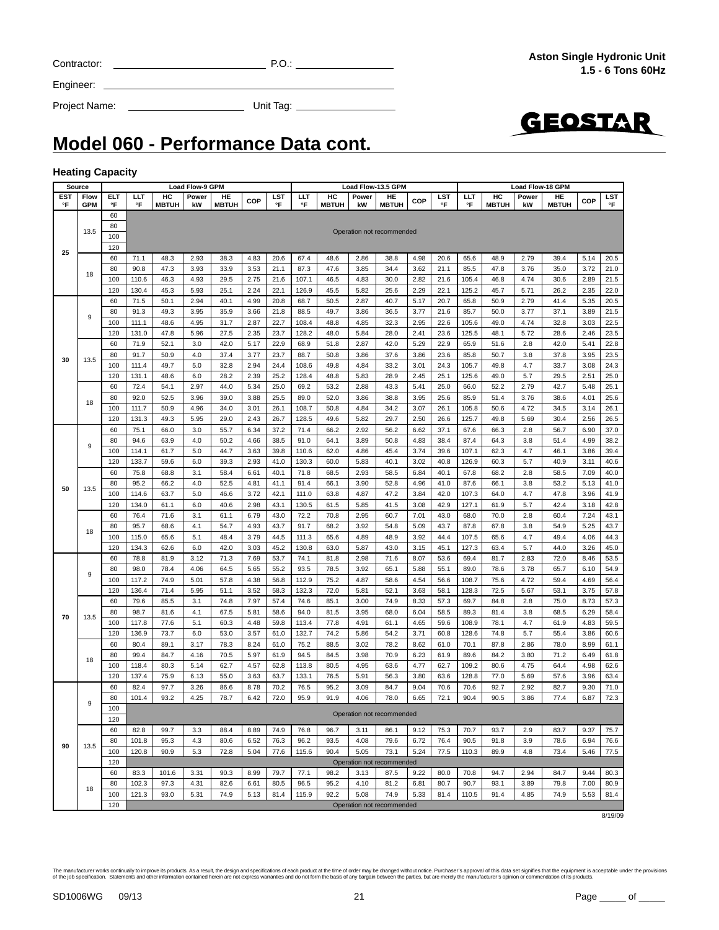| Contracto |  |
|-----------|--|
|           |  |

GEOSTAR

Project Name: Unit Tag:

Engineer:

**Model 060 - Performance Data cont.**

#### **Heating Capacity**

| Source     |                 |     |       |                                                                                                                                                                                                                                                                                                                                                                                                                                                                                                                                            | <b>Load Flow-9 GPM</b>                                                                                                                                                                                                                          |              |      |      |       |              |       | Load Flow-13.5 GPM        |      |            |       |                                                                                                                                                                                                                                                                                                                                                                                                                                                                                                                                                                                                                                                                                                                                                                                                                                          |       |              |      |            |
|------------|-----------------|-----|-------|--------------------------------------------------------------------------------------------------------------------------------------------------------------------------------------------------------------------------------------------------------------------------------------------------------------------------------------------------------------------------------------------------------------------------------------------------------------------------------------------------------------------------------------------|-------------------------------------------------------------------------------------------------------------------------------------------------------------------------------------------------------------------------------------------------|--------------|------|------|-------|--------------|-------|---------------------------|------|------------|-------|------------------------------------------------------------------------------------------------------------------------------------------------------------------------------------------------------------------------------------------------------------------------------------------------------------------------------------------------------------------------------------------------------------------------------------------------------------------------------------------------------------------------------------------------------------------------------------------------------------------------------------------------------------------------------------------------------------------------------------------------------------------------------------------------------------------------------------------|-------|--------------|------|------------|
| <b>EST</b> | Flow            | ELT | ШT    | HC                                                                                                                                                                                                                                                                                                                                                                                                                                                                                                                                         | Power                                                                                                                                                                                                                                           | HE           | COP  | LST  | ШT    | HC           | Power | HE                        | COP  | <b>LST</b> | LLT   | HC                                                                                                                                                                                                                                                                                                                                                                                                                                                                                                                                                                                                                                                                                                                                                                                                                                       | Power | HE           | COP  | <b>LST</b> |
| °F         | <b>GPM</b>      | °F  | °F    | <b>MBTUH</b>                                                                                                                                                                                                                                                                                                                                                                                                                                                                                                                               | kW                                                                                                                                                                                                                                              | <b>MBTUH</b> |      | °F   | °F    | <b>MBTUH</b> | kW    | <b>MBTUH</b>              |      | °F         | °F    |                                                                                                                                                                                                                                                                                                                                                                                                                                                                                                                                                                                                                                                                                                                                                                                                                                          |       | <b>MBTUH</b> |      | °F         |
|            |                 | 60  |       |                                                                                                                                                                                                                                                                                                                                                                                                                                                                                                                                            |                                                                                                                                                                                                                                                 |              |      |      |       |              |       |                           |      |            |       |                                                                                                                                                                                                                                                                                                                                                                                                                                                                                                                                                                                                                                                                                                                                                                                                                                          |       |              |      |            |
|            | 13.5            | 80  |       |                                                                                                                                                                                                                                                                                                                                                                                                                                                                                                                                            |                                                                                                                                                                                                                                                 |              |      |      |       |              |       | Operation not recommended |      |            |       |                                                                                                                                                                                                                                                                                                                                                                                                                                                                                                                                                                                                                                                                                                                                                                                                                                          |       |              |      |            |
|            |                 | 100 |       |                                                                                                                                                                                                                                                                                                                                                                                                                                                                                                                                            |                                                                                                                                                                                                                                                 |              |      |      |       |              |       |                           |      |            |       |                                                                                                                                                                                                                                                                                                                                                                                                                                                                                                                                                                                                                                                                                                                                                                                                                                          |       |              |      |            |
| 25         |                 | 120 |       |                                                                                                                                                                                                                                                                                                                                                                                                                                                                                                                                            |                                                                                                                                                                                                                                                 |              |      |      |       |              |       |                           |      |            |       |                                                                                                                                                                                                                                                                                                                                                                                                                                                                                                                                                                                                                                                                                                                                                                                                                                          |       |              |      |            |
|            |                 | 60  | 71.1  | 48.3                                                                                                                                                                                                                                                                                                                                                                                                                                                                                                                                       | 2.93                                                                                                                                                                                                                                            | 38.3         | 4.83 | 20.6 | 67.4  | 48.6         | 2.86  | 38.8                      | 4.98 | 20.6       | 65.6  | Load Flow-18 GPM<br><b>MBTUH</b><br>kW<br>48.9<br>2.79<br>47.8<br>3.76<br>46.8<br>4.74<br>45.7<br>5.71<br>50.9<br>2.79<br>50.0<br>3.77<br>49.0<br>4.74<br>48.1<br>5.72<br>51.6<br>2.8<br>85.8<br>50.7<br>3.8<br>4.7<br>49.8<br>49.0<br>5.7<br>52.2<br>2.79<br>51.4<br>3.76<br>50.6<br>4.72<br>49.8<br>5.69<br>66.3<br>2.8<br>64.3<br>3.8<br>62.3<br>4.7<br>5.7<br>60.3<br>68.2<br>2.8<br>66.1<br>3.8<br>64.0<br>4.7<br>61.9<br>5.7<br>70.0<br>2.8<br>67.8<br>3.8<br>4.7<br>65.6<br>63.4<br>5.7<br>81.7<br>2.83<br>78.6<br>3.78<br>4.72<br>75.6<br>128.3<br>72.5<br>5.67<br>69.7<br>84.8<br>2.8<br>81.4<br>3.8<br>78.1<br>4.7<br>74.8<br>5.7<br>2.86<br>87.8<br>84.2<br>3.80<br>80.6<br>4.75<br>77.0<br>5.69<br>92.7<br>2.92<br>90.5<br>3.86<br>93.7<br>2.9<br>91.8<br>3.9<br>89.9<br>4.8<br>94.7<br>2.94<br>93.1<br>3.89<br>91.4<br>4.85 | 39.4  | 5.14         | 20.5 |            |
|            |                 | 80  | 90.8  | 47.3                                                                                                                                                                                                                                                                                                                                                                                                                                                                                                                                       | 3.93                                                                                                                                                                                                                                            | 33.9         | 3.53 | 21.1 | 87.3  | 47.6         | 3.85  | 34.4                      | 3.62 | 21.1       | 85.5  |                                                                                                                                                                                                                                                                                                                                                                                                                                                                                                                                                                                                                                                                                                                                                                                                                                          |       | 35.0         | 3.72 | 21.0       |
|            | 18              | 100 | 110.6 | 46.3                                                                                                                                                                                                                                                                                                                                                                                                                                                                                                                                       | 4.93                                                                                                                                                                                                                                            | 29.5         | 2.75 | 21.6 | 107.1 | 46.5         | 4.83  | 30.0                      | 2.82 | 21.6       | 105.4 |                                                                                                                                                                                                                                                                                                                                                                                                                                                                                                                                                                                                                                                                                                                                                                                                                                          |       | 30.6         | 2.89 | 21.5       |
|            |                 | 120 | 130.4 | 45.3                                                                                                                                                                                                                                                                                                                                                                                                                                                                                                                                       | 5.93                                                                                                                                                                                                                                            | 25.1         | 2.24 | 22.1 | 126.9 | 45.5         | 5.82  | 25.6                      | 2.29 | 22.1       | 125.2 |                                                                                                                                                                                                                                                                                                                                                                                                                                                                                                                                                                                                                                                                                                                                                                                                                                          |       | 26.2         | 2.35 | 22.0       |
|            |                 | 60  | 71.5  | 50.1                                                                                                                                                                                                                                                                                                                                                                                                                                                                                                                                       |                                                                                                                                                                                                                                                 |              | 4.99 | 20.8 | 68.7  | 50.5         | 2.87  | 40.7                      | 5.17 | 20.7       | 65.8  |                                                                                                                                                                                                                                                                                                                                                                                                                                                                                                                                                                                                                                                                                                                                                                                                                                          |       | 41.4         | 5.35 | 20.5       |
|            |                 | 80  | 91.3  | 49.3                                                                                                                                                                                                                                                                                                                                                                                                                                                                                                                                       |                                                                                                                                                                                                                                                 |              | 3.66 | 21.8 | 88.5  | 49.7         | 3.86  | 36.5                      | 3.77 | 21.6       | 85.7  |                                                                                                                                                                                                                                                                                                                                                                                                                                                                                                                                                                                                                                                                                                                                                                                                                                          |       | 37.1         | 3.89 | 21.5       |
|            | 9               | 100 | 111.1 | 48.6                                                                                                                                                                                                                                                                                                                                                                                                                                                                                                                                       |                                                                                                                                                                                                                                                 |              | 2.87 | 22.7 | 108.4 | 48.8         | 4.85  | 32.3                      | 2.95 | 22.6       | 105.6 |                                                                                                                                                                                                                                                                                                                                                                                                                                                                                                                                                                                                                                                                                                                                                                                                                                          |       | 32.8         | 3.03 | 22.5       |
|            |                 | 120 | 131.0 |                                                                                                                                                                                                                                                                                                                                                                                                                                                                                                                                            |                                                                                                                                                                                                                                                 |              | 2.35 | 23.7 | 128.2 | 48.0         | 5.84  | 28.0                      | 2.41 | 23.6       | 125.5 |                                                                                                                                                                                                                                                                                                                                                                                                                                                                                                                                                                                                                                                                                                                                                                                                                                          |       | 28.6         | 2.46 | 23.5       |
|            |                 | 60  | 71.9  |                                                                                                                                                                                                                                                                                                                                                                                                                                                                                                                                            |                                                                                                                                                                                                                                                 |              | 5.17 | 22.9 | 68.9  | 51.8         | 2.87  | 42.0                      | 5.29 | 22.9       | 65.9  |                                                                                                                                                                                                                                                                                                                                                                                                                                                                                                                                                                                                                                                                                                                                                                                                                                          |       | 42.0         | 5.41 | 22.8       |
|            |                 | 80  | 91.7  |                                                                                                                                                                                                                                                                                                                                                                                                                                                                                                                                            |                                                                                                                                                                                                                                                 |              |      | 23.7 | 88.7  | 50.8         | 3.86  | 37.6                      | 3.86 | 23.6       |       |                                                                                                                                                                                                                                                                                                                                                                                                                                                                                                                                                                                                                                                                                                                                                                                                                                          |       | 37.8         | 3.95 | 23.5       |
| 30         | 13.5            |     |       |                                                                                                                                                                                                                                                                                                                                                                                                                                                                                                                                            |                                                                                                                                                                                                                                                 |              |      |      |       |              |       |                           |      |            |       |                                                                                                                                                                                                                                                                                                                                                                                                                                                                                                                                                                                                                                                                                                                                                                                                                                          |       |              |      | 24.3       |
|            |                 | 100 | 111.4 |                                                                                                                                                                                                                                                                                                                                                                                                                                                                                                                                            |                                                                                                                                                                                                                                                 |              |      | 24.4 | 108.6 | 49.8         | 4.84  | 33.2                      | 3.01 | 24.3       | 105.7 |                                                                                                                                                                                                                                                                                                                                                                                                                                                                                                                                                                                                                                                                                                                                                                                                                                          |       | 33.7         | 3.08 |            |
|            |                 | 120 | 131.1 |                                                                                                                                                                                                                                                                                                                                                                                                                                                                                                                                            |                                                                                                                                                                                                                                                 |              |      | 25.2 | 128.4 | 48.8         | 5.83  | 28.9                      | 2.45 | 25.1       | 125.6 |                                                                                                                                                                                                                                                                                                                                                                                                                                                                                                                                                                                                                                                                                                                                                                                                                                          |       | 29.5         | 2.51 | 25.0       |
|            |                 | 60  | 72.4  |                                                                                                                                                                                                                                                                                                                                                                                                                                                                                                                                            |                                                                                                                                                                                                                                                 |              |      | 25.0 | 69.2  | 53.2         | 2.88  | 43.3                      | 5.41 | 25.0       | 66.0  |                                                                                                                                                                                                                                                                                                                                                                                                                                                                                                                                                                                                                                                                                                                                                                                                                                          |       | 42.7         | 5.48 | 25.1       |
|            | 18              | 80  | 92.0  |                                                                                                                                                                                                                                                                                                                                                                                                                                                                                                                                            |                                                                                                                                                                                                                                                 |              |      | 25.5 | 89.0  | 52.0         | 3.86  | 38.8                      | 3.95 | 25.6       | 85.9  |                                                                                                                                                                                                                                                                                                                                                                                                                                                                                                                                                                                                                                                                                                                                                                                                                                          |       | 38.6         | 4.01 | 25.6       |
|            |                 | 100 | 111.7 |                                                                                                                                                                                                                                                                                                                                                                                                                                                                                                                                            |                                                                                                                                                                                                                                                 |              | 3.01 | 26.1 | 108.7 | 50.8         | 4.84  | 34.2                      | 3.07 | 26.1       | 105.8 |                                                                                                                                                                                                                                                                                                                                                                                                                                                                                                                                                                                                                                                                                                                                                                                                                                          |       | 34.5         | 3.14 | 26.1       |
|            |                 | 120 | 131.3 |                                                                                                                                                                                                                                                                                                                                                                                                                                                                                                                                            |                                                                                                                                                                                                                                                 |              | 2.43 | 26.7 | 128.5 | 49.6         | 5.82  | 29.7                      | 2.50 | 26.6       | 125.7 |                                                                                                                                                                                                                                                                                                                                                                                                                                                                                                                                                                                                                                                                                                                                                                                                                                          |       | 30.4         | 2.56 | 26.5       |
|            |                 | 60  | 75.1  | 66.0                                                                                                                                                                                                                                                                                                                                                                                                                                                                                                                                       | 3.0                                                                                                                                                                                                                                             | 55.7         | 6.34 | 37.2 | 71.4  | 66.2         | 2.92  | 56.2                      | 6.62 | 37.1       | 67.6  |                                                                                                                                                                                                                                                                                                                                                                                                                                                                                                                                                                                                                                                                                                                                                                                                                                          |       | 56.7         | 6.90 | 37.0       |
|            |                 | 80  | 94.6  | 63.9                                                                                                                                                                                                                                                                                                                                                                                                                                                                                                                                       | 4.0                                                                                                                                                                                                                                             | 50.2         | 4.66 | 38.5 | 91.0  | 64.1         | 3.89  | 50.8                      | 4.83 | 38.4       | 87.4  |                                                                                                                                                                                                                                                                                                                                                                                                                                                                                                                                                                                                                                                                                                                                                                                                                                          |       | 51.4         | 4.99 | 38.2       |
|            |                 | 100 | 114.1 | 61.7                                                                                                                                                                                                                                                                                                                                                                                                                                                                                                                                       | 5.0                                                                                                                                                                                                                                             | 44.7         | 3.63 | 39.8 | 110.6 | 62.0         | 4.86  | 45.4                      | 3.74 | 39.6       | 107.1 |                                                                                                                                                                                                                                                                                                                                                                                                                                                                                                                                                                                                                                                                                                                                                                                                                                          |       | 46.1         | 3.86 | 39.4       |
|            | 9<br>13.5<br>18 | 120 | 133.7 | 59.6                                                                                                                                                                                                                                                                                                                                                                                                                                                                                                                                       | 6.0                                                                                                                                                                                                                                             | 39.3         | 2.93 | 41.0 | 130.3 | 60.0         | 5.83  | 40.1                      | 3.02 | 40.8       | 126.9 |                                                                                                                                                                                                                                                                                                                                                                                                                                                                                                                                                                                                                                                                                                                                                                                                                                          |       | 40.9         | 3.11 | 40.6       |
|            |                 | 60  | 75.8  | 68.8                                                                                                                                                                                                                                                                                                                                                                                                                                                                                                                                       | 3.1                                                                                                                                                                                                                                             | 58.4         | 6.61 | 40.1 | 71.8  | 68.5         | 2.93  | 58.5                      | 6.84 | 40.1       | 67.8  |                                                                                                                                                                                                                                                                                                                                                                                                                                                                                                                                                                                                                                                                                                                                                                                                                                          |       | 58.5         | 7.09 | 40.0       |
|            |                 | 80  | 95.2  | 50.9<br>3.77<br>5.0<br>32.8<br>2.94<br>49.7<br>48.6<br>6.0<br>28.2<br>2.39<br>2.97<br>44.0<br>5.34<br>54.1<br>52.5<br>3.96<br>39.0<br>3.88<br>50.9<br>4.96<br>34.0<br>49.3<br>5.95<br>29.0<br>4.0<br>52.5<br>66.2<br>63.7<br>5.0<br>46.6<br>61.1<br>6.0<br>40.6<br>71.6<br>3.1<br>61.1<br>68.6<br>4.1<br>54.7<br>65.6<br>5.1<br>48.4<br>3.79<br>62.6<br>6.0<br>42.0<br>3.03<br>81.9<br>3.12<br>71.3<br>7.69<br>78.4<br>4.06<br>64.5<br>5.65<br>74.9<br>5.01<br>57.8<br>4.38<br>71.4<br>51.1<br>3.52<br>5.95<br>85.5<br>3.1<br>74.8<br>7.97 | 4.81                                                                                                                                                                                                                                            | 41.1         | 91.4 | 66.1 | 3.90  | 52.8         | 4.96  | 41.0                      | 87.6 |            |       | 53.2                                                                                                                                                                                                                                                                                                                                                                                                                                                                                                                                                                                                                                                                                                                                                                                                                                     | 5.13  | 41.0         |      |            |
| 50         |                 | 100 | 114.6 |                                                                                                                                                                                                                                                                                                                                                                                                                                                                                                                                            |                                                                                                                                                                                                                                                 |              | 3.72 | 42.1 | 111.0 | 63.8         | 4.87  | 47.2                      | 3.84 | 42.0       | 107.3 |                                                                                                                                                                                                                                                                                                                                                                                                                                                                                                                                                                                                                                                                                                                                                                                                                                          |       | 47.8         | 3.96 | 41.9       |
|            |                 | 120 | 134.0 |                                                                                                                                                                                                                                                                                                                                                                                                                                                                                                                                            | 40.1<br>2.94<br>35.9<br>3.95<br>4.95<br>31.7<br>47.8<br>5.96<br>27.5<br>52.1<br>3.0<br>42.0<br>4.0<br>37.4<br>81.6<br>4.1<br>67.5<br>77.6<br>5.1<br>60.3<br>73.7<br>6.0<br>53.0<br>3.17<br>78.3<br>4.16<br>70.5<br>5.14<br>62.7<br>6.13<br>55.0 |              | 2.98 | 43.1 | 130.5 | 61.5         | 5.85  | 41.5                      | 3.08 | 42.9       | 127.1 |                                                                                                                                                                                                                                                                                                                                                                                                                                                                                                                                                                                                                                                                                                                                                                                                                                          |       | 42.4         | 3.18 | 42.8       |
|            |                 | 60  | 76.4  |                                                                                                                                                                                                                                                                                                                                                                                                                                                                                                                                            |                                                                                                                                                                                                                                                 |              | 6.79 | 43.0 | 72.2  | 70.8         | 2.95  | 60.7                      | 7.01 | 43.0       | 68.0  |                                                                                                                                                                                                                                                                                                                                                                                                                                                                                                                                                                                                                                                                                                                                                                                                                                          |       | 60.4         | 7.24 | 43.1       |
|            |                 | 80  | 95.7  |                                                                                                                                                                                                                                                                                                                                                                                                                                                                                                                                            |                                                                                                                                                                                                                                                 |              | 4.93 | 43.7 | 91.7  | 68.2         | 3.92  | 54.8                      | 5.09 | 43.7       | 87.8  |                                                                                                                                                                                                                                                                                                                                                                                                                                                                                                                                                                                                                                                                                                                                                                                                                                          |       | 54.9         | 5.25 | 43.7       |
|            |                 | 100 | 115.0 |                                                                                                                                                                                                                                                                                                                                                                                                                                                                                                                                            |                                                                                                                                                                                                                                                 |              |      | 44.5 | 111.3 | 65.6         | 4.89  | 48.9                      | 3.92 | 44.4       | 107.5 |                                                                                                                                                                                                                                                                                                                                                                                                                                                                                                                                                                                                                                                                                                                                                                                                                                          |       | 49.4         | 4.06 | 44.3       |
|            |                 | 120 | 134.3 |                                                                                                                                                                                                                                                                                                                                                                                                                                                                                                                                            |                                                                                                                                                                                                                                                 |              |      | 45.2 | 130.8 | 63.0         | 5.87  | 43.0                      | 3.15 | 45.1       | 127.3 |                                                                                                                                                                                                                                                                                                                                                                                                                                                                                                                                                                                                                                                                                                                                                                                                                                          |       | 44.0         | 3.26 | 45.0       |
|            |                 | 60  | 78.8  |                                                                                                                                                                                                                                                                                                                                                                                                                                                                                                                                            |                                                                                                                                                                                                                                                 |              |      | 53.7 | 74.1  | 81.8         | 2.98  | 71.6                      | 8.07 | 53.6       | 69.4  |                                                                                                                                                                                                                                                                                                                                                                                                                                                                                                                                                                                                                                                                                                                                                                                                                                          |       | 72.0         | 8.46 | 53.5       |
|            |                 | 80  | 98.0  |                                                                                                                                                                                                                                                                                                                                                                                                                                                                                                                                            |                                                                                                                                                                                                                                                 |              |      | 55.2 | 93.5  | 78.5         | 3.92  | 65.1                      | 5.88 | 55.1       | 89.0  |                                                                                                                                                                                                                                                                                                                                                                                                                                                                                                                                                                                                                                                                                                                                                                                                                                          |       | 65.7         | 6.10 | 54.9       |
|            | 9               | 100 | 117.2 |                                                                                                                                                                                                                                                                                                                                                                                                                                                                                                                                            |                                                                                                                                                                                                                                                 |              |      | 56.8 | 112.9 | 75.2         | 4.87  | 58.6                      | 4.54 | 56.6       | 108.7 |                                                                                                                                                                                                                                                                                                                                                                                                                                                                                                                                                                                                                                                                                                                                                                                                                                          |       | 59.4         | 4.69 | 56.4       |
|            |                 |     | 136.4 |                                                                                                                                                                                                                                                                                                                                                                                                                                                                                                                                            |                                                                                                                                                                                                                                                 |              |      | 58.3 | 132.3 | 72.0         | 5.81  | 52.1                      | 3.63 | 58.1       |       |                                                                                                                                                                                                                                                                                                                                                                                                                                                                                                                                                                                                                                                                                                                                                                                                                                          |       | 53.1         | 3.75 | 57.8       |
|            |                 | 120 | 79.6  |                                                                                                                                                                                                                                                                                                                                                                                                                                                                                                                                            |                                                                                                                                                                                                                                                 |              |      | 57.4 | 74.6  | 85.1         | 3.00  | 74.9                      |      | 57.3       |       |                                                                                                                                                                                                                                                                                                                                                                                                                                                                                                                                                                                                                                                                                                                                                                                                                                          |       | 75.0         | 8.73 | 57.3       |
|            |                 | 60  |       |                                                                                                                                                                                                                                                                                                                                                                                                                                                                                                                                            |                                                                                                                                                                                                                                                 |              |      |      |       |              |       |                           | 8.33 |            |       |                                                                                                                                                                                                                                                                                                                                                                                                                                                                                                                                                                                                                                                                                                                                                                                                                                          |       |              |      |            |
| 70         | 13.5            | 80  | 98.7  |                                                                                                                                                                                                                                                                                                                                                                                                                                                                                                                                            |                                                                                                                                                                                                                                                 |              | 5.81 | 58.6 | 94.0  | 81.5         | 3.95  | 68.0                      | 6.04 | 58.5       | 89.3  |                                                                                                                                                                                                                                                                                                                                                                                                                                                                                                                                                                                                                                                                                                                                                                                                                                          |       | 68.5         | 6.29 | 58.4       |
|            |                 | 100 | 117.8 |                                                                                                                                                                                                                                                                                                                                                                                                                                                                                                                                            |                                                                                                                                                                                                                                                 |              | 4.48 | 59.8 | 113.4 | 77.8         | 4.91  | 61.1                      | 4.65 | 59.6       | 108.9 |                                                                                                                                                                                                                                                                                                                                                                                                                                                                                                                                                                                                                                                                                                                                                                                                                                          |       | 61.9         | 4.83 | 59.5       |
|            |                 | 120 | 136.9 |                                                                                                                                                                                                                                                                                                                                                                                                                                                                                                                                            |                                                                                                                                                                                                                                                 |              | 3.57 | 61.0 | 132.7 | 74.2         | 5.86  | 54.2                      | 3.71 | 60.8       | 128.6 |                                                                                                                                                                                                                                                                                                                                                                                                                                                                                                                                                                                                                                                                                                                                                                                                                                          |       | 55.4         | 3.86 | 60.6       |
|            |                 | 60  | 80.4  | 89.1                                                                                                                                                                                                                                                                                                                                                                                                                                                                                                                                       |                                                                                                                                                                                                                                                 |              | 8.24 | 61.0 | 75.2  | 88.5         | 3.02  | 78.2                      | 8.62 | 61.0       | 70.1  |                                                                                                                                                                                                                                                                                                                                                                                                                                                                                                                                                                                                                                                                                                                                                                                                                                          |       | 78.0         | 8.99 | 61.1       |
|            | 18              | 80  | 99.4  | 84.7                                                                                                                                                                                                                                                                                                                                                                                                                                                                                                                                       |                                                                                                                                                                                                                                                 |              | 5.97 | 61.9 | 94.5  | 84.5         | 3.98  | 70.9                      | 6.23 | 61.9       | 89.6  |                                                                                                                                                                                                                                                                                                                                                                                                                                                                                                                                                                                                                                                                                                                                                                                                                                          |       | 71.2         | 6.49 | 61.8       |
|            |                 | 100 | 118.4 | 80.3                                                                                                                                                                                                                                                                                                                                                                                                                                                                                                                                       |                                                                                                                                                                                                                                                 |              | 4.57 | 62.8 | 113.8 | 80.5         | 4.95  | 63.6                      | 4.77 | 62.7       | 109.2 |                                                                                                                                                                                                                                                                                                                                                                                                                                                                                                                                                                                                                                                                                                                                                                                                                                          |       | 64.4         | 4.98 | 62.6       |
|            |                 | 120 | 137.4 | 75.9                                                                                                                                                                                                                                                                                                                                                                                                                                                                                                                                       |                                                                                                                                                                                                                                                 |              | 3.63 | 63.7 | 133.1 | 76.5         | 5.91  | 56.3                      | 3.80 | 63.6       | 128.8 |                                                                                                                                                                                                                                                                                                                                                                                                                                                                                                                                                                                                                                                                                                                                                                                                                                          |       | 57.6         | 3.96 | 63.4       |
|            |                 | 60  | 82.4  | 97.7                                                                                                                                                                                                                                                                                                                                                                                                                                                                                                                                       | 3.26                                                                                                                                                                                                                                            | 86.6         | 8.78 | 70.2 | 76.5  | 95.2         | 3.09  | 84.7                      | 9.04 | 70.6       | 70.6  |                                                                                                                                                                                                                                                                                                                                                                                                                                                                                                                                                                                                                                                                                                                                                                                                                                          |       | 82.7         | 9.30 | 71.0       |
|            | 9               | 80  | 101.4 | 93.2                                                                                                                                                                                                                                                                                                                                                                                                                                                                                                                                       | 4.25                                                                                                                                                                                                                                            | 78.7         | 6.42 | 72.0 | 95.9  | 91.9         | 4.06  | 78.0                      | 6.65 | 72.1       | 90.4  |                                                                                                                                                                                                                                                                                                                                                                                                                                                                                                                                                                                                                                                                                                                                                                                                                                          |       | 77.4         | 6.87 | 72.3       |
|            |                 | 100 |       |                                                                                                                                                                                                                                                                                                                                                                                                                                                                                                                                            |                                                                                                                                                                                                                                                 |              |      |      |       |              |       |                           |      |            |       |                                                                                                                                                                                                                                                                                                                                                                                                                                                                                                                                                                                                                                                                                                                                                                                                                                          |       |              |      |            |
|            |                 | 120 |       |                                                                                                                                                                                                                                                                                                                                                                                                                                                                                                                                            |                                                                                                                                                                                                                                                 |              |      |      |       |              |       | Operation not recommended |      |            |       |                                                                                                                                                                                                                                                                                                                                                                                                                                                                                                                                                                                                                                                                                                                                                                                                                                          |       |              |      |            |
|            |                 | 60  | 82.8  | 99.7                                                                                                                                                                                                                                                                                                                                                                                                                                                                                                                                       | 3.3                                                                                                                                                                                                                                             | 88.4         | 8.89 | 74.9 | 76.8  | 96.7         | 3.11  | 86.1                      | 9.12 | 75.3       | 70.7  |                                                                                                                                                                                                                                                                                                                                                                                                                                                                                                                                                                                                                                                                                                                                                                                                                                          |       | 83.7         | 9.37 | 75.7       |
|            |                 | 80  | 101.8 | 95.3                                                                                                                                                                                                                                                                                                                                                                                                                                                                                                                                       | 4.3                                                                                                                                                                                                                                             | 80.6         | 6.52 | 76.3 | 96.2  | 93.5         | 4.08  | 79.6                      | 6.72 | 76.4       | 90.5  |                                                                                                                                                                                                                                                                                                                                                                                                                                                                                                                                                                                                                                                                                                                                                                                                                                          |       | 78.6         | 6.94 | 76.6       |
| 90         | 13.5            | 100 | 120.8 | 90.9                                                                                                                                                                                                                                                                                                                                                                                                                                                                                                                                       | 5.3                                                                                                                                                                                                                                             | 72.8         | 5.04 | 77.6 | 115.6 | 90.4         | 5.05  | 73.1                      | 5.24 | 77.5       | 110.3 |                                                                                                                                                                                                                                                                                                                                                                                                                                                                                                                                                                                                                                                                                                                                                                                                                                          |       | 73.4         | 5.46 | 77.5       |
|            |                 | 120 |       |                                                                                                                                                                                                                                                                                                                                                                                                                                                                                                                                            |                                                                                                                                                                                                                                                 |              |      |      |       |              |       | Operation not recommended |      |            |       |                                                                                                                                                                                                                                                                                                                                                                                                                                                                                                                                                                                                                                                                                                                                                                                                                                          |       |              |      |            |
|            |                 | 60  | 83.3  | 101.6                                                                                                                                                                                                                                                                                                                                                                                                                                                                                                                                      | 3.31                                                                                                                                                                                                                                            | 90.3         | 8.99 | 79.7 | 77.1  | 98.2         | 3.13  | 87.5                      | 9.22 | 80.0       | 70.8  |                                                                                                                                                                                                                                                                                                                                                                                                                                                                                                                                                                                                                                                                                                                                                                                                                                          |       | 84.7         | 9.44 | 80.3       |
|            |                 | 80  | 102.3 | 97.3                                                                                                                                                                                                                                                                                                                                                                                                                                                                                                                                       | 4.31                                                                                                                                                                                                                                            | 82.6         | 6.61 | 80.5 | 96.5  | 95.2         | 4.10  | 81.2                      | 6.81 | 80.7       | 90.7  |                                                                                                                                                                                                                                                                                                                                                                                                                                                                                                                                                                                                                                                                                                                                                                                                                                          |       | 79.8         | 7.00 | 80.9       |
|            | 18              | 100 | 121.3 | 93.0                                                                                                                                                                                                                                                                                                                                                                                                                                                                                                                                       | 5.31                                                                                                                                                                                                                                            | 74.9         | 5.13 | 81.4 | 115.9 | 92.2         | 5.08  | 74.9                      | 5.33 | 81.4       | 110.5 |                                                                                                                                                                                                                                                                                                                                                                                                                                                                                                                                                                                                                                                                                                                                                                                                                                          |       | 74.9         | 5.53 | 81.4       |
|            |                 | 120 |       |                                                                                                                                                                                                                                                                                                                                                                                                                                                                                                                                            |                                                                                                                                                                                                                                                 |              |      |      |       |              |       | Operation not recommended |      |            |       |                                                                                                                                                                                                                                                                                                                                                                                                                                                                                                                                                                                                                                                                                                                                                                                                                                          |       |              |      |            |
|            |                 |     |       |                                                                                                                                                                                                                                                                                                                                                                                                                                                                                                                                            |                                                                                                                                                                                                                                                 |              |      |      |       |              |       |                           |      |            |       |                                                                                                                                                                                                                                                                                                                                                                                                                                                                                                                                                                                                                                                                                                                                                                                                                                          |       |              |      |            |

8/19/09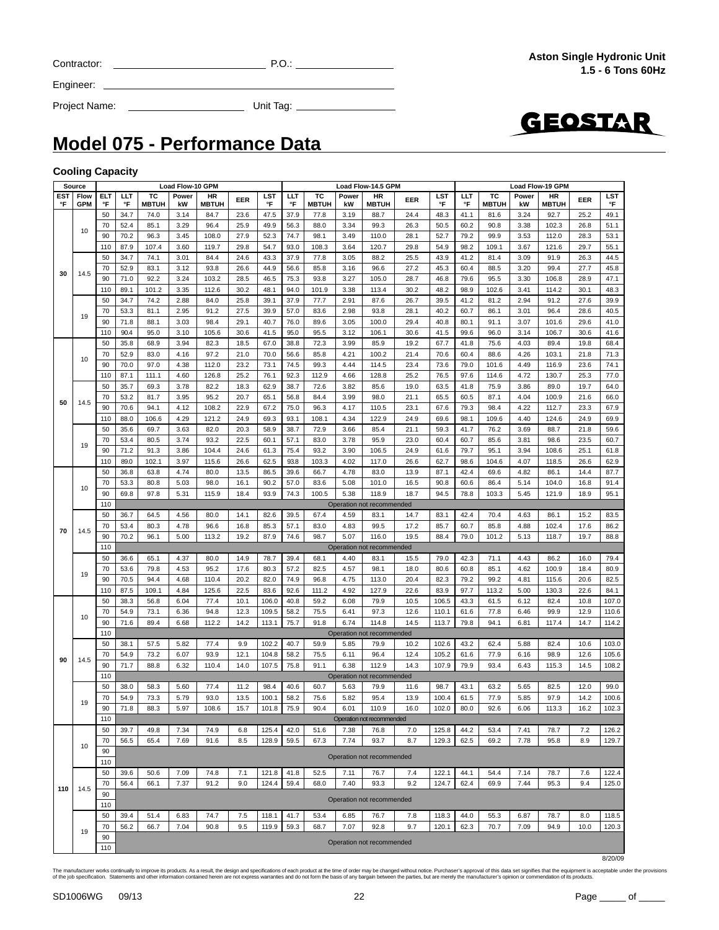| Contractor |  |
|------------|--|
|            |  |

 $C = 2$  P.O.:  $P = 2$  P.O.:  $P = 2$  P.O.:  $P = 2$  P.O.:  $P = 2$  P.O.:  $P = 2$  P.O.:  $P = 2$  P.O.:  $P = 2$  P.O.:  $P = 2$  P.O.:  $P = 2$  P.O.:  $P = 2$  P.O.:  $P = 2$  P.O.:  $P = 2$  P.O.:  $P = 2$  P.O.:  $P = 2$  P.O.:  $P = 2$  P.O.:  $P = 2$  P.O.:

Engineer:

Project Name: Unit Tag:



### **Model 075 - Performance Data**

#### **Cooling Capacity**

|            | Load Flow-10 GPM<br>Load Flow-14.5 GPM<br>Source<br>ШT<br>тc<br><b>LST</b><br>тс<br>ELT<br>Power<br>LLT<br>Power |     |      |                                                                                                                                                                                                                                                                                                                                                                                                                                                                                                                                                                                                                                                                                                                                                                                                                                                                                                                                                                                                                                                                                                                                                                                                                                                                                                                                                                                                                                                                                                                                                             |      |              |      |       |      |                                                                                                                                                                                                                                                                                                                                                                                                                                                                                                                                                                                                                                                                                                                                                                                                                                                                                                                                                                                                                                                                                                                                                                                                                                                                                                                                                                                                                                                                                                                                                                                                                                                                                                                                                                                                                                                                                                                                                                                                                                                                                                                                                                                                                                                                        |      |                           |      |            |      | <b>Load Flow-19 GPM</b> |       |              |      |            |  |  |  |  |
|------------|------------------------------------------------------------------------------------------------------------------|-----|------|-------------------------------------------------------------------------------------------------------------------------------------------------------------------------------------------------------------------------------------------------------------------------------------------------------------------------------------------------------------------------------------------------------------------------------------------------------------------------------------------------------------------------------------------------------------------------------------------------------------------------------------------------------------------------------------------------------------------------------------------------------------------------------------------------------------------------------------------------------------------------------------------------------------------------------------------------------------------------------------------------------------------------------------------------------------------------------------------------------------------------------------------------------------------------------------------------------------------------------------------------------------------------------------------------------------------------------------------------------------------------------------------------------------------------------------------------------------------------------------------------------------------------------------------------------------|------|--------------|------|-------|------|------------------------------------------------------------------------------------------------------------------------------------------------------------------------------------------------------------------------------------------------------------------------------------------------------------------------------------------------------------------------------------------------------------------------------------------------------------------------------------------------------------------------------------------------------------------------------------------------------------------------------------------------------------------------------------------------------------------------------------------------------------------------------------------------------------------------------------------------------------------------------------------------------------------------------------------------------------------------------------------------------------------------------------------------------------------------------------------------------------------------------------------------------------------------------------------------------------------------------------------------------------------------------------------------------------------------------------------------------------------------------------------------------------------------------------------------------------------------------------------------------------------------------------------------------------------------------------------------------------------------------------------------------------------------------------------------------------------------------------------------------------------------------------------------------------------------------------------------------------------------------------------------------------------------------------------------------------------------------------------------------------------------------------------------------------------------------------------------------------------------------------------------------------------------------------------------------------------------------------------------------------------------|------|---------------------------|------|------------|------|-------------------------|-------|--------------|------|------------|--|--|--|--|
| <b>EST</b> | Flow                                                                                                             |     |      |                                                                                                                                                                                                                                                                                                                                                                                                                                                                                                                                                                                                                                                                                                                                                                                                                                                                                                                                                                                                                                                                                                                                                                                                                                                                                                                                                                                                                                                                                                                                                             |      | HR           | EER  |       |      |                                                                                                                                                                                                                                                                                                                                                                                                                                                                                                                                                                                                                                                                                                                                                                                                                                                                                                                                                                                                                                                                                                                                                                                                                                                                                                                                                                                                                                                                                                                                                                                                                                                                                                                                                                                                                                                                                                                                                                                                                                                                                                                                                                                                                                                                        |      | HR                        |      | <b>LST</b> | ШT   | тс                      | Power | HR           | EER  | <b>LST</b> |  |  |  |  |
| °F         | <b>GPM</b>                                                                                                       | °F  | °F   | <b>MBTUH</b>                                                                                                                                                                                                                                                                                                                                                                                                                                                                                                                                                                                                                                                                                                                                                                                                                                                                                                                                                                                                                                                                                                                                                                                                                                                                                                                                                                                                                                                                                                                                                | kW   | <b>MBTUH</b> |      | °F    | °F   |                                                                                                                                                                                                                                                                                                                                                                                                                                                                                                                                                                                                                                                                                                                                                                                                                                                                                                                                                                                                                                                                                                                                                                                                                                                                                                                                                                                                                                                                                                                                                                                                                                                                                                                                                                                                                                                                                                                                                                                                                                                                                                                                                                                                                                                                        | kW   | <b>MBTUH</b>              |      |            |      | <b>MBTUH</b>            | kW    | <b>MBTUH</b> |      | °F         |  |  |  |  |
|            |                                                                                                                  | 50  | 34.7 | 74.0                                                                                                                                                                                                                                                                                                                                                                                                                                                                                                                                                                                                                                                                                                                                                                                                                                                                                                                                                                                                                                                                                                                                                                                                                                                                                                                                                                                                                                                                                                                                                        | 3.14 | 84.7         | 23.6 | 47.5  | 37.9 | 77.8                                                                                                                                                                                                                                                                                                                                                                                                                                                                                                                                                                                                                                                                                                                                                                                                                                                                                                                                                                                                                                                                                                                                                                                                                                                                                                                                                                                                                                                                                                                                                                                                                                                                                                                                                                                                                                                                                                                                                                                                                                                                                                                                                                                                                                                                   | 3.19 | 88.7                      | 24.4 | 48.3       | 41.1 | 81.6                    | 3.24  | 92.7         | 25.2 | 49.1       |  |  |  |  |
|            |                                                                                                                  | 70  | 52.4 | 85.1                                                                                                                                                                                                                                                                                                                                                                                                                                                                                                                                                                                                                                                                                                                                                                                                                                                                                                                                                                                                                                                                                                                                                                                                                                                                                                                                                                                                                                                                                                                                                        | 3.29 | 96.4         | 25.9 | 49.9  | 56.3 | 88.0                                                                                                                                                                                                                                                                                                                                                                                                                                                                                                                                                                                                                                                                                                                                                                                                                                                                                                                                                                                                                                                                                                                                                                                                                                                                                                                                                                                                                                                                                                                                                                                                                                                                                                                                                                                                                                                                                                                                                                                                                                                                                                                                                                                                                                                                   | 3.34 | 99.3                      | 26.3 | 50.5       | 60.2 | 90.8                    | 3.38  | 102.3        | 26.8 | 51.1       |  |  |  |  |
|            | 10                                                                                                               | 90  | 70.2 | 96.3                                                                                                                                                                                                                                                                                                                                                                                                                                                                                                                                                                                                                                                                                                                                                                                                                                                                                                                                                                                                                                                                                                                                                                                                                                                                                                                                                                                                                                                                                                                                                        | 3.45 | 108.0        | 27.9 | 52.3  | 74.7 | EER<br><b>MBTUH</b><br>°F<br>°F<br>3.49<br>110.0<br>52.7<br>79.2<br>98.1<br>28.1<br>3.64<br>120.7<br>29.8<br>54.9<br>98.2<br>108.3<br>77.8<br>3.05<br>88.2<br>25.5<br>43.9<br>41.2<br>85.8<br>3.16<br>96.6<br>27.2<br>45.3<br>93.8<br>3.27<br>105.0<br>28.7<br>46.8<br>3.38<br>101.9<br>113.4<br>30.2<br>48.2<br>2.91<br>87.6<br>26.7<br>39.5<br>41.2<br>77.7<br>2.98<br>93.8<br>28.1<br>83.6<br>40.2<br>60.7<br>3.05<br>100.0<br>29.4<br>40.8<br>89.6<br>80.1<br>3.12<br>106.1<br>30.6<br>95.5<br>41.5<br>85.9<br>67.7<br>72.3<br>3.99<br>19.2<br>100.2<br>21.4<br>85.8<br>4.21<br>70.6<br>99.3<br>4.44<br>114.5<br>23.4<br>73.6<br>112.9<br>4.66<br>128.8<br>25.2<br>76.5<br>72.6<br>3.82<br>85.6<br>19.0<br>63.5<br>3.99<br>98.0<br>21.1<br>65.5<br>84.4<br>23.1<br>67.6<br>96.3<br>4.17<br>110.5<br>4.34<br>122.9<br>24.9<br>108.1<br>69.6<br>72.9<br>85.4<br>21.1<br>59.3<br>3.66<br>95.9<br>23.0<br>60.4<br>83.0<br>3.78<br>3.90<br>106.5<br>24.9<br>61.6<br>93.2<br>4.02<br>117.0<br>62.7<br>103.3<br>26.6<br>4.78<br>83.0<br>13.9<br>87.1<br>66.7<br>5.08<br>101.0<br>16.5<br>90.8<br>83.6<br>100.5<br>5.38<br>118.9<br>18.7<br>94.5<br>Operation not recommended<br>67.4<br>4.59<br>83.1<br>14.7<br>83.1<br>4.83<br>99.5<br>17.2<br>83.0<br>85.7<br>98.7<br>5.07<br>19.5<br>116.0<br>88.4<br>Operation not recommended<br>68.1<br>4.40<br>83.1<br>15.5<br>79.0<br>98.1<br>82.5<br>4.57<br>18.0<br>80.6<br>96.8<br>4.75<br>113.0<br>20.4<br>82.3<br>111.2<br>4.92<br>127.9<br>22.6<br>83.9<br>59.2<br>6.08<br>79.9<br>10.5<br>106.5<br>75.5<br>6.41<br>97.3<br>12.6<br>110.1<br>91.8<br>6.74<br>114.8<br>14.5<br>113.7<br>Operation not recommended<br>79.9<br>102.6<br>59.9<br>5.85<br>10.2<br>75.5<br>96.4<br>12.4<br>105.2<br>6.11<br>112.9<br>91.1<br>6.38<br>14.3<br>107.9<br>Operation not recommended<br>79.9<br>11.6<br>98.7<br>43.1<br>60.7<br>5.63<br>75.6<br>5.82<br>95.4<br>13.9<br>100.4<br>61.5<br>90.4<br>6.01<br>110.9<br>16.0<br>102.0<br>Operation not recommended<br>7.38<br>76.8<br>125.8<br>51.6<br>7.0<br>67.3<br>7.74<br>93.7<br>8.7<br>129.3<br>Operation not recommended<br>52.5<br>7.11<br>76.7<br>7.4<br>122.1<br>68.0<br>7.40<br>93.3<br>9.2<br>124.7<br>Operation not recommended<br>118.3<br>53.4<br>6.85<br>76.7<br>7.8<br>44.0 |      | 99.9                      | 3.53 | 112.0      | 28.3 | 53.1                    |       |              |      |            |  |  |  |  |
|            |                                                                                                                  |     |      |                                                                                                                                                                                                                                                                                                                                                                                                                                                                                                                                                                                                                                                                                                                                                                                                                                                                                                                                                                                                                                                                                                                                                                                                                                                                                                                                                                                                                                                                                                                                                             |      |              |      |       |      |                                                                                                                                                                                                                                                                                                                                                                                                                                                                                                                                                                                                                                                                                                                                                                                                                                                                                                                                                                                                                                                                                                                                                                                                                                                                                                                                                                                                                                                                                                                                                                                                                                                                                                                                                                                                                                                                                                                                                                                                                                                                                                                                                                                                                                                                        |      |                           |      |            |      |                         |       |              |      |            |  |  |  |  |
|            |                                                                                                                  | 110 | 87.9 | 107.4                                                                                                                                                                                                                                                                                                                                                                                                                                                                                                                                                                                                                                                                                                                                                                                                                                                                                                                                                                                                                                                                                                                                                                                                                                                                                                                                                                                                                                                                                                                                                       | 3.60 | 119.7        | 29.8 | 54.7  | 93.0 |                                                                                                                                                                                                                                                                                                                                                                                                                                                                                                                                                                                                                                                                                                                                                                                                                                                                                                                                                                                                                                                                                                                                                                                                                                                                                                                                                                                                                                                                                                                                                                                                                                                                                                                                                                                                                                                                                                                                                                                                                                                                                                                                                                                                                                                                        |      |                           |      |            |      | 109.1                   | 3.67  | 121.6        | 29.7 | 55.1       |  |  |  |  |
|            |                                                                                                                  | 50  | 34.7 | 74.1                                                                                                                                                                                                                                                                                                                                                                                                                                                                                                                                                                                                                                                                                                                                                                                                                                                                                                                                                                                                                                                                                                                                                                                                                                                                                                                                                                                                                                                                                                                                                        | 3.01 | 84.4         | 24.6 | 43.3  | 37.9 |                                                                                                                                                                                                                                                                                                                                                                                                                                                                                                                                                                                                                                                                                                                                                                                                                                                                                                                                                                                                                                                                                                                                                                                                                                                                                                                                                                                                                                                                                                                                                                                                                                                                                                                                                                                                                                                                                                                                                                                                                                                                                                                                                                                                                                                                        |      |                           |      |            |      | 81.4                    | 3.09  | 91.9         | 26.3 | 44.5       |  |  |  |  |
| 30         | 14.5                                                                                                             | 70  | 52.9 | 83.1                                                                                                                                                                                                                                                                                                                                                                                                                                                                                                                                                                                                                                                                                                                                                                                                                                                                                                                                                                                                                                                                                                                                                                                                                                                                                                                                                                                                                                                                                                                                                        | 3.12 | 93.8         | 26.6 | 44.9  | 56.6 |                                                                                                                                                                                                                                                                                                                                                                                                                                                                                                                                                                                                                                                                                                                                                                                                                                                                                                                                                                                                                                                                                                                                                                                                                                                                                                                                                                                                                                                                                                                                                                                                                                                                                                                                                                                                                                                                                                                                                                                                                                                                                                                                                                                                                                                                        |      |                           |      |            | 60.4 | 88.5                    | 3.20  | 99.4         | 27.7 | 45.8       |  |  |  |  |
|            |                                                                                                                  | 90  | 71.0 | 92.2                                                                                                                                                                                                                                                                                                                                                                                                                                                                                                                                                                                                                                                                                                                                                                                                                                                                                                                                                                                                                                                                                                                                                                                                                                                                                                                                                                                                                                                                                                                                                        | 3.24 | 103.2        | 28.5 | 46.5  | 75.3 |                                                                                                                                                                                                                                                                                                                                                                                                                                                                                                                                                                                                                                                                                                                                                                                                                                                                                                                                                                                                                                                                                                                                                                                                                                                                                                                                                                                                                                                                                                                                                                                                                                                                                                                                                                                                                                                                                                                                                                                                                                                                                                                                                                                                                                                                        |      |                           |      |            | 79.6 | 95.5                    | 3.30  | 106.8        | 28.9 | 47.1       |  |  |  |  |
|            |                                                                                                                  | 110 | 89.1 | 101.2                                                                                                                                                                                                                                                                                                                                                                                                                                                                                                                                                                                                                                                                                                                                                                                                                                                                                                                                                                                                                                                                                                                                                                                                                                                                                                                                                                                                                                                                                                                                                       | 3.35 | 112.6        | 30.2 | 48.1  | 94.0 |                                                                                                                                                                                                                                                                                                                                                                                                                                                                                                                                                                                                                                                                                                                                                                                                                                                                                                                                                                                                                                                                                                                                                                                                                                                                                                                                                                                                                                                                                                                                                                                                                                                                                                                                                                                                                                                                                                                                                                                                                                                                                                                                                                                                                                                                        |      |                           |      |            | 98.9 | 102.6                   | 3.41  | 114.2        | 30.1 | 48.3       |  |  |  |  |
|            |                                                                                                                  | 50  | 34.7 | 74.2                                                                                                                                                                                                                                                                                                                                                                                                                                                                                                                                                                                                                                                                                                                                                                                                                                                                                                                                                                                                                                                                                                                                                                                                                                                                                                                                                                                                                                                                                                                                                        | 2.88 | 84.0         | 25.8 | 39.1  | 37.9 |                                                                                                                                                                                                                                                                                                                                                                                                                                                                                                                                                                                                                                                                                                                                                                                                                                                                                                                                                                                                                                                                                                                                                                                                                                                                                                                                                                                                                                                                                                                                                                                                                                                                                                                                                                                                                                                                                                                                                                                                                                                                                                                                                                                                                                                                        |      |                           |      |            |      | 81.2                    | 2.94  | 91.2         | 27.6 | 39.9       |  |  |  |  |
|            |                                                                                                                  | 70  | 53.3 | 81.1                                                                                                                                                                                                                                                                                                                                                                                                                                                                                                                                                                                                                                                                                                                                                                                                                                                                                                                                                                                                                                                                                                                                                                                                                                                                                                                                                                                                                                                                                                                                                        | 2.95 | 91.2         | 27.5 | 39.9  | 57.0 |                                                                                                                                                                                                                                                                                                                                                                                                                                                                                                                                                                                                                                                                                                                                                                                                                                                                                                                                                                                                                                                                                                                                                                                                                                                                                                                                                                                                                                                                                                                                                                                                                                                                                                                                                                                                                                                                                                                                                                                                                                                                                                                                                                                                                                                                        |      |                           |      |            |      | 86.1                    | 3.01  | 96.4         | 28.6 | 40.5       |  |  |  |  |
|            | 19                                                                                                               |     |      |                                                                                                                                                                                                                                                                                                                                                                                                                                                                                                                                                                                                                                                                                                                                                                                                                                                                                                                                                                                                                                                                                                                                                                                                                                                                                                                                                                                                                                                                                                                                                             |      |              |      |       |      |                                                                                                                                                                                                                                                                                                                                                                                                                                                                                                                                                                                                                                                                                                                                                                                                                                                                                                                                                                                                                                                                                                                                                                                                                                                                                                                                                                                                                                                                                                                                                                                                                                                                                                                                                                                                                                                                                                                                                                                                                                                                                                                                                                                                                                                                        |      |                           |      |            |      |                         |       |              |      |            |  |  |  |  |
|            |                                                                                                                  | 90  | 71.8 | 88.1                                                                                                                                                                                                                                                                                                                                                                                                                                                                                                                                                                                                                                                                                                                                                                                                                                                                                                                                                                                                                                                                                                                                                                                                                                                                                                                                                                                                                                                                                                                                                        | 3.03 | 98.4         | 29.1 | 40.7  | 76.0 |                                                                                                                                                                                                                                                                                                                                                                                                                                                                                                                                                                                                                                                                                                                                                                                                                                                                                                                                                                                                                                                                                                                                                                                                                                                                                                                                                                                                                                                                                                                                                                                                                                                                                                                                                                                                                                                                                                                                                                                                                                                                                                                                                                                                                                                                        |      |                           |      |            |      | 91.1                    | 3.07  | 101.6        | 29.6 | 41.0       |  |  |  |  |
|            |                                                                                                                  | 110 | 90.4 |                                                                                                                                                                                                                                                                                                                                                                                                                                                                                                                                                                                                                                                                                                                                                                                                                                                                                                                                                                                                                                                                                                                                                                                                                                                                                                                                                                                                                                                                                                                                                             |      |              |      |       |      |                                                                                                                                                                                                                                                                                                                                                                                                                                                                                                                                                                                                                                                                                                                                                                                                                                                                                                                                                                                                                                                                                                                                                                                                                                                                                                                                                                                                                                                                                                                                                                                                                                                                                                                                                                                                                                                                                                                                                                                                                                                                                                                                                                                                                                                                        |      |                           |      |            |      |                         | 3.14  | 106.7        | 30.6 | 41.6       |  |  |  |  |
|            |                                                                                                                  | 50  | 35.8 | 68.9                                                                                                                                                                                                                                                                                                                                                                                                                                                                                                                                                                                                                                                                                                                                                                                                                                                                                                                                                                                                                                                                                                                                                                                                                                                                                                                                                                                                                                                                                                                                                        | 3.94 | 82.3         | 18.5 | 67.0  | 38.8 |                                                                                                                                                                                                                                                                                                                                                                                                                                                                                                                                                                                                                                                                                                                                                                                                                                                                                                                                                                                                                                                                                                                                                                                                                                                                                                                                                                                                                                                                                                                                                                                                                                                                                                                                                                                                                                                                                                                                                                                                                                                                                                                                                                                                                                                                        |      |                           |      |            | 41.8 | 75.6                    | 4.03  | 89.4         | 19.8 | 68.4       |  |  |  |  |
|            |                                                                                                                  | 70  | 52.9 | 83.0                                                                                                                                                                                                                                                                                                                                                                                                                                                                                                                                                                                                                                                                                                                                                                                                                                                                                                                                                                                                                                                                                                                                                                                                                                                                                                                                                                                                                                                                                                                                                        | 4.16 | 97.2         | 21.0 | 70.0  | 56.6 |                                                                                                                                                                                                                                                                                                                                                                                                                                                                                                                                                                                                                                                                                                                                                                                                                                                                                                                                                                                                                                                                                                                                                                                                                                                                                                                                                                                                                                                                                                                                                                                                                                                                                                                                                                                                                                                                                                                                                                                                                                                                                                                                                                                                                                                                        |      |                           |      |            | 60.4 | 88.6                    | 4.26  | 103.1        | 21.8 | 71.3       |  |  |  |  |
|            | 10                                                                                                               | 90  | 70.0 |                                                                                                                                                                                                                                                                                                                                                                                                                                                                                                                                                                                                                                                                                                                                                                                                                                                                                                                                                                                                                                                                                                                                                                                                                                                                                                                                                                                                                                                                                                                                                             |      |              |      |       |      |                                                                                                                                                                                                                                                                                                                                                                                                                                                                                                                                                                                                                                                                                                                                                                                                                                                                                                                                                                                                                                                                                                                                                                                                                                                                                                                                                                                                                                                                                                                                                                                                                                                                                                                                                                                                                                                                                                                                                                                                                                                                                                                                                                                                                                                                        |      |                           |      |            |      |                         | 4.49  | 116.9        | 23.6 | 74.1       |  |  |  |  |
|            |                                                                                                                  | 110 | 87.1 |                                                                                                                                                                                                                                                                                                                                                                                                                                                                                                                                                                                                                                                                                                                                                                                                                                                                                                                                                                                                                                                                                                                                                                                                                                                                                                                                                                                                                                                                                                                                                             |      |              |      |       |      |                                                                                                                                                                                                                                                                                                                                                                                                                                                                                                                                                                                                                                                                                                                                                                                                                                                                                                                                                                                                                                                                                                                                                                                                                                                                                                                                                                                                                                                                                                                                                                                                                                                                                                                                                                                                                                                                                                                                                                                                                                                                                                                                                                                                                                                                        |      |                           |      |            |      |                         | 4.72  | 130.7        | 25.3 | 77.0       |  |  |  |  |
|            |                                                                                                                  |     |      |                                                                                                                                                                                                                                                                                                                                                                                                                                                                                                                                                                                                                                                                                                                                                                                                                                                                                                                                                                                                                                                                                                                                                                                                                                                                                                                                                                                                                                                                                                                                                             |      |              |      |       |      |                                                                                                                                                                                                                                                                                                                                                                                                                                                                                                                                                                                                                                                                                                                                                                                                                                                                                                                                                                                                                                                                                                                                                                                                                                                                                                                                                                                                                                                                                                                                                                                                                                                                                                                                                                                                                                                                                                                                                                                                                                                                                                                                                                                                                                                                        |      |                           |      |            |      |                         |       |              |      |            |  |  |  |  |
|            |                                                                                                                  | 50  | 35.7 |                                                                                                                                                                                                                                                                                                                                                                                                                                                                                                                                                                                                                                                                                                                                                                                                                                                                                                                                                                                                                                                                                                                                                                                                                                                                                                                                                                                                                                                                                                                                                             |      |              |      |       |      |                                                                                                                                                                                                                                                                                                                                                                                                                                                                                                                                                                                                                                                                                                                                                                                                                                                                                                                                                                                                                                                                                                                                                                                                                                                                                                                                                                                                                                                                                                                                                                                                                                                                                                                                                                                                                                                                                                                                                                                                                                                                                                                                                                                                                                                                        |      |                           |      |            |      |                         | 3.86  | 89.0         | 19.7 | 64.0       |  |  |  |  |
| 50         | 14.5                                                                                                             | 70  | 53.2 |                                                                                                                                                                                                                                                                                                                                                                                                                                                                                                                                                                                                                                                                                                                                                                                                                                                                                                                                                                                                                                                                                                                                                                                                                                                                                                                                                                                                                                                                                                                                                             |      |              |      |       |      |                                                                                                                                                                                                                                                                                                                                                                                                                                                                                                                                                                                                                                                                                                                                                                                                                                                                                                                                                                                                                                                                                                                                                                                                                                                                                                                                                                                                                                                                                                                                                                                                                                                                                                                                                                                                                                                                                                                                                                                                                                                                                                                                                                                                                                                                        |      |                           |      |            |      |                         | 4.04  | 100.9        | 21.6 | 66.0       |  |  |  |  |
|            |                                                                                                                  | 90  | 70.6 | 94.1                                                                                                                                                                                                                                                                                                                                                                                                                                                                                                                                                                                                                                                                                                                                                                                                                                                                                                                                                                                                                                                                                                                                                                                                                                                                                                                                                                                                                                                                                                                                                        | 4.12 | 108.2        |      | 67.2  | 75.0 |                                                                                                                                                                                                                                                                                                                                                                                                                                                                                                                                                                                                                                                                                                                                                                                                                                                                                                                                                                                                                                                                                                                                                                                                                                                                                                                                                                                                                                                                                                                                                                                                                                                                                                                                                                                                                                                                                                                                                                                                                                                                                                                                                                                                                                                                        |      |                           |      |            | 79.3 | 98.4                    | 4.22  | 112.7        | 23.3 | 67.9       |  |  |  |  |
|            |                                                                                                                  | 110 | 88.0 | 106.6                                                                                                                                                                                                                                                                                                                                                                                                                                                                                                                                                                                                                                                                                                                                                                                                                                                                                                                                                                                                                                                                                                                                                                                                                                                                                                                                                                                                                                                                                                                                                       | 4.29 | 121.2        | 24.9 | 69.3  | 93.1 |                                                                                                                                                                                                                                                                                                                                                                                                                                                                                                                                                                                                                                                                                                                                                                                                                                                                                                                                                                                                                                                                                                                                                                                                                                                                                                                                                                                                                                                                                                                                                                                                                                                                                                                                                                                                                                                                                                                                                                                                                                                                                                                                                                                                                                                                        |      |                           |      |            | 98.1 | 109.6                   | 4.40  | 124.6        | 24.9 | 69.9       |  |  |  |  |
|            |                                                                                                                  | 50  | 35.6 | 69.7                                                                                                                                                                                                                                                                                                                                                                                                                                                                                                                                                                                                                                                                                                                                                                                                                                                                                                                                                                                                                                                                                                                                                                                                                                                                                                                                                                                                                                                                                                                                                        | 3.63 | 82.0         | 20.3 | 58.9  | 38.7 |                                                                                                                                                                                                                                                                                                                                                                                                                                                                                                                                                                                                                                                                                                                                                                                                                                                                                                                                                                                                                                                                                                                                                                                                                                                                                                                                                                                                                                                                                                                                                                                                                                                                                                                                                                                                                                                                                                                                                                                                                                                                                                                                                                                                                                                                        |      |                           |      |            | 41.7 | 76.2                    | 3.69  | 88.7         | 21.8 | 59.6       |  |  |  |  |
|            |                                                                                                                  | 70  | 53.4 |                                                                                                                                                                                                                                                                                                                                                                                                                                                                                                                                                                                                                                                                                                                                                                                                                                                                                                                                                                                                                                                                                                                                                                                                                                                                                                                                                                                                                                                                                                                                                             |      |              |      |       |      |                                                                                                                                                                                                                                                                                                                                                                                                                                                                                                                                                                                                                                                                                                                                                                                                                                                                                                                                                                                                                                                                                                                                                                                                                                                                                                                                                                                                                                                                                                                                                                                                                                                                                                                                                                                                                                                                                                                                                                                                                                                                                                                                                                                                                                                                        |      |                           |      |            |      |                         | 3.81  | 98.6         | 23.5 | 60.7       |  |  |  |  |
|            | 19                                                                                                               | 90  | 71.2 |                                                                                                                                                                                                                                                                                                                                                                                                                                                                                                                                                                                                                                                                                                                                                                                                                                                                                                                                                                                                                                                                                                                                                                                                                                                                                                                                                                                                                                                                                                                                                             |      |              |      |       |      |                                                                                                                                                                                                                                                                                                                                                                                                                                                                                                                                                                                                                                                                                                                                                                                                                                                                                                                                                                                                                                                                                                                                                                                                                                                                                                                                                                                                                                                                                                                                                                                                                                                                                                                                                                                                                                                                                                                                                                                                                                                                                                                                                                                                                                                                        |      |                           |      |            |      |                         | 3.94  | 108.6        | 25.1 | 61.8       |  |  |  |  |
|            |                                                                                                                  |     |      |                                                                                                                                                                                                                                                                                                                                                                                                                                                                                                                                                                                                                                                                                                                                                                                                                                                                                                                                                                                                                                                                                                                                                                                                                                                                                                                                                                                                                                                                                                                                                             |      |              |      |       |      |                                                                                                                                                                                                                                                                                                                                                                                                                                                                                                                                                                                                                                                                                                                                                                                                                                                                                                                                                                                                                                                                                                                                                                                                                                                                                                                                                                                                                                                                                                                                                                                                                                                                                                                                                                                                                                                                                                                                                                                                                                                                                                                                                                                                                                                                        |      |                           |      |            |      |                         |       |              |      |            |  |  |  |  |
|            |                                                                                                                  | 110 | 89.0 |                                                                                                                                                                                                                                                                                                                                                                                                                                                                                                                                                                                                                                                                                                                                                                                                                                                                                                                                                                                                                                                                                                                                                                                                                                                                                                                                                                                                                                                                                                                                                             |      |              |      |       |      |                                                                                                                                                                                                                                                                                                                                                                                                                                                                                                                                                                                                                                                                                                                                                                                                                                                                                                                                                                                                                                                                                                                                                                                                                                                                                                                                                                                                                                                                                                                                                                                                                                                                                                                                                                                                                                                                                                                                                                                                                                                                                                                                                                                                                                                                        |      |                           |      |            |      |                         | 4.07  | 118.5        | 26.6 | 62.9       |  |  |  |  |
|            |                                                                                                                  | 50  | 36.8 |                                                                                                                                                                                                                                                                                                                                                                                                                                                                                                                                                                                                                                                                                                                                                                                                                                                                                                                                                                                                                                                                                                                                                                                                                                                                                                                                                                                                                                                                                                                                                             |      |              |      |       |      |                                                                                                                                                                                                                                                                                                                                                                                                                                                                                                                                                                                                                                                                                                                                                                                                                                                                                                                                                                                                                                                                                                                                                                                                                                                                                                                                                                                                                                                                                                                                                                                                                                                                                                                                                                                                                                                                                                                                                                                                                                                                                                                                                                                                                                                                        |      |                           |      |            |      |                         | 4.82  | 86.1         | 14.4 | 87.7       |  |  |  |  |
|            |                                                                                                                  | 70  | 53.3 | 30.6<br>95.0<br>3.10<br>105.6<br>41.5<br>95.0<br>99.6<br>96.0<br>4.38<br>112.0<br>23.2<br>73.1<br>74.5<br>79.0<br>101.6<br>97.0<br>111.1<br>4.60<br>126.8<br>25.2<br>76.1<br>92.3<br>97.6<br>114.6<br>69.3<br>3.78<br>82.2<br>18.3<br>62.9<br>38.7<br>41.8<br>75.9<br>81.7<br>3.95<br>95.2<br>20.7<br>60.5<br>87.1<br>65.1<br>56.8<br>22.9<br>22.5<br>57.1<br>80.5<br>3.74<br>93.2<br>60.1<br>60.7<br>85.6<br>24.6<br>75.4<br>79.7<br>91.3<br>3.86<br>104.4<br>61.3<br>95.1<br>102.1<br>26.6<br>62.5<br>104.6<br>3.97<br>115.6<br>93.8<br>98.6<br>63.8<br>13.5<br>42.4<br>4.74<br>80.0<br>86.5<br>39.6<br>69.6<br>5.03<br>16.1<br>90.2<br>57.0<br>60.6<br>80.8<br>98.0<br>86.4<br>97.8<br>5.31<br>115.9<br>18.4<br>93.9<br>74.3<br>78.8<br>103.3<br>39.5<br>64.5<br>4.56<br>80.0<br>14.1<br>82.6<br>42.4<br>70.4<br>80.3<br>4.78<br>96.6<br>16.8<br>85.3<br>57.1<br>60.7<br>85.8<br>19.2<br>79.0<br>96.1<br>5.00<br>113.2<br>87.9<br>74.6<br>101.2<br>65.1<br>4.37<br>80.0<br>14.9<br>78.7<br>39.4<br>42.3<br>71.1<br>17.6<br>79.8<br>4.53<br>95.2<br>80.3<br>57.2<br>60.8<br>85.1<br>20.2<br>94.4<br>4.68<br>110.4<br>82.0<br>74.9<br>79.2<br>99.2<br>109.1<br>4.84<br>125.6<br>22.5<br>83.6<br>92.6<br>97.7<br>113.2<br>56.8<br>6.04<br>77.4<br>10.1<br>106.0<br>40.8<br>43.3<br>61.5<br>6.36<br>94.8<br>12.3<br>109.5<br>58.2<br>61.6<br>77.8<br>73.1<br>89.4<br>6.68<br>112.2<br>14.2<br>113.1<br>75.7<br>79.8<br>94.1<br>102.2<br>40.7<br>62.4<br>57.5<br>5.82<br>77.4<br>9.9<br>43.2<br>93.9<br>12.1<br>58.2<br>77.9<br>73.2<br>6.07<br>104.8<br>61.6 | 5.14 | 104.0        | 16.8 | 91.4  |      |                                                                                                                                                                                                                                                                                                                                                                                                                                                                                                                                                                                                                                                                                                                                                                                                                                                                                                                                                                                                                                                                                                                                                                                                                                                                                                                                                                                                                                                                                                                                                                                                                                                                                                                                                                                                                                                                                                                                                                                                                                                                                                                                                                                                                                                                        |      |                           |      |            |      |                         |       |              |      |            |  |  |  |  |
|            | 10                                                                                                               | 90  | 69.8 |                                                                                                                                                                                                                                                                                                                                                                                                                                                                                                                                                                                                                                                                                                                                                                                                                                                                                                                                                                                                                                                                                                                                                                                                                                                                                                                                                                                                                                                                                                                                                             |      |              |      |       |      |                                                                                                                                                                                                                                                                                                                                                                                                                                                                                                                                                                                                                                                                                                                                                                                                                                                                                                                                                                                                                                                                                                                                                                                                                                                                                                                                                                                                                                                                                                                                                                                                                                                                                                                                                                                                                                                                                                                                                                                                                                                                                                                                                                                                                                                                        |      |                           |      |            |      |                         | 5.45  | 121.9        | 18.9 | 95.1       |  |  |  |  |
|            |                                                                                                                  | 110 |      |                                                                                                                                                                                                                                                                                                                                                                                                                                                                                                                                                                                                                                                                                                                                                                                                                                                                                                                                                                                                                                                                                                                                                                                                                                                                                                                                                                                                                                                                                                                                                             |      |              |      |       |      |                                                                                                                                                                                                                                                                                                                                                                                                                                                                                                                                                                                                                                                                                                                                                                                                                                                                                                                                                                                                                                                                                                                                                                                                                                                                                                                                                                                                                                                                                                                                                                                                                                                                                                                                                                                                                                                                                                                                                                                                                                                                                                                                                                                                                                                                        |      |                           |      |            |      |                         |       |              |      |            |  |  |  |  |
|            |                                                                                                                  | 50  | 36.7 |                                                                                                                                                                                                                                                                                                                                                                                                                                                                                                                                                                                                                                                                                                                                                                                                                                                                                                                                                                                                                                                                                                                                                                                                                                                                                                                                                                                                                                                                                                                                                             |      |              |      |       |      |                                                                                                                                                                                                                                                                                                                                                                                                                                                                                                                                                                                                                                                                                                                                                                                                                                                                                                                                                                                                                                                                                                                                                                                                                                                                                                                                                                                                                                                                                                                                                                                                                                                                                                                                                                                                                                                                                                                                                                                                                                                                                                                                                                                                                                                                        |      |                           |      |            |      |                         | 4.63  | 86.1         | 15.2 | 83.5       |  |  |  |  |
|            |                                                                                                                  |     | 53.4 |                                                                                                                                                                                                                                                                                                                                                                                                                                                                                                                                                                                                                                                                                                                                                                                                                                                                                                                                                                                                                                                                                                                                                                                                                                                                                                                                                                                                                                                                                                                                                             |      |              |      |       |      |                                                                                                                                                                                                                                                                                                                                                                                                                                                                                                                                                                                                                                                                                                                                                                                                                                                                                                                                                                                                                                                                                                                                                                                                                                                                                                                                                                                                                                                                                                                                                                                                                                                                                                                                                                                                                                                                                                                                                                                                                                                                                                                                                                                                                                                                        |      |                           |      |            |      |                         | 4.88  | 102.4        | 17.6 | 86.2       |  |  |  |  |
| 70         | 14.5                                                                                                             | 70  |      |                                                                                                                                                                                                                                                                                                                                                                                                                                                                                                                                                                                                                                                                                                                                                                                                                                                                                                                                                                                                                                                                                                                                                                                                                                                                                                                                                                                                                                                                                                                                                             |      |              |      |       |      |                                                                                                                                                                                                                                                                                                                                                                                                                                                                                                                                                                                                                                                                                                                                                                                                                                                                                                                                                                                                                                                                                                                                                                                                                                                                                                                                                                                                                                                                                                                                                                                                                                                                                                                                                                                                                                                                                                                                                                                                                                                                                                                                                                                                                                                                        |      |                           |      |            |      |                         |       |              |      |            |  |  |  |  |
|            |                                                                                                                  | 90  | 70.2 |                                                                                                                                                                                                                                                                                                                                                                                                                                                                                                                                                                                                                                                                                                                                                                                                                                                                                                                                                                                                                                                                                                                                                                                                                                                                                                                                                                                                                                                                                                                                                             |      |              |      |       |      |                                                                                                                                                                                                                                                                                                                                                                                                                                                                                                                                                                                                                                                                                                                                                                                                                                                                                                                                                                                                                                                                                                                                                                                                                                                                                                                                                                                                                                                                                                                                                                                                                                                                                                                                                                                                                                                                                                                                                                                                                                                                                                                                                                                                                                                                        |      |                           |      |            |      |                         | 5.13  | 118.7        | 19.7 | 88.8       |  |  |  |  |
|            |                                                                                                                  | 110 |      |                                                                                                                                                                                                                                                                                                                                                                                                                                                                                                                                                                                                                                                                                                                                                                                                                                                                                                                                                                                                                                                                                                                                                                                                                                                                                                                                                                                                                                                                                                                                                             |      |              |      |       |      |                                                                                                                                                                                                                                                                                                                                                                                                                                                                                                                                                                                                                                                                                                                                                                                                                                                                                                                                                                                                                                                                                                                                                                                                                                                                                                                                                                                                                                                                                                                                                                                                                                                                                                                                                                                                                                                                                                                                                                                                                                                                                                                                                                                                                                                                        |      |                           |      |            |      |                         |       |              |      |            |  |  |  |  |
|            |                                                                                                                  | 50  | 36.6 |                                                                                                                                                                                                                                                                                                                                                                                                                                                                                                                                                                                                                                                                                                                                                                                                                                                                                                                                                                                                                                                                                                                                                                                                                                                                                                                                                                                                                                                                                                                                                             |      |              |      |       |      |                                                                                                                                                                                                                                                                                                                                                                                                                                                                                                                                                                                                                                                                                                                                                                                                                                                                                                                                                                                                                                                                                                                                                                                                                                                                                                                                                                                                                                                                                                                                                                                                                                                                                                                                                                                                                                                                                                                                                                                                                                                                                                                                                                                                                                                                        |      |                           |      |            |      |                         | 4.43  | 86.2         | 16.0 | 79.4       |  |  |  |  |
|            |                                                                                                                  | 70  | 53.6 |                                                                                                                                                                                                                                                                                                                                                                                                                                                                                                                                                                                                                                                                                                                                                                                                                                                                                                                                                                                                                                                                                                                                                                                                                                                                                                                                                                                                                                                                                                                                                             |      |              |      |       |      |                                                                                                                                                                                                                                                                                                                                                                                                                                                                                                                                                                                                                                                                                                                                                                                                                                                                                                                                                                                                                                                                                                                                                                                                                                                                                                                                                                                                                                                                                                                                                                                                                                                                                                                                                                                                                                                                                                                                                                                                                                                                                                                                                                                                                                                                        |      |                           |      |            |      |                         | 4.62  | 100.9        | 18.4 | 80.9       |  |  |  |  |
|            | 19                                                                                                               | 90  | 70.5 |                                                                                                                                                                                                                                                                                                                                                                                                                                                                                                                                                                                                                                                                                                                                                                                                                                                                                                                                                                                                                                                                                                                                                                                                                                                                                                                                                                                                                                                                                                                                                             |      |              |      |       |      |                                                                                                                                                                                                                                                                                                                                                                                                                                                                                                                                                                                                                                                                                                                                                                                                                                                                                                                                                                                                                                                                                                                                                                                                                                                                                                                                                                                                                                                                                                                                                                                                                                                                                                                                                                                                                                                                                                                                                                                                                                                                                                                                                                                                                                                                        |      |                           |      |            |      |                         | 4.81  | 115.6        | 20.6 | 82.5       |  |  |  |  |
|            |                                                                                                                  | 110 | 87.5 |                                                                                                                                                                                                                                                                                                                                                                                                                                                                                                                                                                                                                                                                                                                                                                                                                                                                                                                                                                                                                                                                                                                                                                                                                                                                                                                                                                                                                                                                                                                                                             |      |              |      |       |      |                                                                                                                                                                                                                                                                                                                                                                                                                                                                                                                                                                                                                                                                                                                                                                                                                                                                                                                                                                                                                                                                                                                                                                                                                                                                                                                                                                                                                                                                                                                                                                                                                                                                                                                                                                                                                                                                                                                                                                                                                                                                                                                                                                                                                                                                        |      |                           |      |            |      |                         | 5.00  | 130.3        | 22.6 | 84.1       |  |  |  |  |
|            |                                                                                                                  | 50  | 38.3 |                                                                                                                                                                                                                                                                                                                                                                                                                                                                                                                                                                                                                                                                                                                                                                                                                                                                                                                                                                                                                                                                                                                                                                                                                                                                                                                                                                                                                                                                                                                                                             |      |              |      |       |      |                                                                                                                                                                                                                                                                                                                                                                                                                                                                                                                                                                                                                                                                                                                                                                                                                                                                                                                                                                                                                                                                                                                                                                                                                                                                                                                                                                                                                                                                                                                                                                                                                                                                                                                                                                                                                                                                                                                                                                                                                                                                                                                                                                                                                                                                        |      |                           |      |            |      |                         | 6.12  | 82.4         | 10.8 | 107.0      |  |  |  |  |
|            |                                                                                                                  |     |      |                                                                                                                                                                                                                                                                                                                                                                                                                                                                                                                                                                                                                                                                                                                                                                                                                                                                                                                                                                                                                                                                                                                                                                                                                                                                                                                                                                                                                                                                                                                                                             |      |              |      |       |      |                                                                                                                                                                                                                                                                                                                                                                                                                                                                                                                                                                                                                                                                                                                                                                                                                                                                                                                                                                                                                                                                                                                                                                                                                                                                                                                                                                                                                                                                                                                                                                                                                                                                                                                                                                                                                                                                                                                                                                                                                                                                                                                                                                                                                                                                        |      |                           |      |            |      |                         |       |              |      |            |  |  |  |  |
|            | 10                                                                                                               | 70  | 54.9 |                                                                                                                                                                                                                                                                                                                                                                                                                                                                                                                                                                                                                                                                                                                                                                                                                                                                                                                                                                                                                                                                                                                                                                                                                                                                                                                                                                                                                                                                                                                                                             |      |              |      |       |      |                                                                                                                                                                                                                                                                                                                                                                                                                                                                                                                                                                                                                                                                                                                                                                                                                                                                                                                                                                                                                                                                                                                                                                                                                                                                                                                                                                                                                                                                                                                                                                                                                                                                                                                                                                                                                                                                                                                                                                                                                                                                                                                                                                                                                                                                        |      |                           |      |            |      |                         | 6.46  | 99.9         | 12.9 | 110.6      |  |  |  |  |
|            |                                                                                                                  | 90  | 71.6 |                                                                                                                                                                                                                                                                                                                                                                                                                                                                                                                                                                                                                                                                                                                                                                                                                                                                                                                                                                                                                                                                                                                                                                                                                                                                                                                                                                                                                                                                                                                                                             |      |              |      |       |      |                                                                                                                                                                                                                                                                                                                                                                                                                                                                                                                                                                                                                                                                                                                                                                                                                                                                                                                                                                                                                                                                                                                                                                                                                                                                                                                                                                                                                                                                                                                                                                                                                                                                                                                                                                                                                                                                                                                                                                                                                                                                                                                                                                                                                                                                        |      |                           |      |            |      |                         | 6.81  | 117.4        | 14.7 | 114.2      |  |  |  |  |
|            |                                                                                                                  | 110 |      |                                                                                                                                                                                                                                                                                                                                                                                                                                                                                                                                                                                                                                                                                                                                                                                                                                                                                                                                                                                                                                                                                                                                                                                                                                                                                                                                                                                                                                                                                                                                                             |      |              |      |       |      |                                                                                                                                                                                                                                                                                                                                                                                                                                                                                                                                                                                                                                                                                                                                                                                                                                                                                                                                                                                                                                                                                                                                                                                                                                                                                                                                                                                                                                                                                                                                                                                                                                                                                                                                                                                                                                                                                                                                                                                                                                                                                                                                                                                                                                                                        |      |                           |      |            |      |                         |       |              |      |            |  |  |  |  |
|            |                                                                                                                  | 50  | 38.1 |                                                                                                                                                                                                                                                                                                                                                                                                                                                                                                                                                                                                                                                                                                                                                                                                                                                                                                                                                                                                                                                                                                                                                                                                                                                                                                                                                                                                                                                                                                                                                             |      |              |      |       |      |                                                                                                                                                                                                                                                                                                                                                                                                                                                                                                                                                                                                                                                                                                                                                                                                                                                                                                                                                                                                                                                                                                                                                                                                                                                                                                                                                                                                                                                                                                                                                                                                                                                                                                                                                                                                                                                                                                                                                                                                                                                                                                                                                                                                                                                                        |      |                           |      |            |      |                         | 5.88  | 82.4         | 10.6 | 103.0      |  |  |  |  |
|            |                                                                                                                  | 70  | 54.9 |                                                                                                                                                                                                                                                                                                                                                                                                                                                                                                                                                                                                                                                                                                                                                                                                                                                                                                                                                                                                                                                                                                                                                                                                                                                                                                                                                                                                                                                                                                                                                             |      |              |      |       |      |                                                                                                                                                                                                                                                                                                                                                                                                                                                                                                                                                                                                                                                                                                                                                                                                                                                                                                                                                                                                                                                                                                                                                                                                                                                                                                                                                                                                                                                                                                                                                                                                                                                                                                                                                                                                                                                                                                                                                                                                                                                                                                                                                                                                                                                                        |      |                           |      |            |      |                         | 6.16  | 98.9         | 12.6 | 105.6      |  |  |  |  |
| 90         | 14.5                                                                                                             | 90  | 71.7 | 88.8                                                                                                                                                                                                                                                                                                                                                                                                                                                                                                                                                                                                                                                                                                                                                                                                                                                                                                                                                                                                                                                                                                                                                                                                                                                                                                                                                                                                                                                                                                                                                        | 6.32 | 110.4        | 14.0 | 107.5 | 75.8 |                                                                                                                                                                                                                                                                                                                                                                                                                                                                                                                                                                                                                                                                                                                                                                                                                                                                                                                                                                                                                                                                                                                                                                                                                                                                                                                                                                                                                                                                                                                                                                                                                                                                                                                                                                                                                                                                                                                                                                                                                                                                                                                                                                                                                                                                        |      |                           |      |            | 79.9 | 93.4                    | 6.43  | 115.3        | 14.5 | 108.2      |  |  |  |  |
|            |                                                                                                                  | 110 |      |                                                                                                                                                                                                                                                                                                                                                                                                                                                                                                                                                                                                                                                                                                                                                                                                                                                                                                                                                                                                                                                                                                                                                                                                                                                                                                                                                                                                                                                                                                                                                             |      |              |      |       |      |                                                                                                                                                                                                                                                                                                                                                                                                                                                                                                                                                                                                                                                                                                                                                                                                                                                                                                                                                                                                                                                                                                                                                                                                                                                                                                                                                                                                                                                                                                                                                                                                                                                                                                                                                                                                                                                                                                                                                                                                                                                                                                                                                                                                                                                                        |      |                           |      |            |      |                         |       |              |      |            |  |  |  |  |
|            |                                                                                                                  | 50  | 38.0 | 58.3                                                                                                                                                                                                                                                                                                                                                                                                                                                                                                                                                                                                                                                                                                                                                                                                                                                                                                                                                                                                                                                                                                                                                                                                                                                                                                                                                                                                                                                                                                                                                        | 5.60 | 77.4         | 11.2 | 98.4  | 40.6 |                                                                                                                                                                                                                                                                                                                                                                                                                                                                                                                                                                                                                                                                                                                                                                                                                                                                                                                                                                                                                                                                                                                                                                                                                                                                                                                                                                                                                                                                                                                                                                                                                                                                                                                                                                                                                                                                                                                                                                                                                                                                                                                                                                                                                                                                        |      |                           |      |            |      | 63.2                    | 5.65  | 82.5         | 12.0 | 99.0       |  |  |  |  |
|            |                                                                                                                  |     |      |                                                                                                                                                                                                                                                                                                                                                                                                                                                                                                                                                                                                                                                                                                                                                                                                                                                                                                                                                                                                                                                                                                                                                                                                                                                                                                                                                                                                                                                                                                                                                             |      |              |      |       |      |                                                                                                                                                                                                                                                                                                                                                                                                                                                                                                                                                                                                                                                                                                                                                                                                                                                                                                                                                                                                                                                                                                                                                                                                                                                                                                                                                                                                                                                                                                                                                                                                                                                                                                                                                                                                                                                                                                                                                                                                                                                                                                                                                                                                                                                                        |      |                           |      |            |      |                         |       |              |      |            |  |  |  |  |
|            | 19                                                                                                               | 70  | 54.9 | 73.3                                                                                                                                                                                                                                                                                                                                                                                                                                                                                                                                                                                                                                                                                                                                                                                                                                                                                                                                                                                                                                                                                                                                                                                                                                                                                                                                                                                                                                                                                                                                                        | 5.79 | 93.0         | 13.5 | 100.1 | 58.2 |                                                                                                                                                                                                                                                                                                                                                                                                                                                                                                                                                                                                                                                                                                                                                                                                                                                                                                                                                                                                                                                                                                                                                                                                                                                                                                                                                                                                                                                                                                                                                                                                                                                                                                                                                                                                                                                                                                                                                                                                                                                                                                                                                                                                                                                                        |      |                           |      |            |      | 77.9                    | 5.85  | 97.9         | 14.2 | 100.6      |  |  |  |  |
|            |                                                                                                                  | 90  | 71.8 | 88.3                                                                                                                                                                                                                                                                                                                                                                                                                                                                                                                                                                                                                                                                                                                                                                                                                                                                                                                                                                                                                                                                                                                                                                                                                                                                                                                                                                                                                                                                                                                                                        | 5.97 | 108.6        | 15.7 | 101.8 | 75.9 |                                                                                                                                                                                                                                                                                                                                                                                                                                                                                                                                                                                                                                                                                                                                                                                                                                                                                                                                                                                                                                                                                                                                                                                                                                                                                                                                                                                                                                                                                                                                                                                                                                                                                                                                                                                                                                                                                                                                                                                                                                                                                                                                                                                                                                                                        |      |                           |      |            | 80.0 | 92.6                    | 6.06  | 113.3        | 16.2 | 102.3      |  |  |  |  |
|            |                                                                                                                  | 110 |      |                                                                                                                                                                                                                                                                                                                                                                                                                                                                                                                                                                                                                                                                                                                                                                                                                                                                                                                                                                                                                                                                                                                                                                                                                                                                                                                                                                                                                                                                                                                                                             |      |              |      |       |      |                                                                                                                                                                                                                                                                                                                                                                                                                                                                                                                                                                                                                                                                                                                                                                                                                                                                                                                                                                                                                                                                                                                                                                                                                                                                                                                                                                                                                                                                                                                                                                                                                                                                                                                                                                                                                                                                                                                                                                                                                                                                                                                                                                                                                                                                        |      |                           |      |            |      |                         |       |              |      |            |  |  |  |  |
|            |                                                                                                                  | 50  | 39.7 | 49.8                                                                                                                                                                                                                                                                                                                                                                                                                                                                                                                                                                                                                                                                                                                                                                                                                                                                                                                                                                                                                                                                                                                                                                                                                                                                                                                                                                                                                                                                                                                                                        | 7.34 | 74.9         | 6.8  | 125.4 | 42.0 |                                                                                                                                                                                                                                                                                                                                                                                                                                                                                                                                                                                                                                                                                                                                                                                                                                                                                                                                                                                                                                                                                                                                                                                                                                                                                                                                                                                                                                                                                                                                                                                                                                                                                                                                                                                                                                                                                                                                                                                                                                                                                                                                                                                                                                                                        |      |                           |      |            | 44.2 | 53.4                    | 7.41  | 78.7         | 7.2  | 126.2      |  |  |  |  |
|            |                                                                                                                  | 70  | 56.5 | 65.4                                                                                                                                                                                                                                                                                                                                                                                                                                                                                                                                                                                                                                                                                                                                                                                                                                                                                                                                                                                                                                                                                                                                                                                                                                                                                                                                                                                                                                                                                                                                                        | 7.69 | 91.6         | 8.5  | 128.9 | 59.5 |                                                                                                                                                                                                                                                                                                                                                                                                                                                                                                                                                                                                                                                                                                                                                                                                                                                                                                                                                                                                                                                                                                                                                                                                                                                                                                                                                                                                                                                                                                                                                                                                                                                                                                                                                                                                                                                                                                                                                                                                                                                                                                                                                                                                                                                                        |      |                           |      |            | 62.5 | 69.2                    | 7.78  | 95.8         | 8.9  | 129.7      |  |  |  |  |
|            | 10                                                                                                               | 90  |      |                                                                                                                                                                                                                                                                                                                                                                                                                                                                                                                                                                                                                                                                                                                                                                                                                                                                                                                                                                                                                                                                                                                                                                                                                                                                                                                                                                                                                                                                                                                                                             |      |              |      |       |      |                                                                                                                                                                                                                                                                                                                                                                                                                                                                                                                                                                                                                                                                                                                                                                                                                                                                                                                                                                                                                                                                                                                                                                                                                                                                                                                                                                                                                                                                                                                                                                                                                                                                                                                                                                                                                                                                                                                                                                                                                                                                                                                                                                                                                                                                        |      |                           |      |            |      |                         |       |              |      |            |  |  |  |  |
|            |                                                                                                                  | 110 |      |                                                                                                                                                                                                                                                                                                                                                                                                                                                                                                                                                                                                                                                                                                                                                                                                                                                                                                                                                                                                                                                                                                                                                                                                                                                                                                                                                                                                                                                                                                                                                             |      |              |      |       |      |                                                                                                                                                                                                                                                                                                                                                                                                                                                                                                                                                                                                                                                                                                                                                                                                                                                                                                                                                                                                                                                                                                                                                                                                                                                                                                                                                                                                                                                                                                                                                                                                                                                                                                                                                                                                                                                                                                                                                                                                                                                                                                                                                                                                                                                                        |      |                           |      |            |      |                         |       |              |      |            |  |  |  |  |
|            |                                                                                                                  |     |      |                                                                                                                                                                                                                                                                                                                                                                                                                                                                                                                                                                                                                                                                                                                                                                                                                                                                                                                                                                                                                                                                                                                                                                                                                                                                                                                                                                                                                                                                                                                                                             |      |              |      |       |      |                                                                                                                                                                                                                                                                                                                                                                                                                                                                                                                                                                                                                                                                                                                                                                                                                                                                                                                                                                                                                                                                                                                                                                                                                                                                                                                                                                                                                                                                                                                                                                                                                                                                                                                                                                                                                                                                                                                                                                                                                                                                                                                                                                                                                                                                        |      |                           |      |            |      |                         |       |              |      |            |  |  |  |  |
|            |                                                                                                                  | 50  | 39.6 | 50.6                                                                                                                                                                                                                                                                                                                                                                                                                                                                                                                                                                                                                                                                                                                                                                                                                                                                                                                                                                                                                                                                                                                                                                                                                                                                                                                                                                                                                                                                                                                                                        | 7.09 | 74.8         | 7.1  | 121.8 | 41.8 |                                                                                                                                                                                                                                                                                                                                                                                                                                                                                                                                                                                                                                                                                                                                                                                                                                                                                                                                                                                                                                                                                                                                                                                                                                                                                                                                                                                                                                                                                                                                                                                                                                                                                                                                                                                                                                                                                                                                                                                                                                                                                                                                                                                                                                                                        |      |                           |      |            | 44.1 | 54.4                    | 7.14  | 78.7         | 7.6  | 122.4      |  |  |  |  |
| 110        | 14.5                                                                                                             | 70  | 56.4 | 66.1                                                                                                                                                                                                                                                                                                                                                                                                                                                                                                                                                                                                                                                                                                                                                                                                                                                                                                                                                                                                                                                                                                                                                                                                                                                                                                                                                                                                                                                                                                                                                        | 7.37 | 91.2         | 9.0  | 124.4 | 59.4 |                                                                                                                                                                                                                                                                                                                                                                                                                                                                                                                                                                                                                                                                                                                                                                                                                                                                                                                                                                                                                                                                                                                                                                                                                                                                                                                                                                                                                                                                                                                                                                                                                                                                                                                                                                                                                                                                                                                                                                                                                                                                                                                                                                                                                                                                        |      |                           |      |            | 62.4 | 69.9                    | 7.44  | 95.3         | 9.4  | 125.0      |  |  |  |  |
|            |                                                                                                                  | 90  |      |                                                                                                                                                                                                                                                                                                                                                                                                                                                                                                                                                                                                                                                                                                                                                                                                                                                                                                                                                                                                                                                                                                                                                                                                                                                                                                                                                                                                                                                                                                                                                             |      |              |      |       |      |                                                                                                                                                                                                                                                                                                                                                                                                                                                                                                                                                                                                                                                                                                                                                                                                                                                                                                                                                                                                                                                                                                                                                                                                                                                                                                                                                                                                                                                                                                                                                                                                                                                                                                                                                                                                                                                                                                                                                                                                                                                                                                                                                                                                                                                                        |      |                           |      |            |      |                         |       |              |      |            |  |  |  |  |
|            |                                                                                                                  | 110 |      |                                                                                                                                                                                                                                                                                                                                                                                                                                                                                                                                                                                                                                                                                                                                                                                                                                                                                                                                                                                                                                                                                                                                                                                                                                                                                                                                                                                                                                                                                                                                                             |      |              |      |       |      |                                                                                                                                                                                                                                                                                                                                                                                                                                                                                                                                                                                                                                                                                                                                                                                                                                                                                                                                                                                                                                                                                                                                                                                                                                                                                                                                                                                                                                                                                                                                                                                                                                                                                                                                                                                                                                                                                                                                                                                                                                                                                                                                                                                                                                                                        |      |                           |      |            |      |                         |       |              |      |            |  |  |  |  |
|            |                                                                                                                  | 50  | 39.4 | 51.4                                                                                                                                                                                                                                                                                                                                                                                                                                                                                                                                                                                                                                                                                                                                                                                                                                                                                                                                                                                                                                                                                                                                                                                                                                                                                                                                                                                                                                                                                                                                                        | 6.83 | 74.7         | 7.5  | 118.1 | 41.7 |                                                                                                                                                                                                                                                                                                                                                                                                                                                                                                                                                                                                                                                                                                                                                                                                                                                                                                                                                                                                                                                                                                                                                                                                                                                                                                                                                                                                                                                                                                                                                                                                                                                                                                                                                                                                                                                                                                                                                                                                                                                                                                                                                                                                                                                                        |      |                           |      |            |      | 55.3                    | 6.87  | 78.7         | 8.0  | 118.5      |  |  |  |  |
|            |                                                                                                                  | 70  | 56.2 | 66.7                                                                                                                                                                                                                                                                                                                                                                                                                                                                                                                                                                                                                                                                                                                                                                                                                                                                                                                                                                                                                                                                                                                                                                                                                                                                                                                                                                                                                                                                                                                                                        | 7.04 | 90.8         | 9.5  | 119.9 | 59.3 | 68.7                                                                                                                                                                                                                                                                                                                                                                                                                                                                                                                                                                                                                                                                                                                                                                                                                                                                                                                                                                                                                                                                                                                                                                                                                                                                                                                                                                                                                                                                                                                                                                                                                                                                                                                                                                                                                                                                                                                                                                                                                                                                                                                                                                                                                                                                   | 7.07 | 92.8                      | 9.7  | 120.1      | 62.3 | 70.7                    | 7.09  | 94.9         | 10.0 | 120.3      |  |  |  |  |
|            | 19                                                                                                               |     |      |                                                                                                                                                                                                                                                                                                                                                                                                                                                                                                                                                                                                                                                                                                                                                                                                                                                                                                                                                                                                                                                                                                                                                                                                                                                                                                                                                                                                                                                                                                                                                             |      |              |      |       |      |                                                                                                                                                                                                                                                                                                                                                                                                                                                                                                                                                                                                                                                                                                                                                                                                                                                                                                                                                                                                                                                                                                                                                                                                                                                                                                                                                                                                                                                                                                                                                                                                                                                                                                                                                                                                                                                                                                                                                                                                                                                                                                                                                                                                                                                                        |      |                           |      |            |      |                         |       |              |      |            |  |  |  |  |
|            |                                                                                                                  | 90  |      |                                                                                                                                                                                                                                                                                                                                                                                                                                                                                                                                                                                                                                                                                                                                                                                                                                                                                                                                                                                                                                                                                                                                                                                                                                                                                                                                                                                                                                                                                                                                                             |      |              |      |       |      |                                                                                                                                                                                                                                                                                                                                                                                                                                                                                                                                                                                                                                                                                                                                                                                                                                                                                                                                                                                                                                                                                                                                                                                                                                                                                                                                                                                                                                                                                                                                                                                                                                                                                                                                                                                                                                                                                                                                                                                                                                                                                                                                                                                                                                                                        |      | Operation not recommended |      |            |      |                         |       |              |      |            |  |  |  |  |
|            |                                                                                                                  | 110 |      |                                                                                                                                                                                                                                                                                                                                                                                                                                                                                                                                                                                                                                                                                                                                                                                                                                                                                                                                                                                                                                                                                                                                                                                                                                                                                                                                                                                                                                                                                                                                                             |      |              |      |       |      |                                                                                                                                                                                                                                                                                                                                                                                                                                                                                                                                                                                                                                                                                                                                                                                                                                                                                                                                                                                                                                                                                                                                                                                                                                                                                                                                                                                                                                                                                                                                                                                                                                                                                                                                                                                                                                                                                                                                                                                                                                                                                                                                                                                                                                                                        |      |                           |      |            |      |                         |       |              |      |            |  |  |  |  |

8/20/09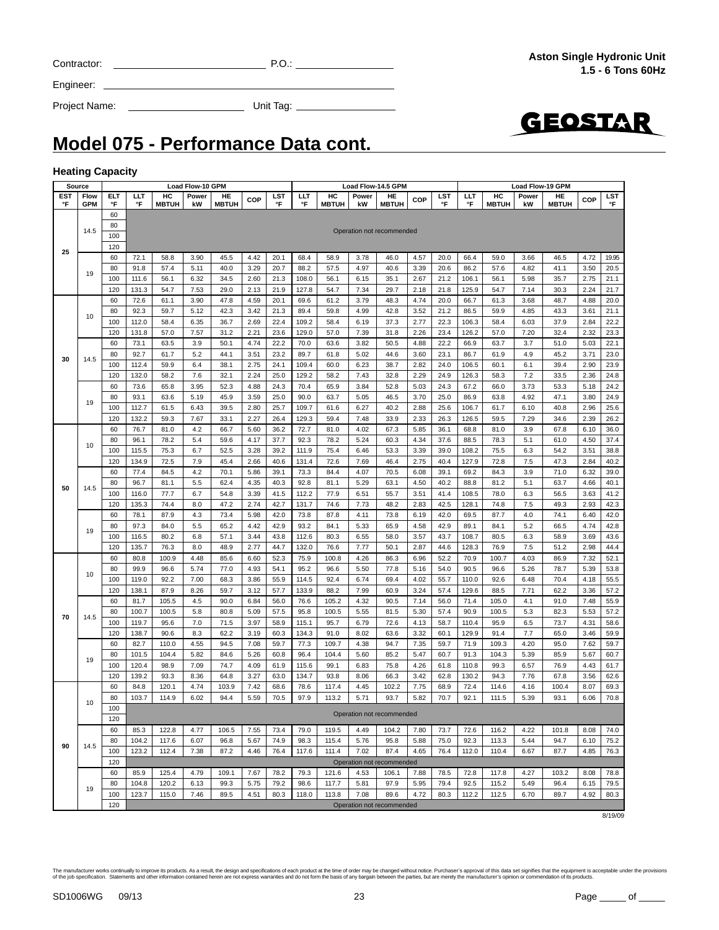| <b>Project Name:</b> | Unit Tag: |
|----------------------|-----------|
|                      |           |



**Model 075 - Performance Data cont.**

#### **Heating Capacity**

Engineer:

| Source           |                    |                                                                                                                                                                                                                                                                                                                                                                                                                                                                                                                                                                                                                                                                                                             | Load Flow-10 GPM |                    |             |                    |                                                                                                                                                                                                                                                                                                                                                                                                                                                                                                                                                                                                                                                                                                                                                                                                                                                                                                                                                                                                                                                                                                                                                                                                                                                                                               |           | Load Flow-14.5 GPM |                    |             |                           | <b>Load Flow-19 GPM</b>                                                                                                                                                                                                                                                                                                                                                                                                                                                                                                                                                   |           |                                                                                                                                                                                                                                                                                                                                                                                                                                                                                                                                                                                                                                                                                                                                                                                                                                                                                                                                    |                    |             |                    |              |              |
|------------------|--------------------|-------------------------------------------------------------------------------------------------------------------------------------------------------------------------------------------------------------------------------------------------------------------------------------------------------------------------------------------------------------------------------------------------------------------------------------------------------------------------------------------------------------------------------------------------------------------------------------------------------------------------------------------------------------------------------------------------------------|------------------|--------------------|-------------|--------------------|-----------------------------------------------------------------------------------------------------------------------------------------------------------------------------------------------------------------------------------------------------------------------------------------------------------------------------------------------------------------------------------------------------------------------------------------------------------------------------------------------------------------------------------------------------------------------------------------------------------------------------------------------------------------------------------------------------------------------------------------------------------------------------------------------------------------------------------------------------------------------------------------------------------------------------------------------------------------------------------------------------------------------------------------------------------------------------------------------------------------------------------------------------------------------------------------------------------------------------------------------------------------------------------------------|-----------|--------------------|--------------------|-------------|---------------------------|---------------------------------------------------------------------------------------------------------------------------------------------------------------------------------------------------------------------------------------------------------------------------------------------------------------------------------------------------------------------------------------------------------------------------------------------------------------------------------------------------------------------------------------------------------------------------|-----------|------------------------------------------------------------------------------------------------------------------------------------------------------------------------------------------------------------------------------------------------------------------------------------------------------------------------------------------------------------------------------------------------------------------------------------------------------------------------------------------------------------------------------------------------------------------------------------------------------------------------------------------------------------------------------------------------------------------------------------------------------------------------------------------------------------------------------------------------------------------------------------------------------------------------------------|--------------------|-------------|--------------------|--------------|--------------|
| <b>EST</b><br>°F | Flow<br><b>GPM</b> | ELT<br>°F                                                                                                                                                                                                                                                                                                                                                                                                                                                                                                                                                                                                                                                                                                   | LLТ<br>°F        | HC<br><b>MBTUH</b> | Power<br>kW | HE<br><b>MBTUH</b> | COP                                                                                                                                                                                                                                                                                                                                                                                                                                                                                                                                                                                                                                                                                                                                                                                                                                                                                                                                                                                                                                                                                                                                                                                                                                                                                           | LST<br>°F | ШT<br>°F           | HC<br><b>MBTUH</b> | Power<br>kW | HE<br><b>MBTUH</b>        | COP                                                                                                                                                                                                                                                                                                                                                                                                                                                                                                                                                                       | LST<br>°F | LLT<br>°F                                                                                                                                                                                                                                                                                                                                                                                                                                                                                                                                                                                                                                                                                                                                                                                                                                                                                                                          | HC<br><b>MBTUH</b> | Power<br>kW | HE<br><b>MBTUH</b> | COP          | LST<br>°F    |
|                  |                    | 60                                                                                                                                                                                                                                                                                                                                                                                                                                                                                                                                                                                                                                                                                                          |                  |                    |             |                    |                                                                                                                                                                                                                                                                                                                                                                                                                                                                                                                                                                                                                                                                                                                                                                                                                                                                                                                                                                                                                                                                                                                                                                                                                                                                                               |           |                    |                    |             |                           |                                                                                                                                                                                                                                                                                                                                                                                                                                                                                                                                                                           |           |                                                                                                                                                                                                                                                                                                                                                                                                                                                                                                                                                                                                                                                                                                                                                                                                                                                                                                                                    |                    |             |                    |              |              |
|                  | 14.5               |                                                                                                                                                                                                                                                                                                                                                                                                                                                                                                                                                                                                                                                                                                             |                  |                    |             |                    |                                                                                                                                                                                                                                                                                                                                                                                                                                                                                                                                                                                                                                                                                                                                                                                                                                                                                                                                                                                                                                                                                                                                                                                                                                                                                               |           |                    |                    |             | Operation not recommended |                                                                                                                                                                                                                                                                                                                                                                                                                                                                                                                                                                           |           |                                                                                                                                                                                                                                                                                                                                                                                                                                                                                                                                                                                                                                                                                                                                                                                                                                                                                                                                    |                    |             |                    |              |              |
|                  |                    |                                                                                                                                                                                                                                                                                                                                                                                                                                                                                                                                                                                                                                                                                                             |                  |                    |             |                    |                                                                                                                                                                                                                                                                                                                                                                                                                                                                                                                                                                                                                                                                                                                                                                                                                                                                                                                                                                                                                                                                                                                                                                                                                                                                                               |           |                    |                    |             |                           |                                                                                                                                                                                                                                                                                                                                                                                                                                                                                                                                                                           |           |                                                                                                                                                                                                                                                                                                                                                                                                                                                                                                                                                                                                                                                                                                                                                                                                                                                                                                                                    |                    |             |                    |              |              |
| 25               |                    |                                                                                                                                                                                                                                                                                                                                                                                                                                                                                                                                                                                                                                                                                                             |                  | 58.8               | 3.90        | 45.5               | 4.42                                                                                                                                                                                                                                                                                                                                                                                                                                                                                                                                                                                                                                                                                                                                                                                                                                                                                                                                                                                                                                                                                                                                                                                                                                                                                          | 20.1      | 68.4               | 58.9               | 3.78        | 46.0                      | 4.57                                                                                                                                                                                                                                                                                                                                                                                                                                                                                                                                                                      | 20.0      |                                                                                                                                                                                                                                                                                                                                                                                                                                                                                                                                                                                                                                                                                                                                                                                                                                                                                                                                    |                    |             |                    | 4.72         | 19.95        |
|                  |                    |                                                                                                                                                                                                                                                                                                                                                                                                                                                                                                                                                                                                                                                                                                             |                  | 57.4               | 5.11        | 40.0               | 3.29                                                                                                                                                                                                                                                                                                                                                                                                                                                                                                                                                                                                                                                                                                                                                                                                                                                                                                                                                                                                                                                                                                                                                                                                                                                                                          | 20.7      | 88.2               | 57.5               | 4.97        | 40.6                      | 3.39                                                                                                                                                                                                                                                                                                                                                                                                                                                                                                                                                                      | 20.6      |                                                                                                                                                                                                                                                                                                                                                                                                                                                                                                                                                                                                                                                                                                                                                                                                                                                                                                                                    |                    |             |                    | 3.50         | 20.5         |
|                  | 19                 |                                                                                                                                                                                                                                                                                                                                                                                                                                                                                                                                                                                                                                                                                                             |                  | 56.1               | 6.32        | 34.5               | 2.60                                                                                                                                                                                                                                                                                                                                                                                                                                                                                                                                                                                                                                                                                                                                                                                                                                                                                                                                                                                                                                                                                                                                                                                                                                                                                          | 21.3      | 108.0              | 56.1               | 6.15        | 35.1                      | 2.67                                                                                                                                                                                                                                                                                                                                                                                                                                                                                                                                                                      | 21.2      |                                                                                                                                                                                                                                                                                                                                                                                                                                                                                                                                                                                                                                                                                                                                                                                                                                                                                                                                    |                    |             |                    | 2.75         | 21.1         |
|                  |                    |                                                                                                                                                                                                                                                                                                                                                                                                                                                                                                                                                                                                                                                                                                             |                  | 54.7               | 7.53        | 29.0               | 2.13                                                                                                                                                                                                                                                                                                                                                                                                                                                                                                                                                                                                                                                                                                                                                                                                                                                                                                                                                                                                                                                                                                                                                                                                                                                                                          | 21.9      | 127.8              | 54.7               | 7.34        | 29.7                      | 2.18                                                                                                                                                                                                                                                                                                                                                                                                                                                                                                                                                                      | 21.8      |                                                                                                                                                                                                                                                                                                                                                                                                                                                                                                                                                                                                                                                                                                                                                                                                                                                                                                                                    |                    |             |                    | 2.24         | 21.7         |
|                  |                    |                                                                                                                                                                                                                                                                                                                                                                                                                                                                                                                                                                                                                                                                                                             |                  | 61.1               | 3.90        | 47.8               | 4.59                                                                                                                                                                                                                                                                                                                                                                                                                                                                                                                                                                                                                                                                                                                                                                                                                                                                                                                                                                                                                                                                                                                                                                                                                                                                                          | 20.1      | 69.6               | 61.2               | 3.79        | 48.3                      | 4.74                                                                                                                                                                                                                                                                                                                                                                                                                                                                                                                                                                      | 20.0      |                                                                                                                                                                                                                                                                                                                                                                                                                                                                                                                                                                                                                                                                                                                                                                                                                                                                                                                                    |                    |             |                    | 4.88         | 20.0         |
|                  |                    |                                                                                                                                                                                                                                                                                                                                                                                                                                                                                                                                                                                                                                                                                                             |                  | 59.7               | 5.12        | 42.3               | 3.42                                                                                                                                                                                                                                                                                                                                                                                                                                                                                                                                                                                                                                                                                                                                                                                                                                                                                                                                                                                                                                                                                                                                                                                                                                                                                          | 21.3      | 89.4               | 59.8               | 4.99        | 42.8                      | 3.52                                                                                                                                                                                                                                                                                                                                                                                                                                                                                                                                                                      | 21.2      |                                                                                                                                                                                                                                                                                                                                                                                                                                                                                                                                                                                                                                                                                                                                                                                                                                                                                                                                    |                    |             |                    | 3.61         | 21.1         |
|                  | 10                 |                                                                                                                                                                                                                                                                                                                                                                                                                                                                                                                                                                                                                                                                                                             |                  | 58.4               | 6.35        | 36.7               | 2.69                                                                                                                                                                                                                                                                                                                                                                                                                                                                                                                                                                                                                                                                                                                                                                                                                                                                                                                                                                                                                                                                                                                                                                                                                                                                                          | 22.4      | 109.2              | 58.4               | 6.19        | 37.3                      | 2.77                                                                                                                                                                                                                                                                                                                                                                                                                                                                                                                                                                      | 22.3      |                                                                                                                                                                                                                                                                                                                                                                                                                                                                                                                                                                                                                                                                                                                                                                                                                                                                                                                                    |                    |             |                    | 2.84         | 22.2         |
|                  |                    | 120                                                                                                                                                                                                                                                                                                                                                                                                                                                                                                                                                                                                                                                                                                         | 131.8            | 57.0               | 7.57        | 31.2               | 2.21                                                                                                                                                                                                                                                                                                                                                                                                                                                                                                                                                                                                                                                                                                                                                                                                                                                                                                                                                                                                                                                                                                                                                                                                                                                                                          | 23.6      | 129.0              | 57.0               | 7.39        | 31.8                      | 2.26                                                                                                                                                                                                                                                                                                                                                                                                                                                                                                                                                                      | 23.4      | 126.2                                                                                                                                                                                                                                                                                                                                                                                                                                                                                                                                                                                                                                                                                                                                                                                                                                                                                                                              | 57.0               | 7.20        | 32.4               | 2.32         | 23.3         |
|                  |                    | 60                                                                                                                                                                                                                                                                                                                                                                                                                                                                                                                                                                                                                                                                                                          | 73.1             | 63.5               | 3.9         | 50.1               | 4.74                                                                                                                                                                                                                                                                                                                                                                                                                                                                                                                                                                                                                                                                                                                                                                                                                                                                                                                                                                                                                                                                                                                                                                                                                                                                                          | 22.2      | 70.0               | 63.6               | 3.82        | 50.5                      | 4.88                                                                                                                                                                                                                                                                                                                                                                                                                                                                                                                                                                      | 22.2      | 66.9                                                                                                                                                                                                                                                                                                                                                                                                                                                                                                                                                                                                                                                                                                                                                                                                                                                                                                                               | 63.7               | 3.7         | 51.0               | 5.03         | 22.1         |
|                  |                    | 80                                                                                                                                                                                                                                                                                                                                                                                                                                                                                                                                                                                                                                                                                                          | 92.7             | 61.7               | 5.2         | 44.1               | 3.51                                                                                                                                                                                                                                                                                                                                                                                                                                                                                                                                                                                                                                                                                                                                                                                                                                                                                                                                                                                                                                                                                                                                                                                                                                                                                          | 23.2      | 89.7               | 61.8               | 5.02        | 44.6                      | 3.60                                                                                                                                                                                                                                                                                                                                                                                                                                                                                                                                                                      | 23.1      | 86.7                                                                                                                                                                                                                                                                                                                                                                                                                                                                                                                                                                                                                                                                                                                                                                                                                                                                                                                               | 61.9               | 4.9         | 45.2               | 3.71         | 23.0         |
| 30               | 14.5               | 80<br>100<br>120<br>60<br>72.1<br>91.8<br>80<br>100<br>111.6<br>131.3<br>120<br>60<br>72.6<br>80<br>92.3<br>100<br>112.0<br>100<br>112.4<br>132.0<br>120<br>73.6<br>60<br>93.1<br>80<br>112.7<br>100<br>132.2<br>120<br>60<br>76.7<br>80<br>96.1<br>100<br>115.5<br>134.9<br>120<br>60<br>77.4<br>80<br>96.7<br>100<br>116.0<br>120<br>135.3<br>60<br>78.1<br>80<br>97.3<br>100<br>116.5<br>120<br>135.7<br>60<br>80.8<br>80<br>99.9<br>100<br>119.0<br>138.1<br>120<br>60<br>81.7<br>80<br>100.7<br>100<br>119.7<br>120<br>138.7<br>82.7<br>60<br>101.5<br>80<br>100<br>120.4<br>120<br>139.2<br>84.8<br>60<br>80<br>103.7<br>100<br>120<br>60<br>85.3<br>104.2<br>80<br>100<br>123.2<br>120<br>60<br>85.9 | 59.9             | 6.4                | 38.1        | 2.75               | 24.1                                                                                                                                                                                                                                                                                                                                                                                                                                                                                                                                                                                                                                                                                                                                                                                                                                                                                                                                                                                                                                                                                                                                                                                                                                                                                          | 109.4     | 60.0               | 6.23               | 38.7        | 2.82                      | 24.0                                                                                                                                                                                                                                                                                                                                                                                                                                                                                                                                                                      | 106.5     | 60.1                                                                                                                                                                                                                                                                                                                                                                                                                                                                                                                                                                                                                                                                                                                                                                                                                                                                                                                               | 6.1                | 39.4        | 2.90               | 23.9         |              |
|                  |                    |                                                                                                                                                                                                                                                                                                                                                                                                                                                                                                                                                                                                                                                                                                             |                  | 58.2               | 7.6         | 32.1               | 2.24                                                                                                                                                                                                                                                                                                                                                                                                                                                                                                                                                                                                                                                                                                                                                                                                                                                                                                                                                                                                                                                                                                                                                                                                                                                                                          | 25.0      | 129.2              | 58.2               | 7.43        | 32.8                      | 7.2<br>2.29<br>24.9<br>126.3<br>58.3<br>5.03<br>24.3<br>67.2<br>66.0<br>3.73<br>4.92<br>3.70<br>25.0<br>86.9<br>63.8<br>2.88<br>25.6<br>106.7<br>61.7<br>6.10<br>2.33<br>7.29<br>26.3<br>126.5<br>59.5<br>5.85<br>36.1<br>81.0<br>3.9<br>68.8<br>5.1<br>4.34<br>37.6<br>88.5<br>78.3<br>3.39<br>39.0<br>108.2<br>75.5<br>6.3<br>7.5<br>2.75<br>40.4<br>127.9<br>72.8<br>84.3<br>3.9<br>6.08<br>39.1<br>69.2<br>81.2<br>5.1<br>4.50<br>40.2<br>88.8<br>3.51<br>41.4<br>78.0<br>6.3<br>108.5<br>7.5<br>2.83<br>42.5<br>128.1<br>74.8<br>42.0<br>69.5<br>87.7<br>4.0<br>6.19 |           | 33.5                                                                                                                                                                                                                                                                                                                                                                                                                                                                                                                                                                                                                                                                                                                                                                                                                                                                                                                               | 2.36               | 24.8        |                    |              |              |
|                  |                    |                                                                                                                                                                                                                                                                                                                                                                                                                                                                                                                                                                                                                                                                                                             |                  | 65.8               | 3.95        | 52.3               | 4.88                                                                                                                                                                                                                                                                                                                                                                                                                                                                                                                                                                                                                                                                                                                                                                                                                                                                                                                                                                                                                                                                                                                                                                                                                                                                                          | 24.3      | 70.4               | 65.9               | 3.84        | 52.8                      |                                                                                                                                                                                                                                                                                                                                                                                                                                                                                                                                                                           |           |                                                                                                                                                                                                                                                                                                                                                                                                                                                                                                                                                                                                                                                                                                                                                                                                                                                                                                                                    |                    |             | 53.3               | 5.18         | 24.2         |
|                  | 19                 |                                                                                                                                                                                                                                                                                                                                                                                                                                                                                                                                                                                                                                                                                                             |                  | 63.6               | 5.19        | 45.9               | 3.59                                                                                                                                                                                                                                                                                                                                                                                                                                                                                                                                                                                                                                                                                                                                                                                                                                                                                                                                                                                                                                                                                                                                                                                                                                                                                          | 25.0      | 90.0               | 63.7               | 5.05        | 46.5                      |                                                                                                                                                                                                                                                                                                                                                                                                                                                                                                                                                                           |           |                                                                                                                                                                                                                                                                                                                                                                                                                                                                                                                                                                                                                                                                                                                                                                                                                                                                                                                                    |                    |             | 47.1               | 3.80         | 24.9         |
|                  |                    |                                                                                                                                                                                                                                                                                                                                                                                                                                                                                                                                                                                                                                                                                                             |                  | 61.5               | 6.43        | 39.5               | 2.80                                                                                                                                                                                                                                                                                                                                                                                                                                                                                                                                                                                                                                                                                                                                                                                                                                                                                                                                                                                                                                                                                                                                                                                                                                                                                          | 25.7      | 109.7              | 61.6               | 6.27        | 40.2                      |                                                                                                                                                                                                                                                                                                                                                                                                                                                                                                                                                                           |           | 66.4<br>59.0<br>3.66<br>46.5<br>86.2<br>57.6<br>4.82<br>41.1<br>106.1<br>56.1<br>5.98<br>35.7<br>54.7<br>7.14<br>30.3<br>125.9<br>66.7<br>61.3<br>3.68<br>48.7<br>86.5<br>59.9<br>4.85<br>43.3<br>106.3<br>58.4<br>6.03<br>37.9<br>40.8<br>34.6<br>67.8<br>61.0<br>54.2<br>47.3<br>71.0<br>63.7<br>56.5<br>49.3<br>74.1<br>5.2<br>89.1<br>84.1<br>66.5<br>108.7<br>80.5<br>6.3<br>58.9<br>128.3<br>76.9<br>7.5<br>51.2<br>70.9<br>100.7<br>4.03<br>86.9<br>90.5<br>96.6<br>5.26<br>78.7<br>110.0<br>92.6<br>6.48<br>70.4<br>129.6<br>62.2<br>88.5<br>7.71<br>71.4<br>105.0<br>4.1<br>91.0<br>90.9<br>82.3<br>100.5<br>5.3<br>110.4<br>95.9<br>6.5<br>73.7<br>7.7<br>129.9<br>91.4<br>65.0<br>71.9<br>109.3<br>4.20<br>95.0<br>91.3<br>104.3<br>5.39<br>85.9<br>110.8<br>99.3<br>6.57<br>76.9<br>130.2<br>94.3<br>7.76<br>67.8<br>72.4<br>114.6<br>4.16<br>100.4<br>92.1<br>111.5<br>5.39<br>93.1<br>72.6<br>116.2<br>4.22<br>101.8 |                    | 2.96        | 25.6               |              |              |
|                  |                    |                                                                                                                                                                                                                                                                                                                                                                                                                                                                                                                                                                                                                                                                                                             |                  | 59.3               | 7.67        | 33.1               | 2.27                                                                                                                                                                                                                                                                                                                                                                                                                                                                                                                                                                                                                                                                                                                                                                                                                                                                                                                                                                                                                                                                                                                                                                                                                                                                                          | 26.4      | 129.3              | 59.4               | 7.48        | 33.9                      |                                                                                                                                                                                                                                                                                                                                                                                                                                                                                                                                                                           |           |                                                                                                                                                                                                                                                                                                                                                                                                                                                                                                                                                                                                                                                                                                                                                                                                                                                                                                                                    |                    |             |                    | 2.39         | 26.2         |
|                  |                    |                                                                                                                                                                                                                                                                                                                                                                                                                                                                                                                                                                                                                                                                                                             |                  | 81.0               | 4.2         | 66.7               | 5.60                                                                                                                                                                                                                                                                                                                                                                                                                                                                                                                                                                                                                                                                                                                                                                                                                                                                                                                                                                                                                                                                                                                                                                                                                                                                                          | 36.2      | 72.7               | 81.0               | 4.02        | 67.3                      |                                                                                                                                                                                                                                                                                                                                                                                                                                                                                                                                                                           |           |                                                                                                                                                                                                                                                                                                                                                                                                                                                                                                                                                                                                                                                                                                                                                                                                                                                                                                                                    |                    |             |                    | 6.10         | 36.0         |
|                  | 10                 |                                                                                                                                                                                                                                                                                                                                                                                                                                                                                                                                                                                                                                                                                                             |                  | 78.2               | 5.4         | 59.6               | 4.17                                                                                                                                                                                                                                                                                                                                                                                                                                                                                                                                                                                                                                                                                                                                                                                                                                                                                                                                                                                                                                                                                                                                                                                                                                                                                          | 37.7      | 92.3               | 78.2               | 5.24        | 60.3                      |                                                                                                                                                                                                                                                                                                                                                                                                                                                                                                                                                                           |           |                                                                                                                                                                                                                                                                                                                                                                                                                                                                                                                                                                                                                                                                                                                                                                                                                                                                                                                                    |                    |             |                    | 4.50         | 37.4         |
|                  |                    |                                                                                                                                                                                                                                                                                                                                                                                                                                                                                                                                                                                                                                                                                                             |                  | 75.3               | 6.7         | 52.5               | 3.28                                                                                                                                                                                                                                                                                                                                                                                                                                                                                                                                                                                                                                                                                                                                                                                                                                                                                                                                                                                                                                                                                                                                                                                                                                                                                          | 39.2      | 111.9              | 75.4               | 6.46        | 53.3                      |                                                                                                                                                                                                                                                                                                                                                                                                                                                                                                                                                                           |           |                                                                                                                                                                                                                                                                                                                                                                                                                                                                                                                                                                                                                                                                                                                                                                                                                                                                                                                                    |                    |             |                    | 3.51         | 38.8         |
|                  |                    |                                                                                                                                                                                                                                                                                                                                                                                                                                                                                                                                                                                                                                                                                                             |                  | 72.5               | 7.9         | 45.4               | 2.66                                                                                                                                                                                                                                                                                                                                                                                                                                                                                                                                                                                                                                                                                                                                                                                                                                                                                                                                                                                                                                                                                                                                                                                                                                                                                          | 40.6      | 131.4              | 72.6               | 7.69        | 46.4                      |                                                                                                                                                                                                                                                                                                                                                                                                                                                                                                                                                                           |           |                                                                                                                                                                                                                                                                                                                                                                                                                                                                                                                                                                                                                                                                                                                                                                                                                                                                                                                                    |                    |             |                    | 2.84         | 40.2         |
|                  |                    |                                                                                                                                                                                                                                                                                                                                                                                                                                                                                                                                                                                                                                                                                                             |                  | 84.5               | 4.2         | 70.1               | 5.86                                                                                                                                                                                                                                                                                                                                                                                                                                                                                                                                                                                                                                                                                                                                                                                                                                                                                                                                                                                                                                                                                                                                                                                                                                                                                          | 39.1      | 73.3               |                    | 4.07        |                           |                                                                                                                                                                                                                                                                                                                                                                                                                                                                                                                                                                           |           |                                                                                                                                                                                                                                                                                                                                                                                                                                                                                                                                                                                                                                                                                                                                                                                                                                                                                                                                    |                    |             |                    | 6.32         | 39.0         |
| 50               |                    |                                                                                                                                                                                                                                                                                                                                                                                                                                                                                                                                                                                                                                                                                                             |                  | 81.1               | 5.5         | 62.4               |                                                                                                                                                                                                                                                                                                                                                                                                                                                                                                                                                                                                                                                                                                                                                                                                                                                                                                                                                                                                                                                                                                                                                                                                                                                                                               |           |                    |                    |             |                           |                                                                                                                                                                                                                                                                                                                                                                                                                                                                                                                                                                           |           |                                                                                                                                                                                                                                                                                                                                                                                                                                                                                                                                                                                                                                                                                                                                                                                                                                                                                                                                    |                    |             |                    | 4.66         | 40.1         |
|                  |                    |                                                                                                                                                                                                                                                                                                                                                                                                                                                                                                                                                                                                                                                                                                             |                  | 77.7               | 6.7         | 54.8               |                                                                                                                                                                                                                                                                                                                                                                                                                                                                                                                                                                                                                                                                                                                                                                                                                                                                                                                                                                                                                                                                                                                                                                                                                                                                                               |           |                    |                    |             |                           |                                                                                                                                                                                                                                                                                                                                                                                                                                                                                                                                                                           |           |                                                                                                                                                                                                                                                                                                                                                                                                                                                                                                                                                                                                                                                                                                                                                                                                                                                                                                                                    |                    |             |                    | 3.63         | 41.2         |
|                  | 14.5<br>19         |                                                                                                                                                                                                                                                                                                                                                                                                                                                                                                                                                                                                                                                                                                             |                  | 74.4               | 8.0         | 47.2               |                                                                                                                                                                                                                                                                                                                                                                                                                                                                                                                                                                                                                                                                                                                                                                                                                                                                                                                                                                                                                                                                                                                                                                                                                                                                                               |           |                    |                    |             |                           |                                                                                                                                                                                                                                                                                                                                                                                                                                                                                                                                                                           |           |                                                                                                                                                                                                                                                                                                                                                                                                                                                                                                                                                                                                                                                                                                                                                                                                                                                                                                                                    |                    |             |                    | 2.93         | 42.3         |
|                  |                    |                                                                                                                                                                                                                                                                                                                                                                                                                                                                                                                                                                                                                                                                                                             |                  | 87.9               | 4.3         | 73.4               |                                                                                                                                                                                                                                                                                                                                                                                                                                                                                                                                                                                                                                                                                                                                                                                                                                                                                                                                                                                                                                                                                                                                                                                                                                                                                               |           |                    |                    |             |                           |                                                                                                                                                                                                                                                                                                                                                                                                                                                                                                                                                                           |           |                                                                                                                                                                                                                                                                                                                                                                                                                                                                                                                                                                                                                                                                                                                                                                                                                                                                                                                                    |                    |             |                    | 6.40         | 42.0         |
|                  |                    |                                                                                                                                                                                                                                                                                                                                                                                                                                                                                                                                                                                                                                                                                                             |                  | 84.0               | 5.5         | 65.2               |                                                                                                                                                                                                                                                                                                                                                                                                                                                                                                                                                                                                                                                                                                                                                                                                                                                                                                                                                                                                                                                                                                                                                                                                                                                                                               |           |                    |                    |             |                           |                                                                                                                                                                                                                                                                                                                                                                                                                                                                                                                                                                           |           |                                                                                                                                                                                                                                                                                                                                                                                                                                                                                                                                                                                                                                                                                                                                                                                                                                                                                                                                    |                    |             |                    | 4.74         | 42.8         |
|                  |                    |                                                                                                                                                                                                                                                                                                                                                                                                                                                                                                                                                                                                                                                                                                             |                  | 80.2               | 6.8         | 57.1               |                                                                                                                                                                                                                                                                                                                                                                                                                                                                                                                                                                                                                                                                                                                                                                                                                                                                                                                                                                                                                                                                                                                                                                                                                                                                                               |           |                    |                    |             |                           |                                                                                                                                                                                                                                                                                                                                                                                                                                                                                                                                                                           |           |                                                                                                                                                                                                                                                                                                                                                                                                                                                                                                                                                                                                                                                                                                                                                                                                                                                                                                                                    |                    |             |                    | 3.69         | 43.6         |
|                  |                    |                                                                                                                                                                                                                                                                                                                                                                                                                                                                                                                                                                                                                                                                                                             |                  | 76.3               | 8.0<br>4.48 | 48.9               |                                                                                                                                                                                                                                                                                                                                                                                                                                                                                                                                                                                                                                                                                                                                                                                                                                                                                                                                                                                                                                                                                                                                                                                                                                                                                               |           |                    |                    |             |                           |                                                                                                                                                                                                                                                                                                                                                                                                                                                                                                                                                                           |           |                                                                                                                                                                                                                                                                                                                                                                                                                                                                                                                                                                                                                                                                                                                                                                                                                                                                                                                                    |                    |             |                    | 2.98<br>7.32 | 44.4         |
|                  |                    |                                                                                                                                                                                                                                                                                                                                                                                                                                                                                                                                                                                                                                                                                                             |                  | 100.9<br>96.6      | 5.74        | 85.6<br>77.0       |                                                                                                                                                                                                                                                                                                                                                                                                                                                                                                                                                                                                                                                                                                                                                                                                                                                                                                                                                                                                                                                                                                                                                                                                                                                                                               |           |                    |                    |             |                           |                                                                                                                                                                                                                                                                                                                                                                                                                                                                                                                                                                           |           |                                                                                                                                                                                                                                                                                                                                                                                                                                                                                                                                                                                                                                                                                                                                                                                                                                                                                                                                    |                    |             |                    | 5.39         | 52.1<br>53.8 |
|                  | 10                 |                                                                                                                                                                                                                                                                                                                                                                                                                                                                                                                                                                                                                                                                                                             |                  | 92.2               | 7.00        | 68.3               |                                                                                                                                                                                                                                                                                                                                                                                                                                                                                                                                                                                                                                                                                                                                                                                                                                                                                                                                                                                                                                                                                                                                                                                                                                                                                               |           |                    |                    |             |                           |                                                                                                                                                                                                                                                                                                                                                                                                                                                                                                                                                                           |           |                                                                                                                                                                                                                                                                                                                                                                                                                                                                                                                                                                                                                                                                                                                                                                                                                                                                                                                                    |                    |             |                    | 4.18         | 55.5         |
|                  |                    |                                                                                                                                                                                                                                                                                                                                                                                                                                                                                                                                                                                                                                                                                                             |                  | 87.9               | 8.26        | 59.7               |                                                                                                                                                                                                                                                                                                                                                                                                                                                                                                                                                                                                                                                                                                                                                                                                                                                                                                                                                                                                                                                                                                                                                                                                                                                                                               |           |                    |                    |             |                           |                                                                                                                                                                                                                                                                                                                                                                                                                                                                                                                                                                           |           |                                                                                                                                                                                                                                                                                                                                                                                                                                                                                                                                                                                                                                                                                                                                                                                                                                                                                                                                    |                    |             |                    | 3.36         | 57.2         |
|                  |                    |                                                                                                                                                                                                                                                                                                                                                                                                                                                                                                                                                                                                                                                                                                             |                  | 105.5              | 4.5         | 90.0               |                                                                                                                                                                                                                                                                                                                                                                                                                                                                                                                                                                                                                                                                                                                                                                                                                                                                                                                                                                                                                                                                                                                                                                                                                                                                                               |           |                    |                    |             |                           |                                                                                                                                                                                                                                                                                                                                                                                                                                                                                                                                                                           |           |                                                                                                                                                                                                                                                                                                                                                                                                                                                                                                                                                                                                                                                                                                                                                                                                                                                                                                                                    |                    |             |                    | 7.48         | 55.9         |
|                  |                    |                                                                                                                                                                                                                                                                                                                                                                                                                                                                                                                                                                                                                                                                                                             |                  | 100.5              | 5.8         | 80.8               |                                                                                                                                                                                                                                                                                                                                                                                                                                                                                                                                                                                                                                                                                                                                                                                                                                                                                                                                                                                                                                                                                                                                                                                                                                                                                               |           |                    |                    |             |                           |                                                                                                                                                                                                                                                                                                                                                                                                                                                                                                                                                                           |           |                                                                                                                                                                                                                                                                                                                                                                                                                                                                                                                                                                                                                                                                                                                                                                                                                                                                                                                                    |                    |             |                    | 5.53         | 57.2         |
| 70               | 14.5               |                                                                                                                                                                                                                                                                                                                                                                                                                                                                                                                                                                                                                                                                                                             |                  | 95.6               | 7.0         | 71.5               |                                                                                                                                                                                                                                                                                                                                                                                                                                                                                                                                                                                                                                                                                                                                                                                                                                                                                                                                                                                                                                                                                                                                                                                                                                                                                               |           |                    |                    |             |                           |                                                                                                                                                                                                                                                                                                                                                                                                                                                                                                                                                                           |           |                                                                                                                                                                                                                                                                                                                                                                                                                                                                                                                                                                                                                                                                                                                                                                                                                                                                                                                                    |                    |             |                    | 4.31         | 58.6         |
|                  |                    |                                                                                                                                                                                                                                                                                                                                                                                                                                                                                                                                                                                                                                                                                                             |                  | 90.6               | 8.3         | 62.2               | 84.4<br>70.5<br>81.1<br>4.35<br>40.3<br>92.8<br>5.29<br>63.1<br>41.5<br>112.2<br>77.9<br>6.51<br>55.7<br>3.39<br>2.74<br>42.7<br>74.6<br>131.7<br>7.73<br>48.2<br>73.8<br>87.8<br>4.11<br>73.8<br>5.98<br>42.0<br>42.9<br>84.1<br>5.33<br>4.42<br>93.2<br>65.9<br>4.58<br>42.9<br>3.44<br>43.8<br>112.6<br>80.3<br>6.55<br>58.0<br>3.57<br>43.7<br>2.77<br>44.7<br>132.0<br>76.6<br>7.77<br>50.1<br>2.87<br>44.6<br>6.60<br>52.3<br>75.9<br>100.8<br>4.26<br>86.3<br>52.2<br>6.96<br>4.93<br>54.1<br>95.2<br>96.6<br>5.50<br>77.8<br>5.16<br>54.0<br>3.86<br>55.9<br>114.5<br>92.4<br>6.74<br>69.4<br>4.02<br>55.7<br>133.9<br>88.2<br>3.24<br>3.12<br>57.7<br>7.99<br>60.9<br>57.4<br>4.32<br>90.5<br>6.84<br>56.0<br>76.6<br>105.2<br>7.14<br>56.0<br>5.55<br>5.09<br>57.5<br>95.8<br>100.5<br>81.5<br>5.30<br>57.4<br>72.6<br>3.97<br>58.9<br>115.1<br>95.7<br>6.79<br>4.13<br>58.7<br>3.19<br>60.3<br>134.3<br>91.0<br>8.02<br>63.6<br>3.32<br>60.1<br>7.08<br>59.7<br>77.3<br>109.7<br>4.38<br>94.7<br>7.35<br>59.7<br>5.26<br>96.4<br>104.4<br>5.60<br>85.2<br>5.47<br>60.7<br>60.8<br>4.09<br>61.9<br>115.6<br>99.1<br>6.83<br>75.8<br>4.26<br>61.8<br>3.27<br>63.0<br>134.7<br>93.8<br>8.06<br>66.3<br>3.42<br>62.8<br>7.42<br>117.4<br>4.45<br>102.2<br>68.6<br>78.6<br>7.75<br>68.9 |           |                    | 3.46               | 59.9        |                           |                                                                                                                                                                                                                                                                                                                                                                                                                                                                                                                                                                           |           |                                                                                                                                                                                                                                                                                                                                                                                                                                                                                                                                                                                                                                                                                                                                                                                                                                                                                                                                    |                    |             |                    |              |              |
|                  |                    |                                                                                                                                                                                                                                                                                                                                                                                                                                                                                                                                                                                                                                                                                                             |                  | 110.0              | 4.55        | 94.5               |                                                                                                                                                                                                                                                                                                                                                                                                                                                                                                                                                                                                                                                                                                                                                                                                                                                                                                                                                                                                                                                                                                                                                                                                                                                                                               |           |                    |                    |             |                           |                                                                                                                                                                                                                                                                                                                                                                                                                                                                                                                                                                           |           |                                                                                                                                                                                                                                                                                                                                                                                                                                                                                                                                                                                                                                                                                                                                                                                                                                                                                                                                    |                    |             |                    | 7.62         | 59.7         |
|                  |                    |                                                                                                                                                                                                                                                                                                                                                                                                                                                                                                                                                                                                                                                                                                             |                  | 104.4              | 5.82        | 84.6               |                                                                                                                                                                                                                                                                                                                                                                                                                                                                                                                                                                                                                                                                                                                                                                                                                                                                                                                                                                                                                                                                                                                                                                                                                                                                                               |           |                    |                    |             |                           |                                                                                                                                                                                                                                                                                                                                                                                                                                                                                                                                                                           |           |                                                                                                                                                                                                                                                                                                                                                                                                                                                                                                                                                                                                                                                                                                                                                                                                                                                                                                                                    |                    |             |                    | 5.67         | 60.7         |
|                  | 19                 |                                                                                                                                                                                                                                                                                                                                                                                                                                                                                                                                                                                                                                                                                                             |                  | 98.9               | 7.09        | 74.7               |                                                                                                                                                                                                                                                                                                                                                                                                                                                                                                                                                                                                                                                                                                                                                                                                                                                                                                                                                                                                                                                                                                                                                                                                                                                                                               |           |                    |                    |             |                           |                                                                                                                                                                                                                                                                                                                                                                                                                                                                                                                                                                           |           |                                                                                                                                                                                                                                                                                                                                                                                                                                                                                                                                                                                                                                                                                                                                                                                                                                                                                                                                    |                    |             |                    | 4.43         | 61.7         |
|                  |                    |                                                                                                                                                                                                                                                                                                                                                                                                                                                                                                                                                                                                                                                                                                             |                  | 93.3               | 8.36        | 64.8               |                                                                                                                                                                                                                                                                                                                                                                                                                                                                                                                                                                                                                                                                                                                                                                                                                                                                                                                                                                                                                                                                                                                                                                                                                                                                                               |           |                    |                    |             |                           |                                                                                                                                                                                                                                                                                                                                                                                                                                                                                                                                                                           |           |                                                                                                                                                                                                                                                                                                                                                                                                                                                                                                                                                                                                                                                                                                                                                                                                                                                                                                                                    |                    |             |                    | 3.56         | 62.6         |
|                  |                    |                                                                                                                                                                                                                                                                                                                                                                                                                                                                                                                                                                                                                                                                                                             |                  | 120.1              | 4.74        | 103.9              |                                                                                                                                                                                                                                                                                                                                                                                                                                                                                                                                                                                                                                                                                                                                                                                                                                                                                                                                                                                                                                                                                                                                                                                                                                                                                               |           |                    |                    |             |                           |                                                                                                                                                                                                                                                                                                                                                                                                                                                                                                                                                                           |           |                                                                                                                                                                                                                                                                                                                                                                                                                                                                                                                                                                                                                                                                                                                                                                                                                                                                                                                                    |                    |             |                    | 8.07         | 69.3         |
|                  |                    |                                                                                                                                                                                                                                                                                                                                                                                                                                                                                                                                                                                                                                                                                                             |                  | 114.9              | 6.02        | 94.4               | 5.59                                                                                                                                                                                                                                                                                                                                                                                                                                                                                                                                                                                                                                                                                                                                                                                                                                                                                                                                                                                                                                                                                                                                                                                                                                                                                          | 70.5      | 97.9               | 113.2              | 5.71        | 93.7                      | 5.82                                                                                                                                                                                                                                                                                                                                                                                                                                                                                                                                                                      | 70.7      |                                                                                                                                                                                                                                                                                                                                                                                                                                                                                                                                                                                                                                                                                                                                                                                                                                                                                                                                    |                    |             |                    | 6.06         | 70.8         |
|                  | 10                 |                                                                                                                                                                                                                                                                                                                                                                                                                                                                                                                                                                                                                                                                                                             |                  |                    |             |                    |                                                                                                                                                                                                                                                                                                                                                                                                                                                                                                                                                                                                                                                                                                                                                                                                                                                                                                                                                                                                                                                                                                                                                                                                                                                                                               |           |                    |                    |             |                           |                                                                                                                                                                                                                                                                                                                                                                                                                                                                                                                                                                           |           |                                                                                                                                                                                                                                                                                                                                                                                                                                                                                                                                                                                                                                                                                                                                                                                                                                                                                                                                    |                    |             |                    |              |              |
|                  |                    |                                                                                                                                                                                                                                                                                                                                                                                                                                                                                                                                                                                                                                                                                                             |                  |                    |             |                    |                                                                                                                                                                                                                                                                                                                                                                                                                                                                                                                                                                                                                                                                                                                                                                                                                                                                                                                                                                                                                                                                                                                                                                                                                                                                                               |           |                    |                    |             | Operation not recommended |                                                                                                                                                                                                                                                                                                                                                                                                                                                                                                                                                                           |           |                                                                                                                                                                                                                                                                                                                                                                                                                                                                                                                                                                                                                                                                                                                                                                                                                                                                                                                                    |                    |             |                    |              |              |
|                  |                    |                                                                                                                                                                                                                                                                                                                                                                                                                                                                                                                                                                                                                                                                                                             |                  | 122.8              | 4.77        | 106.5              | 7.55                                                                                                                                                                                                                                                                                                                                                                                                                                                                                                                                                                                                                                                                                                                                                                                                                                                                                                                                                                                                                                                                                                                                                                                                                                                                                          | 73.4      | 79.0               | 119.5              | 4.49        | 104.2                     | 7.80                                                                                                                                                                                                                                                                                                                                                                                                                                                                                                                                                                      | 73.7      |                                                                                                                                                                                                                                                                                                                                                                                                                                                                                                                                                                                                                                                                                                                                                                                                                                                                                                                                    |                    |             |                    | 8.08         | 74.0         |
| 90               | 14.5               |                                                                                                                                                                                                                                                                                                                                                                                                                                                                                                                                                                                                                                                                                                             |                  | 117.6              | 6.07        | 96.8               | 5.67                                                                                                                                                                                                                                                                                                                                                                                                                                                                                                                                                                                                                                                                                                                                                                                                                                                                                                                                                                                                                                                                                                                                                                                                                                                                                          | 74.9      | 98.3               | 115.4              | 5.76        | 95.8                      | 5.88                                                                                                                                                                                                                                                                                                                                                                                                                                                                                                                                                                      | 75.0      | 92.3                                                                                                                                                                                                                                                                                                                                                                                                                                                                                                                                                                                                                                                                                                                                                                                                                                                                                                                               | 113.3              | 5.44        | 94.7               | 6.10         | 75.2         |
|                  |                    |                                                                                                                                                                                                                                                                                                                                                                                                                                                                                                                                                                                                                                                                                                             |                  | 112.4              | 7.38        | 87.2               | 4.46                                                                                                                                                                                                                                                                                                                                                                                                                                                                                                                                                                                                                                                                                                                                                                                                                                                                                                                                                                                                                                                                                                                                                                                                                                                                                          | 76.4      | 117.6              | 111.4              | 7.02        | 87.4                      | 4.65                                                                                                                                                                                                                                                                                                                                                                                                                                                                                                                                                                      | 76.4      | 112.0                                                                                                                                                                                                                                                                                                                                                                                                                                                                                                                                                                                                                                                                                                                                                                                                                                                                                                                              | 110.4              | 6.67        | 87.7               | 4.85         | 76.3         |
|                  |                    |                                                                                                                                                                                                                                                                                                                                                                                                                                                                                                                                                                                                                                                                                                             |                  |                    |             |                    |                                                                                                                                                                                                                                                                                                                                                                                                                                                                                                                                                                                                                                                                                                                                                                                                                                                                                                                                                                                                                                                                                                                                                                                                                                                                                               |           |                    |                    |             | Operation not recommended |                                                                                                                                                                                                                                                                                                                                                                                                                                                                                                                                                                           |           |                                                                                                                                                                                                                                                                                                                                                                                                                                                                                                                                                                                                                                                                                                                                                                                                                                                                                                                                    |                    |             |                    |              |              |
|                  |                    |                                                                                                                                                                                                                                                                                                                                                                                                                                                                                                                                                                                                                                                                                                             |                  | 125.4              | 4.79        | 109.1              | 7.67                                                                                                                                                                                                                                                                                                                                                                                                                                                                                                                                                                                                                                                                                                                                                                                                                                                                                                                                                                                                                                                                                                                                                                                                                                                                                          | 78.2      | 79.3               | 121.6              | 4.53        | 106.1                     | 7.88                                                                                                                                                                                                                                                                                                                                                                                                                                                                                                                                                                      | 78.5      | 72.8                                                                                                                                                                                                                                                                                                                                                                                                                                                                                                                                                                                                                                                                                                                                                                                                                                                                                                                               | 117.8              | 4.27        | 103.2              | 8.08         | 78.8         |
|                  | 19                 | 80                                                                                                                                                                                                                                                                                                                                                                                                                                                                                                                                                                                                                                                                                                          | 104.8            | 120.2              | 6.13        | 99.3               | 5.75                                                                                                                                                                                                                                                                                                                                                                                                                                                                                                                                                                                                                                                                                                                                                                                                                                                                                                                                                                                                                                                                                                                                                                                                                                                                                          | 79.2      | 98.6               | 117.7              | 5.81        | 97.9                      | 5.95                                                                                                                                                                                                                                                                                                                                                                                                                                                                                                                                                                      | 79.4      | 92.5                                                                                                                                                                                                                                                                                                                                                                                                                                                                                                                                                                                                                                                                                                                                                                                                                                                                                                                               | 115.2              | 5.49        | 96.4               | 6.15         | 79.5         |
|                  |                    | 100                                                                                                                                                                                                                                                                                                                                                                                                                                                                                                                                                                                                                                                                                                         | 123.7            | 115.0              | 7.46        | 89.5               | 4.51                                                                                                                                                                                                                                                                                                                                                                                                                                                                                                                                                                                                                                                                                                                                                                                                                                                                                                                                                                                                                                                                                                                                                                                                                                                                                          | 80.3      | 118.0              | 113.8              | 7.08        | 89.6                      | 4.72                                                                                                                                                                                                                                                                                                                                                                                                                                                                                                                                                                      | 80.3      | 112.2                                                                                                                                                                                                                                                                                                                                                                                                                                                                                                                                                                                                                                                                                                                                                                                                                                                                                                                              | 112.5              | 6.70        | 89.7               | 4.92         | 80.3         |
|                  |                    | 120                                                                                                                                                                                                                                                                                                                                                                                                                                                                                                                                                                                                                                                                                                         |                  |                    |             |                    |                                                                                                                                                                                                                                                                                                                                                                                                                                                                                                                                                                                                                                                                                                                                                                                                                                                                                                                                                                                                                                                                                                                                                                                                                                                                                               |           |                    |                    |             | Operation not recommended |                                                                                                                                                                                                                                                                                                                                                                                                                                                                                                                                                                           |           |                                                                                                                                                                                                                                                                                                                                                                                                                                                                                                                                                                                                                                                                                                                                                                                                                                                                                                                                    |                    |             |                    |              |              |

8/19/09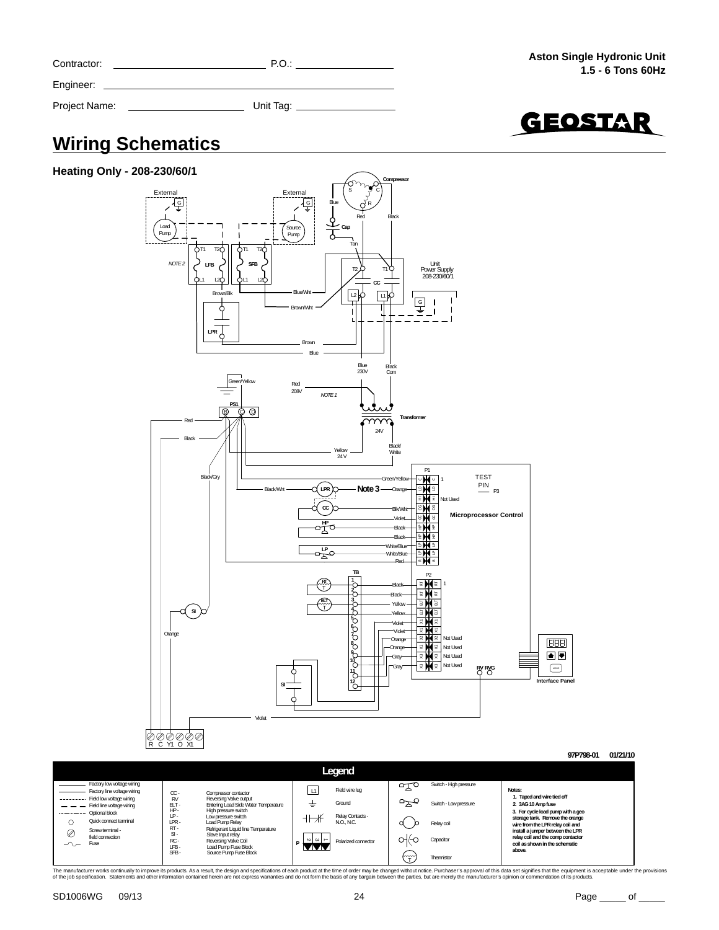| Contractor:   | P.O.      |
|---------------|-----------|
| Engineer:     |           |
| Project Name: | Unit Tag: |



### **Wiring Schematics**



|        | Legend                                                  |                         |                                                          |                                        |                     |               |                        |                                                                     |  |  |  |
|--------|---------------------------------------------------------|-------------------------|----------------------------------------------------------|----------------------------------------|---------------------|---------------|------------------------|---------------------------------------------------------------------|--|--|--|
|        | Factory low voltage wiring                              |                         |                                                          |                                        | Field wire lug      | ⊶             | Switch - High pressure | Notes:                                                              |  |  |  |
|        | Factory line voltage wiring<br>Field low voltage wiring | $\alpha$ -<br><b>RV</b> | Compressor contactor<br>Reversing Valve output           |                                        |                     |               |                        | 1. Taped and wire tied off                                          |  |  |  |
|        | Field line voltage wiring                               | ELT-                    | Entering Load Side Water Temperature                     | ÷                                      | Ground              | $\overline{}$ | Switch - Low pressure  | 2. 3AG 10 Amp fuse                                                  |  |  |  |
|        | Optional block                                          | HP-<br>IP-              | High pressure switch<br>Low pressure switch              |                                        | Relay Contacts -    |               |                        | 3. For cycle load pump with a geo                                   |  |  |  |
|        | Quick connect terminal                                  | LPR-                    | Load Pump Relay                                          |                                        | NO. NC.             |               | Relay coil             | storage tank. Remove the orange<br>wire from the LPR relay coil and |  |  |  |
| ⊘      | Screwterminal -                                         | RT-<br>$S-I$            | Refrigerant Liquid line Temperature<br>Slave Input relay |                                        |                     |               |                        | install a jumper between the LPR                                    |  |  |  |
| $\sim$ | field connection<br>Fuse                                | RC-                     | Reversing Valve Coil                                     | $\sim$ $\sim$ $\sim$<br>$\blacksquare$ | Polarized connector | οню           | Capacitor              | relay coil and the comp contactor<br>coil as shown in the schematic |  |  |  |
|        |                                                         | LFB-<br>SFB-            | Load Pump Fuse Block<br>Source Pump Fuse Block           | 84 A A                                 |                     |               |                        | above.                                                              |  |  |  |
|        |                                                         |                         |                                                          |                                        |                     | mm            | Thermistor             |                                                                     |  |  |  |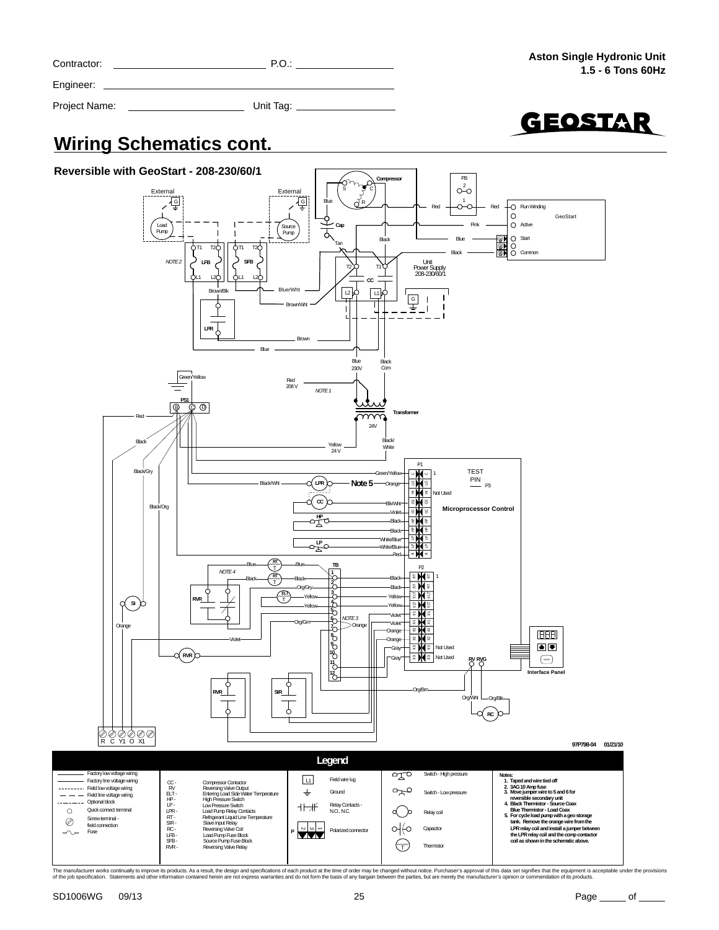| Contractor:   | P.O.      |
|---------------|-----------|
| Engineer:     |           |
| Project Name: | Unit Tag: |



### **Wiring Schematics cont.**

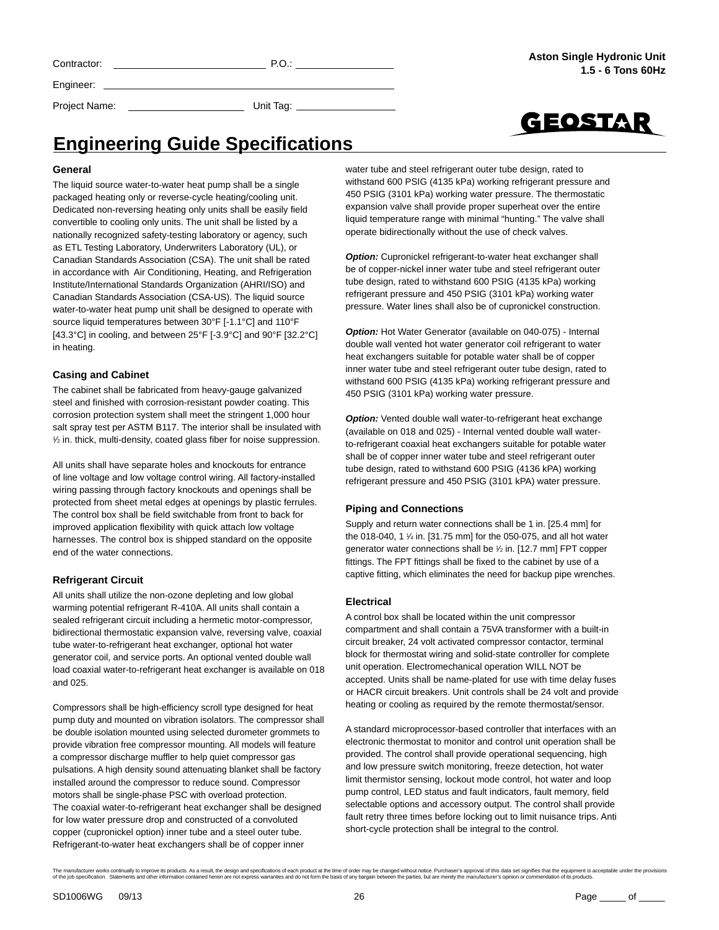Engineer:

Project Name: Unit Tag:



### **Engineering Guide Specifications**

#### **General**

The liquid source water-to-water heat pump shall be a single packaged heating only or reverse-cycle heating/cooling unit. Dedicated non-reversing heating only units shall be easily field convertible to cooling only units. The unit shall be listed by a nationally recognized safety-testing laboratory or agency, such as ETL Testing Laboratory, Underwriters Laboratory (UL), or Canadian Standards Association (CSA). The unit shall be rated in accordance with Air Conditioning, Heating, and Refrigeration Institute/International Standards Organization (AHRI/ISO) and Canadian Standards Association (CSA-US). The liquid source water-to-water heat pump unit shall be designed to operate with source liquid temperatures between 30°F [-1.1°C] and 110°F [43.3°C] in cooling, and between 25°F [-3.9°C] and 90°F [32.2°C] in heating.

#### **Casing and Cabinet**

The cabinet shall be fabricated from heavy-gauge galvanized steel and finished with corrosion-resistant powder coating. This corrosion protection system shall meet the stringent 1,000 hour salt spray test per ASTM B117. The interior shall be insulated with 1 ⁄2 in. thick, multi-density, coated glass fiber for noise suppression.

All units shall have separate holes and knockouts for entrance of line voltage and low voltage control wiring. All factory-installed wiring passing through factory knockouts and openings shall be protected from sheet metal edges at openings by plastic ferrules. The control box shall be field switchable from front to back for improved application flexibility with quick attach low voltage harnesses. The control box is shipped standard on the opposite end of the water connections.

#### **Refrigerant Circuit**

All units shall utilize the non-ozone depleting and low global warming potential refrigerant R-410A. All units shall contain a sealed refrigerant circuit including a hermetic motor-compressor, bidirectional thermostatic expansion valve, reversing valve, coaxial tube water-to-refrigerant heat exchanger, optional hot water generator coil, and service ports. An optional vented double wall load coaxial water-to-refrigerant heat exchanger is available on 018 and 025.

Compressors shall be high-efficiency scroll type designed for heat pump duty and mounted on vibration isolators. The compressor shall be double isolation mounted using selected durometer grommets to provide vibration free compressor mounting. All models will feature a compressor discharge muffler to help quiet compressor gas pulsations. A high density sound attenuating blanket shall be factory installed around the compressor to reduce sound. Compressor motors shall be single-phase PSC with overload protection. The coaxial water-to-refrigerant heat exchanger shall be designed for low water pressure drop and constructed of a convoluted copper (cupronickel option) inner tube and a steel outer tube. Refrigerant-to-water heat exchangers shall be of copper inner

water tube and steel refrigerant outer tube design, rated to withstand 600 PSIG (4135 kPa) working refrigerant pressure and 450 PSIG (3101 kPa) working water pressure. The thermostatic expansion valve shall provide proper superheat over the entire liquid temperature range with minimal "hunting." The valve shall operate bidirectionally without the use of check valves.

*Option:* Cupronickel refrigerant-to-water heat exchanger shall be of copper-nickel inner water tube and steel refrigerant outer tube design, rated to withstand 600 PSIG (4135 kPa) working refrigerant pressure and 450 PSIG (3101 kPa) working water pressure. Water lines shall also be of cupronickel construction.

*Option:* Hot Water Generator (available on 040-075) - Internal double wall vented hot water generator coil refrigerant to water heat exchangers suitable for potable water shall be of copper inner water tube and steel refrigerant outer tube design, rated to withstand 600 PSIG (4135 kPa) working refrigerant pressure and 450 PSIG (3101 kPa) working water pressure.

**Option:** Vented double wall water-to-refrigerant heat exchange (available on 018 and 025) - Internal vented double wall waterto-refrigerant coaxial heat exchangers suitable for potable water shall be of copper inner water tube and steel refrigerant outer tube design, rated to withstand 600 PSIG (4136 kPA) working refrigerant pressure and 450 PSIG (3101 kPA) water pressure.

#### **Piping and Connections**

Supply and return water connections shall be 1 in. [25.4 mm] for the 018-040, 1 1 ⁄4 in. [31.75 mm] for the 050-075, and all hot water generator water connections shall be 1 ⁄2 in. [12.7 mm] FPT copper fittings. The FPT fittings shall be fixed to the cabinet by use of a captive fitting, which eliminates the need for backup pipe wrenches.

#### **Electrical**

A control box shall be located within the unit compressor compartment and shall contain a 75VA transformer with a built-in circuit breaker, 24 volt activated compressor contactor, terminal block for thermostat wiring and solid-state controller for complete unit operation. Electromechanical operation WILL NOT be accepted. Units shall be name-plated for use with time delay fuses or HACR circuit breakers. Unit controls shall be 24 volt and provide heating or cooling as required by the remote thermostat/sensor.

A standard microprocessor-based controller that interfaces with an electronic thermostat to monitor and control unit operation shall be provided. The control shall provide operational sequencing, high and low pressure switch monitoring, freeze detection, hot water limit thermistor sensing, lockout mode control, hot water and loop pump control, LED status and fault indicators, fault memory, field selectable options and accessory output. The control shall provide fault retry three times before locking out to limit nuisance trips. Anti short-cycle protection shall be integral to the control.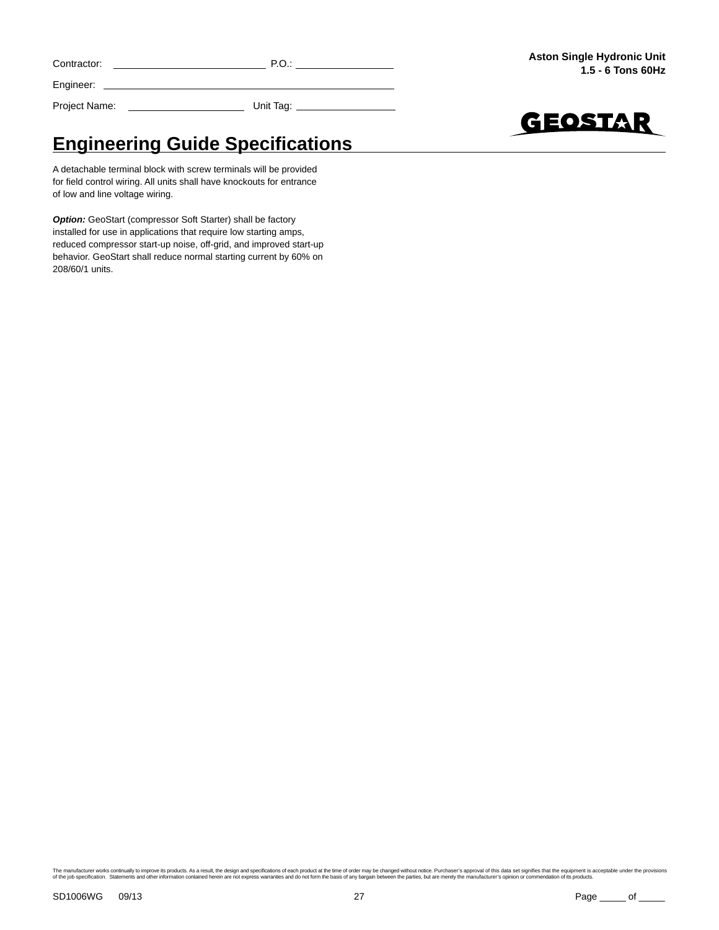| Contractor: | ັ∪ |
|-------------|----|
|             |    |

Engineer:

Project Name: Unit Tag:



# **Engineering Guide Specifications**

A detachable terminal block with screw terminals will be provided for field control wiring. All units shall have knockouts for entrance of low and line voltage wiring.

**Option:** GeoStart (compressor Soft Starter) shall be factory installed for use in applications that require low starting amps, reduced compressor start-up noise, off-grid, and improved start-up behavior. GeoStart shall reduce normal starting current by 60% on 208/60/1 units.